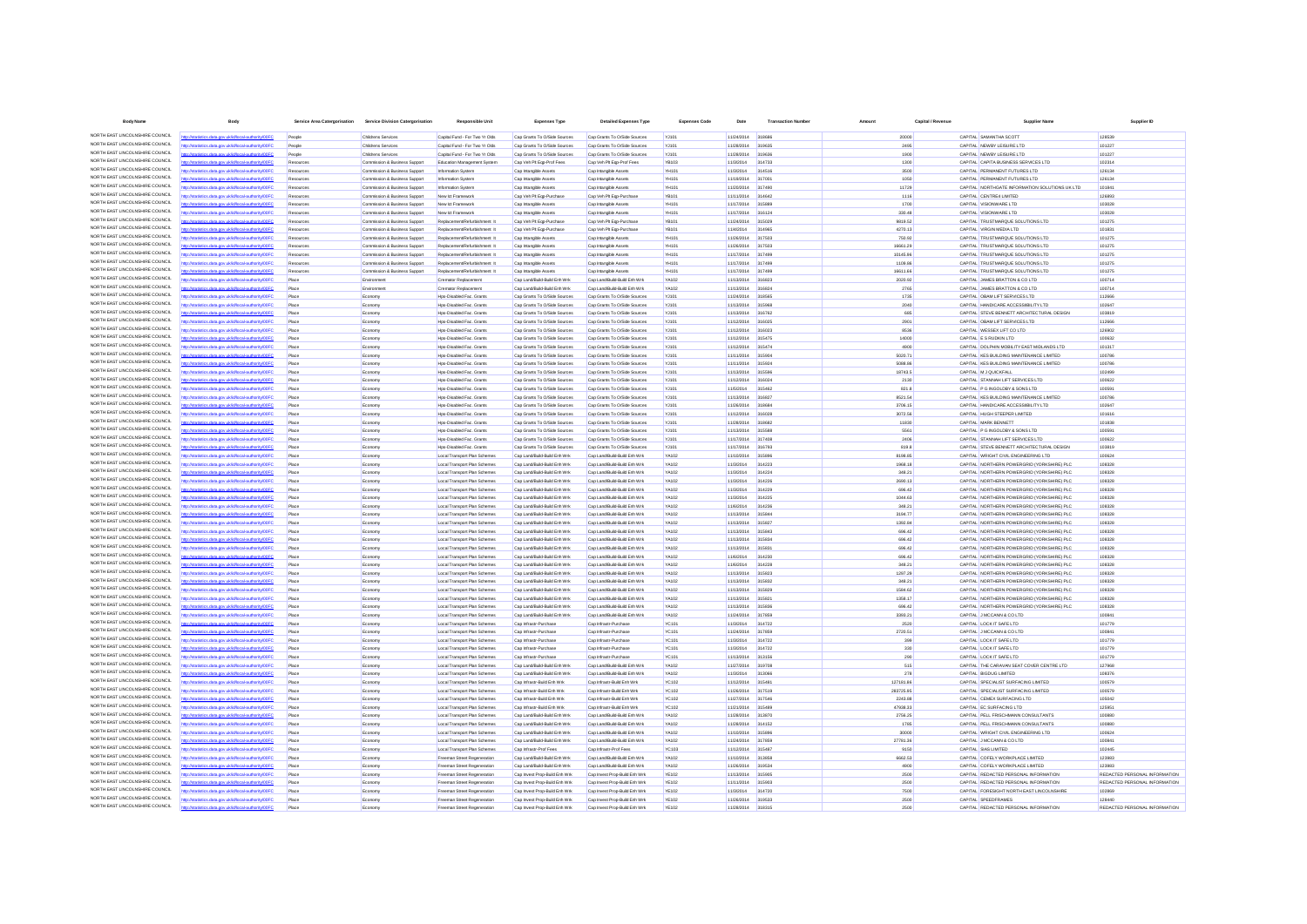| <b>Body Name</b>                                                   |                                                                                           | Service Area Catergorisation | <b>Service Division Catergorisation</b>                        | Responsible Uni                                              | <b>Expenses Type</b>                                           | <b>Detailed Expenses Type</b>                                  | <b>Expenses Code</b>         | Date                            | <b>Transaction Number</b> | Capital / Revenue<br>Amount |                                                                                          |                                         |
|--------------------------------------------------------------------|-------------------------------------------------------------------------------------------|------------------------------|----------------------------------------------------------------|--------------------------------------------------------------|----------------------------------------------------------------|----------------------------------------------------------------|------------------------------|---------------------------------|---------------------------|-----------------------------|------------------------------------------------------------------------------------------|-----------------------------------------|
| NORTH EAST LINCOLNSHIRE COUNCIL                                    | //statistics.data.gov.uk/id/local-authority/00FC                                          | People                       | Childrens Services                                             | Capital Fund - For Two Yr Olds                               | Cap Grants To O/Side Sources                                   | Cap Grants To O/Side Sources                                   | YJ101                        | 11/24/2014                      | 318686                    | 20000                       | CAPITAL SAMANTHA SCOTT                                                                   | 128539                                  |
| NORTH EAST LINCOLNSHIRE COUNCIL                                    |                                                                                           | People                       | <b>Childrens Services</b>                                      | Capital Fund - For Two Yr Olds                               | Cap Grants To O/Side Sources                                   | Can Grants To OfSide Sources                                   | <b>Y.1101</b>                | 11/28/2014                      | 319635                    | 2495                        | CAPITAL NEWRYLEISURE LTD                                                                 | 101227                                  |
| NORTH EAST LINCOLNSHIRE COUNCIL                                    |                                                                                           | People                       | Childrens Services                                             | Capital Fund - For Two Yr Olds                               | Cap Grants To O/Side Sources                                   | Cap Grants To O/Side Sources                                   | YJ101                        | 11/28/2014                      | 319636                    | 1900                        | CAPITAL NEWBY LEISURE LTD                                                                | 101227                                  |
| NORTH EAST LINCOLNSHIRE COUNCIL<br>NORTH EAST LINCOLNSHIRE COUNCIL | atistics.data.gov.uk/id/local-authority/00FC                                              | Resources                    | Commission & Business Support                                  | Education Management System                                  | Cap Veh Pit Eqp-Prof Fees                                      | Cap Veh Plt Eqp-Prof Fees                                      | <b>YR103</b>                 | 11/3/2014                       | 314733                    | 1300                        | CAPITAL CAPITA BUSINESS SERVICES LTD                                                     | 102314                                  |
| NORTH EAST LINCOLNSHIRE COUNCIL                                    | ics.data.gov.uk/id/local-authority/00FC                                                   | Resources<br>Resource        | Commission & Business Support<br>Commission & Business Support | Information Syster<br>ration Syste                           | Cap Intangible Assets<br>Cap Intangible Assets                 | Cap Intangible Asset<br>Cap Intangible Asset                   | YH101<br>YH101               | 11/3/2014<br>11/19/2014         | 314516<br>31700           | 3500<br>1050                | CAPITAL PERMANENT FUTURES LTD<br>CAPITAL PERMANENT FUTURES LTD                           | 126134<br>126134                        |
| NORTH EAST LINCOLNSHIRE COUNCIL                                    |                                                                                           | Resource                     | Commission & Rusiness Support                                  | Information Syster                                           | Can Intangible Assets                                          | Can Intangible Asset                                           | <b>YH101</b>                 | 11/20/2014                      | 317490                    | 11729                       | CAPITAL NORTHGATE INFORMATION SOLUTIONS UK LTD                                           | 101841                                  |
| NORTH EAST LINCOLNSHIRE COUNCIL                                    | stics.data.gov.uk/id/local-authority/00FC                                                 | Resources                    | Commission & Business Support                                  | New lot Framework                                            | Cap Veh Pit Eqp-Purchase                                       | Cap Veh Plt Egp-Purchase                                       | YB101                        | 11/11/2014 314642               |                           | 1116                        | CAPITAL CENTRE4 LIMITED                                                                  | 126893                                  |
| NORTH EAST LINCOLNSHIRE COUNCIL                                    | Wstatistics.data.gov.uk/id/local-authority/00FC                                           | Resources                    | Commission & Business Support                                  | New Ict Framework                                            | Cap Intangible Assets                                          | Cap Intangible Asset                                           | <b>YH101</b>                 | 11/17/2014 315889               |                           | 1700                        | CAPITAL VISIONWARE LTD                                                                   | 103028                                  |
| NORTH EAST LINCOLNSHIRE COUNCIL<br>NORTH EAST LINCOLNSHIRE COUNCIL | ins data nov ukřdíhoal-authoritvi00EC                                                     | Resources                    | Commission & Business Support                                  | New lot Framework                                            | Cap Intangible Assets                                          | Cap Intangible Assets                                          | <b>YH101</b>                 | 11/17/2014                      | 316124                    | 330.48                      | CAPITAL VISIONWARE LTD                                                                   | 103028                                  |
| NORTH EAST LINCOLNSHIRE COUNCIL                                    | tics.data.gov.uk/id/local-authority/00FC                                                  | Resources<br>Resource        | Commission & Business Support                                  | Replacement/Refurbishment It                                 | Cap Veh Pit Egp-Purchase                                       | Cap Veh Plt Ego-Purchase                                       | YB101                        | 11/24/2014                      | 315029                    | 9819.52<br>4270.13          | CAPITAL TRUSTMARQUE SOLUTIONS LTD<br>CAPITAL VIRGIN MEDIA LTD                            | 101275<br>101831                        |
| NORTH EAST LINCOLNSHIRE COUNCIL                                    | istics.data.gov.uk/id/local-authority/00FC                                                | Resources                    | Commission & Business Support<br>Commission & Business Support | cement/Refurbishment It<br>Replacement/Refurbishment It      | Cap Veh Pit Eqp-Purchase<br>Cap Intangible Assets              | Cap Veh Plt Egp-Purcha<br>Cap Intangible Asset                 | YB101<br>YH101               | 11/4/2014<br>11/26/2014 317503  | 314965                    | 750.92                      | CAPITAL TRUSTMARQUE SOLUTIONS LTD                                                        | 101275                                  |
| NORTH EAST LINCOLNSHIRE COUNCIL                                    |                                                                                           | Resources                    | Commission & Business Support                                  | Replacement/Refurbishment It                                 | Cap Intangible Assets                                          | Cap Intangible Asset                                           | YH101                        | 11/26/2014                      | 317503                    | 16661.29                    | CAPITAL TRUSTMARQUE SOLUTIONS LTD                                                        | 101275                                  |
| NORTH EAST LINCOLNSHIRE COUNCIL                                    | s data ony uklidingal-auth                                                                | Resources                    | Commission & Business Support                                  | Replacement/Refurbishment It                                 | Cap Intangible Assets                                          | Cap Intangible Asset                                           | <b>YH101</b>                 | 11/17/2014                      | 317499                    | 10145.96                    | CAPITAL TRUSTMARQUE SOLUTIONS LTD                                                        | 101275                                  |
| NORTH EAST LINCOLNSHIRE COUNCIL                                    | stics.data.gov.uk/id/local-authority/00FC                                                 | Resources                    | Commission & Business Support                                  | Replacement/Refurbishment It                                 | Cap Intangible Assets                                          | Cap Intangible Asset                                           | YH101                        | 11/17/2014                      | 317499                    | 1109.86                     | CAPITAL TRUSTMARQUE SOLUTIONS LTD                                                        | 101275                                  |
| NORTH EAST LINCOLNSHIRE COUNCIL<br>NORTH EAST LINCOLNSHIRE COUNCIL |                                                                                           | Resource                     | Commission & Business Support                                  | nent/Refurbishment It                                        | Cap Intangible Assets                                          | Cap Intangible Asset                                           | <b>YH101</b>                 | 11/17/2014                      | 317499                    | 16611.66                    | CAPITAL TRUSTMARQUE SOLUTIONS LTD                                                        | 101275                                  |
| NORTH EAST LINCOLNSHIRE COUNCIL                                    | istics.data.gov.uk/id/local-authority/00FC                                                | Place<br>Place               | Environmen<br>Environmen                                       | Cremator Replacement<br>Cremator Replacement                 | Cap Land/Build-Build Enh Wrk<br>Cap Land/Build-Build Enh Wrk   | Cap Land/Build-Build Enh Wrk<br>Cap Land/Build-Build Enh Wrk   | YA102<br>YA102               | 11/13/2014<br>11/13/2014 316824 | 316823                    | 2020.92<br>2765             | CAPITAL JAMES BRATTON & CO LTD<br>CAPITAL JAMES BRATTON & CO LTD                         | 100714<br>100714                        |
| NORTH EAST LINCOLNSHIRE COUNCIL                                    | ins data ony uklidihnakauth                                                               | Place                        | Economy                                                        | Hps-Disabled Fac. Grants                                     | Cap Grants To O/Side Sources                                   | Cap Grants To O/Side Sources                                   | YJ101                        | 11/24/2014                      | 318565                    | 1735                        | CAPITAL OBAM LIFT SERVICES LTD                                                           | 112666                                  |
| NORTH EAST LINCOLNSHIRE COUNCIL                                    | tics.data.gov.uk/id/local-author                                                          | Place                        | Economy                                                        | Hps-Disabled Fac. Grants                                     | Cap Grants To O/Side Sources                                   | Cap Grants To O/Side Sources                                   | YJ101                        | 11/13/2014                      | 315968                    | 2040                        | CAPITAL HANDICARE ACCESSIBILITY LTD                                                      | 102647                                  |
| NORTH EAST LINCOLNSHIRE COUNCIL                                    |                                                                                           | Place                        | Econom                                                         | Hps-Disabled Fac. Grants                                     | Cap Grants To O/Side Sources                                   | Cap Grants To O/Side Sources                                   | YJ101                        | 11/13/2014                      | 316762                    | 685                         | CAPITAL STEVE BENNETT ARCHITECTURAL DESIGN                                               | 103819                                  |
| NORTH EAST LINCOLNSHIRE COUNCIL                                    | istics.data.gov.uk/id/local-authority/00FC                                                | Place                        | Economy                                                        | Hps-Disabled Fac. Grants                                     | Cap Grants To O/Side Sources                                   | Cap Grants To O/Side Sources                                   | YJ101                        | 11/12/2014                      | 316025                    | 2901                        | CAPITAL OBAM LIFT SERVICES LTD                                                           | 112666                                  |
| NORTH EAST LINCOLNSHIRE COUNCIL<br>NORTH EAST LINCOLNSHIRE COUNCIL |                                                                                           | Place                        | Economy                                                        | Hps-Disabled Fac. Grants                                     | Cap Grants To O/Side Sources                                   | Cap Grants To O/Side Sources                                   | YJ101                        | 11/12/2014 316023               |                           | 8536                        | CAPITAL WESSEX LIFT CO LTD                                                               | 126902                                  |
| NORTH FAST LINCOLNSHIRE COLINCIL                                   | atistics.data.gov.uk/id/local-authority/00FC<br>lics.data.gov.uk/id/local-autl            | Place<br>Place               | Economy<br>Economy                                             | Hps-Disabled Fac. Grants<br>Hos-Disabled Fac. Grants         | Cap Grants To O/Side Sources<br>Cap Grants To O/Side Sources   | Cap Grants To O/Side Sources<br>Cap Grants To O/Side Sources   | YJ101<br>YJ101               | 11/12/2014<br>11/12/2014        | 315475<br>315474          | 14000<br>4900               | CAPITAL ES RUDKIN LTD<br>CAPITAL DOLPHIN MOBILITY EAST MIDLANDS LTD                      | 100632<br>101317                        |
| NORTH EAST LINCOLNSHIRE COUNCIL                                    |                                                                                           | Place                        | Economy                                                        | Hps-Disabled Fac. Grants                                     | Cap Grants To O/Side Sources                                   | Cap Grants To O/Side Sources                                   | YJ101                        | 11/11/2014                      | 315904                    | 5020.71                     | CAPITAL KES BUILDING MAINTENANCE LIMITED                                                 | 100786                                  |
| NORTH EAST LINCOLNSHIRE COUNCIL                                    | stics.data.gov.uk/id/local-authority/00FC                                                 | Place                        | Economy                                                        | Hos-Disabled Fac. Grants                                     | Cap Grants To O/Side Sources                                   | Cap Grants To O/Side Sources                                   | YJ101                        | 11/11/2014                      | 315924                    | 5088.86                     | CAPITAL KES BUILDING MAINTENANCE LIMITED                                                 | 100786                                  |
| NORTH EAST LINCOLNSHIRE COUNCIL                                    |                                                                                           | Place                        | Economy                                                        | Hps-Disabled Fac. Grants                                     | Cap Grants To O/Side Sources                                   | Cap Grants To O/Side Sources                                   | YJ101                        | 11/13/2014 315596               |                           | 18743.5                     | CAPITAL MJ QUICKFALL                                                                     | 102499                                  |
| NORTH EAST LINCOLNSHIRE COUNCIL                                    | istics.data.gov.uk/id/local-authority/00FC                                                | Place                        | Economy                                                        | Hps-Disabled Fac. Grants                                     | Cap Grants To O/Side Sources                                   | Cap Grants To O/Side Sources                                   | YJ101                        | 11/12/2014 316024               |                           | 2130                        | CAPITAL STANNAH LIFT SERVICES LTD                                                        | 100622                                  |
| NORTH EAST LINCOLNSHIRE COUNCIL<br>NORTH EAST LINCOLNSHIRE COUNCIL | ins data ony uklidional aut<br>and the company's contribution of the state                | Place                        | Economy                                                        | Hos-Disabled Fac. Grants                                     | Cap Grants To O/Side Sources                                   | Cap Grants To O/Side Sources                                   | YJ101                        | 11/5/2014                       | 315462                    | 821.8                       | CAPITAL P G INGOLDBY & SONS LTD                                                          | 100591                                  |
| NORTH EAST LINCOLNSHIRE COUNCIL                                    | istics.data.gov.uk/id/local-authority/00FC                                                | Place<br>Place               | Economy<br>Economy                                             | Hps-Disabled Fac. Grants<br>Hos-Disabled Fac. Grants         | Cap Grants To O/Side Sources<br>Cap Grants To O/Side Sources   | Cap Grants To O/Side Sources<br>Cap Grants To O/Side Sources   | YJ101<br>YJ101               | 11/13/2014<br>11/26/2014        | 31682<br>318684           | 8521.54<br>3706.15          | CAPITAL KES BUILDING MAINTENANCE LIMITED<br>CAPITAL HANDICARE ACCESSIBILITY LTD          | 100786<br>102647                        |
| NORTH EAST LINCOLNSHIRE COUNCIL                                    |                                                                                           | Place                        | Economy                                                        | Hps-Disabled Fac. Grants                                     | Cap Grants To O/Side Sources                                   | Cap Grants To O/Side Sources                                   | YJ101                        | 11/12/2014 316028               |                           | 3072.56                     | CAPITAL HUGH STEEPER LIMITED                                                             | 101616                                  |
| NORTH EAST LINCOLNSHIRE COUNCIL                                    | distics.data.gov.uk/id/local-authority/00FC                                               | Place                        | Economy                                                        | Hps-Disabled Fac. Grants                                     | Cap Grants To O/Side Sources                                   | Cap Grants To O/Side Sources                                   | YJ101                        | 11/28/2014                      | 318682                    | 11830                       | CAPITAL MARK BENNETT                                                                     | 101838                                  |
| NORTH EAST LINCOLNSHIRE COUNCIL                                    | is data ony uklidional aut                                                                | Place                        | Economy                                                        | Hos-Disabled Fac. Grants                                     | Cap Grants To O/Side Sources                                   | Cap Grants To O/Side Sources                                   | YJ101                        | 11/13/2014                      | 315588                    | 5561                        | CAPITAL P G INGOLDBY & SONS LTD                                                          | 100591                                  |
| NORTH EAST LINCOLNSHIRE COUNCIL<br>NORTH EAST LINCOLNSHIRE COUNCIL |                                                                                           | Place                        | Economy                                                        | Hps-Disabled Fac. Grants                                     | Cap Grants To O/Side Sources                                   | Cap Grants To O/Side Sources                                   | YJ101                        | 11/17/2014                      | 317408                    | 2406                        | CAPITAL STANNAH LIFT SERVICES LTD                                                        | 100622                                  |
| NORTH EAST LINCOLNSHIRE COUNCIL                                    | stics.data.gov.uk/id/local-authority/00FC                                                 | Place                        | Economy                                                        | Hos-Disabled Fac. Grants                                     | Cap Grants To O/Side Sources                                   | Cap Grants To O/Side Sources<br>Cap Land/Build-Build Enh Wrk   | YJ101                        | 11/17/2014                      | 316793                    | 819.8                       | CAPITAL STEVE BENNETT ARCHITECTURAL DESIGN                                               | 103819                                  |
| NORTH EAST LINCOLNSHIRE COUNCIL                                    | istics.data.gov.uk/id/local-authority/00FC                                                | Place<br>Place               | Economy<br>Economy                                             | Local Transport Plan Schemes<br>Local Transport Plan Schemer | Cap Land/Build-Build Enh Wrk<br>Cap Land Build-Build Enh Wrk   | Cap Land/Build-Build Enh Wrk                                   | <b>YA102</b><br>YA102        | 11/10/2014<br>11/3/2014         | 315896<br>314223          | 8198.85<br>1968.18          | CAPITAL WRIGHT CIVIL ENGINEERING LTD<br>CAPITAL NORTHERN POWERGRID (YORKSHIRE) PLC       | 100624<br>108328                        |
| NORTH EAST LINCOLNSHIRE COUNCIL                                    | ins data ony uklidional aut                                                               | Place                        | Economy                                                        | Local Transport Plan Schemes                                 | Cap Land Build-Build Enh Wrk                                   | Cap Land/Build-Build Enh Wrk                                   | <b>YA102</b>                 | 11/3/2014                       | 314224                    | 348.21                      | CAPITAL NORTHERN POWERGRID (YORKSHIRE) PLC                                               | 108328                                  |
| NORTH EAST LINCOLNSHIRE COUNCIL                                    | cs.data.gov.uk/id/local-author                                                            | Place                        | Economy                                                        | Local Transport Plan Schemes                                 | Cap Land/Build-Build Enh Wrk                                   | Cap Land Build Build Enh Wrk                                   | YA102                        | 11/3/2014                       | 314226                    | 2690.13                     | CAPITAL NORTHERN POWERGRID (YORKSHIRE) PLC                                               | 108328                                  |
| NORTH EAST LINCOLNSHIRE COUNCIL                                    | statistics.data.gov.uk/id/local-authority/00FC                                            | Place                        | Economy                                                        | Local Transport Plan Schemes                                 | Cap Land Build-Build Enh Wrk                                   | Cap Land/Build-Build Enh Wrk                                   | <b>YA102</b>                 | 11/3/2014                       | 314229                    | 696.42                      | CAPITAL NORTHERN POWERGRID (YORKSHIRE) PLC                                               | 108328                                  |
| NORTH EAST LINCOLNSHIRE COUNCIL<br>NORTH EAST LINCOLNSHIRE COUNCIL | s.data.gov.uk/id/local-author                                                             | Place                        | Economy                                                        | Local Transport Plan Schemes                                 | Cap Land/Build-Build Enh Wrk                                   | Cap Land Build Build Enh Wrk                                   | YA102                        | 11/3/2014                       | 314225                    | 1044.63                     | CAPITAL NORTHERN POWERGRID (YORKSHIRE) PLC                                               | 108328                                  |
| NORTH EAST LINCOLNSHIRE COUNCIL                                    | distics.data.gov.uk/id/local-authority/00FC<br>ins data one uklidihoakauth                | Place<br>Place               | Economy<br>Economy                                             | Local Transport Plan Schemes<br>Local Transport Plan Schemes | Cap Land/Build-Build Enh Wrk<br>Cap Land Build-Build Enh Wrk   | Cap Land/Build-Build Enh Wrk<br>Cap Land/Build-Build Enh Wrk   | YA102<br><b>YA102</b>        | 11/6/2014<br>11/13/2014         | 314236<br>315844          | 348.21<br>3194.77           | CAPITAL NORTHERN POWERGRID (YORKSHIRE) PLC<br>CAPITAL NORTHERN POWERGRID (YORKSHIRE) PLC | 108328<br>108328                        |
| NORTH EAST LINCOLNSHIRE COUNCIL                                    | tics.data.gov.uk/id/local-authority/00FC                                                  | Place                        | Economy                                                        | Local Transport Plan Schemes                                 | Cap Land/Build-Build Enh Wrk                                   | Cap Land Build Build Enh Wrk                                   | YA102                        | 11/13/2014                      | 315827                    | 1392.84                     | CAPITAL NORTHERN POWERGRID (YORKSHIRE) PLC                                               | 108328                                  |
| NORTH EAST LINCOLNSHIRE COUNCIL                                    | istics.data.gov.uk/id/local-authority/00FC                                                | Place                        | Economy                                                        | Local Transport Plan Schemes                                 | Cap Land Build-Build Enh Wrk                                   | Cap Land/Build-Build Enh Wrk                                   | <b>YA102</b>                 | 11/13/2014                      | 315843                    | 696.42                      | CAPITAL NORTHERN POWERGRID (YORKSHIRE) PLC                                               | 108328                                  |
| NORTH EAST LINCOLNSHIRE COUNCIL                                    |                                                                                           | Place                        | Economy                                                        | Local Transport Plan Schemes                                 | Cap Land Build-Build Enh Wrk                                   | Cap Land/Build-Build Enh Wrk                                   | YA102                        | 11/13/2014 315834               |                           | 696.42                      | CAPITAL NORTHERN POWERGRID (YORKSHIRE) PLC                                               | 108328                                  |
| NORTH EAST LINCOLNSHIRE COUNCIL                                    | istics.data.gov.uk/id/local-authority/00FC                                                | Place                        | Economy                                                        | Local Transport Plan Schemes                                 | Cap Land/Build-Build Enh Wrk                                   | Cap Land/Build-Build Enh Wrk                                   | <b>YA102</b>                 | 11/13/2014                      | 31583                     | 696.42                      | CAPITAL NORTHERN POWERGRID (YORKSHIRE) PLC                                               | 108328                                  |
| NORTH EAST LINCOLNSHIRE COUNCIL<br>NORTH EAST LINCOLNSHIRE COUNCIL | tics data nov uklidiocal authority                                                        | Place                        | Economy                                                        | Local Transport Plan Schemes                                 | Cap Land Build-Build Enh Wrk                                   | Cap Land/Build-Build Enh Wrk                                   | <b>YA102</b>                 | 11/6/2014                       | 314230                    | 696.42                      | CAPITAL NORTHERN POWERGRID (YORKSHIRE) PLC                                               | 108328                                  |
| NORTH EAST LINCOLNSHIRE COUNCIL                                    | tics.data.gov.uk/id/local-authority/00FC                                                  | Place<br>Place               | Economy<br>Economy                                             | Local Transport Plan Schemes<br>Local Transport Plan Schemer | Cap Land/Build-Build Enh Wrk<br>Cap Land Build-Build Enh Wrk   | Cap Land/Build-Build Enh Wrk<br>Cap Land/Build-Build Enh Wrk   | YA102<br>YA102               | 11/6/2014<br>11/13/2014         | 314228<br>315823          | 348.21<br>1297.29           | CAPITAL NORTHERN POWERGRID (YORKSHIRE) PLC<br>CAPITAL NORTHERN POWERGRID (YORKSHIRE) PLC | 108328<br>108328                        |
| NORTH FAST LINCOLNSHIRE COLINCIL                                   | ics data ony ukkilocal autho                                                              | Place                        | Economy                                                        | Local Transport Plan Schemes                                 | Cap Land Build-Build Enh Wrk                                   | Cap Land/Build-Build Enh Wrk                                   | <b>YA102</b>                 | 11/13/2014                      | 315832                    | 348.21                      | CAPITAL NORTHERN POWERGRID (YORKSHIRE) PLC                                               | 108328                                  |
| NORTH EAST LINCOLNSHIRE COUNCIL                                    | distics.data.gov.uk/id/local-authority/00FC                                               | Place                        | Economy                                                        | Local Transport Plan Schemes                                 | Cap Land Build-Build Enh Wrk                                   | Cap Land/Build-Build Enh Wrk                                   | YA102                        | 11/13/2014                      | 315829                    | 1584.62                     | CAPITAL NORTHERN POWERGRID (YORKSHIRE) PLC                                               | 108328                                  |
| NORTH EAST LINCOLNSHIRE COUNCIL                                    |                                                                                           | Place                        | Economy                                                        | Local Transport Plan Schemes                                 | Cap Land/Build-Build Enh Wrk                                   | Cap Land/Build-Build Enh Wrk                                   | <b>YA102</b>                 | 11/13/2014                      | 315821                    | 1358.17                     | CAPITAL NORTHERN POWERGRID (YORKSHIRE) PLC                                               | 108328                                  |
| NORTH EAST LINCOLNSHIRE COUNCIL<br>NORTH EAST LINCOLNSHIRE COUNCIL | stics.data.gov.uk/id/local-authority/00FC                                                 | Place                        | Economy                                                        | Local Transport Plan Schemes                                 | Cap Land/Build-Build Enh Wrk                                   | Cap Land/Build-Build Enh Wrk                                   | <b>YA102</b>                 | 11/13/2014                      | 315836                    | 696.42                      | CAPITAL NORTHERN POWERGRID (YORKSHIRE) PLC                                               | 108328                                  |
| NORTH FAST LINCOLNSHIRE COUNCIL                                    | s data ony uklidingal-auth                                                                | Place<br>Place               | Economy<br>Economy                                             | Local Transport Plan Schemes<br>Local Transport Plan Schemes | Cap Land Build-Build Enh Wrk<br>Cap Infrastr-Purchase          | Cap Land/Build-Build Enh Wrk<br>Cap Infrastr-Purchase          | YA102<br><b>YC101</b>        | 11/24/2014<br>11/3/2014         | 317859<br>314722          | 3393.21<br>2520             | CAPITAL J MCCANN & CO LTD<br>CAPITAL LOCK IT SAFE LTD                                    | 100841<br>101779                        |
| NORTH EAST LINCOLNSHIRE COUNCIL                                    | istics.data.gov.uk/id/local-authority/00FC                                                | Place                        | Economy                                                        | Local Transport Plan Schemes                                 | Cap Infrastr-Purchase                                          | Cap Infrastr-Purchase                                          | <b>YC101</b>                 | 11/24/2014                      | 317859                    | 2720.51                     | CAPITAL J MCCANN & CO LTD                                                                | 100841                                  |
| NORTH EAST LINCOLNSHIRE COUNCIL                                    | ing state and deliving a later                                                            | Place                        | Economy                                                        | Local Transport Plan Schemes                                 | Cap Infrastr-Purchase                                          | Cap Infrastr-Purchase                                          | YC101                        | 11/3/2014                       | 314722                    | 399                         | CAPITAL LOCK IT SAFE LTD                                                                 | 101779                                  |
| NORTH EAST LINCOLNSHIRE COUNCIL                                    | tics.data.gov.uk/id/local-authority/00FC                                                  | Place                        | Economy                                                        | Local Transport Plan Schemes                                 | Cap Infrastr-Purchase                                          | Cap Infrastr-Purchase                                          | YC101                        | 11/3/2014                       | 314722                    | 330                         | CAPITAL LOCK IT SAFE LTD                                                                 | 101779                                  |
| NORTH EAST LINCOLNSHIRE COUNCIL<br>NORTH EAST LINCOLNSHIRE COUNCIL |                                                                                           | Place                        | Economy                                                        | Local Transport Plan Schemes                                 | Cap Infrastr-Purchase                                          | Cap Infrastr-Purchase                                          | <b>YC101</b>                 | 11/13/2014                      | 313156                    | 290                         | CAPITAL LOCK IT SAFE LTD                                                                 | 101779                                  |
| NORTH EAST LINCOLNSHIRE COUNCIL                                    | stics.data.gov.uk/id/local-authority/00FC<br>atistics.data.gov.uk/id/local-authority/00FC | Place<br>Place               | Economy<br>Economy                                             | Local Transport Plan Schemes<br>Local Transport Plan Schemes | Cap Land Build-Build Enh Wrk<br>Cap Land/Build-Build Enh Wrk   | Cap Land Build-Build Enh Wrk<br>Cap Land/Build-Build Enh Wrk   | <b>YA102</b><br>YA102        | 11/27/2014<br>11/3/2014         | 319708<br>313066          | 515<br>278                  | CAPITAL THE CARAVAN SEAT COVER CENTRE LTD<br>CAPITAL BIGDUG LIMITED                      | 127968<br>108376                        |
| NORTH EAST LINCOLNSHIRE COUNCIL                                    | ins data ony uklidihoal-authority/00FC                                                    | Place                        | Economy                                                        | Local Transport Plan Schemes                                 | Cap Infrastr-Build Enh Wrk                                     | Cap Infrastr-Build Enh Wrk                                     | YC102                        | 11/12/2014                      | 31548                     | 127181.86                   | CAPITAL SPECIALIST SURFACING LIMITED                                                     | 100579                                  |
| NORTH EAST LINCOLNSHIRE COUNCIL                                    | stics.data.gov.uk/id/local-authority/00FC                                                 | Place                        | Economy                                                        | Local Transport Plan Schemes                                 | Cap Infrastr-Build Enh Wrk                                     | Cap Infrastr-Build Enh Wrk                                     | YC102                        | 11/26/2014                      | 317519                    | 283725.95                   | CAPITAL SPECIALIST SURFACING LIMITED                                                     | 100579                                  |
| NORTH EAST LINCOLNSHIRE COUNCIL                                    |                                                                                           | Place                        | Economy                                                        | Local Transport Plan Schemes                                 | Cap Infrastr-Build Enh Wrk                                     | Cap Infrastr-Build Enh Wrk                                     | <b>YC102</b>                 | 11/27/2014                      | 317546                    | 2243.88                     | CAPITAL CEMEX SURFACING LTD                                                              | 105042                                  |
| NORTH EAST LINCOLNSHIRE COUNCIL                                    | stics.data.gov.uk/id/local-authority/00FC                                                 | Place                        | Economy                                                        | Local Transport Plan Schemes                                 | Cap Infrastr-Build Enh Wrk                                     | Cap Infrastr-Build Enh Wrk                                     | YC102                        | 11/21/2014                      | 315489                    | 47938.33                    | CAPITAL EC SURFACING LTD                                                                 | 125951                                  |
| NORTH EAST LINCOLNSHIRE COUNCIL<br>NORTH EAST LINCOLNSHIRE COUNCIL |                                                                                           | Place                        | Economy                                                        | Local Transport Plan Schemes                                 | Cap Land/Build-Build Enh Wrk                                   | Cap Land Build Build Enh Wrk                                   | YA102                        | 11/28/2014 313870               |                           | 2756.25                     | CAPITAL PELL FRISCHMANN CONSULTANTS                                                      | 100880                                  |
| NORTH EAST LINCOLNSHIRE COUNCIL                                    | stics.data.gov.uk/id/local-authority/00FC                                                 | Place<br>Place               | Economy<br>Economy                                             | Local Transport Plan Schemes<br>Local Transport Plan Schemes | Cap Land/Build-Build Enh Wrk<br>Cap Land/Build-Build Enh Wrk   | Cap Land/Build-Build Enh Wrk<br>Cap Land/Build-Build Enh Wrk   | YA102<br>YA102               | 11/28/2014 314152<br>11/10/2014 | 315896                    | 1785<br>30000               | CAPITAL PELL FRISCHMANN CONSULTANTS<br>CAPITAL WRIGHT CIVIL ENGINEERING LTD              | 100880<br>100624                        |
| NORTH EAST LINCOLNSHIRE COUNCIL                                    |                                                                                           | Place                        | Economy                                                        | Local Transport Plan Schemes                                 | Cap Land Build-Build Enh Wrk                                   | Cap Land Build Build Enh Wrk                                   | YA102                        | 11/24/2014                      | 317859                    | 27781.36                    | CAPITAL J MCCANN & CO LTD                                                                | 100841                                  |
| NORTH EAST LINCOLNSHIRE COUNCIL                                    | istics.data.gov.uk/id/local-authority/00FC                                                | Place                        | Economy                                                        | Local Transport Plan Schemes                                 | Cap Infrastr-Prof Fees                                         | Cap Infrastr-Prof Fees                                         | <b>YC103</b>                 | 11/12/2014                      | 315487                    | 9150                        | CAPITAL SIAS LIMITED                                                                     | 102445                                  |
| NORTH EAST LINCOLNSHIRE COUNCIL                                    |                                                                                           | Place                        | Economy                                                        | Freeman Street Regeneration                                  | Cap Land Build-Build Enh Wrk                                   | Cap Land/Build-Build Enh Wrk                                   | YA102                        | 11/10/2014 313858               |                           | 6662.53                     | CAPITAL COFELY WORKPLACE LIMITED                                                         | 123983                                  |
| NORTH EAST LINCOLNSHIRE COUNCIL<br>NORTH EAST LINCOLNSHIRE COUNCIL | stics data ony uklidiocal authority/00FC                                                  | Place                        | Economy                                                        | Freeman Street Regeneration                                  | Cap Land/Build-Build Enh Wrk                                   | Cap Land/Build-Build Enh Wrk                                   | <b>YA102</b>                 | 11/26/2014                      | 319534                    | 4900                        | CAPITAL COFELY WORKPLACE LIMITED                                                         | 123983                                  |
| NORTH EAST LINCOLNSHIRE COUNCIL                                    | stics.data.gov.uk/id/local-authority/00FC                                                 | Place                        | Economy                                                        | Freeman Street Regeneration                                  | Cap Invest Prop-Build Enh Wrk                                  | Cap Invest Prop-Build Enh Wrk                                  | <b>YE102</b>                 | 11/13/2014                      | 315905                    | 2500                        | CAPITAL REDACTED PERSONAL INFORMATION                                                    | REDACTED PERSONAL INFORMATION           |
| NORTH EAST LINCOLNSHIRE COUNCIL                                    | stics.data.gov.uk/id/local-authority/00FC                                                 | Place<br>Place               | Economy<br>Economy                                             | Freeman Street Regeneration<br>Freeman Street Regeneration   | Cap Invest Prop-Build Enh Wrk<br>Cap Invest Prop-Build Enh Wrk | Cap Invest Prop-Build Enh Wrk<br>Cap Invest Prop-Build Enh Wrk | <b>YE102</b><br><b>YE102</b> | 11/11/2014<br>11/3/2014         | 315903<br>314720          | 2500<br>7500                | CAPITAL REDACTED PERSONAL INFORMATION<br>CAPITAL FORESIGHT NORTH EAST LINCOLNSHIRE       | REDACTED PERSONAL INFORMATION<br>102869 |
| NORTH EAST LINCOLNSHIRE COUNCIL                                    | cs.data.gov.uk/id/local-authority/00FC                                                    | Place                        | Economy                                                        | Freeman Street Regeneration                                  | Cap Invest Prop-Build Enh Wrk                                  | Cap Invest Prop-Build Enh Wrk                                  | YE102                        | 11/26/2014 319533               |                           | 2500                        | CAPITAL SPEEDFRAMES                                                                      | 128440                                  |
| NORTH EAST LINCOLNSHIRE COUNCIL                                    |                                                                                           |                              |                                                                | Freeman Street Regeneration                                  | Cap Invest Prop-Build Enh Wrk                                  | Cap Invest Prop-Build Enh Wrl                                  | <b>YE102</b>                 | 1/28/2014                       |                           |                             | CAPITAL REDACTED PERSONAL INFORMATION                                                    | REDACTED PERSONAL INFORMATION           |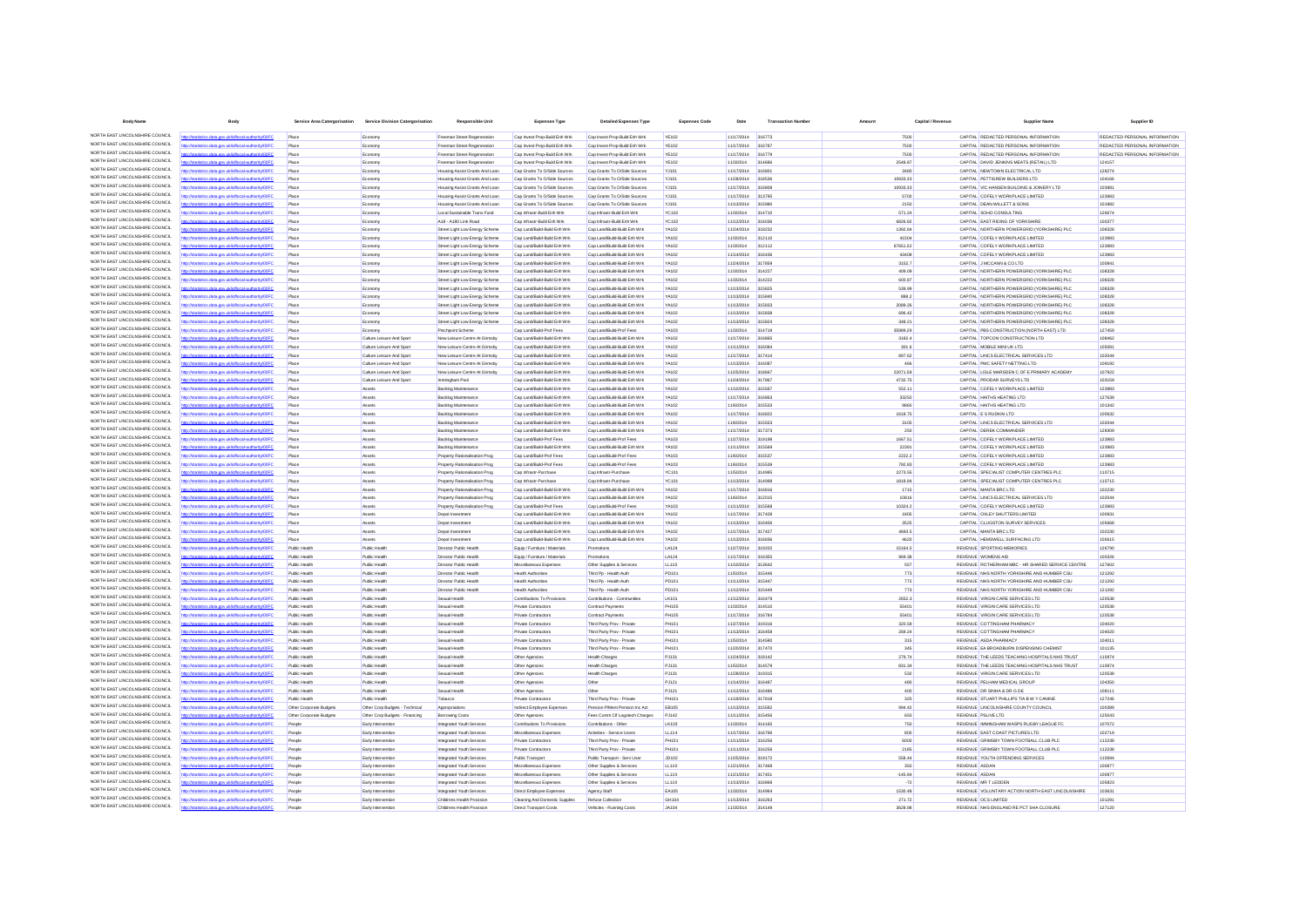| <b>Body Name</b>                                                   | Bod                                                                                    | Service Area Catergorisation  | <b>Service Division Catergorisation</b>                | <b>Responsible Unit</b>                                          | <b>Expenses Type</b>                                           | <b>Detailed Expenses Typ</b>                                 | <b>Expenses Code</b>         | Date                            | <b>Transaction Number</b> |                   | Capital / Revenue    |                                                                                          | Supplier ID                   |
|--------------------------------------------------------------------|----------------------------------------------------------------------------------------|-------------------------------|--------------------------------------------------------|------------------------------------------------------------------|----------------------------------------------------------------|--------------------------------------------------------------|------------------------------|---------------------------------|---------------------------|-------------------|----------------------|------------------------------------------------------------------------------------------|-------------------------------|
| NORTH EAST LINCOLNSHIRE COUNCIL                                    | ttp://statistics.data.gov.uk/id/local-authority/00FC                                   | Place                         | Economy                                                | Freeman Street Regeneration                                      | Cap Invest Prop-Build Enh Wrk                                  | Cap Invest Prop-Build Enh Wrk                                | <b>YE102</b>                 | 11/17/2014 316773               |                           | 7500              |                      | CAPITAL REDACTED PERSONAL INFORMATION                                                    | REDACTED PERSONAL INFORMATION |
| NORTH FAST LINCOLNSHIRE COUNCIL                                    | <b>Uncal-autho</b>                                                                     | Place                         | Economy                                                | Freeman Street Regeneration                                      | Cap Invest Prop-Build Enh Wrk                                  | Cap Invest Prop-Build Enh Wrk                                | <b>YE102</b>                 | 11/17/2014 316787               |                           | 7500              |                      | CAPITAL REDACTED PERSONAL INFORMATION                                                    | REDACTED PERSONAL INFORMATION |
| NORTH EAST LINCOLNSHIRE COUNCIL                                    | ukldhoal-authority/DDFC                                                                | Place                         | Economy                                                | Freeman Street Regeneration                                      | Cap Invest Prop-Build Enh Wrk                                  | Cap Invest Prop-Build Enh Wrk                                | <b>YE102</b>                 | 11/17/2014                      | 316779                    | 7500              |                      | CAPITAL REDACTED PERSONAL INFORMATION                                                    | REDACTED PERSONAL INFORMATION |
| NORTH EAST LINCOLNSHIRE COUNCIL<br>NORTH EAST LINCOLNSHIRE COUNCIL | tics.data.gov.uk/id/local-auth<br>ODFC                                                 | Place                         | Economy                                                | Freeman Street Regeneration                                      | Cap Invest Prop-Build Enh Wrk                                  | Cap Invest Prop-Build Enh Wrk                                | <b>YE102</b>                 | 11/3/2014                       | 314686                    | 2548.87           |                      | CAPITAL DAVID JENKINS MEATS (RETAIL) LTD                                                 | 124157                        |
| NORTH EAST LINCOLNSHIRE COUNCIL                                    |                                                                                        | Place<br>Place                | Economy<br>Economy                                     | Housing Assist Grants And Loan<br>Housing Assist Grants And Loan | Cap Grants To O/Side Sources<br>Cap Grants To O/Side Sources   | Cap Grants To O/Side Sources<br>Cap Grants To O/Side Sources | YJ101<br>YJ101               | 11/17/2014<br>11/28/2014        | 316801<br>318536          | 3480<br>10933.33  |                      | CAPITAL NEWTOWN ELECTRICAL LTD                                                           | 128274<br>104166              |
| NORTH EAST LINCOLNSHIRE COUNCIL                                    | stics.data.gov.uk/id/local-authority/00FC                                              | Place                         | Economy                                                | Housing Assist Grants And Loan                                   | Cap Grants To O/Side Sources                                   | Cap Grants To O/Side Sources                                 | YJ101                        | 11/17/2014 316808               |                           | 10933.33          |                      | CAPITAL PETTIGREW BUILDERS LTD<br>CAPITAL VIC HANSEN BUILDING & JOINERY LTD              | 103981                        |
| NORTH EAST LINCOLNSHIRE COUNCIL                                    | stics.data.gov.uk/id/local-authority/00FC                                              | Place                         | Economy                                                | Housing Assist Grants And Loan                                   | Cap Grants To O/Side Sources                                   | Cap Grants To O/Side Sources                                 | YJ101                        | 11/17/2014 313795               |                           | 5700              |                      | CAPITAL COFELY WORKPLACE LIMITED                                                         | 123983                        |
| NORTH EAST LINCOLNSHIRE COUNCIL                                    | statistics.data.gov.uk/id/local-authority/00FC                                         | Place                         | Economy                                                | Housing Assist Grants And Loan                                   | Cap Grants To O/Side Sources                                   | Cap Grants To O/Side Sources                                 | YJ101                        | 11/13/2014 315980               |                           | 2150              |                      | CAPITAL DEAN WILLETT & SONS                                                              | 101982                        |
| NORTH EAST LINCOLNSHIRE COUNCIL                                    |                                                                                        | Place                         | Economy                                                | Local Sustainable Trans Fund                                     | Cap Infrastr-Build Enh Wrk                                     | Cap Infrastr-Build Enh Wrk                                   | <b>YC102</b>                 | 11/3/2014                       | 314710                    | 571.24            |                      | CAPITAL SOHO CONSULTING                                                                  | 126674                        |
| NORTH EAST LINCOLNSHIRE COUNCIL                                    | tics.data.gov.uk/id/local-auth                                                         | Place                         | Economy                                                | A18 - A180 Link Roar                                             | Cap Infrastr-Build Enh Wrk                                     | Cap Infrastr-Build Enh Wrk                                   | YC102                        | 11/12/2014                      | 316036                    | 6826.82           |                      | CAPITAL EAST RIDING OF YORKSHIRI                                                         | 100377                        |
| NORTH EAST LINCOLNSHIRE COUNCIL<br>NORTH EAST LINCOLNSHIRE COUNCIL | ins data ony uklidingal-auth                                                           | Place                         | Economy                                                | Street Light Low Energy Scheme                                   | Cap Land Build-Build Enh Wrk                                   | Cap Land Build-Build Enh Wrk                                 | <b>YA102</b>                 | 11/24/2014 318232               |                           | 1392.84           |                      | CAPITAL NORTHERN POWERGRID (YORKSHIRE) PLC                                               | 108328                        |
| NORTH EAST LINCOLNSHIRE COUNCIL                                    | stics.data.gov.uk/id/local-authority/00FC                                              | Place<br>Place                | Economy<br>Economy                                     | Street Light Low Energy Scheme<br>Street Light Low Energy Scheme | Cap Land/Build-Build Enh Wrk<br>Cap Land Build-Build Enh Wrk   | Cap Land/Build-Build Enh Wrk<br>Cap Land/Build-Build Enh Wrk | YA102<br>YA102               | 11/3/2014<br>11/3/2014          | 312110<br>312112          | 41504<br>67651.52 |                      | CAPITAL COFELY WORKPLACE LIMITED<br>CAPITAL COFELY WORKPLACE LIMITED                     | 123983<br>123983              |
| NORTH EAST LINCOLNSHIRE COUNCIL                                    |                                                                                        | Place                         | Economy                                                | Street Light Low Energy Scheme                                   | Cap Land Build-Build Enh Wrk                                   | Cap Land/Build-Build Enh Wrk                                 | YA102                        | 11/14/2014                      | 316436                    | 43408             |                      | CAPITAL COFELY WORKPLACE LIMITED                                                         | 123983                        |
| NORTH EAST LINCOLNSHIRE COUNCIL                                    | stics.data.gov.uk/id/local-authority/00FC                                              | Place                         | Economy                                                | Street Light Low Energy Schem                                    | Cap Land/Build-Build Enh Wrk                                   | Cap Land Build-Build Enh Wrk                                 | YA102                        | 11/24/2014                      | 317859                    | 3152.7            |                      | CAPITAL J MCCANN & CO LTD                                                                | 100841                        |
| NORTH EAST LINCOLNSHIRE COUNCIL                                    |                                                                                        | Place                         | Economy                                                | Street Light Low Energy Scheme                                   | Cap Land Build-Build Enh Wrk                                   | Cap Land/Build-Build Enh Wrk                                 | <b>YA102</b>                 | 11/3/2014                       | 314227                    | 409.09            |                      | CAPITAL NORTHERN POWERGRID (YORKSHIRE) PLC                                               | 108328                        |
| NORTH EAST LINCOLNSHIRE COUNCIL                                    | stics.data.gov.uk/id/local-authority/00FC                                              | Place                         | Economy                                                | Street Light Low Energy Scheme                                   | Cap Land/Build-Build Enh Wrk                                   | Cap Land/Build-Build Enh Wrk                                 | YA102                        | 11/3/2014                       | 314222                    | 600.87            |                      | CAPITAL NORTHERN POWERGRID (YORKSHIRE) PLC                                               | 108328                        |
| NORTH EAST LINCOLNSHIRE COUNCIL<br>NORTH FAST LINCOLNSHIRE COUNCIL | ics data ony uklidiocal authority/00FC                                                 | Place                         | Economy                                                | Street Light Low Energy Scheme                                   | Cap Land/Build-Build Enh Wrk                                   | Cap Land/Build-Build Enh Wrk                                 | YA102                        | 11/13/2014                      | 315825                    | 539.99            |                      | CAPITAL NORTHERN POWERGRID (YORKSHIRE) PLC                                               | 108328                        |
| NORTH EAST LINCOLNSHIRE COUNCIL                                    | stics.data.gov.uk/id/local-authr                                                       | Place<br>Place                | Economy<br>Economy                                     | Street Light Low Energy Scheme<br>Street Light Low Energy Scheme | Cap Land Build-Build Enh Wrk<br>Cap Land/Build-Build Enh Wrk   | Cap Land/Build-Build Enh Wrk<br>Cap Land Build-Build Enh Wrk | <b>YA102</b><br>YA102        | 11/13/2014<br>11/13/2014        | 315840<br>315833          | 888.2<br>2089.26  |                      | CAPITAL NORTHERN POWERGRID (YORKSHIRE) PLC<br>CAPITAL NORTHERN POWERGRID (YORKSHIRE) PLC | 108328<br>108328              |
| NORTH EAST LINCOLNSHIRE COUNCIL                                    |                                                                                        | Place                         | Fronomy                                                | Street Light Low Energy Scheme                                   | Cap Land Build-Build Enh Wrk                                   | Cap Land/Build-Build Enh Wrk                                 | <b>YA102</b>                 | 11/13/2014                      | 315838                    | 696.42            |                      | CAPITAL NORTHERN POWERGRID (YORKSHIRE) PLC                                               | 108328                        |
| NORTH EAST LINCOLNSHIRE COUNCIL                                    | istics.data.gov.uk/id/local-authority/00FC                                             | Place                         | Economy                                                | Street Light Low Energy Scheme                                   | Cap Land Build-Build Enh Wrk                                   | Cap Land Build-Build Enh Wrk                                 | <b>YA102</b>                 | 11/13/2014 315824               |                           | 348.21            |                      | CAPITAL NORTHERN POWERGRID (YORKSHIRE) PLC                                               | 108328                        |
| NORTH EAST LINCOLNSHIRE COUNCIL                                    | stics.data.gov.uk/id/local-authority/00FC                                              | Place                         | Economy                                                | <b>Pinchpoint Scheme</b>                                         | Cap Land Build-Prof Fees                                       | Cap LandBuild-Prof Fees                                      | YA103                        | 11/3/2014                       | 314719                    | 35989.29          |                      | CAPITAL PBS CONSTRUCTION (NORTH EAST) LTD                                                | 127459                        |
| NORTH EAST LINCOLNSHIRE COUNCIL                                    | stics.data.gov.uk/id/local-authority/00FC                                              | Place                         | Culture Leisure And Sport                              | New Leisure Centre At Grimsby                                    | Cap Land Build-Build Enh Wrk                                   | Cap Land/Build-Build Enh Wrk                                 | <b>YA102</b>                 | 11/17/2014                      | 316865                    | 3182.4            |                      | CAPITAL TOPCON CONSTRUCTION LTD                                                          | 108462                        |
| NORTH EAST LINCOLNSHIRE COUNCIL<br>NORTH EAST LINCOLNSHIRE COUNCIL |                                                                                        | Place                         | Culture Leisure And Spor                               | New Leisure Centre At Grimsby                                    | Cap Land/Build-Build Enh Wrk                                   | Cap Land Build-Build Enh Wrk                                 | YA102                        | 11/11/2014                      | 316084                    | 301.6             |                      | CAPITAL MOBILE MINI UK LTD                                                               | 105081                        |
| NORTH EAST LINCOLNSHIRE COUNCIL                                    |                                                                                        | Place<br>Place                | Culture Leisure And Sport<br>Culture Leisure And Sport | New Leisure Centre At Grimsby                                    | Cap Land/Build-Build Enh Wrk<br>Cap Land/Build-Build Enh Wrk   | Cap Land Build-Build Enh Wrk<br>Cap Land/Build-Build Enh Wrk | YA102                        | 11/17/2014<br>11/13/2014 316087 | 317414                    | 897.62<br>466     |                      | CAPITAL LINCS ELECTRICAL SERVICES LTD<br>CAPITAL PMC SAFETY NETTING LTD                  | 102044<br>109192              |
| NORTH EAST LINCOLNSHIRE COUNCIL                                    | istics.data.gov.uk/id/local-authority/00FC                                             | Place                         | Culture Leisure And Sport                              | New Leisure Centre At Grimsby<br>New Leisure Centre At Grimsby   | Cap Land/Build-Build Enh Wrk                                   | Cap Land/Build-Build Enh Wrk                                 | YA102<br>YA102               | 11/25/2014 318667               |                           | 22071.58          |                      | CAPITAL LISLE MARSDEN C OF E PRIMARY ACADEMY                                             | 107922                        |
| NORTH EAST LINCOLNSHIRE COUNCIL                                    | stics.data.gov.uk/id/local-authority/00FC                                              | Place                         | Culture Leisure And Sport                              | Immingham Pool                                                   | Cap Land Build-Build Enh Wrk                                   | Cap Land/Build-Build Enh Wrk                                 | <b>YA102</b>                 | 11/24/2014 317867               |                           | 4732.75           |                      | CAPITAL PRODAR SURVEYS LTD                                                               | 103159                        |
| NORTH EAST LINCOLNSHIRE COUNCIL                                    |                                                                                        | Place                         | Assets                                                 | Backlog Maintenance                                              | Cap Land Build-Build Enh Wrk                                   | Cap Land/Build-Build Enh Wrk                                 | YA102                        | 11/10/2014                      | 315567                    | 552.11            |                      | CAPITAL COFELY WORKPLACE LIMITED                                                         | 123983                        |
| NORTH EAST LINCOLNSHIRE COUNCIL                                    | fine data any uklidiscal authority/DDCC                                                | Place                         | Assets                                                 | Backlog Maintenano                                               | Cap Land/Build-Build Enh Wrk                                   | Cap Land/Build-Build Enh Wrk                                 | YA102                        | 11/17/2014                      | 316863                    | 33250             |                      | CAPITAL HAITHS HEATING LTD                                                               | 127639                        |
| NORTH EAST LINCOLNSHIRE COUNCIL                                    | istics.data.gov.uk/id/local-authority/00FC                                             | Place                         | Assets                                                 | Backlog Maintenance                                              | Cap Land/Build-Build Enh Wrk                                   | Cap Land Build Build Enh Wrk                                 | YA102                        | 11/6/2014                       | 315533                    | 9860              |                      | CAPITAL HAITHS HEATING LTD                                                               | 101342                        |
| NORTH EAST LINCOLNSHIRE COUNCIL<br>NORTH EAST LINCOLNSHIRE COUNCIL |                                                                                        | Place                         | Assets                                                 | Backlog Maintenance                                              | Cap Land/Build-Build Enh Wrk                                   | Cap Land/Build-Build Enh Wrk                                 | YA102                        | 11/17/2014 316822               |                           | 1618.75           |                      | CAPITAL ES RUDKIN LTD                                                                    | 100632                        |
| NORTH EAST LINCOLNSHIRE COUNCIL                                    | distics.data.gov.uk/id/local-authority/00FC                                            | Place                         | Assets                                                 | Backlog Maintenance                                              | Cap Land/Build-Build Enh Wrk                                   | Cap Land/Build-Build Enh Wrk                                 | <b>YA102</b><br>YA102        | 11/6/2014                       | 315553                    | 3105<br>250       |                      | CAPITAL LINCS ELECTRICAL SERVICES LTD                                                    | 102044<br>128309              |
| NORTH EAST LINCOLNSHIRE COUNCIL                                    | or about any ideal discontinuations                                                    | Place<br>Place                | Assets<br>Assets                                       | Backlog Maintenance<br>Backlog Maintenance                       | Cap Land Build-Build Enh Wrk<br>Cap Land/Build-Prof Fees       | Cap Land/Build-Build Enh Wrk<br>Cap Land Build-Prof Fees     | YA103                        | 11/17/2014<br>11/27/2014        | 317373<br>319198          | 1667.51           |                      | CAPITAL DEREK COMMANDER<br>CAPITAL COFELY WORKPLACE LIMITED                              | 123983                        |
| NORTH EAST LINCOLNSHIRE COUNCIL                                    | istics.data.gov.uk/id/local-authority/00FC                                             | Place                         | Assets                                                 | Backlog Maintenance                                              | Cap Land Build-Build Enh Wrk                                   | Cap Land Build Build Enh Wrk                                 | YA102                        | 11/11/2014                      | 315569                    | 22391             |                      | CAPITAL COFELY WORKPLACE LIMITED                                                         | 123983                        |
| NORTH EAST LINCOLNSHIRE COUNCIL                                    |                                                                                        | Place                         | Assets                                                 | Property Rationalisation Prog                                    | Cap Land Build-Prof Fees                                       | Cap Land/Build-Prof Fees                                     | YA103                        | 11/6/2014                       | 315537                    | 2222.2            |                      | CAPITAL COFELY WORKPLACE LIMITED                                                         | 123983                        |
| NORTH EAST LINCOLNSHIRE COUNCIL                                    | istics.data.gov.uk/id/local-authority/00FC                                             | Place                         | Assets                                                 | Property Rationalisation Prog                                    | Cap Land Build-Prof Fees                                       | Cap Land Build-Prof Fees                                     | <b>YA103</b>                 | 11/6/2014                       | 315539                    | 792.83            |                      | CAPITAL COFELY WORKPLACE LIMITED                                                         | 123983                        |
| NORTH FAST LINCOLNSHIRE COUNCIL<br>NORTH EAST LINCOLNSHIRE COUNCIL |                                                                                        | Place                         | Assets                                                 | Property Rationalisation Prog-                                   | Cap Infrastr-Purchase                                          | Cap Infrastr-Purchase                                        | <b>YC101</b>                 | 11/5/2014                       | 314995                    | 2273.55           |                      | CAPITAL SPECIALIST COMPUTER CENTRES PLC                                                  | 110715                        |
| NORTH EAST LINCOLNSHIRE COUNCIL                                    | tics.data.gov.uk/id/local-autho<br>stics.data.gov.uk/id/local-authority/00FC           | Place<br>Place                | Assets<br>Assets                                       | Property Rationalisation Prog                                    | Cap Infrastr-Purchase<br>Cap Land Build-Build Enh Wrk          | Cap Infrastr-Purchase<br>Cap Land Build-Build Enh Wrk        | <b>YC101</b><br><b>YA102</b> | 11/13/2014<br>11/17/2014 316816 | 314998                    | 1818.84<br>1715   |                      | CAPITAL SPECIALIST COMPUTER CENTRES PLC<br>CAPITAL MANTA BRC LTD                         | 110715<br>102230              |
| NORTH EAST LINCOLNSHIRE COUNCIL                                    | cs.data.gov.uk/id/local-authority/00FC                                                 | Place                         | Assets                                                 | Property Rationalisation Prog<br>Property Rationalisation Prog   | Cap Land Build-Build Enh Wrk                                   | Cap Land Build Build Enh Wrk                                 | <b>YA102</b>                 | 11/6/2014 312015                |                           | 10816             |                      | CAPITAL LINCS ELECTRICAL SERVICES LTD                                                    | 102044                        |
| NORTH EAST LINCOLNSHIRE COUNCIL                                    | stics.data.gov.uk/id/local-authority/00FC                                              | Place                         | Assets                                                 | Property Rationalisation Prog                                    | Cap Land Build-Prof Fees                                       | Cap Land/Build-Prof Fees                                     | YA103                        | 11/11/2014                      | 315568                    | 10324.2           |                      | CAPITAL COFELY WORKPLACE LIMITED                                                         | 123983                        |
| NORTH EAST LINCOLNSHIRE COUNCIL                                    |                                                                                        | Place                         | Assets                                                 | Depot Investment                                                 | Cap Land/Build-Build Enh Wrk                                   | Cap Land/Build-Build Enh Wrk                                 | YA102                        | 11/17/2014                      | 317428                    | 1805              |                      | CAPITAL OXLEY SHUTTERS LIMITED                                                           | 100931                        |
| NORTH EAST LINCOLNSHIRE COUNCIL                                    | ics.data.gov.uk/id/local-authority/00FC                                                | Place                         | Assets                                                 | Depot Investment                                                 | Cap Land/Build-Build Enh Wrk                                   | Cap Land/Build-Build Enh Wrk                                 | YA102                        | 11/13/2014                      |                           | 3525              |                      | CAPITAL CLUGSTON SURVEY SERVICES                                                         | 105668                        |
| NORTH EAST LINCOLNSHIRE COUNCIL<br>NORTH EAST LINCOLNSHIRE COUNCIL | atistics.data.gov.uk/id/local-authority/00FC                                           | Place                         | Assets                                                 | Depot Investment                                                 | Cap Land Build-Build Enh Wrk                                   | Cap Land/Build-Build Enh Wrk                                 | <b>YA102</b>                 | 11/17/2014 317427               |                           | 4693.5            |                      | CAPITAL MANTA BRC LTD                                                                    | 102230                        |
| NORTH EAST LINCOLNSHIRE COUNCIL                                    |                                                                                        | Place                         | Assets                                                 | Depot Investment                                                 | Cap Land/Build-Build Enh Wrk                                   | Cap Land/Build-Build Enh Wrk                                 | YA102                        | 11/13/2014 316836               |                           | 4620<br>15164.5   |                      | CAPITAL HEMSWELL SURFACING LTD                                                           | 100615<br>126790              |
| NORTH EAST LINCOLNSHIRE COUNCIL                                    | istics.data.gov.uk/id/local-authority/00FC<br>dics data ony uklidiocal authority/OFC   | Public Healt<br>Public Health | Public Healt<br>Public Health                          | Director Public Health<br>Director Public Health                 | Equip / Furniture / Materials<br>Equip / Furniture / Materials | Promotions                                                   | LA124<br>LA124               | 11/27/2014 319202<br>11/17/2014 | 316355                    | 969.38            |                      | REVENUE SPORTING MEMORIES<br>REVENUE WOMENS AID                                          | 100326                        |
| NORTH EAST LINCOLNSHIRE COUNCIL                                    | tics.data.gov.uk/id/local-authority/00FC                                               | Public Healt                  | Public Health                                          | Director Public Health                                           | Miscellaneous Expenses                                         | Other Supplies & Services                                    | LL110                        | 11/10/2014                      | 313642                    | 557               |                      | REVENUE ROTHERHAM MBC - HR SHARED SERVICE CENTRE                                         | 127602                        |
| NORTH EAST LINCOLNSHIRE COUNCIL                                    |                                                                                        | Public Healt                  | Public Health                                          | Director Public Healt                                            | Health Authoritie                                              | Third Pp - Health Auth                                       | PD101                        | 11/5/2014                       | 315446                    | 773               |                      | REVENUE NHS NORTH YORKSHIRE AND HUMBER CSU                                               | 121292                        |
| NORTH EAST LINCOLNSHIRE COUNCIL                                    | data.gov.uk/id/local-author                                                            | Public Health                 | Public Health                                          | Director Public Health                                           | <b>Health Authorities</b>                                      | Third Pp - Health Auth                                       | PD101                        | 11/11/2014 315447               |                           | 772               |                      | REVENUE NHS NORTH YORKSHIRE AND HUMBER CSU                                               | 121292                        |
| NORTH EAST LINCOLNSHIRE COUNCIL                                    | stics.data.gov.uk/id/local-authority/00FC                                              | Public Healt                  | Public Health                                          | Director Public Healt                                            | <b>Health Authorities</b>                                      | Third Pp - Health Auth                                       | PD101                        | 11/12/2014                      | 315449                    | 773               |                      | REVENUE NHS NORTH YORKSHIRE AND HUMBER CSU                                               | 121292                        |
| NORTH EAST LINCOLNSHIRE COUNCIL<br>NORTH EAST LINCOLNSHIRE COUNCIL | ns data ony uklidional authority/00FC<br>stics.data.gov.uk/id/local-authority/00FC     | Public Health                 | Public Health                                          | Sexual Health                                                    | Contributions To Provisions                                    | Contributions - Communities                                  | LK101<br>PH105               | 11/12/2014<br>11/3/2014         | 316479                    | 2652.3            |                      | REVENUE VIRGIN CARE SERVICES LTD                                                         | 120538<br>120538              |
| NORTH EAST LINCOLNSHIRE COUNCIL                                    |                                                                                        | Public Health<br>Public Healt | Public Health<br>Public Healt                          | Sexual Healt                                                     | Private Contractors<br>Private Contractors                     | Contract Payments<br>Contract Payments                       | PH105                        | 11/17/2014                      | 314510<br>316784          | 55401<br>55401    |                      | REVENUE VIRGIN CARE SERVICES LTD<br>REVENUE VIRGIN CARE SERVICES LTD                     | 120538                        |
| NORTH EAST LINCOLNSHIRE COUNCIL                                    | cs.data.gov.uk/id/local-authori                                                        | Public Health                 | Public Health                                          | Sexual Heath                                                     | Private Contractors                                            | Third Party Prov - Private                                   | PH101                        | 11/27/2014 319316               |                           | 320.59            |                      | REVENUE COTTINGHAM PHARMACY                                                              | 104020                        |
| NORTH EAST LINCOLNSHIRE COUNCIL                                    | istics.data.gov.uk/id/local-authority/00FC                                             | Public Healt                  | Public Health                                          | Sexual Healt                                                     | Private Contractors                                            | Third Party Prov - Privat                                    | PH101                        | 11/13/2014 316458               |                           | 269.24            |                      | REVENUE COTTINGHAM PHARMACY                                                              | 104020                        |
| NORTH EAST LINCOLNSHIRE COUNCIL                                    | ing data any uklidional autoopty/00EC                                                  | Public Health                 | Public Health                                          | Sexual Health                                                    | Private Contractors                                            | Third Party Prov - Private                                   | <b>PH101</b>                 | 11/5/2014                       | 314580                    | 315               |                      | REVENUE ASDA PHARMACY                                                                    | 104011                        |
| NORTH EAST LINCOLNSHIRE COUNCIL<br>NORTH EAST LINCOLNSHIRE COUNCIL | ics.data.gov.uk/id/local-authority/00FC                                                | Public Health                 | Public Health                                          | Sexual Heath                                                     | Private Contractors                                            | Third Party Prov - Private                                   | PH101                        | 11/20/2014                      | 317470                    | 345               |                      | REVENUE EA BROADBURN DISPENSING CHEMIST                                                  | 101135                        |
| NORTH EAST LINCOLNSHIRE COUNCIL                                    |                                                                                        | Public Healt                  | Public Healt                                           | Sexual Heat                                                      | Other Agencies                                                 | Health Charges                                               | PJ131                        | 11/24/2014                      | 318142                    | 279.74            |                      | REVENUE THE LEEDS TEACHING HOSPITALS NHS TRUST                                           | 110974                        |
| NORTH EAST LINCOLNSHIRE COUNCIL                                    | stics.data.gov.uk/id/local-authority/00FC<br>stics.data.gov.uk/id/local-authority/00FC | Public Health<br>Public Healt | Public Health<br>Public Health                         | Sexual Health<br>Sexual Healt                                    | Other Agencies<br>Other Agencies                               | <b>Health Charges</b><br>Health Charges                      | PJ131<br>PJ131               | 11/5/2014<br>11/28/2014         | 314579<br>319315          | 831.34<br>532     |                      | REVENUE THE LEEDS TEACHING HOSPITALS NHS TRUST<br>REVENUE VIRGIN CARE SERVICES LTD       | 110974<br>120538              |
| NORTH EAST LINCOLNSHIRE COUNCIL                                    | cs data gov ukřdíhoal-authoritvi00EC                                                   | Public Health                 | Public Health                                          | Sexual Healt                                                     | Other Agencies                                                 | Other                                                        | PJ121                        | 11/14/2014                      | 316487                    | 480               |                      | REVENUE PELHAM MEDICAL GROUP                                                             | 104350                        |
| NORTH EAST LINCOLNSHIRE COUNCIL                                    | tics.data.gov.uk/id/local-authority/00FC                                               | Public Health                 | Public Health                                          | Sexual Health                                                    | Other Agencies                                                 | Other                                                        | PJ121                        | 11/12/2014                      | 316486                    | 400               |                      | REVENUE DR SINHA & DR G DE                                                               | 108111                        |
| NORTH EAST LINCOLNSHIRE COUNCIL                                    |                                                                                        | Public Healt                  | Public Health                                          | Tobacco                                                          | Private Contractors                                            | Third Party Prov - Private                                   | PH101                        | 11/19/2014                      | 317818                    | 325               |                      | REVENUE STUART PHILLIPS T/A B W Y CANINE                                                 | 127246                        |
| NORTH EAST LINCOLNSHIRE COUNCIL                                    | stics.data.gov.uk/id/local-authority/00FC                                              | Other Corporate Budgets       | Other Corp Budgets - Technical                         | Appropriations                                                   | Indirect Employee Expenses                                     | Pension P/Ment Pension Inc Act                               | <b>EB105</b>                 | 11/13/2014                      | 315582                    | 994.42            |                      | REVENUE LINCOLNSHIRE COUNTY COUNCIL                                                      | 100389                        |
| NORTH EAST LINCOLNSHIRE COUNCIL<br>NORTH EAST LINCOLNSHIRE COUNCIL |                                                                                        | Other Corporate Budgets       | Other Corp Budgets - Financing                         | <b>Borrowing Costs</b>                                           | Other Agencies                                                 | Fees Comm Cif Logotech Charges                               | PJ142                        | 11/11/2014 315456               |                           | 650               |                      | REVENUE PSLIVE LTD                                                                       | 125043                        |
| NORTH EAST LINCOLNSHIRE COUNCIL                                    | stics.data.gov.uk/id/local-authority/00FC                                              | Peopl<br>People               | Early Intervention<br>Early Intervention               | Integrated Youth Services<br>Integrated Youth Services           | Contributions To Provisions<br>Miscelaneous Expenses           | Contributions - Other<br>Activities - Service Users          | LK103<br>LL114               | 11/3/2014<br>11/17/2014         | 314165<br>316796          | 750<br>800        |                      | REVENUE IMMINGHAM WASPS RUGBY LEAGUE FC<br>REVENUE EAST COAST PICTURES LTD               | 107072<br>102719              |
| NORTH EAST LINCOLNSHIRE COUNCIL                                    |                                                                                        | People                        | Early Intervention                                     | Integrated Youth Services                                        | Private Contractors                                            | Third Party Prov - Private                                   | PH101                        | 11/11/2014                      | 316256                    | 6000              |                      | REVENUE GRIMSBY TOWN FOOTBALL CLUB PLC                                                   | 112238                        |
| NORTH EAST LINCOLNSHIRE COUNCIL                                    | stics.data.gov.uk/id/local-authority/00FC                                              | People                        | Early Intervention                                     | Integrated Youth Services                                        | Private Contractors                                            | Third Party Prov - Private                                   | PH101                        | 11/11/2014 316256               |                           | 2185              |                      | REVENUE GRIMSBY TOWN FOOTBALL CLUB PLC                                                   | 112238                        |
| NORTH EAST LINCOLNSHIRE COUNCIL                                    | s.data.gov.uk/id/local-authorit                                                        | People                        | Early Intervention                                     | Integrated Youth Services                                        | Public Transport                                               | Public Transport - Serv User                                 | JD102                        | 11/25/2014 319172               |                           | 558.44            |                      | REVENUE YOUTH OFFENDING SERVICES                                                         | 110694                        |
| NORTH EAST LINCOLNSHIRE COUNCIL                                    | dics data ony uklidiocal authority/OFC                                                 | Peopl                         | Early Intervention                                     | Integrated Youth Services                                        | Miscellaneous Expenses                                         | Other Supplies & Services                                    | LL110                        | 11/21/2014                      | 317468                    |                   | REVENUE ASDAN        |                                                                                          | 100877                        |
| NORTH EAST LINCOLNSHIRE COUNCIL<br>NORTH EAST LINCOLNSHIRE COUNCIL | stics.data.gov.uk/id/local-authority/00FC                                              | People                        | Early Intervention                                     | Integrated Youth Services                                        | Miscellaneous Expenses                                         | Other Supplies & Services                                    | LL110                        | 11/21/2014                      | 317451                    | $-145.84$         | <b>REVENUE ASDAN</b> |                                                                                          | 100877                        |
| NORTH EAST LINCOLNSHIRE COUNCIL                                    | stics.data.gov.uk/id/local-authority/00FC                                              | People<br>People              | Early Intervention<br>Early Intervention               | Integrated Youth Services<br>Integrated Youth Services           | Miscellaneous Expenses                                         | Other Supplies & Services<br>Agency Staff                    | LL110<br><b>EA105</b>        | 11/13/2014<br>11/3/2014         | 314954                    | $-72$<br>1530.48  |                      | REVENUE MR T LEDDEN<br>REVENUE VOLUNTARY ACTION NORTH EAST LINCOLNSHIRE                  | 105823<br>103631              |
| NORTH EAST LINCOLNSHIRE COUNCIL                                    | cs.data.gov.uk/id/local-authority/00FC                                                 | People                        | Early Intervention                                     | Childrens Health Provision                                       | Direct Employee Expenses<br>Cleaning And Domestic Supplies     | Refuse Collection                                            | GH104                        | 11/13/2014 316263               |                           | 271.72            |                      | REVENUE OCS LIMITED                                                                      | 101291                        |
| NORTH EAST LINCOLNSHIRE COUNCIL                                    |                                                                                        |                               | Early Intervent                                        | Childrens Health Provision                                       | Direct Transport Costs                                         | Vehicles - Running Cost                                      |                              | 11/3/2014                       | 314149                    | 3628.98           |                      | REVENUE NHS ENGLAND RE PCT SHA CLOSURE                                                   | 127120                        |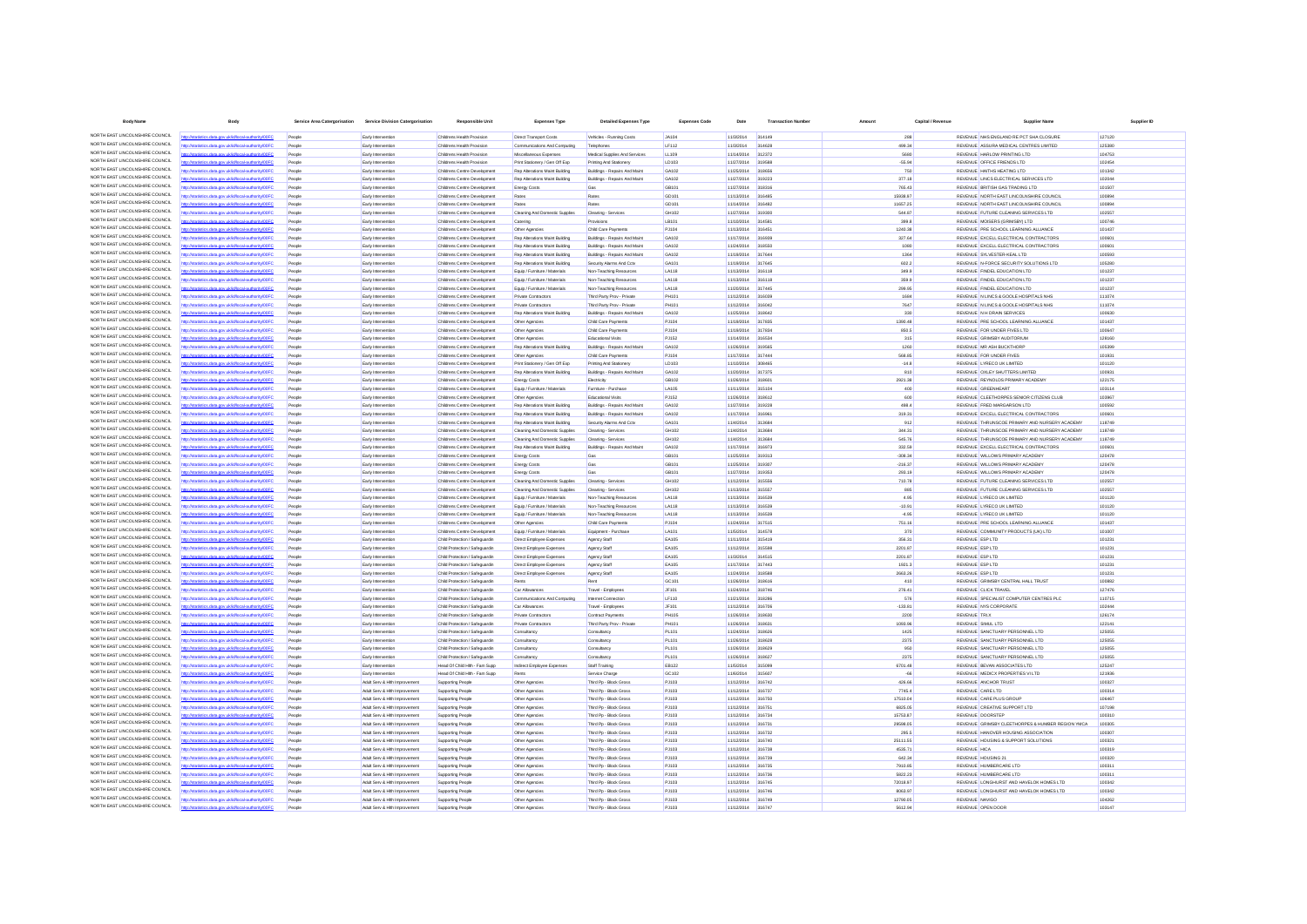| <b>Body Name</b>                                                   |                                                                                          |                  | Service Area Catergorisation Service Division Catergorisation  | <b>Responsible Unit</b>                                          | <b>Expenses Type</b>                                            | <b>Detailed Expenses Type</b>                                  | <b>Expenses Code</b>         | Date                                   | <b>Transaction Number</b> | Amount                 | Capital / Revenue                  |                                                                                         |                  |
|--------------------------------------------------------------------|------------------------------------------------------------------------------------------|------------------|----------------------------------------------------------------|------------------------------------------------------------------|-----------------------------------------------------------------|----------------------------------------------------------------|------------------------------|----------------------------------------|---------------------------|------------------------|------------------------------------|-----------------------------------------------------------------------------------------|------------------|
| NORTH EAST LINCOLNSHIRE COUNCIL                                    | ttp://statistics.data.gov.uk/id/local-authority/00FC                                     | People           | Early Intervention                                             | Childrens Health Provision                                       | Direct Transport Costs                                          | Vehicles - Running Costs                                       | <b>JA104</b>                 | 11/3/2014                              | 314149                    | 288                    |                                    | REVENUE NHS ENGLAND RE PCT SHA CLOSURE                                                  | 127120           |
| NORTH EAST LINCOLNSHIRE COUNCIL                                    |                                                                                          | Penni            | Farly Intervention                                             | Childrens Health Provision                                       | Communications And Computing                                    | Telephones                                                     | <b>IF112</b>                 | 11/3/2014                              | 314628                    | 499.34                 |                                    | REVENUE ASSURA MEDICAL CENTRES LIMITED                                                  | 125380           |
| NORTH EAST LINCOLNSHIRE COUNCIL                                    |                                                                                          | People           | Early Intervention                                             | Childrens Health Provision                                       | Miscellaneous Expenses                                          | Medical Supplies And Services                                  | LL109                        | 11/14/2014 312372                      |                           | 5680                   |                                    | REVENUE HARLOW PRINTING LTD                                                             | 104753           |
| NORTH EAST LINCOLNSHIRE COUNCIL<br>NORTH EAST LINCOLNSHIRE COUNCIL | atistics.data.gov.uk/id/local-authority/00FC                                             | People           | Early Intervention                                             | Childrens Health Provision                                       | Print Stationery / Gen Off Exp                                  | Printing And Stationery                                        | 10103                        | 11/27/2014                             | 319588                    | .55.94                 |                                    | REVENUE OFFICE FRIENDS LTD                                                              | 102454           |
| NORTH EAST LINCOLNSHIRE COUNCIL                                    | ics.data.gov.uk/id/local-authority/00FC                                                  | People<br>People | Early Intervention<br>Early Intervention                       | Childrens Centre Development<br>Childrens Centre Developmen      | Rep Aterations Maint Building<br>Rep Alterations Maint Building | Buildings - Repairs And Maint<br>Buildings - Repairs And Maint | GA102<br>GA102               | 11/25/2014<br>11/27/2014               | 318656<br>319223          | 750<br>377.18          |                                    | REVENUE HAITHS HEATING LTD<br>REVENUE LINCS ELECTRICAL SERVICES LTD                     | 101342<br>102044 |
| NORTH EAST LINCOLNSHIRE COUNCIL                                    |                                                                                          | People           | Early Intervention                                             | Childrens Centre Development                                     | Energy Costs                                                    |                                                                | GR101                        | 11/27/2014                             | 318316                    | 765.43                 |                                    | REVENUE BRITISH GAS TRADING LTD                                                         | 101507           |
| NORTH EAST LINCOLNSHIRE COUNCIL                                    | stics.data.gov.uk/id/local-authority/00FC                                                | People           | Early Intervention                                             | Childrens Centre Development                                     | Rates                                                           | Rates                                                          | GD101                        | 11/13/2014 316485                      |                           | 15938.97               |                                    | REVENUE NORTH EAST LINCOLNSHIRE COUNCIL                                                 | 100894           |
| NORTH EAST LINCOLNSHIRE COUNCIL                                    | ttp://statistics.data.gov.uk/id/local-authority/00FC                                     | People           | Early Intervention                                             | Childrens Centre Development                                     | Rates                                                           | Rates                                                          | GD101                        | 11/14/2014 316482                      |                           | 11657.25               |                                    | REVENUE NORTH EAST LINCOLNSHIRE COUNCIL                                                 | 100894           |
| NORTH EAST LINCOLNSHIRE COUNCIL                                    | ics data ony uklidiocal authority/00FC                                                   | People           | Early Intervention                                             | Childrens Centre Development                                     | Cleaning And Domestic Supplies                                  | Cleaning - Services                                            | GH102                        | 11/27/2014 319300                      |                           | 544.87                 |                                    | REVENUE FUTURE CLEANING SERVICES LTD                                                    | 102557           |
| NORTH EAST LINCOLNSHIRE COUNCIL<br>NORTH EAST LINCOLNSHIRE COUNCIL | cs.data.gov.uk/id/local-authority/00FC                                                   | People           | Early Intervention                                             | Childrens Centre Development                                     | Catering                                                        |                                                                | LB101                        | 11/10/2014                             | 314581                    | 399.8                  |                                    | REVENUE MOISERS (GRIMSBY) LTD                                                           | 100746           |
| NORTH EAST LINCOLNSHIRE COUNCIL                                    | istics.data.gov.uk/id/local-authority/00FC                                               | People<br>People | Early Interventic<br>Early Intervention                        | Childrens Centre Development<br>Childrens Centre Development     | Other Agencies<br>Rep Alterations Maint Building                | Child Care Payment<br>Buildings - Repairs And Maint            | PJ104<br>GA102               | 11/13/2014<br>11/17/2014 316939        | 316451                    | 1240.38<br>327.64      |                                    | REVENUE PRE SCHOOL LEARNING ALLIANCE<br>REVENUE EXCELL ELECTRICAL CONTRACTORS           | 101437<br>100601 |
| NORTH EAST LINCOLNSHIRE COUNCIL                                    | ics.data.gov.uk/id/local-authority/00FC                                                  | People           | Early Intervention                                             | Childrens Centre Development                                     | Rep Alterations Maint Building                                  | Buildings - Repairs And Maint                                  | GA102                        | 11/24/2014 318550                      |                           | 1080                   |                                    | REVENUE EXCELL ELECTRICAL CONTRACTORS                                                   | 100601           |
| NORTH EAST LINCOLNSHIRE COUNCIL                                    | cs.data.gov.uk/id/local-autho                                                            | People           | Early Intervention                                             | Childrens Centre Development                                     | Rep Aterations Maint Building                                   | Buildings - Repairs And Maint                                  | GA102                        | 11/19/2014                             | 317644                    | 1364                   |                                    | REVENUE SYLVESTER-KEAL LTD                                                              | 100593           |
| NORTH EAST LINCOLNSHIRE COUNCIL                                    | tics.data.gov.uk/id/local-authority/00FC                                                 | People           | Early Intervention                                             | Childrens Centre Development                                     | Rep Alterations Maint Building                                  | Security Alarms And Cctv                                       | GA101                        | 11/19/2014                             | 317645                    | 602.2                  |                                    | REVENUE N-FORCE SECURITY SOLUTIONS LTD                                                  | 105280           |
| NORTH EAST LINCOLNSHIRE COUNCIL<br>NORTH EAST LINCOLNSHIRE COUNCIL |                                                                                          | Peopl            | Early Interventic                                              | Childrens Centre Development                                     | Equip / Furniture / Materials                                   | Non-Teaching Resources                                         | LA118                        | 11/13/2014                             | 316118                    | 349.9                  |                                    | REVENUE FINDEL EDUCATION LTD                                                            | 101237           |
| NORTH EAST LINCOLNSHIRE COUNCIL                                    | stics.data.gov.uk/id/local-authority/00FC                                                | People<br>People | Early Intervention                                             | Childrens Centre Development                                     | Equip / Furniture / Materials                                   | Non-Teaching Resources<br>Non-Teaching Resources               | LA118<br>LA118               | 11/13/2014 316118<br>11/20/2014 317445 |                           | 359.9<br>299.95        |                                    | REVENUE FINDEL EDUCATION LTD<br>REVENUE FINDEL EDUCATION LTD                            | 101237<br>101237 |
| NORTH EAST LINCOLNSHIRE COUNCIL                                    | cs.data.gov.uk/id/local-author                                                           | People           | Early Intervention<br>Early Intervention                       | Childrens Centre Development<br>Childrens Centre Development     | Equip / Furniture / Materials<br>Private Contractors            | Third Party Prov - Private                                     | PH101                        | 11/12/2014 316039                      |                           | 1684                   |                                    | REVENUE N LINCS & GOOLE HOSPITALS NHS                                                   | 111074           |
| NORTH EAST LINCOLNSHIRE COUNCIL                                    | cs.data.gov.uk/id/local-authority/00FC                                                   | People           | Early Intervention                                             | Childrens Centre Development                                     | Private Contractors                                             | Third Party Prov - Private                                     | PH101                        | 11/12/2014                             | 316042                    | 7647                   |                                    | REVENUE N LINCS & GOOLE HOSPITALS NHS                                                   | 111074           |
| NORTH EAST LINCOLNSHIRE COUNCIL                                    |                                                                                          | Peopl            | Early Interventic                                              | Childrens Centre Development                                     | <b>Rep Aterations Maint Building</b>                            | Buildings - Repairs And Main                                   | GA102                        | 11/25/2014                             | 318642                    | 330                    |                                    | REVENUE N H DRAIN SERVICES                                                              | 100630           |
| NORTH EAST LINCOLNSHIRE COUNCIL                                    | istics.data.gov.uk/id/local-authority/00FC                                               | People           | Early Intervention                                             | Childrens Centre Development                                     | Other Agencies                                                  | Child Care Payments                                            | PJ104                        | 11/19/2014 317835                      |                           | 1390.48                |                                    | REVENUE PRE SCHOOL LEARNING ALLIANCE                                                    | 101437           |
| NORTH EAST LINCOLNSHIRE COUNCIL<br>NORTH EAST LINCOLNSHIRE COUNCIL |                                                                                          | People           | Early Intervention                                             | Childrens Centre Development                                     | Other Agencies                                                  | Child Care Payments                                            | PJ104                        | 11/19/2014 317834                      |                           | 850.5                  |                                    | REVENUE FOR UNDER FIVES LTD                                                             | 100647           |
| NORTH FAST LINCOLNSHIRE COUNCIL                                    | stics.data.gov.uk/id/local-authority/00FC<br>stics.data.oov.uk/id/local-authority/00FC   | People<br>People | Early Intervention<br>Early Intervention                       | Childrens Centre Development<br>Childrens Centre Development     | Other Agencies<br>Rep Alterations Maint Building                | <b>Educational Visits</b><br>Buildings - Repairs And Maint     | PJ152<br>GA102               | 11/14/2014 316534<br>11/26/2014        | 319565                    | 315<br>1260            |                                    | REVENUE GRIMSBY AUDITORIUM<br>REVENUE MR ASH BUCKTHORE                                  | 128160<br>105399 |
| NORTH EAST LINCOLNSHIRE COUNCIL                                    |                                                                                          | People           | Early Interventi                                               | Childrens Centre Development                                     | Other Agencies                                                  | Child Care Payment                                             | PJ104                        | 11/17/2014                             | 317444                    | 568.85                 |                                    | REVENUE FOR UNDER FIVES                                                                 | 101931           |
| NORTH EAST LINCOLNSHIRE COUNCIL                                    | stics.data.gov.uk/id/local-authority/00FC                                                | People           | Early Intervention                                             | Childrens Centre Development                                     | Print Stationery / Gen Off Exp                                  | Printing And Stationery                                        | LD103                        | 11/10/2014 308465                      |                           | $-14.8$                |                                    | REVENUE LYRECO UK LIMITED                                                               | 101120           |
| NORTH EAST LINCOLNSHIRE COUNCIL                                    |                                                                                          | People           | Early Intervention                                             | Childrens Centre Development                                     | Rep Aterations Maint Building                                   | Buildings - Repairs And Maint                                  | GA102                        | 11/20/2014 317375                      |                           | 810                    |                                    | REVENUE OXLEY SHUTTERS LIMITED                                                          | 100931           |
| NORTH EAST LINCOLNSHIRE COUNCIL                                    | stics.data.gov.uk/id/local-authority/00FC                                                | People           | Early Intervention                                             | Childrens Centre Development                                     | <b>Energy Costs</b>                                             | Electricity                                                    | GR102                        | 11/26/2014 318601                      |                           | 2921.38                |                                    | REVENUE REYNOLDS PRIMARY ACADEMY                                                        | 122175           |
| NORTH EAST LINCOLNSHIRE COUNCIL<br>NORTH EAST LINCOLNSHIRE COUNCIL |                                                                                          | People           | Early Intervention                                             | Childrens Centre Development                                     | Equip / Furniture / Materials                                   | Furniture - Purchase                                           | LA105                        | 11/11/2014 315104                      |                           | 400                    |                                    | REVENUE GREENHEART                                                                      | 103114           |
| NORTH EAST LINCOLNSHIRE COUNCIL                                    | stics.data.gov.uk/id/local-authority/00FC                                                | People<br>People | Early Interventic<br>Early Intervention                        | Childrens Centre Development<br>Childrens Centre Development     | Other Agencies<br>Rep Aterations Maint Building                 | <b>Educational Visits</b><br>Buildings - Repairs And Maint     | PJ152<br>GA102               | 11/26/2014<br>11/27/2014 319228        | 318612                    | 600<br>498.4           |                                    | REVENUE CLEETHORPES SENIOR CITIZENS CLUB<br>REVENUE FRED MARGARSON LTD                  | 103967<br>100592 |
| NORTH EAST LINCOLNSHIRE COUNCIL                                    | data.gov.uk/id/local-author.                                                             | People           | Early Intervention                                             | Childrens Centre Development                                     | Rep Alterations Maint Building                                  | Buildings - Repairs And Maint                                  | GA102                        | 11/17/2014 316961                      |                           | 319.31                 |                                    | REVENUE EXCELL ELECTRICAL CONTRACTORS                                                   | 100601           |
| NORTH EAST LINCOLNSHIRE COUNCIL                                    | stics.data.gov.uk/id/local-authority/00FC                                                | People           | Early Intervention                                             | Childrens Centre Development                                     | Rep Alterations Maint Building                                  | Security Alarms And Cctv                                       | GA101                        | 11/4/2014                              | 313684                    | 912                    |                                    | REVENUE THRUNSCOE PRIMARY AND NURSERY ACADEMY                                           | 118749           |
| NORTH EAST LINCOLNSHIRE COUNCIL                                    | ns data ony uklidihoakauth                                                               | People           | Early Intervention                                             | Childrens Centre Development                                     | Cleaning And Domestic Supplies                                  | Cleaning - Services                                            | GH102                        | 11/4/2014                              | 313684                    | 344.31                 |                                    | REVENUE THRUNSCOE PRIMARY AND NURSERY ACADEMY                                           | 118749           |
| NORTH EAST LINCOLNSHIRE COUNCIL<br>NORTH EAST LINCOLNSHIRE COUNCIL |                                                                                          | People           | Early Intervention                                             | Childrens Centre Development                                     | Cleaning And Domestic Supplies                                  | Cleaning - Services                                            | GH102                        | 11/4/2014                              | 313684                    | 545.76                 |                                    | REVENUE THRUNSCOE PRIMARY AND NURSERY ACADEMY                                           | 118749           |
| NORTH EAST LINCOLNSHIRE COUNCIL                                    | stics.data.gov.uk/id/local-authority/00FC                                                | People           | Early Intervention                                             | Childrens Centre Development                                     | Rep Alterations Maint Building                                  | Buildings - Repairs And Maint                                  | GA102                        | 11/17/2014                             | 316973                    | 332.59                 |                                    | REVENUE EXCELL ELECTRICAL CONTRACTORS                                                   | 100601           |
| NORTH EAST LINCOLNSHIRE COUNCIL                                    | istics.data.gov.uk/id/local-authority/00FC                                               | People<br>People | Early Intervention<br>Early Intervention                       | Childrens Centre Development<br>Childrens Centre Development     | <b>Energy Costs</b><br>Energy Costs                             | Gas                                                            | GB101<br>GB101               | 11/25/2014 319313<br>11/25/2014 319307 |                           | $-308.34$<br>$-216.37$ |                                    | REVENUE WILLOWS PRIMARY ACADEMY<br>REVENUE WILLOWS PRIMARY ACADEMY                      | 120478<br>120478 |
| NORTH EAST LINCOLNSHIRE COUNCIL                                    | dics data ony uklidiocal authority/OFC                                                   | People           | Early Intervention                                             | Childrens Centre Development                                     | Energy Costs                                                    | Gas                                                            | GB101                        | 11/27/2014 319353                      |                           | 293.19                 |                                    | REVENUE WILLOWS PRIMARY ACADEMY                                                         | 120478           |
| NORTH EAST LINCOLNSHIRE COUNCIL                                    | ics.data.gov.uk/id/local-authority/00FC                                                  | People           | Early Intervention                                             | Childrens Centre Development                                     | Cleaning And Domestic Supplies                                  | Cleaning - Services                                            | GH102                        | 11/12/2014                             | 315556                    | 710.78                 |                                    | REVENUE FUTURE CLEANING SERVICES LTD                                                    | 102557           |
| NORTH EAST LINCOLNSHIRE COUNCIL                                    | stics.data.gov.uk/id/local-authority/00FC                                                | People           | Early Intervention                                             | Childrens Centre Develcoment                                     | Cleaning And Domestic Supplies                                  | Cleaning - Services                                            | GH102                        | 11/13/2014 315557                      |                           | 885                    |                                    | REVENUE FUTURE CLEANING SERVICES LTD                                                    | 102557           |
| NORTH EAST LINCOLNSHIRE COUNCIL<br>NORTH EAST LINCOLNSHIRE COUNCIL | s.data.gov.uk/id/local-authori                                                           | People           | Early Intervention                                             | Childrens Centre Development                                     | Equip / Furniture / Materials                                   | Non-Teaching Resources                                         | LA118                        | 11/13/2014 316539                      |                           | 4.95                   |                                    | REVENUE LYRECO UK LIMITED                                                               | 101120           |
| NORTH EAST LINCOLNSHIRE COUNCIL                                    | stics.data.gov.uk/id/local-authority/00FC<br>ns data ony uklidihoakautho                 | Peopl<br>People  | Early Intervention<br>Early Intervention                       | Childrens Centre Development<br>Childrens Centre Development     | Equip / Furniture / Materials<br>Equip / Furniture / Materials  | Non-Teaching Resources<br>Non-Teaching Resources               | <b>LA118</b><br><b>LA118</b> | 11/13/2014<br>11/13/2014               | 316539                    | $-10.91$<br>$-4.95$    |                                    | REVENUE LYRECO UK LIMITED<br>REVENUE LYRECO UK LIMITED                                  | 101120<br>101120 |
| NORTH EAST LINCOLNSHIRE COUNCIL                                    | tics.data.gov.uk/id/local-authority/00FC                                                 | People           | Early Intervention                                             | Childrens Centre Development                                     | Other Agencies                                                  | Child Care Payments                                            | PJ104                        | 11/24/2014                             | 316539<br>317515          | 751.16                 |                                    | REVENUE PRE SCHOOL LEARNING ALLIANCE                                                    | 101437           |
| NORTH EAST LINCOLNSHIRE COUNCIL                                    | istics.data.gov.uk/id/local-authority/00FC                                               | People           | Early Intervention                                             | Childrens Centre Development                                     | Equip / Furniture / Materials                                   | Equipment - Purchase                                           | LA101                        | 11/5/2014                              | 314578                    | 370                    |                                    | REVENUE COMMUNITY PRODUCTS (UK) LTD                                                     | 101007           |
| NORTH EAST LINCOLNSHIRE COUNCIL                                    | cs.data.gov.uk/id/local-author                                                           | People           | Early Intervention                                             | Child Protection / Safeguardin                                   | Direct Employee Expenses                                        | Agency Staf                                                    | EA105                        | 11/11/2014 315419                      |                           | 356.31                 | REVENUE ESP LTD                    |                                                                                         | 101231           |
| NORTH EAST LINCOLNSHIRE COUNCIL                                    | istics.data.gov.uk/id/local-authority/00FC                                               | People           | Early Intervention                                             | Child Protection / Safeguardin                                   | Direct Employee Expenses                                        | Agency Staf                                                    | EA105                        | 11/12/2014                             | 315598                    | 2201.87                | REVENUE ESP LTD                    |                                                                                         | 101231           |
| NORTH EAST LINCOLNSHIRE COUNCIL<br>NORTH EAST LINCOLNSHIRE COUNCIL | ics data ony ukkilocal-autho                                                             | People           | Early Intervention                                             | Child Protection / Safeguardin                                   | Direct Employee Expenses                                        | Agency Staf                                                    | EA105                        | 11/3/2014                              | 314515                    | 2201.87                | REVENUE ESP LTD                    |                                                                                         | 101231           |
| NORTH EAST LINCOLNSHIRE COUNCIL                                    | ics.data.gov.uk/id/local-authority/00FC                                                  | People<br>Peopl  | Early Intervention<br>Early Intervent                          | Child Protection / Safeguardin<br>Child Protection / Safeguardin | Direct Employee Expenses<br>Direct Employee Expenses            | Agency Staf<br>Agency Staf                                     | EA105<br>EA105               | 11/17/2014<br>11/24/2014               | 317443<br>318588          | 1921.3<br>2663.26      | REVENUE ESP LTD<br>REVENUE ESP LTD |                                                                                         | 101231<br>101231 |
| NORTH FAST LINCOLNSHIRE COUNCIL                                    | ns data ony uklidingal-autho                                                             | People           | Early Intervention                                             | Child Protection / Safeguardin                                   | Rents                                                           | Rent                                                           | GC101                        | 11/26/2014 318616                      |                           | 410                    |                                    | REVENUE GRIMSBY CENTRAL HALL TRUST                                                      | 100882           |
| NORTH EAST LINCOLNSHIRE COUNCIL                                    | distics.data.gov.uk/id/local-authority/00FC                                              | Peopl            | Early Intervention                                             | Child Protection / Safeguardin                                   | Car Allowances                                                  | Travel - Employees                                             | JF101                        | 11/24/2014 318746                      |                           | 276.41                 |                                    | REVENUE CLICK TRAVEL                                                                    | 127476           |
| NORTH EAST LINCOLNSHIRE COUNCIL                                    | on about a computabilities and another                                                   | People           | Early Intervention                                             | Child Protection / Safeguardin                                   | Communications And Computing                                    | Internet Connection                                            | LF110                        | 11/21/2014 318286                      |                           | 576                    |                                    | REVENUE SPECIALIST COMPUTER CENTRES PLC                                                 | 110715           |
| NORTH EAST LINCOLNSHIRE COUNCIL<br>NORTH EAST LINCOLNSHIRE COUNCIL | stics.data.gov.uk/id/local-authority/00FC                                                | People           | Early Intervention                                             | Child Protection / Safeguardin                                   | Car Allowances                                                  | Travel - Employees                                             | JF101                        | 11/12/2014                             | 316706                    | $-133.81$              |                                    | REVENUE NYS CORPORATE                                                                   | 102444           |
| NORTH EAST LINCOLNSHIRE COUNCIL                                    | ns data ony uklidional auth                                                              | People<br>People | Early Intervention<br>Early Intervention                       | Child Protection / Safeguardin<br>Child Protection / Safeguardin | Private Contractors<br>Private Contractors                      | Contract Payments<br>Third Party Prov - Private                | PH105<br>PH101               | 11/26/2014<br>11/26/2014 318631        | 318630                    | 2200<br>1093.96        | REVENUE TRIX                       | REVENUE SIMUL LTD                                                                       | 126174<br>122141 |
| NORTH EAST LINCOLNSHIRE COUNCIL                                    | stics.data.gov.uk/id/local-authority/00FC                                                | People           | Early Intervention                                             | Child Protection / Safeguardin                                   | Consultancy                                                     | Consultancy                                                    | PL101                        | 11/24/2014 318626                      |                           | 1425                   |                                    | REVENUE SANCTUARY PERSONNEL LTD                                                         | 125055           |
| NORTH EAST LINCOLNSHIRE COUNCIL                                    | ing state and distinguishment and                                                        | People           | Early Intervention                                             | Child Protection / Safeguardin                                   | Consultancy                                                     | Consultancy                                                    | PL101                        | 11/26/2014 318628                      |                           | 2375                   |                                    | REVENUE SANCTUARY PERSONNEL LTD                                                         | 125055           |
| NORTH EAST LINCOLNSHIRE COUNCIL                                    | ics.data.gov.uk/id/local-authority/00FC                                                  | People           | Early Intervention                                             | Child Protection / Safeguardin                                   | Consultancy                                                     | Consultancy                                                    | PL101                        | 11/26/2014                             | 318629                    | 950                    |                                    | REVENUE SANCTUARY PERSONNEL LTD                                                         | 125055           |
| NORTH EAST LINCOLNSHIRE COUNCIL<br>NORTH EAST LINCOLNSHIRE COUNCIL |                                                                                          | People           | Early Intervention                                             | Child Protection / Safeguardin                                   | Consultancy                                                     | Consultancy                                                    | PL101                        | 11/26/2014                             | 318627                    | 2375                   |                                    | REVENUE SANCTUARY PERSONNEL LTD                                                         | 125055           |
| NORTH EAST LINCOLNSHIRE COUNCIL                                    | stics.data.gov.uk/id/local-authority/00FC<br>distics.data.gov.uk/id/local-authority/00FC | People<br>People | Early Intervention<br>Early Intervention                       | Head Of Child Hith - Fam Supp<br>Head Of Child Hith - Fam Supp   | Indirect Employee Expenses<br>Rents                             | Staff Training<br>Service Charge                               | <b>EB122</b><br>GC102        | 11/5/2014<br>11/6/2014                 | 315099<br>315607          | 6701.48                |                                    | REVENUE BEVAN ASSOCIATES LTD<br>REVENUE MEDICX PROPERTIES VI LTD                        | 125247<br>121936 |
| NORTH EAST LINCOLNSHIRE COUNCIL                                    | cs data gov ukřdíhoal-authoritvi00EC                                                     | People           | Adult Serv & Hith Improvement                                  | <b>Supporting People</b>                                         | Other Agencies                                                  | Third Pp - Block Gross                                         | PJ103                        | 11/12/2014                             | 316742                    | 426.66                 |                                    | REVENUE ANCHOR TRUST                                                                    | 100327           |
| NORTH EAST LINCOLNSHIRE COUNCIL                                    | stics.data.gov.uk/id/local-authority/00FC                                                | People           | Adult Serv & Hith Improvement                                  | Supporting People                                                | Other Agencies                                                  | Third Pp - Block Gross                                         | PJ103                        | 11/12/2014                             | 316737                    | 7745.4                 |                                    | REVENUE CARE LTD                                                                        | 100314           |
| NORTH EAST LINCOLNSHIRE COUNCIL                                    |                                                                                          | People           | Adult Serv & Hith Improvement                                  | Supporting People                                                | Other Agencies                                                  | Third Pp - Block Gross                                         | PJ103                        | 11/12/2014                             | 316750                    | 17510.04               |                                    | REVENUE CARE PLUS GROUP                                                                 | 106467           |
| NORTH EAST LINCOLNSHIRE COUNCIL                                    | stics.data.gov.uk/id/local-authority/00FC                                                | People           | Adult Serv & Hith Improvement                                  | Supporting People                                                | Other Agencies                                                  | Third Po - Block Gross                                         | PJ103                        | 11/12/2014                             | 316751                    | 6825.05                |                                    | REVENUE CREATIVE SUPPORT LTD                                                            | 107198           |
| NORTH EAST LINCOLNSHIRE COUNCIL<br>NORTH EAST LINCOLNSHIRE COUNCIL |                                                                                          | People           | Adult Serv & Hith Improvement                                  | Supporting People                                                | Other Agencies                                                  | Third Pp - Block Gross                                         | PJ103                        | 11/12/2014 316734                      |                           | 15753.87               |                                    | REVENUE DOORSTEP                                                                        | 100310           |
| NORTH EAST LINCOLNSHIRE COUNCIL                                    | stics.data.gov.uk/id/local-authority/00FC                                                | People<br>People | Adult Serv & Hith Improvement<br>Adult Serv & Hith Improvement | <b>Supporting People</b><br>Supporting People                    | Other Agencies<br>Other Agencies                                | Third Pp - Block Gross<br>Third Pp - Block Gross               | PJ103<br>PJ103               | 11/12/2014 316731<br>11/12/2014        | 316732                    | 29598.05<br>295.5      |                                    | REVENUE GRIMSBY CLEETHORPES & HUMBER REGION YMCA<br>REVENUE HANOVER HOUSING ASSOCIATION | 100305<br>100307 |
| NORTH EAST LINCOLNSHIRE COUNCIL                                    |                                                                                          | People           | Adult Serv & Hith Improvement                                  | Supporting People                                                | Other Agencies                                                  | Third Pp - Block Gross                                         | PJ103                        | 11/12/2014                             | 316740                    | 25111.55               |                                    | REVENUE HOUSING & SUPPORT SOLUTIONS                                                     | 100321           |
| NORTH EAST LINCOLNSHIRE COUNCIL                                    | stics.data.gov.uk/id/local-authority/00FC                                                | People           | Adult Serv & Hith Improvement                                  | Supporting People                                                | Other Agencies                                                  | Third Pp - Block Gross                                         | PJ103                        | 11/12/2014 316738                      |                           | 4535.71                | <b>REVENUE HICA</b>                |                                                                                         | 100319           |
| NORTH EAST LINCOLNSHIRE COUNCIL                                    | cs.data.gov.uk/id/local-authori                                                          | People           | Adult Serv & Hith Improvement                                  | Supporting People                                                | Other Agencies                                                  | Third Pp - Block Gross                                         | PJ103                        | 11/12/2014 316739                      |                           | 642.34                 |                                    | REVENUE HOUSING 21                                                                      | 100320           |
| NORTH EAST LINCOLNSHIRE COUNCIL<br>NORTH EAST LINCOLNSHIRE COUNCIL | dics data ony uklidiocal authority/OFC                                                   | Peopl            | Adult Serv & Hith Improvement                                  | <b>Supporting People</b>                                         | Other Agencies                                                  | Third Pp - Block Gross                                         | PJ103                        | 11/12/2014                             | 316735                    | 7910.85                |                                    | REVENUE HUMBERCARE LTD                                                                  | 100311           |
| NORTH EAST LINCOLNSHIRE COUNCIL                                    | stics.data.gov.uk/id/local-authority/00FC                                                | People           | Adult Serv & Hith Improvement                                  | Supporting People                                                | Other Agencies                                                  | Third Pp - Block Gross                                         | PJ103                        | 11/12/2014                             | 316736                    | 5822.23                |                                    | REVENUE HUMBERCARE LTD                                                                  | 100311           |
| NORTH EAST LINCOLNSHIRE COUNCIL                                    | stics.data.gov.uk/id/local-authority/00FC                                                | People<br>People | Adult Serv & Hith Improvement<br>Adult Serv & Hith Improvement | Supporting People<br>Supporting People                           | Other Agencies<br>Other Agencies                                | Third Pp - Block Gross<br>Third Pp - Block Gross               | PJ103<br>PJ103               | 11/12/2014<br>11/12/2014 316746        | 316745                    | 72018.97<br>8063.97    |                                    | REVENUE LONGHURST AND HAVELOK HOMES LTD<br>REVENUE LONGHURST AND HAVELOK HOMES LTD      | 100342<br>100342 |
| NORTH EAST LINCOLNSHIRE COUNCIL                                    | cs.data.gov.uk/id/local-authority/00FC                                                   | People           | Adult Serv & Hith Improvement                                  | Supporting People                                                | Other Agencies                                                  | Third Pp - Block Gross                                         | PJ103                        | 11/12/2014 316749                      |                           | 12790.05               | REVENUE NAVIGO                     |                                                                                         | 104262           |
| NORTH EAST LINCOLNSHIRE COUNCIL                                    |                                                                                          |                  | Adult Serv & Hith Improvement                                  | Supporting People                                                | Other Agencies                                                  | Third Pp - Block Gross                                         | PJ103                        | 11/12/2014                             | 316747                    | 5612.94                |                                    | REVENUE OPEN DOOR                                                                       | 103147           |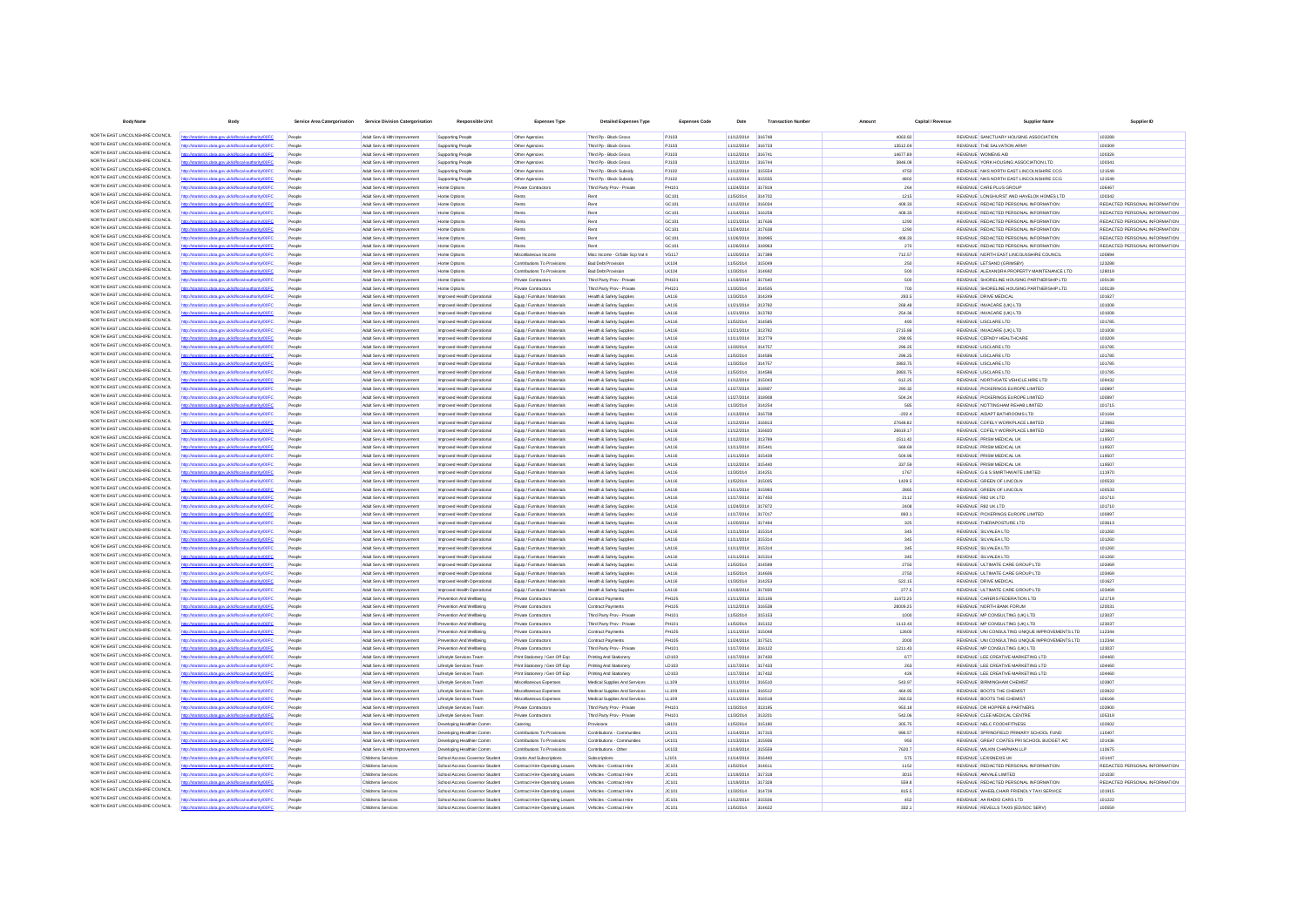|                                                                    |                                                                                        | Service Area Catergorisation | <b>Service Division Catergorisation</b>                        | Responsible Unit                                                 | <b>Expenses Type</b>                                             | <b>Detailed Expenses Type</b>                          | <b>Expenses Code</b>  | Date                            | <b>Transaction Numbe</b><br>Amount | Capital / Revenue    |                                                                                   |                                                                |
|--------------------------------------------------------------------|----------------------------------------------------------------------------------------|------------------------------|----------------------------------------------------------------|------------------------------------------------------------------|------------------------------------------------------------------|--------------------------------------------------------|-----------------------|---------------------------------|------------------------------------|----------------------|-----------------------------------------------------------------------------------|----------------------------------------------------------------|
| NORTH EAST LINCOLNSHIRE COUNCIL                                    | ttp://statistics.data.gov.uk/id/local-authority/00FC                                   | People                       | Adult Serv & Hith Improvement                                  | Supporting People                                                | Other Agencies                                                   | Third Pp - Block Gross                                 | PJ103                 | 11/12/2014 316748               |                                    | 4063.82              | REVENUE SANCTUARY HOUSING ASSOCIATION                                             | 103289                                                         |
| NORTH EAST LINCOLNSHIRE COUNCIL                                    |                                                                                        | Peopl                        | Arkit Serv & Hith Immovement                                   | Supporting People                                                | Other America                                                    | Third Po - Block Gross                                 | P.1103                | 11/12/2014                      | 316733                             | 13512.09             | REVENUE THE SALVATION ARMY                                                        | 100309                                                         |
| NORTH EAST LINCOLNSHIRE COUNCIL                                    |                                                                                        | People                       | Adult Serv & Hith Improvement                                  | Supporting People                                                | Other Agencies                                                   | Third Pp - Block Gross                                 | PJ103                 | 11/12/2014 316741               |                                    | 14677.89             | REVENUE WOMENS AID                                                                | 100326                                                         |
| NORTH EAST LINCOLNSHIRE COUNCIL                                    | distics.data.gov.uk/id/local-authority/00FC                                            | People                       | Adult Serv & Hith Improvement                                  | <b>Supporting People</b>                                         | Other Agencies                                                   | Third Pp - Block Gross                                 | P.1103                | 11/12/2014                      | 316744                             | 3846.08              | REVENUE YORK HOUSING ASSOCIATION LTD                                              | 100341                                                         |
| NORTH EAST LINCOLNSHIRE COUNCIL<br>NORTH EAST LINCOLNSHIRE COUNCIL |                                                                                        | People                       | Adult Serv & Hith Improvement                                  | Supporting People                                                | Other Agencies                                                   | Third Pp - Block Subsidy                               | PJ102                 | 11/12/2014                      | 315554                             | 4750                 | REVENUE NHS NORTH EAST LINCOLNSHIRE CCG                                           | 121549                                                         |
| NORTH EAST LINCOLNSHIRE COUNCIL                                    | ics.data.gov.uk/id/local-authority/00FC                                                | Peopl<br>People              | Adult Serv & Hith Improvement<br>Adult Serv & Hith Improvement | <b>Supporting People</b><br>Home Online                          | Other Agencies<br>Private Contractor:                            | Third Pp - Block Subsidy<br>Third Party Prov - Private | PJ102<br>PH101        | 11/13/2014<br>11/24/2014        | 317819                             | 4802<br>264          | REVENUE NHS NORTH EAST LINCOLNSHIRE CCG<br>REVENUE CARE PLUS GROUP                | 121549<br>106467                                               |
| NORTH EAST LINCOLNSHIRE COUNCIL                                    | stics.data.gov.uk/id/local-authority/00FC                                              | People                       | Adult Serv & Hith Improvement                                  | <b>Home Options</b>                                              | Rents                                                            | Rent                                                   | GC101                 | 11/5/2014                       | 314702                             | 1215                 | REVENUE LONGHURST AND HAVELOK HOMES LTD                                           | 100342                                                         |
| NORTH EAST LINCOLNSHIRE COUNCIL                                    | ttp://statistics.data.gov.uk/id/local-authority/00FC                                   | People                       | Adult Serv & Hith Improvement                                  | Home Options                                                     | Rents                                                            | Rent                                                   | GC101                 | 11/12/2014                      | 316034                             | 408.33               | REVENUE REDACTED PERSONAL INFORMATION                                             | REDACTED PERSONAL INFORMATION                                  |
| NORTH EAST LINCOLNSHIRE COUNCIL                                    | ics data gov uklidiocal authority/00FC                                                 | People                       | Adult Serv & Hith Improvement                                  | Home Options                                                     | Rents                                                            | Rent                                                   | GC101                 | 11/14/2014                      | 316258                             | 408.33               | REVENUE REDACTED PERSONAL INFORMATION                                             | REDACTED PERSONAL INFORMATION                                  |
| NORTH EAST LINCOLNSHIRE COUNCIL                                    | ics.data.gov.uk/id/local-authority/00FC                                                | People                       | Adult Serv & Hith Improvement                                  | Home Options                                                     | Rents                                                            | Rent                                                   | GC101                 | 11/21/2014                      | 317636                             | 1290                 | REVENUE REDACTED PERSONAL INFORMATION                                             | REDACTED PERSONAL INFORMATION                                  |
| NORTH EAST LINCOLNSHIRE COUNCIL<br>NORTH EAST LINCOLNSHIRE COUNCIL |                                                                                        | People                       | Adult Serv & Hith Improvement                                  | Home Option                                                      | Rents                                                            | Rent                                                   | GC101                 | 11/24/2014                      | 317638                             | 1290                 | REVENUE REDACTED PERSONAL INFORMATION                                             | REDACTED PERSONAL INFORMATION                                  |
| NORTH EAST LINCOLNSHIRE COUNCIL                                    | stics.data.gov.uk/id/local-authority/00FC<br>cs.data.gov.uk/id/local-authority/00FC    | People<br>People             | Adult Serv & Hith Improvement<br>Adult Serv & Hith Improvement | Home Options                                                     | Rents                                                            | Rent                                                   | GC101<br>GC101        | 11/26/2014 318965<br>11/26/2014 |                                    | 408.33<br>270        | REVENUE REDACTED PERSONAL INFORMATION<br>REVENUE REDACTED PERSONAL INFORMATION    | REDACTED PERSONAL INFORMATION<br>REDACTED PERSONAL INFORMATION |
| NORTH EAST LINCOLNSHIRE COUNCIL                                    | cs.data.gov.uk/id/local-autho                                                          | People                       | Adult Serv & Hith Improvement                                  | Home Options<br><b>Home Options</b>                              | Rents<br>Miscellaneous Income                                    | Rent<br>Misc Income - O/Side Sco Vat 4                 | VG117                 | 11/20/2014                      | 318963<br>317389                   | 712.57               | REVENUE NORTH EAST LINCOLNSHIRE COUNCIL                                           | 100894                                                         |
| NORTH EAST LINCOLNSHIRE COUNCIL                                    | ics.data.gov.uk/id/local-authority/00FC                                                | Peopl                        | Adult Serv & Hith Improvement                                  | Home Options                                                     | Contributions To Provisions                                      | <b>Bad Debt Provision</b>                              | LK104                 | 11/5/2014                       | 315049                             | 250                  | REVENUE LETSAND (GRIMSBY                                                          | 123288                                                         |
| NORTH EAST LINCOLNSHIRE COUNCIL                                    |                                                                                        | Peopl                        | Adult Serv & Hith Improvement                                  | Home Options                                                     | Contributions To Provisions                                      | <b>Bad Debt Provision</b>                              | LK104                 | 11/3/2014                       | 314692                             | 500                  | REVENUE ALEXANDRA PROPERTY MAINTENANCE LTD                                        | 128019                                                         |
| NORTH EAST LINCOLNSHIRE COUNCIL                                    | stics.data.gov.uk/id/local-authority/00FC                                              | People                       | Adult Serv & Hith Improvement                                  | Home Options                                                     | Private Contractors                                              | Third Party Prov - Private                             | PH101                 | 11/19/2014                      | 317640                             | 500                  | REVENUE SHORELINE HOUSING PARTNERSHIP LTD                                         | 100139                                                         |
| NORTH EAST LINCOLNSHIRE COUNCIL<br>NORTH EAST LINCOLNSHIRE COUNCIL |                                                                                        | People                       | Adult Serv & Hith Improvement                                  | <b>Home Options</b>                                              | Private Contractors                                              | Third Party Prov - Private                             | PH101                 | 11/3/2014                       | 314505                             | 700                  | REVENUE SHORELINE HOUSING PARTNERSHIP LTD                                         | 100139                                                         |
| NORTH EAST LINCOLNSHIRE COUNCIL                                    | os data nov uklidiocal authority/00EC<br>ics.data.gov.uk/id/local-authority/00FC       | People<br>People             | Adult Serv & Hith Improvement                                  | Improved Health Operational<br>Improved Health Operationa        | Equip / Furniture / Materials                                    | Health & Safety Supplies<br>Health & Safety Supplies   | LA116<br>LA116        | 11/3/2014<br>11/21/2014         | 314249<br>313782                   | 283.5<br>268.48      | REVENUE DRIVE MEDICAL<br>REVENUE INVACARE (UK) LTD                                | 101627<br>101008                                               |
| NORTH EAST LINCOLNSHIRE COUNCIL                                    |                                                                                        | Peopl                        | Adult Serv & Hith Improvement<br>Adult Serv & Hith Improvement | ed Health Operations                                             | Equip / Furniture / Materials<br>Equip / Furniture / Materials   | Health & Safety Supplier                               | LA116                 | 11/21/2014                      | 313782                             | 254.36               | REVENUE INVACARE (UK) LTD                                                         | 101008                                                         |
| NORTH EAST LINCOLNSHIRE COUNCIL                                    | stics.data.gov.uk/id/local-authority/00FC                                              | People                       | Adult Serv & Hith Improvement                                  | Improved Health Operational                                      | Equip / Furniture / Materials                                    | Health & Safety Supplies                               | LA116                 | 11/5/2014                       | 314585                             | 490                  | REVENUE LISCLARE LTD                                                              | 101785                                                         |
| NORTH EAST LINCOLNSHIRE COUNCIL                                    |                                                                                        | People                       | Adult Serv & Hith Improvement                                  | Improved Health Operational                                      | Equip / Furniture / Materials                                    | Health & Safety Supplies                               | LA116                 | 11/21/2014 313782               |                                    | 2715.88              | REVENUE INVACARE (UK) LTD                                                         | 101008                                                         |
| NORTH EAST LINCOLNSHIRE COUNCIL                                    | stics.data.gov.uk/id/local-authority/00FC                                              | People                       | Adult Serv & Hith Improvement                                  | Improved Health Operational                                      | Equip / Furniture / Materials                                    | Health & Safety Supplies                               | LA116                 | 11/11/2014                      | 313779                             | 298.95               | REVENUE CEFNDY HEALTHCARE                                                         | 103209                                                         |
| NORTH FAST LINCOLNSHIRE COUNCIL<br>NORTH EAST LINCOLNSHIRE COUNCIL | ics.data.gov.uk/id/local-authr                                                         | People                       | Adult Serv & Hith Improvement                                  | Improved Health Operationa                                       | Equip / Furniture / Materials                                    | Health & Safety Supplies                               | LA116                 | 11/3/2014                       | 314757                             | 296.25               | REVENUE LISCLARE LTD                                                              | 101785                                                         |
| NORTH EAST LINCOLNSHIRE COUNCIL                                    | istics.data.gov.uk/id/local-authority/00FC                                             | Peopl<br>People              | Adult Serv & Hith Improvement<br>Adult Serv & Hith Improvement | ealth Operationa<br>Improved Health Operational                  | Equip / Furniture / Materials<br>Equip / Furniture / Materials   | Health & Safety Supplie<br>Health & Safety Supplies    | LA116<br>LA116        | 11/5/2014<br>11/3/2014          | 31458<br>314757                    | 296.25<br>2883.75    | REVENUE LISCLARE LTD<br>REVENUE LISCLARE LTD                                      | 101785<br>101785                                               |
| NORTH EAST LINCOLNSHIRE COUNCIL                                    |                                                                                        | People                       | Adult Serv & Hith Improvement                                  | Improved Health Operational                                      | Equip / Furniture / Materials                                    | Health & Safety Supplies                               | LA116                 | 11/5/2014                       | 314586                             | 2883.75              | REVENUE LISCLARE LTD                                                              | 101785                                                         |
| NORTH EAST LINCOLNSHIRE COUNCIL                                    | stics.data.gov.uk/id/local-authority/00FC                                              | People                       | Adult Serv & Hith Improvement                                  | Improved Health Operational                                      | Equip / Furniture / Materials                                    | Health & Safety Supplies                               | LA116                 | 11/12/2014                      | 315043                             | 612.25               | REVENUE NORTHGATE VEHICLE HIRE LTD                                                | 109432                                                         |
| NORTH EAST LINCOLNSHIRE COUNCIL                                    | ics data gov ukldihoakaut                                                              | People                       | Adult Serv & Hith Improvement                                  | Improved Health Operational                                      | Equip / Furniture / Materials                                    | Health & Safety Supplies                               | LA116                 | 11/27/2014                      | 318907                             | 290.32               | REVENUE PICKERINGS EUROPE LIMITED                                                 | 100897                                                         |
| NORTH EAST LINCOLNSHIRE COUNCIL                                    |                                                                                        | Peopl                        | Adult Serv & Hith Improvement                                  | mproved Health Operationa                                        | Equip / Furniture / Materials                                    | Health & Safety Supplie                                | LA116                 | 11/27/2014                      | 318908                             | 504.24               | REVENUE PICKERINGS EUROPE LIMITED                                                 | 100897                                                         |
| NORTH EAST LINCOLNSHIRE COUNCIL                                    | istics.data.gov.uk/id/local-authority/00FC                                             | People                       | Adult Serv & Hith Improvement                                  | Improved Health Operational                                      | Equip / Furniture / Materials                                    | Health & Safety Supplies                               | LA116                 | 11/3/2014                       | 314254                             | 585                  | REVENUE NOTTINGHAM REHAB LIMITED                                                  | 101715                                                         |
| NORTH EAST LINCOLNSHIRE COUNCIL<br>NORTH EAST LINCOLNSHIRE COUNCIL |                                                                                        | People                       | Adult Serv & Hith Improvement                                  | Improved Health Operational                                      | Equip / Furniture / Materials                                    | Health & Safety Supplies                               | LA116                 | 11/13/2014 316708               |                                    | $-202.4$             | REVENUE AIDAPT BATHROOMS LTD                                                      | 101164<br>123983                                               |
| NORTH EAST LINCOLNSHIRE COUNCIL                                    | stics.data.gov.uk/id/local-authority/00FC<br>ns data ony uklidihoakautho               | People<br>People             | Adult Serv & Hith Improvement<br>Adult Serv & Hith Improvement | mproved Health Operational<br>Improved Health Operational        | Equip / Furniture / Materials<br>Equip / Furniture / Materials   | Health & Safety Supplies<br>Health & Safety Supplies   | LA116<br>LA116        | 11/12/2014<br>11/12/2014        | 316813<br>316820                   | 27648.82<br>26619.17 | REVENUE COFELY WORKPLACE LIMITED<br>REVENUE COFELY WORKPLACE LIMITED              | 123983                                                         |
| NORTH EAST LINCOLNSHIRE COUNCIL                                    |                                                                                        | Peopl                        | Adult Serv & Hith Improvement                                  | Improved Health Operational                                      | Equip / Furniture / Materials                                    | Health & Safety Supplier                               | LA116                 | 11/12/2014                      | 313789                             | 1511.42              | REVENUE PRISM MEDICAL UP                                                          | 119507                                                         |
| NORTH EAST LINCOLNSHIRE COUNCIL                                    | stics.data.gov.uk/id/local-authority/00FC                                              | People                       | Adult Serv & Hith Improvement                                  | Improved Health Operational                                      | Equip / Furniture / Materials                                    | Health & Safety Supplies                               | LA116                 | 11/11/2014                      | 315441                             | 669.69               | REVENUE PRISM MEDICAL UK                                                          | 119507                                                         |
| NORTH EAST LINCOLNSHIRE COUNCIL                                    |                                                                                        | People                       | Adult Serv & Hith Improvement                                  | Improved Health Operational                                      | Equip / Furniture / Materials                                    | Health & Safety Supplies                               | LA116                 | 11/11/2014 315439               |                                    | 504.96               | REVENUE PRISM MEDICAL UK                                                          | 119507                                                         |
| NORTH EAST LINCOLNSHIRE COUNCIL                                    | stics.data.gov.uk/id/local-authority/00FC                                              | People                       | Adult Serv & Hith Improvement                                  | Improved Health Operational                                      | Equip / Furniture / Materials                                    | <b>Health &amp; Safety Supplies</b>                    | LA116                 | 11/12/2014                      | 315440                             | 337.59               | REVENUE PRISM MEDICAL UK                                                          | 119507                                                         |
| NORTH EAST LINCOLNSHIRE COUNCIL<br>NORTH EAST LINCOLNSHIRE COUNCIL |                                                                                        | People                       | Adult Serv & Hith Improvement                                  | Improved Health Operational                                      | Equip / Furniture / Materials                                    | Health & Safety Supplies                               | LA116                 | 11/3/2014                       | 314251                             | 1767                 | REVENUE G & S SMIRTHWAITE LIMITED                                                 | 111970                                                         |
| NORTH EAST LINCOLNSHIRE COUNCIL                                    | cs.data.gov.uk/id/local-authority/00FC<br>atistics.data.gov.uk/id/local-authority/00FC | People<br>People             | Adult Serv & Hith Improvement<br>Adult Serv & Hith Improvement | Improved Health Operationa<br>Improved Health Operational        | Equip / Furniture / Materials<br>Equip / Furniture / Materials   | Health & Safety Supplies<br>Health & Safety Supplies   | LA116<br>LA116        | 11/5/2014<br>11/11/2014 315993  | 315005                             | 1429.5<br>2865       | REVENUE GREEN OF LINCOLN<br>REVENUE GREEN OF LINCOLN                              | 100533<br>100533                                               |
| NORTH EAST LINCOLNSHIRE COUNCIL                                    | s.data.gov.uk/id/local-authority/00FC                                                  | People                       | Adult Serv & Hith Improvement                                  | Improved Health Operational                                      | Equip / Furniture / Materials                                    | Health & Safety Supplies                               | LA116                 | 11/17/2014 317450               |                                    | 2112                 | REVENUE R82 UK LTD                                                                | 101710                                                         |
| NORTH EAST LINCOLNSHIRE COUNCIL                                    | istics.data.gov.uk/id/local-authority/00FC                                             | Peopl                        | Adult Serv & Hith Improvement                                  | mproved Health Operationa                                        | Equip / Furniture / Materials                                    | <b>Health &amp; Safety Supplies</b>                    | LA116                 | 11/24/2014                      | 317872                             | 2408                 | REVENUE R82 UK LTD                                                                | 101710                                                         |
| NORTH EAST LINCOLNSHIRE COUNCIL                                    | ics data ony uklidiocal-authorit                                                       | People                       | Adult Serv & Hith Improvement                                  | Improved Health Operational                                      | Equip / Furniture / Materials                                    | Health & Safety Supplies                               | LA116                 | 11/17/2014                      | 317017                             | 893.1                | REVENUE PICKERINGS EUROPE LIMITED                                                 | 100897                                                         |
| NORTH EAST LINCOLNSHIRE COUNCIL                                    | ics.data.gov.uk/id/local-authority/00FC                                                | Peopl                        | Adult Serv & Hith Improvement                                  | Improved Health Operational                                      | Equip / Furniture / Materials                                    | Health & Safety Supplies                               | LA116                 | 11/20/2014                      | 317494                             | 325                  | REVENUE THERAPOSTURE LTD                                                          | 103613                                                         |
| NORTH EAST LINCOLNSHIRE COUNCIL<br>NORTH EAST LINCOLNSHIRE COUNCIL | istics.data.gov.uk/id/local-authority/00FC                                             | People                       | Adult Serv & Hith Improvement                                  | Improved Health Operational                                      | Equip / Furniture / Materials                                    | Health & Safety Supplies                               | LA116                 | 11/11/2014                      | 315314                             | 345                  | REVENUE SILVALEA LTD                                                              | 101260                                                         |
| NORTH EAST LINCOLNSHIRE COUNCIL                                    | stics.data.gov.uk/id/local-authority/00FC                                              | People<br>Peopl              | Adult Serv & Hith Improvement<br>Adult Serv & Hith Improvement | Improved Health Operational<br>mproved Health Operationa         | Equip / Furniture / Materials<br>Equip / Furniture / Materials   | Health & Safety Supplies<br>Health & Safety Supplier   | LA116<br><b>LA116</b> | 11/11/2014 315314<br>11/11/2014 | 315314                             | 345<br>345           | REVENUE SILVALEA LTD<br>REVENUE SILVALEA LTD                                      | 101260<br>101260                                               |
| NORTH EAST LINCOLNSHIRE COUNCIL                                    | tics.data.gov.uk/id/local-authority/00FC                                               | People                       | Adult Serv & Hith Improvement                                  | Improved Health Operational                                      | Equip / Furniture / Materials                                    | Health & Safety Supplies                               | LA116                 | 11/11/2014                      | 315314                             | 345                  | REVENUE SILVALEA LTD                                                              | 101260                                                         |
| NORTH EAST LINCOLNSHIRE COUNCIL                                    | ics.data.gov.uk/id/local-authority/00FC                                                | People                       | Adult Serv & Hith Improvement                                  | Improved Health Operational                                      | Equip / Furniture / Materials                                    | Health & Safety Supplies                               | LA116                 | 11/5/2014                       | 314599                             | 2750                 | REVENUE ULTIMATE CARE GROUP LTD                                                   | 103469                                                         |
| NORTH EAST LINCOLNSHIRE COUNCIL                                    |                                                                                        | Peopl                        | Adult Serv & Hith Improvement                                  | Health Operations                                                | Equip / Furniture / Materials                                    | Health & Safety Supplier                               | <b>LA116</b>          | 11/5/2014                       | 314606                             | 2750                 | REVENUE ULTIMATE CARE GROUP LTD                                                   | 103469                                                         |
| NORTH FAST LINCOLNSHIRE COUNCIL                                    | ics data ony uklidiocal authority/00FC                                                 | People                       | Adult Serv & Hith Improvement                                  | Improved Health Operational                                      | Equip / Furniture / Materials                                    | Health & Safety Supplies                               | LA116                 | 11/3/2014                       | 314253                             | 522.15               | REVENUE DRIVE MEDICAL                                                             | 101627                                                         |
| NORTH EAST LINCOLNSHIRE COUNCIL<br>NORTH EAST LINCOLNSHIRE COUNCIL | istics.data.gov.uk/id/local-authority/00FC                                             | Peopl                        | Adult Serv & Hith Improvement                                  | Improved Health Operationa                                       | Equip / Furniture / Materials                                    | Health & Safety Supplier                               | LA116                 | 11/19/2014                      | 317830                             | 277.5                | REVENUE ULTIMATE CARE GROUP LTD                                                   | 103469                                                         |
| NORTH EAST LINCOLNSHIRE COUNCIL                                    | stics.data.gov.uk/id/local-authority/00FC                                              | People<br>People             | Adult Serv & Hith Improvement<br>Adult Serv & Hith Improvement | Prevention And Welbeing<br>Prevention And Welbeing               | Private Contractors<br>Private Contractors                       | Contract Payments<br><b>Contract Payments</b>          | <b>PH105</b><br>PH105 | 11/11/2014<br>11/12/2014        | 315106<br>316538                   | 11472.25<br>28009.25 | REVENUE CARERS FEDERATION LTD<br>REVENUE NORTH BANK FORUM                         | 121719<br>120031                                               |
| NORTH EAST LINCOLNSHIRE COUNCIL                                    |                                                                                        | Peopl                        | Adult Serv & Hith Improvement                                  | Prevention And Welbeing                                          | Private Contractor                                               | Third Party Prov - Private                             | PH101                 | 11/5/2014                       | 315153                             | 1000                 | REVENUE MP CONSULTING (UK) LTD                                                    | 123037                                                         |
| NORTH EAST LINCOLNSHIRE COUNCIL                                    | ts data one uklidional authr                                                           | People                       | Adult Serv & Hith Improvement                                  | Prevention And Welbeing                                          | Private Contractors                                              | Third Party Prov - Private                             | PH101                 | 11/5/2014                       | 315152                             | 1113.43              | REVENUE MP CONSULTING (UK) LTD                                                    | 123037                                                         |
| NORTH EAST LINCOLNSHIRE COUNCIL                                    | stics.data.gov.uk/id/local-authority/00FC                                              | People                       | Adult Serv & Hith Improvement                                  | Prevention And Welbeing                                          | Private Contractors                                              | Contract Payments                                      | PH105                 | 11/11/2014                      | 315048                             | 12600                | REVENUE UNI CONSULTING UNIQUE IMPROVEMENTS LTD                                    | 112344                                                         |
| NORTH EAST LINCOLNSHIRE COUNCIL                                    |                                                                                        | People                       | Adult Serv & Hith Improvement                                  | Prevention And Welbeing                                          | Private Contractors                                              | Contract Payments                                      | <b>PH105</b>          | 11/24/2014                      | 317521                             | 2000                 | REVENUE UNI CONSULTING UNIQUE IMPROVEMENTS LTD                                    | 112344                                                         |
| NORTH EAST LINCOLNSHIRE COUNCIL<br>NORTH EAST LINCOLNSHIRE COUNCIL | ics.data.gov.uk/id/local-authority/00FC                                                | People                       | Adult Serv & Hith Improvement                                  | Prevention And Welbeing                                          | Private Contractors                                              | Third Party Prov - Private                             | PH101                 | 11/17/2014                      | 316122                             | 1211.43              | REVENUE MP CONSULTING (UK) LTD                                                    | 123037                                                         |
| NORTH EAST LINCOLNSHIRE COUNCIL                                    | stics.data.gov.uk/id/local-authority/00FC                                              | People<br>People             | Adult Serv & Hith Improvement<br>Adult Serv & Hith Improvement | Lifestyle Services Team<br>Lifestyle Services Team               | Print Stationery / Gen Off Exp<br>Print Stationery / Gen Off Exp | Printing And Stationery<br>Printing And Stationery     | LD103<br>LD103        | 11/17/2014<br>11/17/2014 317433 | 317430                             | 677<br>263           | REVENUE LEE CREATIVE MARKETING LTD<br>REVENUE LEE CREATIVE MARKETING LTD          | 104460<br>104460                                               |
| NORTH EAST LINCOLNSHIRE COUNCIL                                    | stics.data.gov.uk/id/local-authority/00FC                                              | Peopl                        | Adult Serv & Hith Improvement                                  | Lifestyle Services Team                                          | Print Stationery / Gen Off Exp                                   | Printing And Stationery                                | LD103                 | 11/17/2014 317432               |                                    | 426                  | REVENUE LEE CREATIVE MARKETING LTD                                                | 104460                                                         |
| NORTH EAST LINCOLNSHIRE COUNCIL                                    | ics data gov uklidiocal authority/00FC                                                 | People                       | Adult Serv & Hith Improvement                                  | Lifestyle Services Team                                          | Miscellaneous Expense                                            | Medical Supplies And Services                          | LL109                 | 11/11/2014                      | 316510                             | 543.97               | REVENUE BIRMINGHAM CHEMIST                                                        | 103907                                                         |
| NORTH EAST LINCOLNSHIRE COUNCIL                                    | tics.data.gov.uk/id/local-authority/00FC                                               | People                       | Adult Serv & Hith Improvement                                  | Lifestyle Services Team                                          | Miscelaneous Expenses                                            | Medical Supplies And Services                          | LL109                 | 11/11/2014                      | 316512                             | 464.95               | REVENUE BOOTS THE CHEMIST                                                         | 103922                                                         |
| NORTH EAST LINCOLNSHIRE COUNCIL                                    |                                                                                        | Peopl                        | Adult Serv & Hith Improvement                                  | Lifestyle Services Team                                          | Miscelaneous Expenses                                            | Medical Supplies And Services                          | LL109                 | 11/11/2014                      | 316518                             | 260.53               | REVENUE BOOTS THE CHEMIST                                                         | 106166                                                         |
| NORTH EAST LINCOLNSHIRE COUNCIL                                    | stics.data.gov.uk/id/local-authority/00FC                                              | People                       | Adult Serv & Hith Improvement                                  | Lifestyle Services Team                                          | Private Contractors                                              | Third Party Prov - Private                             | PH101                 | 11/3/2014                       | 313195                             | 953.18               | REVENUE DR HOPPER & PARTNERS                                                      | 103900                                                         |
| NORTH EAST LINCOLNSHIRE COUNCIL<br>NORTH EAST LINCOLNSHIRE COUNCIL |                                                                                        | People                       | Adult Serv & Hith Improvement                                  | Lifestyle Services Team                                          | Private Contractors                                              | Third Party Prov - Private                             | PH101                 | 11/3/2014                       | 313201                             | 542.06               | REVENUE CLEE MEDICAL CENTRE                                                       | 105319                                                         |
| NORTH EAST LINCOLNSHIRE COUNCIL                                    | tics.data.gov.uk/id/local-authority/00FC                                               | Peopl<br>People              | Adult Serv & Hith Improvement<br>Adult Serv & Hith Improvement | Developing Healthier Comn<br>Developing Healthier Comm           | Catering<br>Contributions To Provisions                          | Provision<br>Contributions - Communities               | LB101<br>LK101        | 11/5/2014<br>11/14/2014         | 315180<br>317315                   | 305.75<br>996.57     | REVENUE NELC FOOD4FITNESS<br>REVENUE SPRINGFIELD PRIMARY SCHOOL FUND              | 102602<br>110407                                               |
| NORTH EAST LINCOLNSHIRE COUNCIL                                    |                                                                                        | People                       | Adult Serv & Hith Improvement                                  | Developing Healthier Comm                                        | Contributions To Provisions                                      | Contributions - Communities                            | LK101                 | 11/13/2014                      | 315936                             | 950                  | REVENUE GREAT COATES PRI SCHOOL BUDGET A/C                                        | 101436                                                         |
| NORTH EAST LINCOLNSHIRE COUNCIL                                    | stics.data.gov.uk/id/local-authority/00FC                                              | People                       | Adult Serv & Hith Improvement                                  | Developing Healthier Comm                                        | Contributions To Provisions                                      | Contributions - Other                                  | LK103                 | 11/19/2014                      | 315559                             | 7620.7               | REVENUE WILKIN CHAPMAN LLP                                                        | 110675                                                         |
| NORTH EAST LINCOLNSHIRE COUNCIL                                    | s.data.gov.uk/id/local-authorit                                                        | People                       | Childrens Services                                             | School Access Governor Student                                   | Grants And Subscriptions                                         | Subscriptions                                          | LJ101                 | 11/14/2014 316440               |                                    | 575                  | REVENUE LEXISNEXIS UK                                                             | 101447                                                         |
| NORTH EAST LINCOLNSHIRE COUNCIL<br>NORTH EAST LINCOLNSHIRE COUNCIL | tics data gov uklidiocal authority/DDFC                                                | Peopl                        | Childrens Services                                             | School Access Governor Student                                   | Contract Hire-Operating Leases                                   | Vehicles - Contract Hire                               | JC101                 | 11/5/2014                       | 314611                             | 1152                 | REVENUE REDACTED PERSONAL INFORMATION                                             | REDACTED PERSONAL INFORMATION                                  |
| NORTH EAST LINCOLNSHIRE COUNCIL                                    | stics.data.gov.uk/id/local-authority/00FC                                              | People                       | Childrens Services                                             | School Access Governor Student                                   | Contract Hire-Operating Leases                                   | Vehicles - Contract Hire                               | JC101                 | 11/19/2014                      | 317318                             | 3015                 | REVENUE AMVALE LIMITED                                                            | 101030                                                         |
| NORTH EAST LINCOLNSHIRE COUNCIL                                    | stics.data.gov.uk/id/local-authority/00FC                                              | People<br>People             | Childrens Services<br><b>Childrens Services</b>                | School Access Governor Student<br>School Access Governor Student | Contract Hire-Operating Leases<br>Contract Hire-Operating Leases | Vehicles - Contract Hire<br>Vehicles - Contract Hire   | JC101<br>JC101        | 11/19/2014<br>11/3/2014         | 317328<br>314726                   | 559.8<br>815.5       | REVENUE REDACTED PERSONAL INFORMATION<br>REVENUE WHEELCHAIR FRIENDLY TAXI SERVICE | REDACTED PERSONAL INFORMATION<br>101915                        |
| NORTH EAST LINCOLNSHIRE COUNCIL                                    | ics.data.gov.uk/id/local-authority/00FC                                                | People                       | Childrens Services                                             | School Access Governor Student                                   | Contract Hire-Operating Leases                                   | Vehicles - Contract Hire                               | JC101                 | 11/12/2014 315506               |                                    | 452                  | REVENUE AA RADIO CARS LTD                                                         | 101222                                                         |
| NORTH EAST LINCOLNSHIRE COUNCIL                                    |                                                                                        |                              | Childrens Services                                             | School Access Governor Student                                   | Contract Hire-Operating Leases                                   |                                                        |                       | 11/5/2014                       |                                    | 332.1                | REVENUE REVELLS TAXIS (ED/SOC SERV)                                               | 100559                                                         |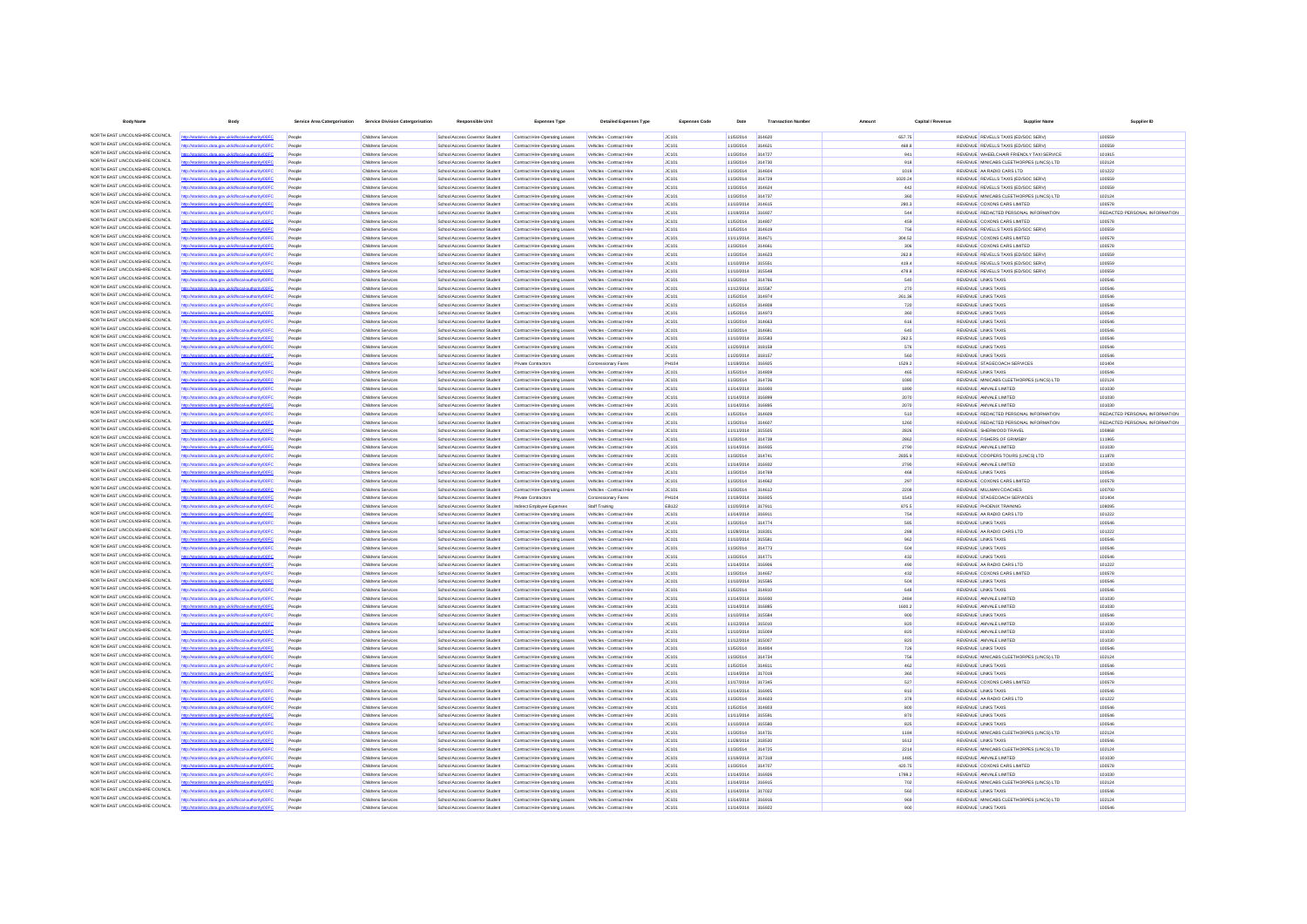| <b>Body Name</b>                                                   |                                                                               | <b>Service Area Catergorisation</b> | <b>Service Division Catergorisation</b>  | Responsible Uni                                                  | <b>Expenses Type</b>                                             | <b>Detailed Expenses Type</b>                        | <b>Expenses Code</b> | Date                            | <b>Transaction Number</b> | Capital / Revenue<br>Amount |                                                                        |                               |
|--------------------------------------------------------------------|-------------------------------------------------------------------------------|-------------------------------------|------------------------------------------|------------------------------------------------------------------|------------------------------------------------------------------|------------------------------------------------------|----------------------|---------------------------------|---------------------------|-----------------------------|------------------------------------------------------------------------|-------------------------------|
| NORTH EAST LINCOLNSHIRE COUNCIL                                    | //statistics.data.gov.uk/id/local-authority/00FC                              | People                              | Childrens Services                       | School Access Governor Student                                   | Contract Hire-Operating Leases                                   | Vehicles - Contract Hire                             | JC101                | 11/5/2014                       | 314620                    | 657.75                      | REVENUE REVELLS TAXIS (ED/SOC SERV)                                    | 100559                        |
| NORTH EAST LINCOLNSHIRE COUNCIL                                    |                                                                               | People                              | Childrens Services                       | School Access Governor Student                                   | Contract Hire-Operation Leases                                   | Vehicles - Contract Hire                             | AC101                | 11/3/2014                       | 314621                    | 468.8                       | REVENUE REVELLS TAXIS (ED/SOC SERV)                                    | 100559                        |
| NORTH EAST LINCOLNSHIRE COUNCIL                                    |                                                                               | People                              | Childrens Services                       | School Access Governor Student                                   | Contract Hire-Operating Leases                                   | Vehicles - Contract Hire                             | JC101                | 11/3/2014                       | 314727                    | 941                         | REVENUE WHEELCHAIR FRIENDLY TAXI SERVICE                               | 101915                        |
| NORTH EAST LINCOLNSHIRE COUNCIL<br>NORTH EAST LINCOLNSHIRE COUNCIL | atistics.data.gov.uk/id/local-authority/00FC                                  | People                              | Childrens Services                       | School Access Governor Student                                   | Contract Hire-Operating Leases                                   | Vehicles - Contract Hire                             | <b>JC101</b>         | 11/3/2014                       | 314730                    | 918                         | REVENUE MINICABS CLEETHORPES (LINCS) LTD                               | 102124                        |
| NORTH EAST LINCOLNSHIRE COUNCIL                                    | ics.data.gov.uk/id/local-authorit                                             | People<br>People                    | Childrens Services<br>Childrens Services | School Access Governor Student<br>School Access Governor Student | Contract Hire-Operating Leases                                   | Vehicles - Contract Hire                             | JC101<br>JC101       | 11/3/2014<br>11/3/2014          | 314504<br>314729          | 1019<br>1020.24             | REVENUE AA RADIO CARS LTD<br>REVENUE REVELLS TAXIS (ED/SOC SERV)       | 101222<br>100559              |
| NORTH EAST LINCOLNSHIRE COUNCIL                                    |                                                                               | People                              | Childrens Services                       | School Access Governor Student                                   | Contract Hire-Operating Leases<br>Contract Hire-Operating Leases | Vehicles - Contract Hire<br>Vehicles - Contract Hire | JC101                | 11/3/2014                       | 314624                    | 442                         | REVENUE REVELLS TAXIS (ED/SOC SERV)                                    | 100559                        |
| NORTH EAST LINCOLNSHIRE COUNCIL                                    | stics.data.gov.uk/id/local-authority/00FC                                     | People                              | Childrens Services                       | School Access Governor Student                                   | Contract Hire-Operating Leases                                   | Vehicles - Contract Hire                             | JC101                | 11/3/2014                       | 314737                    | 360                         | REVENUE MINICABS CLEETHORPES (LINCS) LTD                               | 102124                        |
| NORTH EAST LINCOLNSHIRE COUNCIL                                    | y/statistics.data.gov.uk/id/local-authority/00FC                              | People                              | Childrens Services                       | School Access Governor Student                                   | Contract Hire-Operating Leases                                   | Vehicles - Contract Hire                             | JC101                | 11/10/2014                      | 314615                    | 280.3                       | REVENUE COXONS CARS LIMITED                                            | 100578                        |
| NORTH EAST LINCOLNSHIRE COUNCIL<br>NORTH EAST LINCOLNSHIRE COUNCIL | ins data ony uklidional autho                                                 | People                              | Childrens Services                       | School Access Governor Student                                   | Contract Hire-Operating Leases                                   | Vehicles - Contract Hire                             | JC101                | 11/19/2014                      | 316927                    | 544                         | REVENUE REDACTED PERSONAL INFORMATION                                  | REDACTED PERSONAL INFORMATION |
| NORTH EAST LINCOLNSHIRE COUNCIL                                    | ics.data.gov.uk/id/local-authority/00FC                                       | People                              | Childrens Services                       | School Access Governor Studen                                    | Contract Hire-Operating Leases                                   | Vehicles - Contract Hire                             | JC101                | 11/5/2014                       | 31480                     | 459                         | REVENUE COXONS CARS LIMITED                                            | 100578                        |
| NORTH EAST LINCOLNSHIRE COUNCIL                                    | istics.data.gov.uk/id/local-authority/00FC                                    | People<br>People                    | Childrens Service<br>Childrens Services  | School Access Governor Student<br>School Access Governor Student | Contract Hire-Operating Leases<br>Contract Hire-Operating Leases | Vehicles - Contract Hire<br>Vehicles - Contract Hire | JC101<br>JC101       | 11/5/2014<br>11/11/2014 31467   | 314619                    | 756<br>304.52               | REVENUE REVELLS TAXIS (ED/SOC SERV)<br>REVENUE COXONS CARS LIMITED     | 100559<br>100578              |
| NORTH EAST LINCOLNSHIRE COUNCIL                                    | cs.data.gov.uk/id/local-authority/00FC                                        | People                              | Childrens Services                       | School Access Governor Student                                   | Contract Hire-Operating Leases                                   | Vehicles - Contract Hire                             | JC101                | 11/3/2014                       | 31466                     | 306                         | REVENUE COXONS CARS LIMITED                                            | 100578                        |
| NORTH EAST LINCOLNSHIRE COUNCIL                                    | s data ony uklidingal-auth                                                    | People                              | Childrens Services                       | School Access Governor Student                                   | Contract Hire-Operating Leases                                   | Vehicles - Contract Hire                             | JC101                | 11/3/2014                       | 314623                    | 262.8                       | REVENUE REVELLS TAXIS (ED/SOC SERV)                                    | 100559                        |
| NORTH EAST LINCOLNSHIRE COUNCIL                                    | tics.data.gov.uk/id/local-authority/00FC                                      | People                              | Childrens Services                       | School Access Governor Student                                   | Contract Hire-Operating Leases                                   | Vehicles - Contract Hire                             | JC101                | 11/10/2014                      | 31555                     | 419.4                       | REVENUE REVELLS TAXIS (ED/SOC SERV)                                    | 100559                        |
| NORTH EAST LINCOLNSHIRE COUNCIL<br>NORTH EAST LINCOLNSHIRE COUNCIL |                                                                               | People                              | Childrens Service                        | School Access Governor Student                                   |                                                                  | Vehicles - Contract Hire                             | JC101                | 11/10/2014                      | 315548                    | 478.8                       | REVENUE REVELLS TAXIS (ED/SOC SERV)                                    | 100559                        |
| NORTH EAST LINCOLNSHIRE COUNCIL                                    | istics.data.gov.uk/id/local-authority/00FC                                    | People<br>People                    | Childrens Services<br>Childrens Services | School Access Governor Student<br>School Access Governor Student | Contract Hire-Operating Leases<br>Contract Hire-Operating Leases | Vehicles - Contract Hire<br>Vehicles - Contract Hire | JC101<br>JC101       | 11/3/2014<br>11/12/2014         | 314766<br>31558           | 540<br>270                  | <b>REVENUE LINKS TAXIS</b><br>REVENUE LINKS TAXIS                      | 100546<br>100546              |
| NORTH EAST LINCOLNSHIRE COUNCIL                                    | is data ony uklidingal auth                                                   | People                              | Childrens Services                       | School Access Governor Student                                   | Contract Hire-Operating Leases                                   | Vehicles - Contract Hire                             | JC101                | 11/5/2014                       | 314974                    | 261.36                      | <b>REVENUE LINKS TAXIS</b>                                             | 100546                        |
| NORTH EAST LINCOLNSHIRE COUNCIL                                    | ics.data.gov.uk/id/local-autho                                                | People                              | Childrens Services                       | School Access Governor Student                                   | Contract Hire-Operating Leases                                   | Vehicles - Contract Hire                             | JC101                | 11/5/2014                       | 314808                    | 720                         | REVENUE LINKS TAXIS                                                    | 100546                        |
| NORTH EAST LINCOLNSHIRE COUNCIL                                    |                                                                               | Peopl                               | Childrens Service                        | School Access Governor Studen                                    | Contract Hire-Operating Leases                                   | ehicles - Contract Hire                              | JC101                | 11/5/2014                       | 314973                    | 360                         | REVENUE LINKS TAXIS                                                    | 100546                        |
| NORTH EAST LINCOLNSHIRE COUNCIL                                    | istics.data.gov.uk/id/local-authority/00FC                                    | People                              | Childrens Services                       | School Access Governor Student                                   | Contract Hire-Operating Leases                                   | Vehicles - Contract Hire                             | JC101                | 11/3/2014                       | 314663                    | 616                         | <b>REVENUE LINKS TAXIS</b>                                             | 100546                        |
| NORTH EAST LINCOLNSHIRE COUNCIL<br>NORTH EAST LINCOLNSHIRE COUNCIL |                                                                               | People<br>People                    | Childrens Services                       | School Access Governor Student                                   | Contract Hire-Operating Leases<br>Contract Hire-Operating Leases | Vehicles - Contract Hire                             | JC101<br>JC101       | 11/3/2014                       | 31468                     | 640                         | REVENUE LINKS TAXIS                                                    | 100546<br>100546              |
| NORTH FAST LINCOLNSHIRE COLINCIL                                   | distics.data.gov.uk/id/local-authority/00FC<br>lics.data.gov.uk/id/local-autl | People                              | Childrens Services<br>Childrens Services | School Access Governor Student<br>School Access Governor Student | Contract Hire-Operating Leases                                   | Vehicles - Contract Hire<br>Vehicles - Contract Hire | JC101                | 11/10/2014<br>11/20/2014        | 315583<br>318158          | 262.5<br>576                | <b>REVENUE LINKS TAXIS</b><br><b>REVENUE LINKS TAXIS</b>               | 100546                        |
| NORTH EAST LINCOLNSHIRE COUNCIL                                    |                                                                               | Peopl                               | Childrens Service                        | School Access Governor Studen                                    | Contract Hire-Operating Leases                                   | Vehicles - Contract Hi                               | JC101                | 11/20/2014                      | 31815                     | 560                         | REVENUE LINKS TAXIS                                                    | 100546                        |
| NORTH EAST LINCOLNSHIRE COUNCIL                                    | stics.data.gov.uk/id/local-authority/00FC                                     | People                              | Childrens Services                       | School Access Governor Student                                   | Private Contractors                                              | Concessionary Fares                                  | PH104                | 11/19/2014                      | 316925                    | 1529.2                      | REVENUE STAGECOACH SERVICES                                            | 101404                        |
| NORTH EAST LINCOLNSHIRE COUNCIL                                    |                                                                               | People                              | Childrens Services                       | School Access Governor Student                                   | Contract Hire-Operating Leases                                   | Vehicles - Contract Hire                             | JC101                | 11/5/2014                       | 314809                    | 465                         | REVENUE LINKS TAXIS                                                    | 100546                        |
| NORTH EAST LINCOLNSHIRE COUNCIL<br>NORTH EAST LINCOLNSHIRE COUNCIL | istics.data.gov.uk/id/local-authority/00FC                                    | People                              | Childrens Services                       | School Access Governor Student                                   | Contract Hire-Operating Leases                                   | Vehicles - Contract Hire                             | JC101                | 11/3/2014                       | 314736                    | 1080                        | REVENUE MINICABS CLEETHORPES (LINCS) LTD                               | 102124                        |
| NORTH EAST LINCOLNSHIRE COUNCIL                                    | ins data ony uklidional aut                                                   | People<br>People                    | Childrens Services<br>Childrens Service  | School Access Governor Student<br>School Access Governor Studen  | Contract Hire-Operating Leases<br>Contract Hire-Operating Leases | Vehicles - Contract Hire<br>Vehicles - Contract Hire | JC101<br>JC101       | 11/14/2014<br>11/14/2014        | 316900                    | 1890<br>2070                | REVENUE AMVALE LIMITED<br>REVENUE AMVALE LIMITED                       | 101030<br>101030              |
| NORTH EAST LINCOLNSHIRE COUNCIL                                    | istics.data.gov.uk/id/local-authority/00FC                                    | People                              | Childrens Services                       | School Access Governor Student                                   | Contract Hire-Operating Leases                                   | Vehicles - Contract Hire                             | JC101                | 11/14/2014                      | 316895                    | 2070                        | REVENUE AMVALE LIMITED                                                 | 101030                        |
| NORTH EAST LINCOLNSHIRE COUNCIL                                    |                                                                               | People                              | Childrens Services                       | School Access Governor Student                                   | Contract Hire-Operating Leases                                   | Vehicles - Contract Hire                             | JC101                | 11/5/2014 314609                |                           | 510                         | REVENUE REDACTED PERSONAL INFORMATION                                  | REDACTED PERSONAL INFORMATION |
| NORTH EAST LINCOLNSHIRE COUNCIL                                    | distics.data.gov.uk/id/local-authority/00FC                                   | People                              | Childrens Services                       | School Access Governor Student                                   | Contract Hire-Operating Leases                                   | Vehicles - Contract Hire                             | JC101                | 11/3/2014                       | 314607                    | 1260                        | REVENUE REDACTED PERSONAL INFORMATION                                  | REDACTED PERSONAL INFORMATION |
| NORTH EAST LINCOLNSHIRE COUNCIL<br>NORTH EAST LINCOLNSHIRE COUNCIL | s data ooy uklidingal auti                                                    | People                              | Childrens Services                       | School Access Governor Student                                   | Contract Hire-Operating Leases                                   | Vehicles - Contract Hire                             | JC101                | 11/11/2014                      | 315505                    | 2826                        | REVENUE SHERWOOD TRAVEL                                                | 100868                        |
| NORTH EAST LINCOLNSHIRE COUNCIL                                    | stics.data.gov.uk/id/local-authority/00FC                                     | People<br>People                    | Childrens Services<br>Childrens Services | School Access Governor Student<br>School Access Governor Student | Contract Hire-Operating Leases<br>Contract Hire-Operating Leases | Vehicles - Contract Hire<br>Vehicles - Contract Hire | JC101<br>JC101       | 11/3/2014<br>11/14/2014         | 314738<br>316935          | 2862<br>2790                | REVENUE FISHERS OF GRIMSBY<br>REVENUE AMVALE LIMITED                   | 111965<br>101030              |
| NORTH EAST LINCOLNSHIRE COUNCIL                                    |                                                                               | People                              | Childrens Services                       | School Access Governor Student                                   | Contract Hire-Operating Leases                                   | Vehicles - Contract Hire                             | JC101                | 11/3/2014                       | 314741                    | 2835.9                      | REVENUE COOPERS TOURS (LINCS) LTD                                      | 111878                        |
| NORTH EAST LINCOLNSHIRE COUNCIL                                    | istics.data.gov.uk/id/local-authority/00FC                                    | People                              | Childrens Services                       | School Access Governor Student                                   | Contract Hire-Operating Leases                                   | Vehicles - Contract Hire                             | JC101                | 11/14/2014                      | 316932                    | 2790                        | REVENUE AMVALE LIMITED                                                 | 101030                        |
| NORTH EAST LINCOLNSHIRE COUNCIL                                    | ins data ony uklidional aut                                                   | People                              | Childrens Services                       | School Access Governor Student                                   | Contract Hire-Operating Leases                                   | Vehicles - Contract Hire                             | JC101                | 11/3/2014                       | 314769                    | 468                         | <b>REVENUE LINKS TAXIS</b>                                             | 100546                        |
| NORTH EAST LINCOLNSHIRE COUNCIL                                    | cs.data.gov.uk/id/local-autho                                                 | People                              | Childrens Services                       | School Access Governor Studen                                    | Contract Hire-Operating Leases                                   | Vehicles - Contract Hire                             | JC101                | 11/3/2014                       | 314662                    | 297                         | REVENUE COXONS CARS LIMITED                                            | 100578                        |
| NORTH EAST LINCOLNSHIRE COUNCIL<br>NORTH EAST LINCOLNSHIRE COUNCIL | //statistics.data.gov.uk/id/local-authority/00FC                              | People                              | Childrens Services                       | School Access Governor Student                                   | Contract Hire-Operating Leases                                   | Vehicles - Contract Hire                             | JC101                | 11/3/2014                       | 314612                    | 2208                        | REVENUE MILLMAN COACHES                                                | 100700                        |
| NORTH EAST LINCOLNSHIRE COUNCIL                                    | data.gov.uk/id/local-autho<br>istics.data.gov.uk/id/local-authority/00FC      | People<br>Peopl                     | Childrens Services<br>Childrens Services | School Access Governor Student<br>School Access Governor Student | Private Contractors<br>Indirect Employee Expenses                | Concessionary Fares<br><b>Staff Training</b>         | PH104<br>EB122       | 11/19/2014 316925<br>11/20/2014 | 31791                     | 1543<br>875.5               | REVENUE STAGECOACH SERVICES<br>REVENUE PHOENIX TRAINING                | 101404<br>108095              |
| NORTH EAST LINCOLNSHIRE COUNCIL                                    | is data ony uklidingal auth                                                   | People                              | Childrens Services                       | School Access Governor Student                                   | Contract Hire-Operating Leases                                   | Vehicles - Contract Hire                             | JC101                | 11/14/2014                      | 31691                     | 754                         | REVENUE AA RADIO CARS LTD                                              | 101222                        |
| NORTH EAST LINCOLNSHIRE COUNCIL                                    | tics.data.gov.uk/id/local-authority/00FC                                      | People                              | Childrens Services                       | School Access Governor Studen                                    | Contract Hire-Operating Leases                                   | Vehicles - Contract Hire                             | JC101                | 11/3/2014                       | 314774                    | 585                         | REVENUE LINKS TAXIS                                                    | 100546                        |
| NORTH EAST LINCOLNSHIRE COUNCIL                                    | stics.data.gov.uk/id/local-authority/00FC                                     | People                              | Childrens Services                       | School Access Governor Student                                   | Contract Hire-Operating Leases                                   | Vehicles - Contract Hire                             | JC101                | 11/28/2014                      | 318301                    | 288                         | REVENUE AA RADIO CARS LTD                                              | 101222                        |
| NORTH EAST LINCOLNSHIRE COUNCIL<br>NORTH EAST LINCOLNSHIRE COUNCIL |                                                                               | People                              | Childrens Services                       | School Access Governor Student                                   | Contract Hire-Operating Leases                                   | Vehicles - Contract Hire                             | JC101                | 11/10/2014                      | 31558                     | 962                         | <b>REVENUE LINKS TAXIS</b>                                             | 100546                        |
| NORTH EAST LINCOLNSHIRE COUNCIL                                    | istics.data.gov.uk/id/local-authority/00FC<br>tins data ony uklidihoakauthori | Peopl<br>People                     | Childrens Services<br>Childrens Services | School Access Governor Student<br>School Access Governor Student | Contract Hire-Operating Leases<br>Contract Hire-Operating Leases | Vehicles - Contract Hire<br>Vehicles - Contract Hire | JC101<br>JC101       | 11/3/2014<br>11/3/2014          | 314773<br>314771          | 504<br>432                  | REVENUE LINKS TAXIS<br><b>REVENUE LINKS TAXIS</b>                      | 100546<br>100546              |
| NORTH EAST LINCOLNSHIRE COUNCIL                                    | ics.data.gov.uk/id/local-authority/00FC                                       | People                              | Childrens Services                       | School Access Governor Student                                   | Contract Hire-Operating Leases                                   | Vehicles - Contract Hire                             | JC101                | 11/14/2014                      | 316906                    | 490                         | REVENUE AA RADIO CARS LTD                                              | 101222                        |
| NORTH EAST LINCOLNSHIRE COUNCIL                                    |                                                                               | Peopl                               | Childrens Service                        | School Access Governor Studen                                    | Contract Hire-Operating Leases                                   |                                                      | JC101                | 11/3/2014                       | 314657                    | 432                         | REVENUE COXONS CARS LIMITED                                            | 100578                        |
| NORTH FAST LINCOLNSHIRE COLINCIL                                   | ics data ony ukkilocal autho                                                  | People                              | Childrens Services                       | School Access Governor Student                                   | Contract Hire-Operating Leases                                   | Vehicles - Contract Hire                             | JC101                | 11/10/2014                      | 315585                    | 504                         | <b>REVENUE LINKS TAXIS</b>                                             | 100546                        |
| NORTH EAST LINCOLNSHIRE COUNCIL<br>NORTH EAST LINCOLNSHIRE COUNCIL | istics.data.gov.uk/id/local-authority/00FC                                    | Peopl                               | Childrens Services                       | School Access Governor Student                                   | Contract Hire-Operating Leases                                   | Vehicles - Contract Hire                             | JC101                | 11/5/2014                       | 314810                    | 648                         | REVENUE LINKS TAXIS                                                    | 100546                        |
| NORTH EAST LINCOLNSHIRE COUNCIL                                    | stics.data.gov.uk/id/local-authority/00FC                                     | People<br>People                    | Childrens Services<br>Childrens Services | School Access Governor Student<br>School Access Governor Student | Contract Hire-Operating Leases<br>Contract Hire-Operating Leases | Vehicles - Contract Hire<br>Vehicles - Contract Hire | JC101<br>JC101       | 11/14/2014<br>11/14/2014        | 316930<br>316885          | 2484<br>1600.2              | REVENUE AMVALE LIMITED<br>REVENUE AMVALE LIMITED                       | 101030<br>101030              |
| NORTH EAST LINCOLNSHIRE COUNCIL                                    |                                                                               | Peopl                               | Childrens Service                        | School Access Governor Studen                                    | Contract Hire-Operating Leases                                   |                                                      | JC101                | 11/10/2014                      | 31558                     | 900                         | REVENUE LINKS TAXIS                                                    | 100546                        |
| NORTH FAST LINCOLNSHIRE COUNCIL                                    | s data ony uklidingal aut                                                     | People                              | Childrens Services                       | School Access Governor Student                                   | Contract Hire-Operating Leases                                   | Vehicles - Contract Hire                             | JC101                | 11/12/2014                      | 315010                    | 820                         | REVENUE AMVALE LIMITED                                                 | 101030                        |
| NORTH EAST LINCOLNSHIRE COUNCIL                                    | istics.data.gov.uk/id/local-authority/00FC                                    | People                              | Childrens Services                       | School Access Governor Student                                   | Contract Hire-Operating Leases                                   | Vehicles - Contract Hire                             | JC101                | 11/10/2014                      | 315009                    | 820                         | REVENUE AMVALE LIMITED                                                 | 101030                        |
| NORTH EAST LINCOLNSHIRE COUNCIL<br>NORTH EAST LINCOLNSHIRE COUNCIL | ing state and deliving a later                                                | People                              | Childrens Services                       | School Access Governor Student                                   | Contract Hire-Operating Leases                                   | Vehicles - Contract Hire                             | JC101                | 11/12/2014                      | 315007                    | 820                         | REVENUE AMVALE LIMITED                                                 | 101030                        |
| NORTH EAST LINCOLNSHIRE COUNCIL                                    | tics.data.gov.uk/id/local-authority/00FC                                      | People<br>People                    | Childrens Services<br>Childrens Services | School Access Governor Student<br>School Access Governor Student | Contract Hire-Operating Leases<br>Contract Hire-Operating Leases | Vehicles - Contract Hire<br>Vehicles - Contract Hire | JC101<br>JC101       | 11/5/2014<br>11/3/2014          | 314804<br>314734          | 726<br>756                  | <b>REVENUE LINKS TAXIS</b><br>REVENUE MINICABS CLEETHORPES (LINCS) LTD | 100546<br>102124              |
| NORTH EAST LINCOLNSHIRE COUNCIL                                    | stics.data.gov.uk/id/local-authority/00FC                                     | People                              | Childrens Services                       | School Access Governor Student                                   | Contract Hire-Operating Leases                                   | Vehicles - Contract Hire                             | JC101                | 11/5/2014                       | 314811                    | 462                         | <b>REVENUE LINKS TAXIS</b>                                             | 100546                        |
| NORTH EAST LINCOLNSHIRE COUNCIL                                    | atistics.data.gov.uk/id/local-authority/00FC                                  | Peopl                               | Childrens Services                       | School Access Governor Student                                   | Contract Hire-Operating Leases                                   | Vehicles - Contract Hire                             | JC101                | 11/14/2014                      | 317019                    | 360                         | REVENUE LINKS TAXIS                                                    | 100546                        |
| NORTH EAST LINCOLNSHIRE COUNCIL                                    | ins data ony uklidihoal-authority/00FC                                        | People                              | Childrens Services                       | School Access Governor Student                                   | Contract Hire-Operating Leases                                   | Vehicles - Contract Hire                             | JC101                | 11/17/2014                      | 317345                    | 527                         | REVENUE COXONS CARS LIMITED                                            | 100578                        |
| NORTH EAST LINCOLNSHIRE COUNCIL<br>NORTH EAST LINCOLNSHIRE COUNCIL | tics.data.gov.uk/id/local-authority/00FC                                      | People                              | Childrens Services                       | School Access Governor Student                                   | Contract Hire-Operating Leases                                   | Vehicles - Contract Hire                             | JC101                | 11/14/2014                      | 316905                    | 810                         | <b>REVENUE LINKS TAXIS</b>                                             | 100546                        |
| NORTH EAST LINCOLNSHIRE COUNCIL                                    | stics.data.gov.uk/id/local-authority/00FC                                     | People<br>People                    | Childrens Services<br>Childrens Services | School Access Governor Student<br>School Access Governor Student | Contract Hire-Operating Leases<br>Contract Hire-Operating Leases | Vehicles - Contract Hire<br>Vehicles - Contract Hire | JC101<br>JC101       | 11/3/2014<br>11/5/2014          | 314803                    | 378                         | REVENUE AA RADIO CARS LTD<br><b>REVENUE LINKS TAXIS</b>                | 101222<br>100546              |
| NORTH EAST LINCOLNSHIRE COUNCIL                                    |                                                                               | People                              | Childrens Services                       | School Access Governor Student                                   | Contract Hire-Operating Leases                                   | Vehicles - Contract Hire                             | JC101                | 11/11/2014                      | 315591                    | 800<br>870                  | <b>REVENUE LINKS TAXIS</b>                                             | 100546                        |
| NORTH EAST LINCOLNSHIRE COUNCIL                                    |                                                                               | Peopl                               | Childrens Services                       | School Access Governor Student                                   | Contract Hire-Operating Leases                                   | Vehicles - Contract Hire                             | JC101                | 11/10/2014                      | 315580                    | 825                         | <b>REVENUE LINKS TAXIS</b>                                             | 100546                        |
| NORTH EAST LINCOLNSHIRE COUNCIL                                    | stics.data.gov.uk/id/local-authority/00FC                                     | People                              | Childrens Services                       | School Access Governor Student                                   | Contract Hire-Operating Leases                                   | Vehicles - Contract Hire                             | JC101                | 11/3/2014                       | 314731                    | 1184                        | REVENUE MINICABS CLEETHORPES (LINCS) LTD                               | 102124                        |
| NORTH EAST LINCOLNSHIRE COUNCIL                                    |                                                                               | People                              | Childrens Services                       | School Access Governor Student                                   | Contract Hire-Operating Leases                                   | Vehicles - Contract Hire                             | JC101                | 11/28/2014                      | 318530                    | 1612                        | REVENUE LINKS TAXIS                                                    | 100546                        |
| NORTH EAST LINCOLNSHIRE COUNCIL<br>NORTH EAST LINCOLNSHIRE COUNCIL | istics.data.gov.uk/id/local-authority/00FC                                    | People                              | Childrens Services                       | School Access Governor Student                                   | Contract Hire-Operating Leases                                   | Vehicles - Contract Hire                             | JC101                | 11/3/2014                       | 314725                    | 2214                        | REVENUE MINICABS CLEETHORPES (LINCS) LTD                               | 102124                        |
| NORTH EAST LINCOLNSHIRE COUNCIL                                    | stics data ony uklidiocal authority/OFC                                       | People<br>Peopl                     | Childrens Services<br>Childrens Services | School Access Governor Student<br>School Access Governor Student | Contract Hire-Operating Leases<br>Contract Hire-Operating Leases | Vehicles - Contract Hire<br>Vehicles - Contract Hire | JC101<br>JC101       | 11/19/2014 317318<br>11/3/2014  | 314707                    | 1485<br>420.75              | REVENUE AMVALE LIMITED<br>REVENUE COXONS CARS LIMITED                  | 101030<br>100578              |
| NORTH EAST LINCOLNSHIRE COUNCIL                                    | stics.data.gov.uk/id/local-authority/00FC                                     | People                              | Childrens Services                       | School Access Governor Student                                   | Contract Hire-Operating Leases                                   | Vehicles - Contract Hire                             | JC101                | 11/14/2014                      | 316926                    | 1798.2                      | REVENUE AMVALE LIMITED                                                 | 101030                        |
| NORTH EAST LINCOLNSHIRE COUNCIL                                    |                                                                               | People                              | Childrens Services                       | School Access Governor Student                                   | Contract Hire-Operating Leases                                   | Vehicles - Contract Hire                             | JC101                | 11/14/2014                      | 316915                    | 702                         | REVENUE MINICABS CLEETHORPES (LINCS) LTD                               | 102124                        |
| NORTH EAST LINCOLNSHIRE COUNCIL                                    | stics.data.gov.uk/id/local-authority/00FC                                     | People                              | Childrens Services                       | School Access Governor Student                                   | Contract Hire-Operating Leases                                   | Vehicles - Contract Hire                             | JC101                | 11/14/2014                      | 317022                    | 560                         | <b>REVENUE LINKS TAXIS</b>                                             | 100546                        |
| NORTH EAST LINCOLNSHIRE COUNCIL<br>NORTH EAST LINCOLNSHIRE COUNCIL | cs.data.gov.uk/id/local-authority/00FC                                        | People                              | Childrens Services                       | School Access Governor Student                                   | Contract Hire-Operating Leases                                   | Vehicles - Contract Hire                             | JC101                | 11/14/2014 316916               |                           | 969                         | REVENUE MINICABS CLEETHORPES (LINCS) LTD                               | 102124                        |
|                                                                    |                                                                               |                                     | Childrens Services                       | School Access Governor Student                                   | Contract Hire-Operating Leases                                   |                                                      |                      | 11/14/2014                      |                           | 900                         | <b>REVENUE LINKS TAXIS</b>                                             | 100546                        |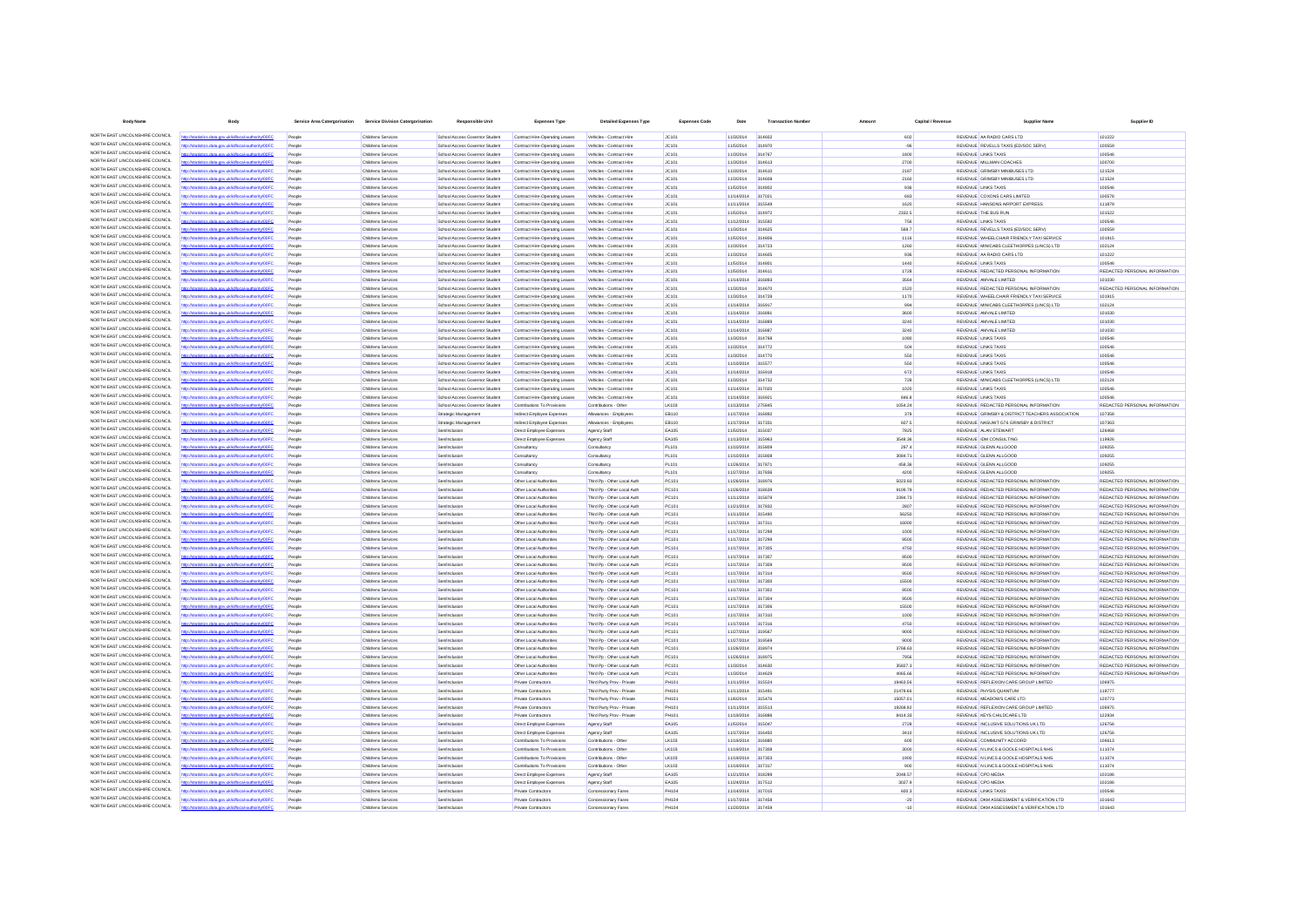| <b>Body Name</b>                                                   |                                                                              |                  | Service Area Catergorisation Service Division Catergorisation | <b>Responsible Unit</b>                                          | <b>Expenses Type</b>                                             | <b>Detailed Expenses Type</b>                              | <b>Expenses Code</b> | Date                            | <b>Transaction Numbe</b> | Amoun                | Capital / Revenue |                                                                                        |                                                                |
|--------------------------------------------------------------------|------------------------------------------------------------------------------|------------------|---------------------------------------------------------------|------------------------------------------------------------------|------------------------------------------------------------------|------------------------------------------------------------|----------------------|---------------------------------|--------------------------|----------------------|-------------------|----------------------------------------------------------------------------------------|----------------------------------------------------------------|
| NORTH EAST LINCOLNSHIRE COUNCIL                                    | //statistics.data.gov.uk/id/local-authority/00FC                             | People           | Childrens Services                                            | School Access Governor Student                                   | Contract Hire-Operating Leases                                   | Vehicles - Contract Hire                                   | JC101                | 11/3/2014                       | 314602                   | 602                  |                   | REVENUE AA RADIO CARS LTD                                                              | 101222                                                         |
| NORTH EAST LINCOLNSHIRE COUNCIL                                    |                                                                              | People           | Childrens Services                                            | School Access Governor Student                                   | Contract Hire-Operation Leases                                   | Vehicles - Contract Hire                                   | <b>JC101</b>         | 11/5/2014                       | 314970                   |                      |                   | REVENUE REVELLS TAXIS (ED/SOC SERV)                                                    | 100559                                                         |
| NORTH EAST LINCOLNSHIRE COUNCIL                                    |                                                                              | People           | Childrens Services                                            | School Access Governor Student                                   | Contract Hire-Operating Leases                                   | Vehicles - Contract Hire                                   | JC101                | 11/3/2014                       | 314767                   | 1800                 |                   | REVENUE LINKS TAXIS                                                                    | 100546                                                         |
| NORTH EAST LINCOLNSHIRE COUNCIL<br>NORTH EAST LINCOLNSHIRE COUNCIL | tatistics.data.gov.uk/id/local-authority/00FC                                | People           | Childrens Services                                            | School Access Governor Student                                   | Contract Hire-Operating Leases                                   | Vehicles - Contract Hire                                   | <b>JC101</b>         | 11/3/2014                       | 314613                   | 2700                 |                   | REVENUE MILLMAN COACHES                                                                | 100700                                                         |
| NORTH EAST LINCOLNSHIRE COUNCIL                                    | fics.data.gov.uk/id/local-authority/00FC                                     | People<br>Peopl  | Childrens Services<br>Childrens Services                      | School Access Governor Student<br>School Access Governor Student | Contract Hire-Operating Leases<br>Contract Hire-Operating Leases | Vehicles - Contract Hire<br>Vehicles - Contract Hire       | JC101<br>JC101       | 11/3/2014<br>11/3/2014          | 314610                   | 2187<br>2160         |                   | REVENUE GRIMSBY MINIBUSES LTD<br>REVENUE GRIMSBY MINIBUSES LTD                         | 121524<br>121524                                               |
| NORTH EAST LINCOLNSHIRE COUNCIL                                    |                                                                              | People           | Childrens Services                                            | School Access Governor Student                                   | Contract Hire-Operating Leases                                   | Vehicles - Contract Hire                                   | 10101                | 11/5/2014                       | 314802                   | 936                  |                   | REVENUE LINKS TAXIS                                                                    | 100546                                                         |
| NORTH EAST LINCOLNSHIRE COUNCIL                                    | stics.data.gov.uk/id/local-authority/00FC                                    | People           | Childrens Services                                            | School Access Governor Student                                   | Contract Hire-Operating Leases                                   | Vehicles - Contract Hire                                   | JC101                | 11/14/2014                      | 317021                   | 683                  |                   | REVENUE COXONS CARS LIMITED                                                            | 100578                                                         |
| NORTH EAST LINCOLNSHIRE COUNCIL<br>NORTH EAST LINCOLNSHIRE COUNCIL | ttp://statistics.data.gov.uk/id/local-authority/00FC                         | People           | Childrens Services                                            | School Access Governor Student                                   | Contract Hire-Operating Leases                                   | Vehicles - Contract Hire                                   | JC101                | 11/11/2014                      | 315549                   | 1620                 |                   | REVENUE HANSONS AIRPORT EXPRESS                                                        | 111879                                                         |
| NORTH EAST LINCOLNSHIRE COUNCIL                                    | ics data gov ukřdíhoal-authority/00EC                                        | People           | Childrens Services                                            | School Access Governor Student                                   | Contract Hire-Operating Leases                                   | Vehicles - Contract Hire                                   | JC101                | 11/5/2014                       | 314972                   | 2332.5               |                   | <b>REVENUE THE BUS RUN</b>                                                             | 101522                                                         |
| NORTH EAST LINCOLNSHIRE COUNCIL                                    | fics.data.gov.uk/id/local-authority/00FC                                     | People<br>People | Childrens Services<br>Childrens Service                       | School Access Governor Studen<br>School Access Governor Student  | Contract Hire-Operating Leases<br>Contract Hire-Operating Leases | Vehicles - Contract Hire<br>Vehicles - Contract Hire       | JC101<br>JC101       | 11/12/2014<br>11/3/2014         | 315592<br>314625         | 756<br>569.7         |                   | REVENUE LINKS TAXIS<br>REVENUE REVELLS TAXIS (ED/SOC SERV)                             | 100546<br>100559                                               |
| NORTH EAST LINCOLNSHIRE COUNCIL                                    | Vstatistics.data.gov.uk/id/local-authority/00FC                              | People           | Childrens Services                                            | School Access Governor Student                                   | Contract Hire-Operating Leases                                   | Vehicles - Contract Hire                                   | JC101                | 11/5/2014                       | 314806                   | 1116                 |                   | REVENUE WHEELCHAIR FRIENDLY TAXI SERVICE                                               | 101915                                                         |
| NORTH EAST LINCOLNSHIRE COUNCIL                                    | fics.data.gov.uk/id/local-authority/00FC                                     | People           | Childrens Services                                            | School Access Governor Student                                   | Contract Hire-Operating Leases                                   | Vehicles - Contract Hire                                   | JC101                | 11/3/2014                       | 314723                   | 1260                 |                   | REVENUE MINICABS CLEETHORPES (LINCS) LTD                                               | 102124                                                         |
| NORTH EAST LINCOLNSHIRE COUNCIL                                    | ics.data.gov.uk/id/local-autho                                               | People           | Childrens Services                                            | School Access Governor Student                                   | Contract Hire-Operating Leases                                   | Vehicles - Contract Hire                                   | JC101                | 11/3/2014                       | 314605                   | 936                  |                   | REVENUE AA RADIO CARS LTD                                                              | 101222                                                         |
| NORTH EAST LINCOLNSHIRE COUNCIL<br>NORTH EAST LINCOLNSHIRE COUNCIL | stics.data.gov.uk/id/local-authority/00FC                                    | People           | Childrens Services                                            | School Access Governor Student                                   | Contract Hire-Operating Leases                                   | Vehicles - Contract Hire                                   | JC101                | 11/5/2014                       | 31480                    | 1440                 |                   | REVENUE LINKS TAXIS                                                                    | 10054                                                          |
| NORTH EAST LINCOLNSHIRE COUNCIL                                    | istics.data.gov.uk/id/local-authority/00FC                                   | People<br>People | Childrens Service<br>Childrens Services                       | School Access Governor Student<br>School Access Governor Student | Contract Hire-Operating Leases                                   | Vehicles - Contract Hire<br>Vehicles - Contract Hire       | JC101<br>JC101       | 11/5/2014<br>11/14/2014         | 314611<br>316893         | 1728<br>3564         |                   | REVENUE REDACTED PERSONAL INFORMATION<br>REVENUE AMVALE LIMITED                        | REDACTED PERSONAL INFORMATION<br>101030                        |
| NORTH EAST LINCOLNSHIRE COUNCIL                                    | s.data.gov.uk/id/local-authority/00FC                                        | People           | Childrens Services                                            | School Access Governor Student                                   | Contract Hire-Operating Leases                                   | Vehicles - Contract Hire                                   | JC101                | 11/3/2014                       | 314670                   | 1520                 |                   | REVENUE REDACTED PERSONAL INFORMATION                                                  | REDACTED PERSONAL INFORMATION                                  |
| NORTH EAST LINCOLNSHIRE COUNCIL                                    | is data ony uklidiocal authority/00EC.                                       | People           | Childrens Services                                            | School Access Governor Student                                   | Contract Hire-Operating Leases                                   | Vehicles - Contract Hire                                   | JC101                | 11/3/2014                       | 314728                   | 1170                 |                   | REVENUE WHEELCHAIR FRIENDLY TAXI SERVICE                                               | 101915                                                         |
| NORTH EAST LINCOLNSHIRE COUNCIL                                    | ics.data.gov.uk/id/local-autho<br><b>ity/OOFC</b>                            | People           | Childrens Services                                            | School Access Governor Student                                   | Contract Hire-Operating Leases                                   | Vehicles - Contract Hire                                   | JC101                | 11/14/2014                      | 316917                   | 994                  |                   | REVENUE MINICABS CLEETHORPES (LINCS) LTD                                               | 102124                                                         |
| NORTH EAST LINCOLNSHIRE COUNCIL<br>NORTH EAST LINCOLNSHIRE COUNCIL |                                                                              | Peopl            | Childrens Service                                             | School Access Governor Studen                                    | Contract Hire-Operating Leases                                   | /ehicles - Contract Hire                                   | JC101                | 11/14/2014                      | 31689                    | 3600                 |                   | REVENUE AMVALE LIMITED                                                                 | 101030                                                         |
| NORTH EAST LINCOLNSHIRE COUNCIL                                    | //statistics.data.gov.uk/id/local-authority/00FC                             | People           | Childrens Services                                            | School Access Governor Student                                   | Contract Hire-Operating Leases                                   | Vehicles - Contract Hire                                   | JC101                | 11/14/2014                      | 316889                   | 3240                 |                   | REVENUE AMVALE LIMITED                                                                 | 101030                                                         |
| NORTH EAST LINCOLNSHIRE COUNCIL                                    | tatistics.data.gov.uk/id/local-authority/00FC                                | People<br>People | Childrens Services<br>Childrens Services                      | School Access Governor Student<br>School Access Governor Student | Contract Hire-Operating Leases<br>Contract Hire-Operating Leases | Vehicles - Contract Hire<br>Vehicles - Contract Hire       | JC101<br>JC101       | 11/14/2014<br>11/3/2014         | 316887<br>314768         | 3240<br>1080         |                   | REVENUE AMVALE LIMITED<br><b>REVENUE LINKS TAXIS</b>                                   | 101030<br>100546                                               |
| NORTH FAST LINCOLNSHIRE COUNCIL                                    | stics.data.oov.uk/id/local-authority/00FC                                    | People           | Childrens Services                                            | School Access Governor Student                                   | Contract Hire-Operating Leases                                   | Vehicles - Contract Hire                                   | JC101                | 11/3/2014                       | 314772                   | 504                  |                   | <b>REVENUE LINKS TAXIS</b>                                                             | 100546                                                         |
| NORTH EAST LINCOLNSHIRE COUNCIL                                    |                                                                              | Peopl            | Childrens Service                                             | School Access Governor Studen                                    | Contract Hire-Operating Leases                                   | Vehicles - Contract Hire                                   | JC101                | 11/3/2014                       | 314770                   | 550                  |                   | REVENUE LINKS TAXIS                                                                    | 100546                                                         |
| NORTH EAST LINCOLNSHIRE COUNCIL                                    | stics.data.gov.uk/id/local-authority/00FC                                    | People           | Childrens Services                                            | School Access Governor Student                                   | Contract Hire-Operating Leases                                   | Vehicles - Contract Hire                                   | JC101                | 11/10/2014                      | 315577                   | 550                  |                   | <b>REVENUE LINKS TAXIS</b>                                                             | 100546                                                         |
| NORTH EAST LINCOLNSHIRE COUNCIL<br>NORTH EAST LINCOLNSHIRE COUNCIL |                                                                              | People           | Childrens Services                                            | School Access Governor Student                                   | Contract Hire-Operating Leases                                   | Vehicles - Contract Hire                                   | JC101                | 11/14/2014                      | 316918                   | 672                  |                   | REVENUE LINKS TAXIS                                                                    | 100546                                                         |
| NORTH EAST LINCOLNSHIRE COUNCIL                                    | istics.data.gov.uk/id/local-authority/00FC                                   | People<br>People | Childrens Services<br>Childrens Services                      | School Access Governor Student<br>School Access Governor Student | Contract Hire-Operating Leases<br>Contract Hire-Operating Leases | Vehicles - Contract Hire<br>Vehicles - Contract Hire       | JC101<br>JC101       | 11/3/2014<br>11/14/2014         | 314732<br>317020         | 728<br>1020          |                   | REVENUE MINICABS CLEETHORPES (LINCS) LTD<br><b>REVENUE LINKS TAXIS</b>                 | 102124<br>100546                                               |
| NORTH EAST LINCOLNSHIRE COUNCIL                                    |                                                                              | People           | Childrens Services                                            | School Access Governor Student                                   | Contract Hire-Operating Leases                                   | Vehicles - Contract Hire                                   | JC101                | 11/14/2014                      | 31692                    | 846.8                |                   | REVENUE LINKS TAXIS                                                                    | 100546                                                         |
| NORTH EAST LINCOLNSHIRE COUNCIL                                    | istics.data.gov.uk/id/local-authority/00FC                                   | People           | Childrens Services                                            | School Access Governor Student                                   | Contributions To Provisions                                      | Contributions - Other                                      | LK103                | 11/13/2014 275845               |                          | 1054.24              |                   | REVENUE REDACTED PERSONAL INFORMATION                                                  | REDACTED PERSONAL INFORMATION                                  |
| NORTH EAST LINCOLNSHIRE COUNCIL                                    |                                                                              | People           | Childrens Services                                            | Strategic Management                                             | Indirect Employee Expenses                                       | Allowances - Employees                                     | EB110                | 11/17/2014 316892               |                          | 378                  |                   | REVENUE GRIMSBY & DISTRICT TEACHERS ASSOCIATION                                        | 107358                                                         |
| NORTH EAST LINCOLNSHIRE COUNCIL<br>NORTH EAST LINCOLNSHIRE COUNCIL | atistics.data.gov.uk/id/local-authority/00FC                                 | People           | Childrens Services                                            | Strategic Managemen                                              | Indirect Employee Expenses                                       | Allowances - Employees                                     | EB110                | 11/17/2014                      | 317331                   | 607.5                |                   | REVENUE NASUWT G76 GRIMSBY & DISTRICT                                                  | 107363                                                         |
| NORTH EAST LINCOLNSHIRE COUNCIL                                    |                                                                              | People           | Childrens Services                                            | Sen/Inclusion                                                    | Direct Employee Expenses                                         | Agency Staff                                               | <b>EA105</b>         | 11/5/2014                       | 315037                   | 7825                 |                   | REVENUE ALAN STEWART                                                                   | 126468                                                         |
| NORTH EAST LINCOLNSHIRE COUNCIL                                    | istics.data.gov.uk/id/local-authority/00FC                                   | People<br>People | Childrens Services<br>Childrens Services                      | Sen/Inclusion                                                    | Direct Employee Expenses<br>Consultancy                          | Agency Staf<br>Consultancy                                 | EA105<br>PL101       | 11/13/2014<br>11/10/2014        | 315963<br>315809         | 3548.36<br>297.4     |                   | REVENUE IDM CONSULTING<br>REVENUE GLENN ALLGOOD                                        | 119926<br>109255                                               |
| NORTH EAST LINCOLNSHIRE COUNCIL                                    |                                                                              | People           | Childrens Services                                            | Sen/Inclusion                                                    | Consultancy                                                      | Consultancy                                                | PL101                | 11/10/2014                      | 315808                   | 3084.71              |                   | REVENUE GLENN ALLGOOD                                                                  | 109255                                                         |
| NORTH EAST LINCOLNSHIRE COUNCIL                                    | distics.data.gov.uk/id/local-authority/00FC                                  | People           | Childrens Services                                            | Sen/Inclusion                                                    | Consultancy                                                      | Consultancy                                                | PL101                | 11/26/2014                      | 317871                   | 458.36               |                   | REVENUE GLENN ALLGOOD                                                                  | 109255                                                         |
| NORTH EAST LINCOLNSHIRE COUNCIL                                    | tics data ony uklidingal-authority/00FC                                      | People           | Childrens Services                                            | Sen/Inclusion                                                    | Consultancy                                                      | Consultancy                                                | PL101                | 11/27/2014                      | 317836                   | 4200                 |                   | REVENUE GLENN ALLGOOD                                                                  | 109255                                                         |
| NORTH EAST LINCOLNSHIRE COUNCIL<br>NORTH EAST LINCOLNSHIRE COUNCIL | fics.data.gov.uk/id/local-authority/00FC                                     | People           | Childrens Services                                            | Sen/Inclusion                                                    | Other Local Authorities                                          | Third Pp - Other Local Auth                                | PC101                | 11/26/2014                      | 318976                   | 5023.83              |                   | REVENUE REDACTED PERSONAL INFORMATION                                                  | REDACTED PERSONAL INFORMATION                                  |
| NORTH EAST LINCOLNSHIRE COUNCIL                                    | istics.data.gov.uk/id/local-authority/00FC<br>s.data.gov.uk/id/local-autho   | People<br>People | Childrens Services<br>Childrens Services                      | Sen/Inclusion<br>Sen/Inclusion                                   | Other Local Authorities<br>Other Local Authorities               | Third Po - Other Local Auth<br>Third Pp - Other Local Auth | PC101<br>PC101       | 11/26/2014<br>11/11/2014 315878 | 318639                   | 9109.79<br>2394.73   |                   | REVENUE REDACTED PERSONAL INFORMATION<br>REVENUE REDACTED PERSONAL INFORMATION         | REDACTED PERSONAL INFORMATION<br>REDACTED PERSONAL INFORMATION |
| NORTH EAST LINCOLNSHIRE COUNCIL                                    | datistics.data.gov.uk/id/local-authority/00FC                                | Peop             | Childrens Service                                             | Sen/Inclusion                                                    | Other Local Authoritie                                           | Third Pp - Other Local Auth                                | PC101                | 11/21/2014                      | 317832                   | 2807                 |                   | REVENUE REDACTED PERSONAL INFORMATION                                                  | REDACTED PERSONAL INFORMATION                                  |
| NORTH EAST LINCOLNSHIRE COUNCIL                                    |                                                                              | People           | Childrens Services                                            | Sen/Inclusion                                                    | Other Local Authorities                                          | Third Pp - Other Local Auth                                | PC101                | 11/11/2014                      | 315490                   | 56250                |                   | REVENUE REDACTED PERSONAL INFORMATION                                                  | REDACTED PERSONAL INFORMATION                                  |
| NORTH EAST LINCOLNSHIRE COUNCIL                                    | fics.data.gov.uk/id/local-authority/00FC                                     | People           | Childrens Services                                            | Sen/Inclusion                                                    | Other Local Authorities                                          | Third Pp - Other Local Auth                                | PC101                | 11/17/2014                      | 317311                   | 16000                |                   | REVENUE REDACTED PERSONAL INFORMATION                                                  | REDACTED PERSONAL INFORMATION                                  |
| NORTH EAST LINCOLNSHIRE COUNCIL<br>NORTH EAST LINCOLNSHIRE COUNCIL | tatistics.data.gov.uk/id/local-authority/00FC                                | People           | Childrens Services                                            | Sen/Inclusion                                                    | Other Local Authoritie                                           | Third Po - Other Local Auth                                | PC101                | 11/17/2014                      | 317298                   | 1000                 |                   | REVENUE REDACTED PERSONAL INFORMATION                                                  | REDACTED PERSONAL INFORMATION                                  |
| NORTH EAST LINCOLNSHIRE COUNCIL                                    | s.data.gov.uk/id/local-autho<br>atistics.data.gov.uk/id/local-authority/00FC | People<br>Peopl  | Childrens Services<br>Childrens Services                      | Sen/Inclusion<br>Sen/Inclusion                                   | Other Local Authorities<br>Other Local Authoritie                | Third Pp - Other Local Auth<br>Third Pp - Other Local Auth | PC101<br>PC101       | 11/17/2014 317299<br>11/17/2014 | 317305                   | 9500<br>4750         |                   | REVENUE REDACTED PERSONAL INFORMATION<br>REVENUE REDACTED PERSONAL INFORMATION         | REDACTED PERSONAL INFORMATION<br>REDACTED PERSONAL INFORMATION |
| NORTH EAST LINCOLNSHIRE COUNCIL                                    |                                                                              | People           | Childrens Services                                            | Sen/Inclusion                                                    | Other Local Authoritie                                           | Third Pp - Other Local Auth                                | PC101                | 11/17/2014                      | 317307                   | 9500                 |                   | REVENUE REDACTED PERSONAL INFORMATION                                                  | REDACTED PERSONAL INFORMATION                                  |
| NORTH EAST LINCOLNSHIRE COUNCIL                                    | stics.data.gov.uk/id/local-authority/00FC                                    | People           | Childrens Services                                            | Sen/Inclusion                                                    | Other Local Authoritie                                           | Third Pp - Other Local Auth                                | PC101                | 11/17/2014                      | 317309                   | 9500                 |                   | REVENUE REDACTED PERSONAL INFORMATION                                                  | REDACTED PERSONAL INFORMATION                                  |
| NORTH EAST LINCOLNSHIRE COUNCIL                                    |                                                                              | Peopl            | Childrens Service                                             | Sen/Inclusio                                                     | Other Local Authoritie                                           | Third Pp - Other Local Auth                                | PC101                | 11/17/2014                      | 317314                   | 9500                 |                   | REVENUE REDACTED PERSONAL INFORMATION                                                  | REDACTED PERSONAL INFORMATION                                  |
| NORTH FAST LINCOLNSHIRE COUNCIL<br>NORTH EAST LINCOLNSHIRE COUNCIL | ns data ony uklidional authr                                                 | People           | Childrens Services                                            | Sen/Inclusion                                                    | Other Local Authorities                                          | Third Po - Other Local Auth                                | PC101                | 11/17/2014 317300               |                          | 15500                |                   | REVENUE REDACTED PERSONAL INFORMATION                                                  | REDACTED PERSONAL INFORMATION                                  |
| NORTH EAST LINCOLNSHIRE COUNCIL                                    | tatistics.data.gov.uk/id/local-authority/00FC                                | People<br>People | Childrens Services<br>Childrens Services                      | Sen/Inclusio<br>Sen/Inclusion                                    | Other Local Authorities<br>Other Local Authorities               | Third Pp - Other Local Auth<br>Third Pp - Other Local Auth | PC101<br>PC101       | 11/17/2014<br>11/17/2014        | 317302<br>317304         | 9500<br>9500         |                   | REVENUE REDACTED PERSONAL INFORMATION<br>REVENUE REDACTED PERSONAL INFORMATION         | REDACTED PERSONAL INFORMATION<br>REDACTED PERSONAL INFORMATION |
| NORTH EAST LINCOLNSHIRE COUNCIL                                    | stics.data.gov.uk/id/local-authority/00FC                                    | People           | Childrens Services                                            | Sen/Inclusion                                                    | Other Local Authorities                                          | Third Pp - Other Local Auth                                | PC101                | 11/17/2014                      | 317306                   | 15500                |                   | REVENUE REDACTED PERSONAL INFORMATION                                                  | REDACTED PERSONAL INFORMATION                                  |
| NORTH EAST LINCOLNSHIRE COUNCIL                                    |                                                                              | Peopl            | Childrens Service                                             |                                                                  | Other Local Authoritie                                           | Third Pp - Other Local Auth                                | PC101                | 11/17/2014                      | 317310                   | 1000                 |                   | REVENUE REDACTED PERSONAL INFORMATION                                                  | REDACTED PERSONAL INFORMATION                                  |
| NORTH EAST LINCOLNSHIRE COUNCIL                                    |                                                                              | People           | Childrens Services                                            | Sen/Inclusion                                                    | Other Local Authorities                                          | Third Po - Other Local Auth                                | PC101                | 11/17/2014                      | 317316                   | 4750                 |                   | REVENUE REDACTED PERSONAL INFORMATION                                                  | REDACTED PERSONAL INFORMATION                                  |
| NORTH EAST LINCOLNSHIRE COUNCIL<br>NORTH EAST LINCOLNSHIRE COUNCIL | atistics.data.gov.uk/id/local-authority/00FC                                 | People           | Childrens Services                                            | Sen/Inclusior                                                    | Other Local Authorities                                          | Third Pp - Other Local Auth                                | PC101                | 11/27/2014                      | 319567                   | 9000                 |                   | REVENUE REDACTED PERSONAL INFORMATION                                                  | REDACTED PERSONAL INFORMATION                                  |
| NORTH EAST LINCOLNSHIRE COUNCIL                                    |                                                                              | People           | Childrens Services                                            | Sen/Inclusion                                                    | Other Local Authoritie                                           | Third Pp - Other Local Auth                                | PC101                | 11/27/2014                      | 319569                   | soon                 |                   | REVENUE REDACTED PERSONAL INFORMATION                                                  | REDACTED PERSONAL INFORMATION                                  |
| NORTH EAST LINCOLNSHIRE COUNCIL                                    | ics.data.gov.uk/id/local-authority/00FC                                      | People<br>People | Childrens Services<br>Childrens Services                      | Sen/Inclusion<br>Sen/Inclusio                                    | Other Local Authorities<br>Other Local Authoritie                | Third Pp - Other Local Auth<br>Third Pp - Other Local Auth | PC101<br>PC101       | 11/26/2014<br>11/26/2014        | 318974<br>318975         | 3768.63<br>7956      |                   | REVENUE REDACTED PERSONAL INFORMATION<br>REVENUE REDACTED PERSONAL INFORMATION         | REDACTED PERSONAL INFORMATION<br>REDACTED PERSONAL INFORMATION |
| NORTH EAST LINCOLNSHIRE COUNCIL                                    | istics.data.gov.uk/id/local-authority/00FC                                   | People           | Childrens Services                                            | Sen/Inclusion                                                    | Other Local Authorities                                          | Third Po - Other Local Auth                                | PC101                | 11/3/2014                       | 314630                   | 35827.3              |                   | REVENUE REDACTED PERSONAL INFORMATION                                                  | REDACTED PERSONAL INFORMATION                                  |
| NORTH EAST LINCOLNSHIRE COUNCIL                                    | ttp://statistics.data.gov.uk/id/local-authority/00FC                         | People           | Childrens Services                                            | Sen/Inclusio                                                     | Other Local Authoritie                                           | Third Pp - Other Local Auth                                | PC101                | 11/3/2014                       | 314629                   | 4065.66              |                   | REVENUE REDACTED PERSONAL INFORMATION                                                  | REDACTED PERSONAL INFORMATION                                  |
| NORTH EAST LINCOLNSHIRE COUNCIL                                    | cs data gov ukřdílocal authority/00EC                                        | People           | Childrens Service                                             | Sen/Inclusion                                                    | Private Contractors                                              | Third Party Prov - Privat                                  | PH101                | 11/11/2014                      | 315524                   | 19463.56             |                   | REVENUE REFLEXION CARE GROUP LIMITED                                                   | 106975                                                         |
| NORTH EAST LINCOLNSHIRE COUNCIL<br>NORTH EAST LINCOLNSHIRE COUNCIL | stics.data.gov.uk/id/local-authority/00FC                                    | People           | Childrens Services                                            | Sen/Inclusion                                                    | Private Contractors                                              | Third Party Prov - Private                                 | PH101                | 11/11/2014                      | 315491                   | 21478.66             |                   | REVENUE PHYSIS QUANTUM                                                                 | 118777                                                         |
| NORTH EAST LINCOLNSHIRE COUNCIL                                    | stics.data.gov.uk/id/local-authority/00FC                                    | People<br>People | Childrens Services<br>Childrens Services                      | Sen/Inclusio<br>Sen/Inclusion                                    | Private Contractors<br>Private Contractors                       | Third Party Prov - Private<br>Third Party Prov - Private   | PH101<br>PH101       | 11/6/2014<br>11/11/2014         | 315476<br>315513         | 15057.01<br>19268.92 |                   | REVENUE MEADOWS CARE LTD<br>REVENUE REFLEXION CARE GROUP LIMITED                       | 120773<br>106975                                               |
| NORTH EAST LINCOLNSHIRE COUNCIL                                    |                                                                              | People           | Childrens Services                                            | Sen/Inclusion                                                    | Private Contractors                                              | Third Party Prov - Private                                 | PH101                | 11/19/2014                      | 316886                   | 8414.33              |                   | REVENUE KEYS CHILDCARE LTD                                                             | 122934                                                         |
| NORTH EAST LINCOLNSHIRE COUNCIL                                    |                                                                              | Peopl            | Childrens Services                                            | Sen/Inclusion                                                    | Direct Employee Expenses                                         | Agency Staff                                               | EA105                | 11/5/2014                       | 315047                   | 2728                 |                   | REVENUE INCLUSIVE SOLUTIONS UK LTD                                                     | 126756                                                         |
| NORTH EAST LINCOLNSHIRE COUNCIL                                    | stics.data.gov.uk/id/local-authority/00FC                                    | People           | Childrens Services                                            | Sen/Inclusion                                                    | Direct Employee Expenses                                         | Agency Staff                                               | <b>EA105</b>         | 11/17/2014                      | 316450                   | 3410                 |                   | REVENUE INCLUSIVE SOLUTIONS UK LTD                                                     | 126756                                                         |
| NORTH EAST LINCOLNSHIRE COUNCIL                                    |                                                                              | People           | Childrens Services                                            | Sen/Inclusio                                                     | Contributions To Provisions                                      | Contributions - Other                                      | LK103                | 11/19/2014                      | 316880                   | 600                  |                   | REVENUE COMMUNITY ACCORD                                                               | 106613                                                         |
| NORTH EAST LINCOLNSHIRE COUNCIL<br>NORTH EAST LINCOLNSHIRE COUNCIL | stics.data.gov.uk/id/local-authority/00FC                                    | People           | Childrens Services                                            | Sen/Inclusion                                                    | Contributions To Provisions                                      | Contributions - Other                                      | LK103                | 11/19/2014                      | 317308                   | 3000                 |                   | REVENUE N LINCS & GOOLE HOSPITALS NHS                                                  | 111074                                                         |
| NORTH EAST LINCOLNSHIRE COUNCIL                                    | <b>IDDFC</b><br>istics.data.gov.uk/id/local-authority/00FC                   | People<br>Peopl  | Childrens Services<br>Childrens Services                      | Sen/Inclusion<br>Sen/Inclusion                                   | Contributions To Provisions<br>Contributions To Provisions       | Contributions - Other<br>Contributions - Other             | LK103<br>LK103       | 11/19/2014 317303<br>11/19/2014 | 317317                   | 1900<br>900          |                   | REVENUE N LINCS & GOOLE HOSPITALS NHS<br>REVENUE N LINCS & GOOLE HOSPITALS NHS         | 111074<br>111074                                               |
| NORTH EAST LINCOLNSHIRE COUNCIL                                    | stics.data.gov.uk/id/local-authority/00FC                                    | People           | Childrens Services                                            | Sen/Inclusion                                                    | Direct Employee Expenses                                         | Agency Staff                                               | <b>EA105</b>         | 11/21/2014                      | 318289                   | 2048.57              |                   | REVENUE CPO MEDIA                                                                      | 102186                                                         |
| NORTH EAST LINCOLNSHIRE COUNCIL                                    |                                                                              | People           | Childrens Services                                            | Sen/Inclusio                                                     | Direct Employee Expenses                                         | <b>Agency Staff</b>                                        | EA105                | 11/24/2014                      | 317512                   | 3027.9               |                   | REVENUE CPO MEDIA                                                                      | 102186                                                         |
| NORTH EAST LINCOLNSHIRE COUNCIL<br>NORTH EAST LINCOLNSHIRE COUNCIL | stics.data.gov.uk/id/local-authority/00FC                                    | People           | Childrens Services                                            | Sen/Inclusion                                                    | Private Contractors                                              | Concessionary Fare                                         | PH104                | 11/14/2014                      | 317015                   | 600.3                |                   | <b>REVENUE LINKS TAXIS</b>                                                             | 100546                                                         |
| NORTH EAST LINCOLNSHIRE COUNCIL                                    | cs.data.gov.uk/id/local-authority/00FC                                       | People           | Childrens Services<br>Childrens Services                      | Sen/Inclusion<br>Sen/Inclusio                                    | Private Contractors<br>Private Contractors                       | Concessionary Fares                                        | PH104<br>PH104       | 11/17/2014 317458<br>1/20/2014  | 317459                   | $-20$                |                   | REVENUE DKM ASSESSMENT & VERIFICATION LTD<br>REVENUE DKM ASSESSMENT & VERIFICATION LTD | 101643<br>101643                                               |
|                                                                    |                                                                              |                  |                                                               |                                                                  |                                                                  |                                                            |                      |                                 |                          |                      |                   |                                                                                        |                                                                |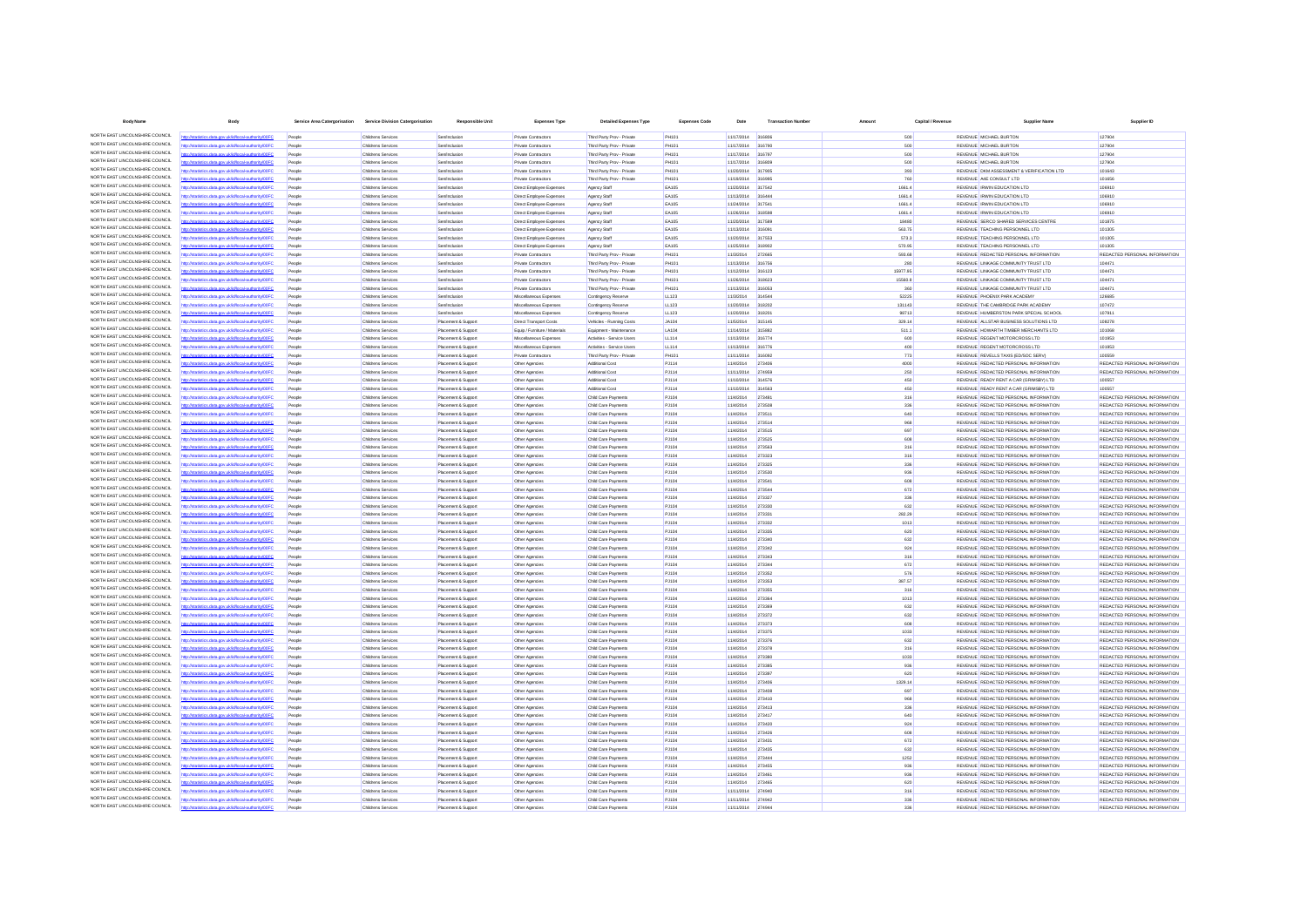|                                                                    |                                                                                        |                  | Service Area Catergorisation Service Division Catergorisation | <b>Responsible Unit</b>                    | <b>Expenses Type</b>                                 | <b>Detailed Expenses Type</b>                            | <b>Expenses Code</b>  | Date                            | <b>Transaction Numbe</b> | Amount           | Capital / Revenue |                                                                                 |                                                                |
|--------------------------------------------------------------------|----------------------------------------------------------------------------------------|------------------|---------------------------------------------------------------|--------------------------------------------|------------------------------------------------------|----------------------------------------------------------|-----------------------|---------------------------------|--------------------------|------------------|-------------------|---------------------------------------------------------------------------------|----------------------------------------------------------------|
| NORTH EAST LINCOLNSHIRE COUNCIL                                    | ttp://statistics.data.gov.uk/id/local-authority/00FC                                   | People           | Childrens Services                                            | Sen/Inclusio                               | Private Contractors                                  | Third Party Prov - Private                               | PH101                 | 11/17/2014 316806               |                          | 500              |                   | REVENUE MICHAEL BURTON                                                          | 127904                                                         |
| NORTH EAST LINCOLNSHIRE COUNCIL                                    |                                                                                        | Penni            | Childrens Services                                            | Senfortusio                                | Private Contractors                                  | Third Party Prov - Privat                                | <b>PH101</b>          | 11/17/2014                      | 316790                   | 500              |                   | REVENUE MICHAEL BURTON                                                          | 127904                                                         |
| NORTH EAST LINCOLNSHIRE COUNCIL<br>NORTH EAST LINCOLNSHIRE COUNCIL |                                                                                        | People           | Childrens Services                                            | Sen/Inclusion                              | Private Contractors                                  | Third Party Prov - Private                               | PH101                 | 11/17/2014 316797               |                          | 500              |                   | REVENUE MICHAEL BURTON                                                          | 127904                                                         |
| NORTH EAST LINCOLNSHIRE COUNCIL                                    | distics.data.gov.uk/id/local-authority/00FC                                            | People<br>People | Childrens Services<br>Childrens Services                      | Sen/Inclusion<br>Sen/Inclusion             | Private Contractors<br>Private Contractors           | Third Party Prov - Private<br>Third Party Prov - Private | <b>PH101</b><br>PH101 | 11/17/2014<br>11/20/2014        | 316809<br>317905         | son<br>393       |                   | REVENUE MICHAEL BURTON<br>REVENUE DKM ASSESSMENT & VERIFICATION LTD             | 127904<br>101643                                               |
| NORTH EAST LINCOLNSHIRE COUNCIL                                    | cs.data.gov.uk/id/local-authority/00FC                                                 | People           | Childrens Services                                            | Sen/Inclusio                               | Private Contractors                                  | Third Party Prov - Private                               | PH101                 | 11/19/2014                      |                          | 760              |                   | REVENUE A4E CONSULT LTD                                                         | 101656                                                         |
| NORTH EAST LINCOLNSHIRE COUNCIL                                    |                                                                                        | People           | Childrens Services                                            | Senfortusio                                | Direct Employee Expenses                             | Agency Staf                                              | EA105                 | 11/20/2014                      | 317542                   | 1661.4           |                   | REVENUE IRWIN EDUCATION LTD                                                     | 106910                                                         |
| NORTH EAST LINCOLNSHIRE COUNCIL<br>NORTH EAST LINCOLNSHIRE COUNCIL | stics.data.gov.uk/id/local-authority/00FC                                              | People           | Childrens Services                                            | Sen/Inclusion<br>Senthriusion              | Direct Employee Expenses                             | Agency Staff                                             | EA105                 | 11/13/2014 316444               |                          | 1661.4           |                   | REVENUE IRWIN EDUCATION LTD                                                     | 106910                                                         |
| NORTH EAST LINCOLNSHIRE COUNCIL                                    | ttp://statistics.data.gov.uk/id/local-authority/00FC<br>ins data ony uklidional-author | People<br>People | Childrens Services<br>Childrens Services                      | Sen/Inclusion                              | Direct Employee Expenses<br>Direct Employee Expenses | Agency Staf<br>Agency Staf                               | EA105<br>EA105        | 11/24/2014 317541<br>11/26/2014 | 318598                   | 1661.4<br>1661.4 |                   | REVENUE IRWIN EDUCATION LTD<br>REVENUE IRWIN EDUCATION LTD                      | 106910<br>106910                                               |
| NORTH EAST LINCOLNSHIRE COUNCIL                                    | cs.data.gov.uk/id/local-authority/00FC                                                 | People           | Childrens Services                                            | Sen/Inclusio                               | Direct Employee Expenses                             | Agency Staf                                              | EA105                 | 11/20/2014                      | 317589                   | 18480            |                   | REVENUE SERCO SHARED SERVICES CENTRE                                            | 101875                                                         |
| NORTH EAST LINCOLNSHIRE COUNCIL                                    |                                                                                        | Peopl            | Childrens Service                                             | Sen/Inclusio                               | Direct Employee Expenses                             | Agency Staf                                              | EA105                 | 11/13/2014                      | 316091                   | 563.75           |                   | REVENUE TEACHING PERSONNEL LTD                                                  | 101305                                                         |
| NORTH EAST LINCOLNSHIRE COUNCIL<br>NORTH EAST LINCOLNSHIRE COUNCIL | stics.data.gov.uk/id/local-authority/00FC                                              | People           | Childrens Services                                            | Sen/Inclusion                              | Direct Employee Expenses                             | Agency Staf                                              | EA105                 | 11/20/2014                      | 317553                   | 573.3            |                   | REVENUE TEACHING PERSONNEL LTD                                                  | 101305                                                         |
| NORTH EAST LINCOLNSHIRE COUNCIL                                    | cs.data.gov.uk/id/local-authr                                                          | People<br>People | Childrens Services<br>Childrens Services                      | Sen/Inclusion<br>Sen/Inclusion             | Direct Employee Expenses<br>Private Contractors      | Agency Staff<br>Third Party Prov - Private               | EA105<br>PH101        | 11/25/2014<br>11/3/2014         | 318902<br>272665         | 570.95<br>593.68 |                   | REVENUE TEACHING PERSONNEL LTD<br>REVENUE REDACTED PERSONAL INFORMATION         | 101305<br>REDACTED PERSONAL INFORMATION                        |
| NORTH EAST LINCOLNSHIRE COUNCIL                                    | tics.data.gov.uk/id/local-authority/00FC                                               | People           | Childrens Services                                            | Sen/Inclusio                               | Private Contractors                                  | Third Party Prov - Private                               | PH101                 | 11/13/2014                      | 316756                   | 280              |                   | REVENUE LINKAGE COMMUNITY TRUST LTD                                             | 10447                                                          |
| NORTH EAST LINCOLNSHIRE COUNCIL                                    |                                                                                        | Peopl            | Childrens Service                                             | Sen/Inclusi                                | Private Contractors                                  | Third Party Prov - Privat                                | PH101                 | 11/12/2014                      | 316123                   | 15977.95         |                   | REVENUE LINKAGE COMMUNITY TRUST LTD                                             | 104471                                                         |
| NORTH EAST LINCOLNSHIRE COUNCIL                                    | stics.data.gov.uk/id/local-authority/00FC                                              | People           | Childrens Services                                            | Sen/Inclusion                              | Private Contractors                                  | Third Party Prov - Private                               | PH101                 | 11/26/2014                      | 318623                   | 15560.8          |                   | REVENUE LINKAGE COMMUNITY TRUST LTD                                             | 104471                                                         |
| NORTH EAST LINCOLNSHIRE COUNCIL<br>NORTH EAST LINCOLNSHIRE COUNCIL |                                                                                        | People           | Childrens Services                                            | Sen/Inclusion                              | Private Contractors                                  | Third Party Prov - Private                               | PH101                 | 11/13/2014                      | 316053                   | 360              |                   | REVENUE LINKAGE COMMUNITY TRUST LTD                                             | 104471                                                         |
| NORTH EAST LINCOLNSHIRE COUNCIL                                    | ns data ony uklidihoakautho<br>ics.data.gov.uk/id/local-autho                          | People<br>People | Childrens Services<br>Childrens Services                      | Sen/Inclusion<br>Sen/Inclusion             | Miscellaneous Expenses<br>Miscelaneous Expenses      | Contingency Reserve<br>Contingency Reserve               | LL123<br>LL123        | 11/3/2014<br>11/20/2014         | 314544<br>318202         | 52225<br>131143  |                   | REVENUE PHOENIX PARK ACADEMY<br>REVENUE THE CAMBRIDGE PARK ACADEMY              | 126685<br>107472                                               |
| NORTH EAST LINCOLNSHIRE COUNCIL                                    |                                                                                        | Peopl            | Childrens Services                                            | Sen/Inclusion                              | Miscelaneous Expense                                 | Contingency Reserv                                       | LL123                 | 11/20/2014                      | 318201                   | 98713            |                   | REVENUE HUMBERSTON PARK SPECIAL SCHOOL                                          | 107911                                                         |
| NORTH EAST LINCOLNSHIRE COUNCIL                                    | istics.data.gov.uk/id/local-authority/00FC                                             | People           | Childrens Services                                            | Placement & Support                        | <b>Direct Transport Costs</b>                        | Vehicles - Running Costs                                 | <b>JA104</b>          | 11/5/2014                       | 315145                   | 329.14           |                   | REVENUE ALLSTAR BUSINESS SOLUTIONS LTD                                          | 108278                                                         |
| NORTH EAST LINCOLNSHIRE COUNCIL                                    |                                                                                        | People           | Childrens Services                                            | Placement & Suppor                         | Equip / Furniture / Materials                        | Equipment - Maintenance                                  | LA104                 | 11/14/2014                      | 315882                   | 511.1            |                   | REVENUE HOWARTH TIMBER MERCHANTS LTD                                            | 101068                                                         |
| NORTH EAST LINCOLNSHIRE COUNCIL<br>NORTH FAST LINCOLNSHIRE COUNCIL | stics.data.gov.uk/id/local-authority/00FC                                              | People<br>People | Childrens Services                                            | Placement & Support<br>Placement & Suppor  | Miscellaneous Expenses<br>Miscellaneous Expenses     | Activities - Service Users<br>Activities - Service Users | LL114<br>LL114        | 11/13/2014<br>11/13/2014        | 316774<br>316776         | 600<br>400       |                   | REVENUE REGENT MOTORCROSS LTD<br>REVENUE REGENT MOTORCROSS LTD                  | 101953<br>101953                                               |
| NORTH EAST LINCOLNSHIRE COUNCIL                                    | stics.data.gov.uk/id/local-authorit                                                    | People           | Childrens Services<br>Childrens Services                      | Placement & Suppor                         | Private Contractors                                  | Third Party Prov                                         | PH101                 | 11/11/2014                      | 316092                   | 773              |                   | REVENUE REVELLS TAXIS (ED/SOC SERV)                                             | 100555                                                         |
| NORTH EAST LINCOLNSHIRE COUNCIL                                    | stics.data.gov.uk/id/local-authority/00FC                                              | People           | Childrens Services                                            | Placement & Support                        | Other Agencies                                       | Additional Cos                                           | PJ114                 | 11/4/2014                       | 273406                   | 4000             |                   | REVENUE REDACTED PERSONAL INFORMATION                                           | REDACTED PERSONAL INFORMATION                                  |
| NORTH EAST LINCOLNSHIRE COUNCIL                                    |                                                                                        | People           | Childrens Services                                            | Placement & Support                        | Other Agencies                                       | Additional Cost                                          | PJ114                 | 11/11/2014                      | 274959                   | 250              |                   | REVENUE REDACTED PERSONAL INFORMATION                                           | REDACTED PERSONAL INFORMATION                                  |
| NORTH EAST LINCOLNSHIRE COUNCIL<br>NORTH EAST LINCOLNSHIRE COUNCIL | stics.data.gov.uk/id/local-authority/00FC                                              | People           | Childrens Services                                            | Placement & Suppor                         | Other Agencies                                       | Additional Cost                                          | PJ114                 | 11/10/2014                      | 314576                   | 450              |                   | REVENUE READY RENT A CAR (GRIMSBY) LTD                                          | 100557                                                         |
| NORTH EAST LINCOLNSHIRE COUNCIL                                    |                                                                                        | People<br>People | Childrens Services<br>Childrens Services                      | Placement & Support<br>Placement & Suppor  | Other Agencies<br>Other Agencies                     | Additional Cost<br>Child Care Payment                    | <b>PJ114</b><br>PJ104 | 11/10/2014<br>11/4/2014         | 314563<br>27348          | 450<br>316       |                   | REVENUE READY RENT A CAR (GRIMSBY) LTD<br>REVENUE REDACTED PERSONAL INFORMATION | 100557<br>REDACTED PERSONAL INFORMATION                        |
| NORTH EAST LINCOLNSHIRE COUNCIL                                    | stics.data.gov.uk/id/local-authority/00FC                                              | People           | Childrens Services                                            | Placement & Support                        | Other Agencies                                       | Child Care Payments                                      | PJ104                 | 11/4/2014                       | 273508                   | 336              |                   | REVENUE REDACTED PERSONAL INFORMATION                                           | REDACTED PERSONAL INFORMATION                                  |
| NORTH EAST LINCOLNSHIRE COUNCIL                                    |                                                                                        | People           | Childrens Services                                            | Placement & Support                        | Other Agencies                                       | Child Care Payments                                      | PJ104                 | 11/4/2014                       | 273511                   | 640              |                   | REVENUE REDACTED PERSONAL INFORMATION                                           | REDACTED PERSONAL INFORMATION                                  |
| NORTH EAST LINCOLNSHIRE COUNCIL<br>NORTH EAST LINCOLNSHIRE COUNCIL | stics.data.gov.uk/id/local-authority/00FC                                              | People           | Childrens Services                                            | Placement & Suppor                         | Other Agencies                                       | Child Care Payments                                      | PJ104                 | 11/4/2014                       | 273514                   | 968              |                   | REVENUE REDACTED PERSONAL INFORMATION                                           | REDACTED PERSONAL INFORMATION                                  |
| NORTH EAST LINCOLNSHIRE COUNCIL                                    |                                                                                        | People           | Childrens Services                                            | Placement & Support                        | Other Agencies                                       | Child Care Payments                                      | PJ104                 | 11/4/2014                       | 273515                   | 697              |                   | REVENUE REDACTED PERSONAL INFORMATION                                           | REDACTED PERSONAL INFORMATION                                  |
| NORTH EAST LINCOLNSHIRE COUNCIL                                    | stics.data.gov.uk/id/local-authority/00FC                                              | People<br>People | Childrens Services<br>Childrens Services                      | Placement & Suppor<br>Placement & Support  | Other Agencies<br>Other Agencies                     | Child Care Payment<br>Child Care Payments                | PJ104<br>PJ104        | 11/4/2014<br>11/4/2014          | 273563                   | 608<br>316       |                   | REVENUE REDACTED PERSONAL INFORMATION<br>REVENUE REDACTED PERSONAL INFORMATION  | REDACTED PERSONAL INFORMATION<br>REDACTED PERSONAL INFORMATION |
| NORTH EAST LINCOLNSHIRE COUNCIL                                    |                                                                                        | People           | Childrens Services                                            | Placement & Support                        | Other Agencies                                       | Child Care Payments                                      | PJ104                 | 11/4/2014                       | 273323                   | 316              |                   | REVENUE REDACTED PERSONAL INFORMATION                                           | REDACTED PERSONAL INFORMATION                                  |
| NORTH EAST LINCOLNSHIRE COUNCIL                                    | stics.data.gov.uk/id/local-authority/00FC                                              | People           | Childrens Services                                            | Placement & Suppor                         | Other Agencies                                       | Child Care Payment                                       | PJ104                 | 11/4/2014                       | 273325                   | 336              |                   | REVENUE REDACTED PERSONAL INFORMATION                                           | REDACTED PERSONAL INFORMATION                                  |
| NORTH EAST LINCOLNSHIRE COUNCIL<br>NORTH EAST LINCOLNSHIRE COUNCIL | tics data gov uklidiocal authority/00FC                                                | People           | Childrens Services                                            | Placement & Support                        | Other Agencies                                       | Child Care Payments                                      | PJ104                 | 11/4/2014                       | 273530                   | 936              |                   | REVENUE REDACTED PERSONAL INFORMATION                                           | REDACTED PERSONAL INFORMATION                                  |
| NORTH EAST LINCOLNSHIRE COUNCIL                                    | ics.data.gov.uk/id/local-authority/00FC<br>stics.data.gov.uk/id/local-authority/00FC   | People<br>People | Childrens Services<br>Childrens Services                      | Placement & Suppor<br>Placement & Support  | Other Agencies<br>Other Agencies                     | Child Care Payment<br>Child Care Payment                 | PJ104<br>PJ104        | 11/4/2014<br>11/4/2014          | 27354<br>273544          | 608<br>672       |                   | REVENUE REDACTED PERSONAL INFORMATION<br>REVENUE REDACTED PERSONAL INFORMATION  | REDACTED PERSONAL INFORMATION<br>REDACTED PERSONAL INFORMATION |
| NORTH EAST LINCOLNSHIRE COUNCIL                                    | s.data.gov.uk/id/local-author                                                          | People           | Childrens Services                                            | Placement & Support                        | Other Agencies                                       | Child Care Payments                                      | PJ104                 | 11/4/2014                       | 273327                   | 336              |                   | REVENUE REDACTED PERSONAL INFORMATION                                           | REDACTED PERSONAL INFORMATION                                  |
| NORTH EAST LINCOLNSHIRE COUNCIL                                    | stics.data.gov.uk/id/local-authority/00FC                                              | Peopl            | Childrens Services                                            | Placement & Suppor                         | Other Agencies                                       | Child Care Payment                                       | PJ104                 | 11/4/2014                       | 273330                   | 632              |                   | REVENUE REDACTED PERSONAL INFORMATION                                           | REDACTED PERSONAL INFORMATION                                  |
| NORTH EAST LINCOLNSHIRE COUNCIL                                    |                                                                                        | People           | Childrens Services                                            | Placement & Support                        | Other Agencies                                       | Child Care Payments                                      | PJ104                 | 11/4/2014                       | 273331                   | 282.29           |                   | REVENUE REDACTED PERSONAL INFORMATION                                           | REDACTED PERSONAL INFORMATION                                  |
| NORTH EAST LINCOLNSHIRE COUNCIL<br>NORTH EAST LINCOLNSHIRE COUNCIL | tics.data.gov.uk/id/local-authorit                                                     | People           | Childrens Services                                            | Placement & Support                        | Other Agencies                                       | Child Care Payments                                      | PJ104                 | 11/4/2014                       | 273332                   | 1013             |                   | REVENUE REDACTED PERSONAL INFORMATION                                           | REDACTED PERSONAL INFORMATION                                  |
| NORTH EAST LINCOLNSHIRE COUNCIL                                    | istics.data.gov.uk/id/local-authority/00FC<br>cs.data.gov.uk/id/local-autho            | People<br>People | Childrens Services<br>Childrens Services                      | Placement & Support<br>Placement & Support | Other Agencies<br>Other Agencies                     | Child Care Payments<br>Child Care Payments               | PJ104<br>PJ104        | 11/4/2014<br>11/4/2014          | 273335<br>273340         | 620<br>632       |                   | REVENUE REDACTED PERSONAL INFORMATION<br>REVENUE REDACTED PERSONAL INFORMATION  | REDACTED PERSONAL INFORMATION<br>REDACTED PERSONAL INFORMATION |
| NORTH EAST LINCOLNSHIRE COUNCIL                                    | istics.data.gov.uk/id/local-authority/00FC                                             | Peopl            | Childrens Services                                            | Placement & Suppor                         | Other Agencies                                       | Child Care Payment                                       | PJ104                 | 11/4/2014                       | 273342                   | 924              |                   | REVENUE REDACTED PERSONAL INFORMATION                                           | REDACTED PERSONAL INFORMATIO                                   |
| NORTH EAST LINCOLNSHIRE COUNCIL                                    | ins data one uklidional authr                                                          | People           | Childrens Services                                            | Placement & Suppor                         | Other Agencies                                       | Child Care Payments                                      | PJ104                 | 11/4/2014                       | 273343                   | 316              |                   | REVENUE REDACTED PERSONAL INFORMATION                                           | REDACTED PERSONAL INFORMATION                                  |
| NORTH EAST LINCOLNSHIRE COUNCIL                                    | tics.data.gov.uk/id/local-authority/00FC                                               | People           | Childrens Services                                            | Placement & Support                        | Other Agencies                                       | Child Care Payments                                      | PJ104                 | 11/4/2014                       | 273344                   | 672              |                   | REVENUE REDACTED PERSONAL INFORMATION                                           | REDACTED PERSONAL INFORMATION                                  |
| NORTH EAST LINCOLNSHIRE COUNCIL<br>NORTH FAST LINCOLNSHIRE COUNCIL | ns data ony uklidingal-autho                                                           | Peopl            | Childrens Services                                            | Placement & Suppo                          | Other Agencie                                        | Child Care Payment                                       | PJ104                 | 11/4/2014                       | 273352                   | 576              |                   | REVENUE REDACTED PERSONAL INFORMATION                                           | REDACTED PERSONAL INFORMATION                                  |
| NORTH EAST LINCOLNSHIRE COUNCIL                                    | stics.data.gov.uk/id/local-authority/00FC                                              | People<br>Peopl  | Childrens Services<br>Childrens Services                      | Placement & Support<br>Placement & Suppor  | Other Agencies<br>Other Agencies                     | Child Care Payments<br>Child Care Payments               | PJ104<br>PJ104        | 11/4/2014<br>11/4/2014          | 273353<br>273355         | 387.57<br>316    |                   | REVENUE REDACTED PERSONAL INFORMATION<br>REVENUE REDACTED PERSONAL INFORMATION  | REDACTED PERSONAL INFORMATION<br>REDACTED PERSONAL INFORMATION |
| NORTH EAST LINCOLNSHIRE COUNCIL                                    |                                                                                        | People           | Childrens Services                                            | Placement & Support                        | Other Agencies                                       | Child Care Payments                                      | <b>PJ104</b>          | 11/4/2014                       | 273364                   | 1013             |                   | REVENUE REDACTED PERSONAL INFORMATION                                           | REDACTED PERSONAL INFORMATION                                  |
| NORTH EAST LINCOLNSHIRE COUNCIL                                    | stics.data.gov.uk/id/local-authority/00FC                                              | People           | Childrens Services                                            | Placement & Support                        | Other Agencies                                       | Child Care Payments                                      | PJ104                 | 11/4/2014                       | 273369                   | 632              |                   | REVENUE REDACTED PERSONAL INFORMATION                                           | REDACTED PERSONAL INFORMATION                                  |
| NORTH EAST LINCOLNSHIRE COUNCIL<br>NORTH EAST LINCOLNSHIRE COUNCIL |                                                                                        | People           | Childrens Services                                            | Placement & Suppor                         | Other Agencies                                       | Child Care Payment                                       | PJ104                 | 11/4/2014                       | 273372                   | 632              |                   | REVENUE REDACTED PERSONAL INFORMATION                                           | REDACTED PERSONAL INFORMATION                                  |
| NORTH EAST LINCOLNSHIRE COUNCIL                                    | stics.data.gov.uk/id/local-authority/00FC                                              | People<br>People | Childrens Services<br>Childrens Services                      | Placement & Support<br>Placement & Suppor  | Other Agencies<br>Other Agencies                     | Child Care Payments<br>Child Care Payments               | PJ104<br>PJ104        | 11/4/2014<br>11/4/2014          | 273373<br>273375         | 608<br>1033      |                   | REVENUE REDACTED PERSONAL INFORMATION<br>REVENUE REDACTED PERSONAL INFORMATION  | REDACTED PERSONAL INFORMATION<br>REDACTED PERSONAL INFORMATION |
| NORTH EAST LINCOLNSHIRE COUNCIL                                    | or data assumblidheed authoritating?                                                   | People           | Childrens Services                                            | Placement & Support                        | Other Agencies                                       | Child Care Payments                                      | PJ104                 | 11/4/2014                       | 273376                   | 632              |                   | REVENUE REDACTED PERSONAL INFORMATION                                           | REDACTED PERSONAL INFORMATION                                  |
| NORTH EAST LINCOLNSHIRE COUNCIL                                    | ics.data.gov.uk/id/local-authority/00FC                                                | People           | Childrens Services                                            | Placement & Support                        | Other Agencies                                       | Child Care Payments                                      | PJ104                 | 11/4/2014                       | 273378                   | 316              |                   | REVENUE REDACTED PERSONAL INFORMATION                                           | REDACTED PERSONAL INFORMATION                                  |
| NORTH EAST LINCOLNSHIRE COUNCIL                                    |                                                                                        | People           | Childrens Services                                            | Placement & Suppor                         | Other Agencies                                       | Child Care Payment                                       | PJ104                 | 11/4/2014                       | 273380                   | 1033             |                   | REVENUE REDACTED PERSONAL INFORMATION                                           | REDACTED PERSONAL INFORMATION                                  |
| NORTH EAST LINCOLNSHIRE COUNCIL<br>NORTH EAST LINCOLNSHIRE COUNCIL | stics.data.gov.uk/id/local-authority/00FC                                              | People           | Childrens Services                                            | Placement & Support                        | Other Agencies                                       | Child Care Payments                                      | PJ104                 | 11/4/2014                       | 273385                   | 936              |                   | REVENUE REDACTED PERSONAL INFORMATION                                           | REDACTED PERSONAL INFORMATION                                  |
| NORTH EAST LINCOLNSHIRE COUNCIL                                    | stics.data.gov.uk/id/local-authority/00FC<br>cs data gov ukřdíhoal-authoritvi00EC      | People<br>People | Childrens Services<br>Childrens Services                      | Placement & Suppor<br>Placement & Support  | Other Agencies<br>Other Agencies                     | Child Care Payment<br>Child Care Payment                 | PJ104<br>PJ104        | 11/4/2014<br>11/4/2014          | 273397<br>273406         | 620<br>1329.14   |                   | REVENUE REDACTED PERSONAL INFORMATION<br>REVENUE REDACTED PERSONAL INFORMATION  | REDACTED PERSONAL INFORMATION<br>REDACTED PERSONAL INFORMATION |
| NORTH EAST LINCOLNSHIRE COUNCIL                                    | tics.data.gov.uk/id/local-authority/00FC                                               | People           | Childrens Services                                            | Placement & Support                        | Other Agencies                                       | Child Care Payments                                      | PJ104                 | 11/4/2014                       | 273408                   | 697              |                   | REVENUE REDACTED PERSONAL INFORMATION                                           | REDACTED PERSONAL INFORMATION                                  |
| NORTH EAST LINCOLNSHIRE COUNCIL                                    |                                                                                        | People           | Childrens Services                                            | Placement & Suppor                         | Other Agencies                                       | Child Care Payments                                      | PJ104                 | 11/4/2014                       | 273410                   | 968              |                   | REVENUE REDACTED PERSONAL INFORMATION                                           | REDACTED PERSONAL INFORMATION                                  |
| NORTH EAST LINCOLNSHIRE COUNCIL                                    | stics.data.gov.uk/id/local-authority/00FC                                              | People           | Childrens Services                                            | Placement & Support                        | Other Agencies                                       | Child Care Payments                                      | PJ104                 | 11/4/2014                       | 273413                   | 336              |                   | REVENUE REDACTED PERSONAL INFORMATION                                           | REDACTED PERSONAL INFORMATION                                  |
| NORTH EAST LINCOLNSHIRE COUNCIL<br>NORTH EAST LINCOLNSHIRE COUNCIL |                                                                                        | People           | Childrens Services                                            | Placement & Support                        | Other Agencies                                       | Child Care Payments                                      | PJ104                 | 11/4/2014                       | 273417                   | 640              |                   | REVENUE REDACTED PERSONAL INFORMATION                                           | REDACTED PERSONAL INFORMATION                                  |
| NORTH EAST LINCOLNSHIRE COUNCIL                                    | stics.data.gov.uk/id/local-authority/00FC                                              | People<br>People | Childrens Services<br>Childrens Services                      | Placement & Suppor<br>Placement & Support  | Other Agencies<br>Other Agencies                     | Child Care Payment<br>Child Care Payments                | PJ104<br>PJ104        | 11/4/2014<br>11/4/2014          | 273420<br>273426         | 924<br>608       |                   | REVENUE REDACTED PERSONAL INFORMATION<br>REVENUE REDACTED PERSONAL INFORMATION  | REDACTED PERSONAL INFORMATION<br>REDACTED PERSONAL INFORMATION |
| NORTH EAST LINCOLNSHIRE COUNCIL                                    |                                                                                        | People           | Childrens Services                                            | Placement & Suppor                         | Other Agencies                                       | Child Care Payments                                      | PJ104                 | 11/4/2014                       | 273431                   | 672              |                   | REVENUE REDACTED PERSONAL INFORMATION                                           | REDACTED PERSONAL INFORMATION                                  |
| NORTH EAST LINCOLNSHIRE COUNCIL                                    | stics.data.gov.uk/id/local-authority/00FC                                              | People           | Childrens Services                                            | Placement & Support                        | Other Agencies                                       | Child Care Payments                                      | PJ104                 | 11/4/2014                       | 273435                   | 632              |                   | REVENUE REDACTED PERSONAL INFORMATION                                           | REDACTED PERSONAL INFORMATION                                  |
| NORTH EAST LINCOLNSHIRE COUNCIL<br>NORTH EAST LINCOLNSHIRE COUNCIL | cs.data.gov.uk/id/local-author                                                         | People           | Childrens Services                                            | Placement & Support                        | Other Agencies                                       | Child Care Payments                                      | PJ104                 | 11/4/2014                       | 273444                   | 1252             |                   | REVENUE REDACTED PERSONAL INFORMATION                                           | REDACTED PERSONAL INFORMATION                                  |
| NORTH EAST LINCOLNSHIRE COUNCIL                                    | dics data ony uklidiocal authority/OFC                                                 | Peopl            | Childrens Services                                            | Placement & Suppor                         | Other Agencies                                       | Child Care Payment                                       | PJ104                 | 11/4/2014                       | 273455<br>273461         | 936<br>936       |                   | REVENUE REDACTED PERSONAL INFORMATION                                           | REDACTED PERSONAL INFORMATION                                  |
| NORTH EAST LINCOLNSHIRE COUNCIL                                    | stics.data.gov.uk/id/local-authority/00FC                                              | People<br>People | Childrens Services<br>Childrens Services                      | Placement & Support<br>Placement & Suppor  | Other Agencies<br>Other Agencies                     | Child Care Payments<br>Child Care Payments               | PJ104<br>PJ104        | 11/4/2014<br>11/4/2014          | 273465                   | 620              |                   | REVENUE REDACTED PERSONAL INFORMATION<br>REVENUE REDACTED PERSONAL INFORMATION  | REDACTED PERSONAL INFORMATION<br>REDACTED PERSONAL INFORMATION |
| NORTH EAST LINCOLNSHIRE COUNCIL                                    | stics.data.gov.uk/id/local-authority/00FC                                              | People           | Childrens Services                                            | Placement & Support                        | Other Agencies                                       | Child Care Payments                                      | PJ104                 | 11/11/2014                      | 274940                   | 316              |                   | REVENUE REDACTED PERSONAL INFORMATION                                           | REDACTED PERSONAL INFORMATION                                  |
| NORTH EAST LINCOLNSHIRE COUNCIL                                    | ics.data.gov.uk/id/local-authority/00FC                                                | People           | Childrens Services                                            | Placement & Support                        | Other Agencies                                       | Child Care Payments                                      | PJ104                 | 11/11/2014 274942               |                          | 336              |                   | REVENUE REDACTED PERSONAL INFORMATION                                           | REDACTED PERSONAL INFORMATION                                  |
| NORTH EAST LINCOLNSHIRE COUNCIL                                    |                                                                                        |                  | Childrens Services                                            | Placement & Suppor                         | Other Agencies                                       | Child Care Payment                                       | PJ104                 | 11/11/2014                      |                          |                  |                   | REVENUE REDACTED PERSONAL INFORMATION                                           | REDACTED PERSONAL INFORMATION                                  |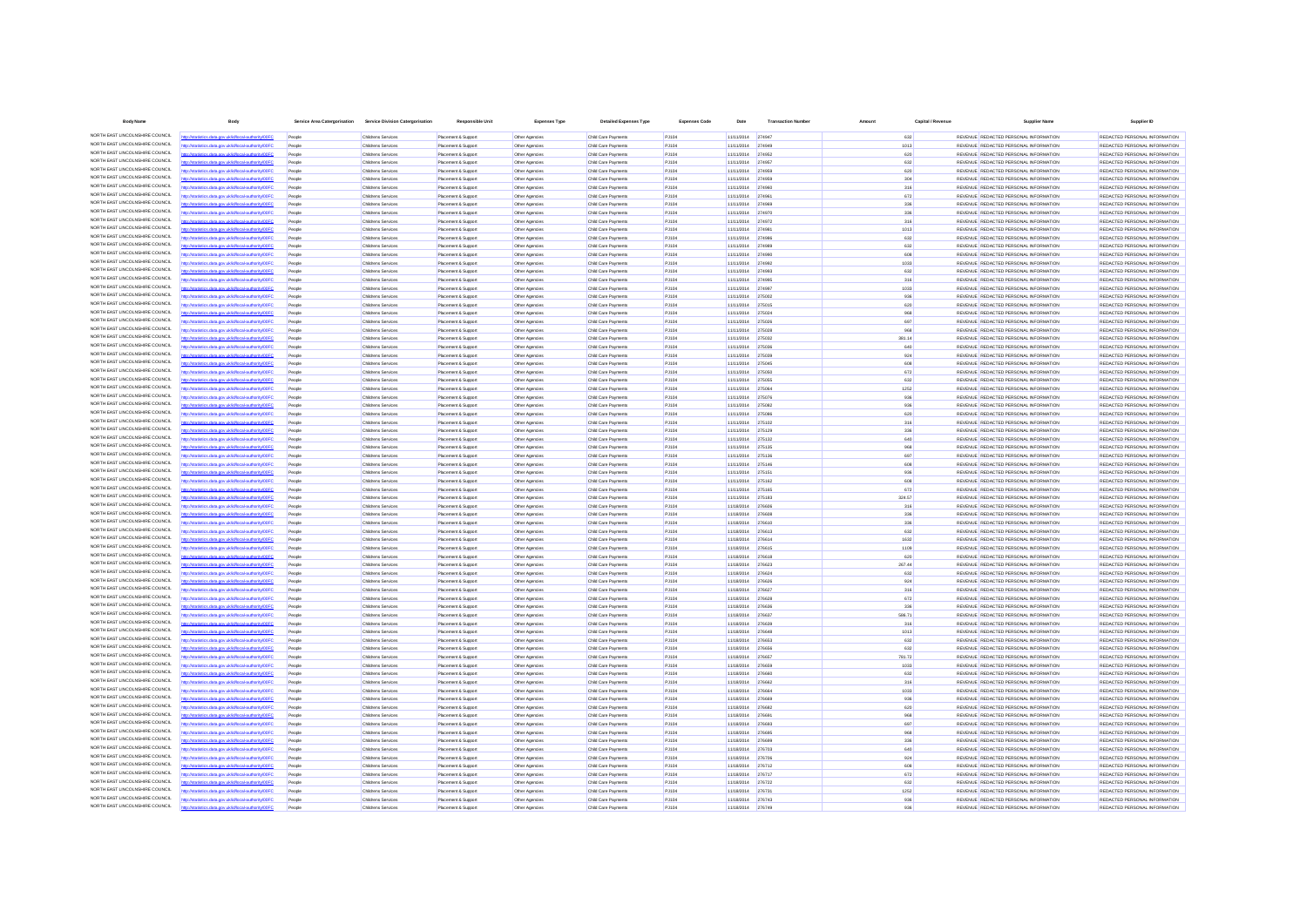| <b>Body Name</b>                                                   | Bod                                                                                      |                  | Service Area Catergorisation Service Division Catergorisation | <b>Responsible Unit</b>                    | <b>Expenses Type</b>             | <b>Detailed Expenses Type</b>              | <b>Expenses Code</b> | Date                                   | <b>Transaction Numbe</b> |               | Capital / Revenue | <b>Supplier Name</b>                                                           | Supplier ID                                                    |
|--------------------------------------------------------------------|------------------------------------------------------------------------------------------|------------------|---------------------------------------------------------------|--------------------------------------------|----------------------------------|--------------------------------------------|----------------------|----------------------------------------|--------------------------|---------------|-------------------|--------------------------------------------------------------------------------|----------------------------------------------------------------|
| NORTH EAST LINCOLNSHIRE COUNCIL                                    | ttp://statistics.data.gov.uk/id/local-authority/00FC                                     | People           | Childrens Services                                            | Placement & Support                        | Other Agencies                   | Child Care Payments                        | PJ104                | 11/11/2014 274947                      |                          | 632           |                   | REVENUE REDACTED PERSONAL INFORMATION                                          | REDACTED PERSONAL INFORMATION                                  |
| NORTH FAST LINCOLNSHIRE COUNCIL                                    |                                                                                          | People           | Childrens Services                                            | Placement & Support                        | Other Agencies                   | Child Care Payments                        | PJ104                | 11/11/2014 274949                      |                          | 1013          |                   | REVENUE REDACTED PERSONAL INFORMATION                                          | REDACTED PERSONAL INFORMATION                                  |
| NORTH EAST LINCOLNSHIRE COUNCIL                                    | stins data ony uklidihoal-authority/00EC                                                 | People           | Childrens Services                                            | Placement & Suppor                         | Other Agencies                   | Child Care Payments                        | PJ104                | 11/11/2014 274952                      |                          | 620           |                   | REVENUE REDACTED PERSONAL INFORMATION                                          | REDACTED PERSONAL INFORMATION                                  |
| NORTH EAST LINCOLNSHIRE COUNCIL<br>NORTH EAST LINCOLNSHIRE COUNCIL | fics.data.gov.uk/id/local-autho<br>tylOOFC                                               | People<br>People | Childrens Services                                            | Placement & Support                        | Other Agencies                   | Child Care Payments                        | PJ104                | 11/11/2014 274957                      |                          | 632           |                   | REVENUE REDACTED PERSONAL INFORMATION                                          | REDACTED PERSONAL INFORMATION                                  |
| NORTH EAST LINCOLNSHIRE COUNCIL                                    | stics.data.gov.uk/id/local-authority/00FC                                                | People           | Childrens Services<br>Childrens Services                      | Placement & Support<br>Placement & Support | Other Agencies<br>Other Agencies | Child Care Payments<br>Child Care Payment  | PJ104<br>PJ104       | 11/11/2014<br>11/11/2014               | 274959<br>274959         | 620<br>304    |                   | REVENUE REDACTED PERSONAL INFORMATION<br>REVENUE REDACTED PERSONAL INFORMATION | REDACTED PERSONAL INFORMATION<br>REDACTED PERSONAL INFORMATION |
| NORTH EAST LINCOLNSHIRE COUNCIL                                    |                                                                                          | People           | Childrens Services                                            | Placement & Support                        | Other Agencies                   | Child Care Payment                         | PJ104                | 11/11/2014 274960                      |                          | 316           |                   | REVENUE REDACTED PERSONAL INFORMATION                                          | REDACTED PERSONAL INFORMATION                                  |
| NORTH EAST LINCOLNSHIRE COUNCIL                                    | istics.data.gov.uk/id/local-authority/00FC                                               | People           | Childrens Services                                            | Placement & Support                        | Other Agencies                   | Child Care Payment                         | PJ104                | 11/11/2014 274961                      |                          | 672           |                   | REVENUE REDACTED PERSONAL INFORMATION                                          | REDACTED PERSONAL INFORMATION                                  |
| NORTH EAST LINCOLNSHIRE COUNCIL<br>NORTH EAST LINCOLNSHIRE COUNCIL | //statistics.data.gov.uk/id/local-authority/00FC                                         | People           | Childrens Services                                            | Placement & Support                        | Other Agencies                   | Child Care Payment                         | PJ104                | 11/11/2014 274969                      |                          | 336           |                   | REVENUE REDACTED PERSONAL INFORMATION                                          | REDACTED PERSONAL INFORMATION                                  |
| NORTH EAST LINCOLNSHIRE COUNCIL                                    | stics.data.gov.uk/id/local-authorit                                                      | People<br>People | Childrens Services<br>Childrens Services                      | Placement & Support<br>Placement & Suppo   | Other Agencies<br>Other Agencie  | Child Care Payment<br>Child Care Paymen    | PJ104<br>PJ104       | 11/11/2014 274970<br>11/11/2014 274972 |                          | 336<br>316    |                   | REVENUE REDACTED PERSONAL INFORMATION<br>REVENUE REDACTED PERSONAL INFORMATION | REDACTED PERSONAL INFORMATION<br>REDACTED PERSONAL INFORMATION |
| NORTH EAST LINCOLNSHIRE COUNCIL                                    |                                                                                          | People           | Childrens Services                                            | Placement & Support                        | Other Agencies                   | Child Care Payment                         | PJ104                | 11/11/2014 274981                      |                          | 1013          |                   | REVENUE REDACTED PERSONAL INFORMATION                                          | REDACTED PERSONAL INFORMATION                                  |
| NORTH EAST LINCOLNSHIRE COUNCIL                                    | ttp://statistics.data.gov.uk/id/local-authority/00FC                                     | People           | Childrens Services                                            | Placement & Support                        | Other Agencies                   | Child Care Payment                         | PJ104                | 11/11/2014 274986                      |                          | 632           |                   | REVENUE REDACTED PERSONAL INFORMATION                                          | REDACTED PERSONAL INFORMATION                                  |
| NORTH EAST LINCOLNSHIRE COUNCIL                                    |                                                                                          | Peopl            | Childrens Services                                            | Placement & Support                        | Other Agencies                   | Child Care Payment                         | PJ104                | 11/11/2014 274989                      |                          | 632           |                   | REVENUE REDACTED PERSONAL INFORMATION                                          | REDACTED PERSONAL INFORMATION                                  |
| NORTH EAST LINCOLNSHIRE COUNCIL<br>NORTH EAST LINCOLNSHIRE COUNCIL |                                                                                          | People           | Childrens Services                                            | Placement & Support                        | Other Agencies                   | Child Care Payments                        | PJ104                | 11/11/2014                             | 274990                   | 608           |                   | REVENUE REDACTED PERSONAL INFORMATION                                          | REDACTED PERSONAL INFORMATION                                  |
| NORTH EAST LINCOLNSHIRE COUNCIL                                    | stics.data.gov.uk/id/local-authority/00FC                                                | Peopl            | Childrens Services<br>Childrens Services                      | Placement & Suppor<br>Placement & Support  | Other Agencies<br>Other Agencies | Child Care Payment<br>Child Care Payment   | PJ104<br>PJ104       | 11/11/2014<br>11/11/2014 274993        |                          | 1033          |                   | REVENUE REDACTED PERSONAL INFORMATION                                          | REDACTED PERSONAL INFORMATION<br>REDACTED PERSONAL INFORMATION |
| NORTH EAST LINCOLNSHIRE COUNCIL                                    | istics.data.gov.uk/id/local-authority/00FC                                               | People<br>People | Childrens Services                                            | Placement & Support                        | Other Agencies                   | Child Care Payments                        | PJ104                | 11/11/2014 274995                      |                          | 632<br>316    |                   | REVENUE REDACTED PERSONAL INFORMATION<br>REVENUE REDACTED PERSONAL INFORMATION | REDACTED PERSONAL INFORMATION                                  |
| NORTH EAST LINCOLNSHIRE COUNCIL                                    |                                                                                          | People           | Childrens Services                                            | Placement & Suppor                         | Other Agencies                   | Child Care Payment                         | PJ104                | 11/11/2014 274997                      |                          | 1033          |                   | REVENUE REDACTED PERSONAL INFORMATION                                          | REDACTED PERSONAL INFORMATION                                  |
| NORTH FAST LINCOLNSHIRE COUNCIL                                    |                                                                                          | People           | Childrens Services                                            | Placement & Support                        | Other Agencies                   | Child Care Payment                         | PJ104                | 11/11/2014 275002                      |                          | 936           |                   | REVENUE REDACTED PERSONAL INFORMATION                                          | REDACTED PERSONAL INFORMATION                                  |
| NORTH EAST LINCOLNSHIRE COUNCIL                                    |                                                                                          | People           | Childrens Services                                            | Placement & Suppor                         | Other Agencies                   | Child Care Payment                         | PJ104                | 11/11/2014                             |                          | 620           |                   | REVENUE REDACTED PERSONAL INFORMATION                                          | REDACTED PERSONAL INFORMATION                                  |
| NORTH EAST LINCOLNSHIRE COUNCIL<br>NORTH EAST LINCOLNSHIRE COUNCIL |                                                                                          | People           | Childrens Services                                            | Placement & Sunnor                         | Other Agencies                   | Child Care Payment                         | PJ104                | 11/11/2014 275024                      |                          | 968           |                   | REVENUE REDACTED PERSONAL INFORMATION                                          | REDACTED PERSONAL INFORMATION                                  |
| NORTH EAST LINCOLNSHIRE COUNCIL                                    | ttp://statistics.data.gov.uk/id/local-authority/00FC                                     | People<br>People | Childrens Services<br>Childrens Services                      | Placement & Support<br>Placement & Support | Other Agencies<br>Other Agencies | Child Care Payments<br>Child Care Payment  | PJ104<br>PJ104       | 11/11/2014 275026<br>11/11/2014 275028 |                          | 697<br>968    |                   | REVENUE REDACTED PERSONAL INFORMATION<br>REVENUE REDACTED PERSONAL INFORMATION | REDACTED PERSONAL INFORMATION<br>REDACTED PERSONAL INFORMATION |
| NORTH EAST LINCOLNSHIRE COUNCIL                                    | istics.data.gov.uk/id/local-authority/00FC                                               | People           | Childrens Services                                            | Placement & Support                        | Other Agencies                   | Child Care Payment                         | PJ104                | 11/11/2014                             | 275032                   | 381.14        |                   | REVENUE REDACTED PERSONAL INFORMATION                                          | REDACTED PERSONAL INFORMATION                                  |
| NORTH EAST LINCOLNSHIRE COUNCIL                                    |                                                                                          | People           | Childrens Services                                            | Placement & Suppor                         | Other Agencies                   | Child Care Payment                         | PJ104                | 11/11/2014                             |                          | 640           |                   | REVENUE REDACTED PERSONAL INFORMATION                                          | REDACTED PERSONAL INFORMATION                                  |
| NORTH EAST LINCOLNSHIRE COUNCIL                                    |                                                                                          | People           | Childrens Services                                            | Placement & Support                        | Other Agencies                   | Child Care Payment                         | <b>PJ104</b>         | 11/11/2014                             | 275039                   | 924           |                   | REVENUE REDACTED PERSONAL INFORMATION                                          | REDACTED PERSONAL INFORMATION                                  |
| NORTH EAST LINCOLNSHIRE COUNCIL                                    | istics.data.gov.uk/id/local-authority/00FC                                               | People           | Childrens Services                                            | Placement & Support                        | Other Agencies                   | Child Care Payments                        | PJ104                | 11/11/2014 275045                      |                          | 608           |                   | REVENUE REDACTED PERSONAL INFORMATION                                          | REDACTED PERSONAL INFORMATION                                  |
| NORTH EAST LINCOLNSHIRE COUNCIL<br>NORTH EAST LINCOLNSHIRE COUNCIL | statistics.data.gov.uk/id/local-authority/00FC                                           | People           | Childrens Services                                            | Placement & Support                        | Other Agencies                   | Child Care Payment                         | PJ104                | 11/11/2014 275050                      |                          | 672           |                   | REVENUE REDACTED PERSONAL INFORMATION                                          | REDACTED PERSONAL INFORMATION                                  |
| NORTH EAST LINCOLNSHIRE COUNCIL                                    | istics.data.gov.uk/id/local-authority/00FC                                               | People           | Childrens Services                                            | Placement & Support                        | Other Agencies                   | Child Care Payment                         | PJ104<br>PJ104       | 11/11/2014 275055<br>11/11/2014 275064 |                          | 632<br>1252   |                   | REVENUE REDACTED PERSONAL INFORMATION                                          | REDACTED PERSONAL INFORMATION                                  |
| NORTH EAST LINCOLNSHIRE COUNCIL                                    |                                                                                          | People<br>Peopl  | Childrens Services<br>Childrens Services                      | Placement & Support<br>Placement & Suppo   | Other Agencies<br>Other Agencie  | Child Care Payment<br>Child Care Paymen    | PJ104                | 11/11/2014                             | 275076                   | 936           |                   | REVENUE REDACTED PERSONAL INFORMATION<br>REVENUE REDACTED PERSONAL INFORMATION | REDACTED PERSONAL INFORMATION<br>REDACTED PERSONAL INFORMATION |
| NORTH EAST LINCOLNSHIRE COUNCIL                                    | istics.data.gov.uk/id/local-authority/00FC                                               | People           | Childrens Services                                            | Placement & Support                        | Other Agencies                   | Child Care Payment                         | PJ104                | 11/11/2014 275082                      |                          | 936           |                   | REVENUE REDACTED PERSONAL INFORMATION                                          | REDACTED PERSONAL INFORMATION                                  |
| NORTH EAST LINCOLNSHIRE COUNCIL                                    |                                                                                          | People           | Childrens Services                                            | Placement & Support                        | Other Agencies                   | Child Care Payments                        | PJ104                | 11/11/2014 275086                      |                          | 620           |                   | REVENUE REDACTED PERSONAL INFORMATION                                          | REDACTED PERSONAL INFORMATION                                  |
| NORTH EAST LINCOLNSHIRE COUNCIL<br>NORTH EAST LINCOLNSHIRE COUNCIL | distics.data.gov.uk/id/local-authority/00FC                                              | People           | Childrens Services                                            | Placement & Support                        | Other Agencies                   | Child Care Payment                         | PJ104                | 11/11/2014 275102                      |                          | 316           |                   | REVENUE REDACTED PERSONAL INFORMATION                                          | REDACTED PERSONAL INFORMATION                                  |
| NORTH EAST LINCOLNSHIRE COUNCIL                                    |                                                                                          | People           | Childrens Services                                            | Placement & Support                        | Other Agencies                   | Child Care Payment                         | PJ104                | 11/11/2014                             | 275129                   | 336           |                   | REVENUE REDACTED PERSONAL INFORMATION                                          | REDACTED PERSONAL INFORMATION                                  |
| NORTH EAST LINCOLNSHIRE COUNCIL                                    | distics.data.gov.uk/id/local-authority/00FC                                              | Peopl<br>People  | Childrens Services<br>Childrens Services                      | Placement & Suppor<br>Placement & Support  | Other Agencies<br>Other Agencies | Child Care Payment<br>Child Care Payments  | PJ104<br>PJ104       | 11/11/2014<br>11/11/2014 275135        | 275132                   | 640<br>968    |                   | REVENUE REDACTED PERSONAL INFORMATION<br>REVENUE REDACTED PERSONAL INFORMATION | REDACTED PERSONAL INFORMATION<br>REDACTED PERSONAL INFORMATION |
| NORTH EAST LINCOLNSHIRE COUNCIL                                    |                                                                                          | People           | Childrens Services                                            | Placement & Support                        | Other Agencies                   | Child Care Payments                        | PJ104                | 11/11/2014 275136                      |                          | 697           |                   | REVENUE REDACTED PERSONAL INFORMATION                                          | REDACTED PERSONAL INFORMATION                                  |
| NORTH EAST LINCOLNSHIRE COUNCIL                                    | distics.data.gov.uk/id/local-authority/00FC                                              | People           | Childrens Services                                            | Placement & Support                        | Other Agencies                   | Child Care Payment                         | PJ104                | 11/11/2014 275146                      |                          | 608           |                   | REVENUE REDACTED PERSONAL INFORMATION                                          | REDACTED PERSONAL INFORMATION                                  |
| NORTH EAST LINCOLNSHIRE COUNCIL                                    |                                                                                          | People           | Childrens Services                                            | Placement & Support                        | Other Agencies                   | Child Care Payment                         | PJ104                | 11/11/2014 275151                      |                          | 936           |                   | REVENUE REDACTED PERSONAL INFORMATION                                          | REDACTED PERSONAL INFORMATION                                  |
| NORTH EAST LINCOLNSHIRE COUNCIL<br>NORTH EAST LINCOLNSHIRE COUNCIL | stics.data.gov.uk/id/local-authority/00FC                                                | People           | Childrens Services                                            | Placement & Suppor                         | Other Agencies                   | Child Care Payment                         | PJ104                | 11/11/2014                             | 275162                   | 608           |                   | REVENUE REDACTED PERSONAL INFORMATION                                          | REDACTED PERSONAL INFORMATION                                  |
| NORTH EAST LINCOLNSHIRE COUNCIL                                    | ttp://statistics.data.gov.uk/id/local-authority/00FC                                     | People           | Childrens Services                                            | Placement & Support<br>Placement & Support | Other Agencies                   | Child Care Payment<br>Child Care Payments  | PJ104<br>PJ104       | 11/11/2014 275165<br>11/11/2014 275183 |                          | 672<br>324.57 |                   | REVENUE REDACTED PERSONAL INFORMATION<br>REVENUE REDACTED PERSONAL INFORMATION | REDACTED PERSONAL INFORMATION<br>REDACTED PERSONAL INFORMATION |
| NORTH EAST LINCOLNSHIRE COUNCIL                                    | tatistics.data.gov.uk/id/local-authority/00FC                                            | People<br>People | Childrens Services<br>Childrens Services                      | Placement & Support                        | Other Agencies<br>Other Agencies | Child Care Payment                         | PJ104                | 11/18/2014                             | 276606                   | 316           |                   | REVENUE REDACTED PERSONAL INFORMATION                                          | REDACTED PERSONAL INFORMATION                                  |
| NORTH EAST LINCOLNSHIRE COUNCIL                                    | tics data ony uklidiheal-authority/00FC                                                  | People           | Childrens Services                                            | Placement & Support                        | Other Agencies                   | Child Care Payments                        | PJ104                | 11/18/2014                             | 276608                   | 336           |                   | REVENUE REDACTED PERSONAL INFORMATION                                          | REDACTED PERSONAL INFORMATION                                  |
| NORTH EAST LINCOLNSHIRE COUNCIL                                    | fics.data.gov.uk/id/local-authority/00FC                                                 | People           | Childrens Services                                            | Placement & Support                        | Other Agencies                   | Child Care Payment                         | PJ104                | 11/18/2014                             |                          | 336           |                   | REVENUE REDACTED PERSONAL INFORMATION                                          | REDACTED PERSONAL INFORMATION                                  |
| NORTH EAST LINCOLNSHIRE COUNCIL                                    | istics.data.gov.uk/id/local-authority/00FC                                               | People           | Childrens Services                                            | Placement & Support                        | Other Agencies                   | Child Care Payments                        | PJ104                | 11/18/2014 276613                      |                          | 632           |                   | REVENUE REDACTED PERSONAL INFORMATION                                          | REDACTED PERSONAL INFORMATION                                  |
| NORTH EAST LINCOLNSHIRE COUNCIL<br>NORTH EAST LINCOLNSHIRE COUNCIL |                                                                                          | People           | Childrens Services                                            | Placement & Support                        | Other Agencies                   | Child Care Payment                         | PJ104                | 11/18/2014 276614                      |                          | 1632          |                   | REVENUE REDACTED PERSONAL INFORMATION<br>REVENUE REDACTED PERSONAL INFORMATION | REDACTED PERSONAL INFORMATION                                  |
| NORTH EAST LINCOLNSHIRE COUNCIL                                    | atistics.data.gov.uk/id/local-authority/00FC<br>stics data nov uklidihoal-authority/00EC | Peopl<br>People  | Childrens Services<br>Childrens Services                      | Placement & Support<br>Placement & Support | Other Agencies<br>Other Agencies | Child Care Payment<br>Child Care Payment   | PJ104<br>PJ104       | 11/18/2014 276615<br>11/18/2014 276618 |                          | 1109<br>620   |                   | REVENUE REDACTED PERSONAL INFORMATION                                          | REDACTED PERSONAL INFORMATION<br>REDACTED PERSONAL INFORMATION |
| NORTH EAST LINCOLNSHIRE COUNCIL                                    | stics.data.gov.uk/id/local-authority/00FC                                                | People           | Childrens Services                                            | Placement & Suppor                         | Other Agencies                   | Child Care Payment                         | PJ104                | 11/18/2014                             | 276623                   | 267.44        |                   | REVENUE REDACTED PERSONAL INFORMATION                                          | REDACTED PERSONAL INFORMATION                                  |
| NORTH EAST LINCOLNSHIRE COUNCIL                                    |                                                                                          | Peopl            | Childrens Services                                            | Placement & Suppo                          | Other Agencie                    | Child Care Payment                         | PJ104                | 11/18/2014                             | 276624                   | 632           |                   | REVENUE REDACTED PERSONAL INFORMATION                                          | REDACTED PERSONAL INFORMATION                                  |
| NORTH EAST LINCOLNSHIRE COUNCIL                                    | tics.data.gov.uk/id/local-authority/00FC                                                 | People           | Childrens Services                                            | Placement & Support                        | Other Agencies                   | Child Care Payment                         | PJ104                | 11/18/2014 276626                      |                          | 924           |                   | REVENUE REDACTED PERSONAL INFORMATION                                          | REDACTED PERSONAL INFORMATION                                  |
| NORTH EAST LINCOLNSHIRE COUNCIL<br>NORTH EAST LINCOLNSHIRE COUNCIL | atistics.data.gov.uk/id/local-authority/00FC                                             | Peopl            | Childrens Services                                            | Placement & Support                        | Other Agencies                   | Child Care Payment                         | PJ104                | 11/18/2014 276627                      |                          | 316           |                   | REVENUE REDACTED PERSONAL INFORMATION                                          | REDACTED PERSONAL INFORMATION                                  |
| NORTH EAST LINCOLNSHIRE COUNCIL                                    | stics.data.gov.uk/id/local-authority/00FC                                                | People<br>People | Childrens Services<br>Childrens Services                      | Placement & Support<br>Placement & Support | Other Agencies<br>Other Agencies | Child Care Payment<br>Child Care Payments  | PJ104<br>PJ104       | 11/18/2014<br>11/18/2014               | 276628<br>276636         | 672<br>336    |                   | REVENUE REDACTED PERSONAL INFORMATION<br>REVENUE REDACTED PERSONAL INFORMATION | REDACTED PERSONAL INFORMATION<br>REDACTED PERSONAL INFORMATION |
| NORTH EAST LINCOLNSHIRE COUNCIL                                    |                                                                                          | Peopl            | Childrens Services                                            | Placement & Suppo                          | Other Agencie                    | Child Care Payment                         | PJ104                | 11/18/2014                             |                          | 586.71        |                   | REVENUE REDACTED PERSONAL INFORMATION                                          | REDACTED PERSONAL INFORMATION                                  |
| NORTH EAST LINCOLNSHIRE COUNCIL                                    | ics.data.gov.uk/id/local-autho                                                           | People           | Childrens Services                                            | Placement & Support                        | Other Agencies                   | Child Care Payments                        | PJ104                | 11/18/2014 276639                      |                          | 316           |                   | REVENUE REDACTED PERSONAL INFORMATION                                          | REDACTED PERSONAL INFORMATION                                  |
| NORTH EAST LINCOLNSHIRE COUNCIL                                    | tatistics.data.gov.uk/id/local-authority/00FC                                            | People           | Childrens Services                                            | Placement & Support                        | Other Agencies                   | Child Care Payment                         | PJ104                | 11/18/2014 276648                      |                          | 1013          |                   | REVENUE REDACTED PERSONAL INFORMATION                                          | REDACTED PERSONAL INFORMATION                                  |
| NORTH EAST LINCOLNSHIRE COUNCIL<br>NORTH EAST LINCOLNSHIRE COUNCIL | ing about any solution and continued                                                     | People           | Childrens Services                                            | Placement & Support                        | Other Agencies                   | Child Care Payment                         | <b>PJ104</b>         | 11/18/2014 276653                      |                          | 632           |                   | REVENUE REDACTED PERSONAL INFORMATION                                          | REDACTED PERSONAL INFORMATION                                  |
| NORTH EAST LINCOLNSHIRE COUNCIL                                    | tics.data.gov.uk/id/local-authority/00FC                                                 | People<br>People | Childrens Services<br>Childrens Services                      | Placement & Support<br>Placement & Suppor  | Other Agencies<br>Other Agencies | Child Care Payment<br>Child Care Payment   | PJ104<br>PJ104       | 11/18/2014 276656<br>11/18/2014        |                          | 632<br>781.72 |                   | REVENUE REDACTED PERSONAL INFORMATION<br>REVENUE REDACTED PERSONAL INFORMATION | REDACTED PERSONAL INFORMATION<br>REDACTED PERSONAL INFORMATION |
| NORTH EAST LINCOLNSHIRE COUNCIL                                    | //statistics.data.gov.uk/id/local-authority/00FC                                         | People           | Childrens Services                                            | Placement & Support                        | Other Agencies                   | Child Care Payments                        | PJ104                | 11/18/2014 276659                      |                          | 1033          |                   | REVENUE REDACTED PERSONAL INFORMATION                                          | REDACTED PERSONAL INFORMATION                                  |
| NORTH EAST LINCOLNSHIRE COUNCIL                                    | statistics.data.gov.uk/id/local-authority/00FC                                           | Peopl            | Childrens Services                                            | Placement & Support                        | Other Agencies                   | Child Care Payment                         | PJ104                | 11/18/2014 27666                       |                          | 632           |                   | REVENUE REDACTED PERSONAL INFORMATION                                          | REDACTED PERSONAL INFORMATION                                  |
| NORTH EAST LINCOLNSHIRE COUNCIL                                    | ics data ony ukłokocał authority/00FC                                                    | People           | Childrens Services                                            | Placement & Support                        | Other Agencies                   | Child Care Payment                         | <b>PJ104</b>         | 11/18/2014 276662                      |                          | 316           |                   | REVENUE REDACTED PERSONAL INFORMATION                                          | REDACTED PERSONAL INFORMATION                                  |
| NORTH EAST LINCOLNSHIRE COUNCIL                                    | fics.data.gov.uk/id/local-authority/00FC                                                 | People           | Childrens Services                                            | Placement & Support                        | Other Agencies                   | Child Care Payments                        | PJ104                | 11/18/2014                             | 276664                   | 1033          |                   | REVENUE REDACTED PERSONAL INFORMATION                                          | REDACTED PERSONAL INFORMATION                                  |
| NORTH EAST LINCOLNSHIRE COUNCIL<br>NORTH EAST LINCOLNSHIRE COUNCIL |                                                                                          | People           | Childrens Services                                            | Placement & Support                        | Other Agencies                   | Child Care Payment                         | PJ104                | 11/18/2014                             |                          | 936           |                   | REVENUE REDACTED PERSONAL INFORMATION                                          | REDACTED PERSONAL INFORMATION                                  |
| NORTH EAST LINCOLNSHIRE COUNCIL                                    | stics.data.gov.uk/id/local-authority/00FC                                                | People           | Childrens Services                                            | Placement & Support<br>Placement & Support | Other Agencies                   | Child Care Payments<br>Child Care Payments | PJ104<br>PJ104       | 11/18/2014 276682<br>11/18/2014 276691 |                          | 620<br>968    |                   | REVENUE REDACTED PERSONAL INFORMATION<br>REVENUE REDACTED PERSONAL INFORMATION | REDACTED PERSONAL INFORMATION<br>REDACTED PERSONAL INFORMATION |
| NORTH EAST LINCOLNSHIRE COUNCIL                                    | ins data nov ukřdíhoal-authoritvi00EC                                                    | People<br>People | Childrens Services<br>Childrens Services                      | Placement & Support                        | Other Agencies<br>Other Agencies | Child Care Payment                         | PJ104                | 11/18/2014 276693                      |                          | 697           |                   | REVENUE REDACTED PERSONAL INFORMATION                                          | REDACTED PERSONAL INFORMATION                                  |
| NORTH EAST LINCOLNSHIRE COUNCIL                                    | stics.data.gov.uk/id/local-authority/00FC                                                | People           | Childrens Services                                            | Placement & Support                        | Other Agencies                   | Child Care Payments                        | PJ104                | 11/18/2014 276695                      |                          | 968           |                   | REVENUE REDACTED PERSONAL INFORMATION                                          | REDACTED PERSONAL INFORMATION                                  |
| NORTH EAST LINCOLNSHIRE COUNCIL                                    |                                                                                          | People           | Childrens Services                                            | Placement & Support                        | Other Agencies                   | Child Care Payment                         | PJ104                | 11/18/2014                             | 276699                   | 336           |                   | REVENUE REDACTED PERSONAL INFORMATION                                          | REDACTED PERSONAL INFORMATION                                  |
| NORTH EAST LINCOLNSHIRE COUNCIL                                    | stics.data.gov.uk/id/local-authority/00FC                                                | People           | Childrens Services                                            | Placement & Support                        | Other Agencies                   | Child Care Payment                         | PJ104                | 11/18/2014 276703                      |                          | 640           |                   | REVENUE REDACTED PERSONAL INFORMATION                                          | REDACTED PERSONAL INFORMATION                                  |
| NORTH EAST LINCOLNSHIRE COUNCIL<br>NORTH EAST LINCOLNSHIRE COUNCIL | s.data.gov.uk/id/local-authority/00FC                                                    | People           | Childrens Services                                            | Placement & Support                        | Other Agencies                   | Child Care Payments                        | PJ104                | 11/18/2014 276706                      |                          | 924           |                   | REVENUE REDACTED PERSONAL INFORMATION                                          | REDACTED PERSONAL INFORMATION                                  |
| NORTH EAST LINCOLNSHIRE COUNCIL                                    | istics data ony uklidiocal authority/OFC<br>stics.data.gov.uk/id/local-authority/00FC    | Peopl<br>People  | Childrens Services<br>Childrens Services                      | Placement & Support<br>Placement & Support | Other Agencies<br>Other Agencies | Child Care Payment<br>Child Care Payments  | PJ104<br>PJ104       | 11/18/2014 276712<br>11/18/2014        | 276717                   | 608<br>672    |                   | REVENUE REDACTED PERSONAL INFORMATION<br>REVENUE REDACTED PERSONAL INFORMATION | REDACTED PERSONAL INFORMATION<br>REDACTED PERSONAL INFORMATION |
| NORTH EAST LINCOLNSHIRE COUNCIL                                    |                                                                                          | People           | Childrens Services                                            | Placement & Suppor                         | Other Agencies                   | Child Care Payment                         | PJ104                | 11/18/2014                             | 276722                   | 632           |                   | REVENUE REDACTED PERSONAL INFORMATION                                          | REDACTED PERSONAL INFORMATION                                  |
| NORTH EAST LINCOLNSHIRE COUNCIL                                    | istics.data.gov.uk/id/local-authority/00FC                                               | People           | Childrens Services                                            | Placement & Support                        | Other Agencies                   | Child Care Payment                         | PJ104                | 11/18/2014 276731                      |                          | 1252          |                   | REVENUE REDACTED PERSONAL INFORMATION                                          | REDACTED PERSONAL INFORMATION                                  |
| NORTH EAST LINCOLNSHIRE COUNCIL                                    | cs.data.gov.uk/id/local-authority/00FC                                                   | People           | Childrens Services                                            | Placement & Support                        | Other Agencies                   | Child Care Payments                        | PJ104                | 11/18/2014 276743                      |                          | 936           |                   | REVENUE REDACTED PERSONAL INFORMATION                                          | REDACTED PERSONAL INFORMATION                                  |
| NORTH EAST LINCOLNSHIRE COUNCIL                                    |                                                                                          |                  | Childrens Services                                            | Placement & Suppor                         | Other Agencies                   | Child Care Payment                         | PJ104                | 11/18/2014                             |                          |               |                   | REVENUE REDACTED PERSONAL INFORMATION                                          | REDACTED PERSONAL INFORMATION                                  |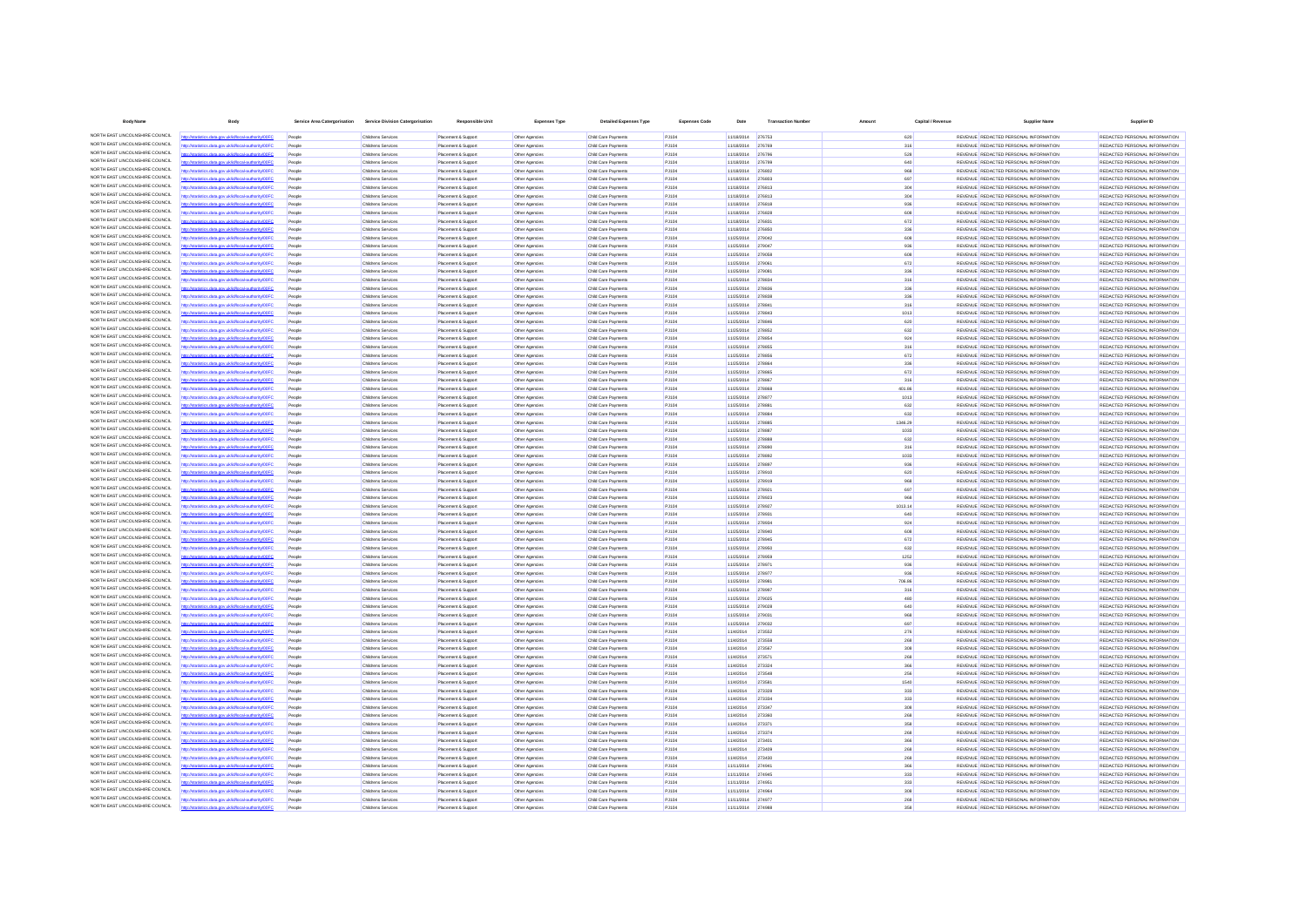| <b>Body Name</b>                                                   | <b>Body</b>                                                                           |                  | Service Area Catergorisation Service Division Catergorisation | <b>Responsible Unit</b>                    | <b>Expenses Type</b>             | <b>Detailed Expenses Type</b>              | <b>Expenses Code</b>  | Date                                   | <b>Transaction Number</b> | Amoun         | Capital / Revenue | <b>Supplier Name</b>                                                           | Supplier ID                                                    |
|--------------------------------------------------------------------|---------------------------------------------------------------------------------------|------------------|---------------------------------------------------------------|--------------------------------------------|----------------------------------|--------------------------------------------|-----------------------|----------------------------------------|---------------------------|---------------|-------------------|--------------------------------------------------------------------------------|----------------------------------------------------------------|
| NORTH EAST LINCOLNSHIRE COUNCIL                                    | http://statistics.data.gov.uk/id/local-authority/00FC                                 | People           | Childrens Services                                            | Placement & Support                        | Other Agencies                   | Child Care Payments                        | PJ104                 | 11/18/2014 276753                      |                           | 620           |                   | REVENUE REDACTED PERSONAL INFORMATION                                          | REDACTED PERSONAL INFORMATION                                  |
| NORTH EAST LINCOLNSHIRE COUNCIL                                    |                                                                                       | People           | Childrens Services                                            | Placement & Support                        | Other Agencies                   | Child Care Payments                        | <b>PJ104</b>          | 11/18/2014 276769                      |                           | 316           |                   | REVENUE REDACTED PERSONAL INFORMATION                                          | REDACTED PERSONAL INFORMATION                                  |
| NORTH EAST LINCOLNSHIRE COUNCIL<br>NORTH EAST LINCOLNSHIRE COUNCIL | s data ony uklidingal authority/OFC                                                   | People           | Childrens Services                                            | Placement & Support                        | Other Agencies                   | Child Care Payments                        | <b>PJ104</b>          | 11/18/2014 276796                      |                           | 528           |                   | REVENUE REDACTED PERSONAL INFORMATION                                          | REDACTED PERSONAL INFORMATION                                  |
| NORTH EAST LINCOLNSHIRE COUNCIL                                    | cs.data.gov.uk/id/local-auti                                                          | People<br>People | Childrens Services<br>Childrens Services                      | Placement & Support<br>Placement & Support | Other Agencies<br>Other Agencies | Child Care Payment<br>Child Care Payment   | <b>PJ104</b><br>PJ104 | 11/18/2014<br>11/18/2014               | 276799<br>276802          | 640<br>968    |                   | REVENUE REDACTED PERSONAL INFORMATION<br>REVENUE REDACTED PERSONAL INFORMATION | REDACTED PERSONAL INFORMATION                                  |
| NORTH EAST LINCOLNSHIRE COUNCIL                                    | stics.data.gov.uk/id/local-authority/00FC                                             | People           | Childrens Services                                            | Placement & Support                        | Other Agencies                   | Child Care Payment                         | PJ104                 | 11/18/2014 276803                      |                           | 697           |                   | REVENUE REDACTED PERSONAL INFORMATION                                          | REDACTED PERSONAL INFORMATION                                  |
| NORTH EAST LINCOLNSHIRE COUNCIL                                    |                                                                                       | People           | Childrens Services                                            | Placement & Support                        | Other Agencies                   | Child Care Payments                        | PJ104                 | 11/18/2014 276813                      |                           | 304           |                   | REVENUE REDACTED PERSONAL INFORMATION                                          | REDACTED PERSONAL INFORMATION                                  |
| NORTH EAST LINCOLNSHIRE COUNCIL                                    | istics.data.gov.uk/id/local-authority/00FC                                            | People           | Childrens Services                                            | Placement & Support                        | Other Agencies                   | Child Care Payment                         | PJ104                 | 11/18/2014 276813                      |                           | 304           |                   | REVENUE REDACTED PERSONAL INFORMATION                                          | REDACTED PERSONAL INFORMATION                                  |
| NORTH EAST LINCOLNSHIRE COUNCIL<br>NORTH EAST LINCOLNSHIRE COUNCIL | istics.data.gov.uk/id/local-authority/00FC                                            | People           | Childrens Services                                            | Placement & Support                        | Other Agencies                   | Child Care Payment                         | PJ104                 | 11/18/2014 276818                      |                           | 936           |                   | REVENUE REDACTED PERSONAL INFORMATION                                          | REDACTED PERSONAL INFORMATION                                  |
| NORTH EAST LINCOLNSHIRE COUNCIL                                    | distics.data.gov.uk/id/local-authority/00FC                                           | People<br>People | Childrens Services<br>Childrens Services                      | Placement & Suppor<br>Placement & Support  | Other Agencies<br>Other Agencies | Child Care Payment<br>Child Care Payment   | PJ104<br>PJ104        | 11/18/2014<br>11/18/2014 276831        | 276828                    | 608<br>672    |                   | REVENUE REDACTED PERSONAL INFORMATION<br>REVENUE REDACTED PERSONAL INFORMATION | REDACTED PERSONAL INFORMATION<br>REDACTED PERSONAL INFORMATION |
| NORTH EAST LINCOLNSHIRE COUNCIL                                    |                                                                                       | People           | Childrens Services                                            | Placement & Support                        | Other Agencies                   | Child Care Payment                         | PJ104                 | 11/18/2014 276850                      |                           | 336           |                   | REVENUE REDACTED PERSONAL INFORMATION                                          | REDACTED PERSONAL INFORMATION                                  |
| NORTH EAST LINCOLNSHIRE COUNCIL                                    | statistics.data.gov.uk/id/local-authority/00FC                                        | Peopl            | Childrens Services                                            | Placement & Support                        | Other Agencies                   | Child Care Payment                         | PJ104                 | 11/25/2014 279042                      |                           | 608           |                   | REVENUE REDACTED PERSONAL INFORMATION                                          | REDACTED PERSONAL INFORMATION                                  |
| NORTH EAST LINCOLNSHIRE COUNCIL<br>NORTH EAST LINCOLNSHIRE COUNCIL |                                                                                       | People           | Childrens Services                                            | Placement & Support                        | Other Agencies                   | Child Care Payment                         | PJ104                 | 11/25/2014                             | 279047                    | 936           |                   | REVENUE REDACTED PERSONAL INFORMATION                                          | REDACTED PERSONAL INFORMATION                                  |
| NORTH EAST LINCOLNSHIRE COUNCIL                                    | stics.data.gov.uk/id/local-authority/00FC                                             | People<br>People | Childrens Services<br>Childrens Services                      | Placement & Support<br>Placement & Sunnor  | Other Agencies<br>Other Agencies | Child Care Payment<br>Child Care Payment   | PJ104<br>PJ104        | 11/25/2014<br>11/25/2014               | 279058<br>279061          | 608           |                   | REVENUE REDACTED PERSONAL INFORMATION<br>REVENUE REDACTED PERSONAL INFORMATION | REDACTED PERSONAL INFORMATION<br>REDACTED PERSONAL INFORMATION |
| NORTH EAST LINCOLNSHIRE COUNCIL                                    |                                                                                       | People           | Childrens Services                                            | Placement & Support                        | Other Agencies                   | Child Care Payment                         | PJ104                 | 11/25/2014 279081                      |                           | 672<br>336    |                   | REVENUE REDACTED PERSONAL INFORMATION                                          | REDACTED PERSONAL INFORMATION                                  |
| NORTH EAST LINCOLNSHIRE COUNCIL                                    | atistics.data.gov.uk/id/local-authority/00FC                                          | People           | Childrens Services                                            | Placement & Support                        | Other Agencies                   | Child Care Payment                         | PJ104                 | 11/25/2014 278834                      |                           | 316           |                   | REVENUE REDACTED PERSONAL INFORMATION                                          | REDACTED PERSONAL INFORMATION                                  |
| NORTH EAST LINCOLNSHIRE COUNCIL                                    | fine state and ukilstingal authoritainnEC                                             | People           | Childrens Services                                            | Placement & Support                        | Other Agencies                   | Child Care Payment                         | <b>PJ104</b>          | 11/25/2014 278836                      |                           | 336           |                   | REVENUE REDACTED PERSONAL INFORMATION                                          | REDACTED PERSONAL INFORMATION                                  |
| NORTH EAST LINCOLNSHIRE COUNCIL                                    |                                                                                       | People           | Childrens Services                                            | Placement & Support                        | Other Agencies                   | Child Care Payment                         | PJ104                 | 11/25/2014                             | 278838                    | 336           |                   | REVENUE REDACTED PERSONAL INFORMATION                                          | REDACTED PERSONAL INFORMATION                                  |
| NORTH EAST LINCOLNSHIRE COUNCIL<br>NORTH EAST LINCOLNSHIRE COUNCIL | istics.data.gov.uk/id/local-authority/00FC                                            | People           | Childrens Services                                            | Placement & Suppor                         | Other Agencies                   | Child Care Payment                         | PJ104                 | 11/25/2014                             | 27884                     | 316           |                   | REVENUE REDACTED PERSONAL INFORMATION                                          | REDACTED PERSONAL INFORMATION                                  |
| NORTH EAST LINCOLNSHIRE COUNCIL                                    | tics data ony uklidiocal auth<br>ttp://statistics.data.gov.uk/id/local-authority/00FC | People<br>People | Childrens Services<br>Childrens Services                      | Placement & Support<br>Placement & Support | Other Agencies<br>Other Agencies | Child Care Payment<br>Child Care Payment   | PJ104<br>PJ104        | 11/25/2014 278843<br>11/25/2014 278846 |                           | 1013<br>620   |                   | REVENUE REDACTED PERSONAL INFORMATION<br>REVENUE REDACTED PERSONAL INFORMATION | REDACTED PERSONAL INFORMATION<br>REDACTED PERSONAL INFORMATION |
| NORTH EAST LINCOLNSHIRE COUNCIL                                    |                                                                                       | People           | Childrens Services                                            | Placement & Support                        | Other Agencies                   | Child Care Payment                         | PJ104                 | 11/25/2014                             | 278852                    | 632           |                   | REVENUE REDACTED PERSONAL INFORMATION                                          | REDACTED PERSONAL INFORMATION                                  |
| NORTH EAST LINCOLNSHIRE COUNCIL                                    | stics.data.gov.uk/id/local-author<br><b>ity/OOFC</b>                                  | People           | Childrens Services                                            | Placement & Support                        | Other Agencies                   | Child Care Payments                        | PJ104                 | 11/25/2014                             | 278854                    | 924           |                   | REVENUE REDACTED PERSONAL INFORMATION                                          | REDACTED PERSONAL INFORMATION                                  |
| NORTH EAST LINCOLNSHIRE COUNCIL                                    | statistics.data.gov.uk/id/local-authority/00FC                                        | People           | Childrens Services                                            | Placement & Suppo                          | Other Agencie                    | Child Care Payment                         | PJ104                 | 11/25/2014                             | 278855                    | 316           |                   | REVENUE REDACTED PERSONAL INFORMATION                                          | REDACTED PERSONAL INFORMATION                                  |
| NORTH EAST LINCOLNSHIRE COUNCIL                                    | ics data ony uklidiocal-autho                                                         | People           | Childrens Services                                            | Placement & Support                        | Other Agencies                   | Child Care Payment                         | PJ104                 | 11/25/2014                             | 278856                    | 672           |                   | REVENUE REDACTED PERSONAL INFORMATION                                          | REDACTED PERSONAL INFORMATION                                  |
| NORTH EAST LINCOLNSHIRE COUNCIL<br>NORTH EAST LINCOLNSHIRE COUNCIL | istics.data.gov.uk/id/local-authority/00FC                                            | People           | Childrens Services                                            | Placement & Support                        | Other Agencies                   | Child Care Payment                         | PJ104                 | 11/25/2014 278864                      |                           | 336           |                   | REVENUE REDACTED PERSONAL INFORMATION                                          | REDACTED PERSONAL INFORMATION                                  |
| NORTH EAST LINCOLNSHIRE COUNCIL                                    |                                                                                       | People           | Childrens Services                                            | Placement & Support                        | Other Agencies                   | Child Care Payment                         | PJ104                 | 11/25/2014 278865                      |                           | 672           |                   | REVENUE REDACTED PERSONAL INFORMATION                                          | REDACTED PERSONAL INFORMATION                                  |
| NORTH EAST LINCOLNSHIRE COUNCIL                                    | istics.data.gov.uk/id/local-authority/00FC                                            | People<br>People | Childrens Services<br>Childrens Services                      | Placement & Support<br>Placement & Support | Other Agencies<br>Other Agencies | Child Care Payment<br>Child Care Payment   | PJ104<br>PJ104        | 11/25/2014 278867<br>11/25/2014        | 278868                    | 316<br>401.86 |                   | REVENUE REDACTED PERSONAL INFORMATION<br>REVENUE REDACTED PERSONAL INFORMATION | REDACTED PERSONAL INFORMATION<br>REDACTED PERSONAL INFORMATION |
| NORTH EAST LINCOLNSHIRE COUNCIL                                    | fine and www.ukildhood.cuttoob.mg/C                                                   | People           | Childrens Services                                            | Placement & Sunnor                         | Other Agencies                   | Child Care Payment                         | PJ104                 | 11/25/2014 278877                      |                           | 1013          |                   | REVENUE REDACTED PERSONAL INFORMATION                                          | REDACTED PERSONAL INFORMATION                                  |
| NORTH EAST LINCOLNSHIRE COUNCIL                                    | ttp://statistics.data.gov.uk/id/local-authority/00FC                                  | People           | Childrens Services                                            | Placement & Support                        | Other Agencies                   | Child Care Payment                         | PJ104                 | 11/25/2014 278881                      |                           | 632           |                   | REVENUE REDACTED PERSONAL INFORMATION                                          | REDACTED PERSONAL INFORMATION                                  |
| NORTH EAST LINCOLNSHIRE COUNCIL                                    |                                                                                       | People           | Childrens Services                                            | Placement & Support                        | Other Agencies                   | Child Care Payment                         | PJ104                 | 11/25/2014 278884                      |                           | 632           |                   | REVENUE REDACTED PERSONAL INFORMATION                                          | REDACTED PERSONAL INFORMATION                                  |
| NORTH EAST LINCOLNSHIRE COUNCIL<br>NORTH EAST LINCOLNSHIRE COUNCIL | atistics.data.gov.uk/id/local-authority/00FC                                          | People           | Childrens Services                                            | Placement & Support                        | Other Agencies                   | Child Care Payment                         | PJ104                 | 11/25/2014                             | 278885                    | 1346.29       |                   | REVENUE REDACTED PERSONAL INFORMATION                                          | REDACTED PERSONAL INFORMATION                                  |
| NORTH EAST LINCOLNSHIRE COUNCIL                                    |                                                                                       | People<br>People | Childrens Services<br>Childrens Services                      | Placement & Support<br>Placement & Sunnor  | Other Agencies<br>Other Agencies | Child Care Payment<br>Child Care Payment   | PJ104<br>PJ104        | 11/25/2014<br>11/25/2014               | 278887<br>278888          | 1033          |                   | REVENUE REDACTED PERSONAL INFORMATION<br>REVENUE REDACTED PERSONAL INFORMATION | REDACTED PERSONAL INFORMATION<br>REDACTED PERSONAL INFORMATION |
| NORTH EAST LINCOLNSHIRE COUNCIL                                    | istics.data.gov.uk/id/local-authority/00FC                                            | People           | Childrens Services                                            | Placement & Support                        | Other Agencies                   | Child Care Payments                        | PJ104                 | 11/25/2014 278890                      |                           | 632<br>316    |                   | REVENUE REDACTED PERSONAL INFORMATION                                          | REDACTED PERSONAL INFORMATION                                  |
| NORTH EAST LINCOLNSHIRE COUNCIL                                    |                                                                                       | People           | Childrens Services                                            | Placement & Support                        | Other Agencies                   | Child Care Payment                         | PJ104                 | 11/25/2014 278892                      |                           | 1033          |                   | REVENUE REDACTED PERSONAL INFORMATION                                          | REDACTED PERSONAL INFORMATION                                  |
| NORTH EAST LINCOLNSHIRE COUNCIL                                    | atistics.data.gov.uk/id/local-authority/00FC                                          | People           | Childrens Services                                            | Placement & Support                        | Other Agencies                   | Child Care Payment                         | PJ104                 | 11/25/2014 278897                      |                           | 936           |                   | REVENUE REDACTED PERSONAL INFORMATION                                          | REDACTED PERSONAL INFORMATION                                  |
| NORTH EAST LINCOLNSHIRE COUNCIL<br>NORTH EAST LINCOLNSHIRE COUNCIL |                                                                                       | People           | Childrens Services                                            | Placement & Support                        | Other Agencies                   | Child Care Payment                         | PJ104                 | 11/25/2014                             | 278910                    | 620           |                   | REVENUE REDACTED PERSONAL INFORMATION                                          | REDACTED PERSONAL INFORMATION                                  |
| NORTH EAST LINCOLNSHIRE COUNCIL                                    | istics.data.gov.uk/id/local-authority/00FC                                            | People           | Childrens Services                                            | Placement & Suppor                         | Other Agencie                    | Child Care Paymen                          | PJ104                 | 11/25/2014                             | 278919                    | 968           |                   | REVENUE REDACTED PERSONAL INFORMATION                                          | REDACTED PERSONAL INFORMATION                                  |
| NORTH EAST LINCOLNSHIRE COUNCIL                                    | stics.data.gov.uk/id/local-authority/00FC                                             | People<br>People | Childrens Services<br>Childrens Services                      | Placement & Support<br>Placement & Support | Other Agencies<br>Other Agencies | Child Care Payment<br>Child Care Payment   | PJ104<br>PJ104        | 11/25/2014 278921<br>11/25/2014 278923 |                           | 697<br>968    |                   | REVENUE REDACTED PERSONAL INFORMATION<br>REVENUE REDACTED PERSONAL INFORMATION | REDACTED PERSONAL INFORMATION<br>REDACTED PERSONAL INFORMATION |
| NORTH EAST LINCOLNSHIRE COUNCIL                                    | statistics.data.gov.uk/id/local-authority/00FC                                        | People           | Childrens Services                                            | Placement & Support                        | Other Agencies                   | Child Care Payment                         | PJ104                 | 11/25/2014                             | 278927                    | 1013.14       |                   | REVENUE REDACTED PERSONAL INFORMATION                                          | REDACTED PERSONAL INFORMATION                                  |
| NORTH EAST LINCOLNSHIRE COUNCIL                                    |                                                                                       | People           | Childrens Services                                            | Placement & Support                        | Other Agencies                   | Child Care Payments                        | PJ104                 | 11/25/2014                             | 278931                    | 640           |                   | REVENUE REDACTED PERSONAL INFORMATION                                          | REDACTED PERSONAL INFORMATION                                  |
| NORTH EAST LINCOLNSHIRE COUNCIL                                    | stics.data.gov.uk/id/local-authority/00FC                                             | Peopl            | Childrens Services                                            | Placement & Suppor                         | Other Agencies                   | Child Care Payment                         | PJ104                 | 11/25/2014                             |                           | 924           |                   | REVENUE REDACTED PERSONAL INFORMATION                                          | REDACTED PERSONAL INFORMATION                                  |
| NORTH EAST LINCOLNSHIRE COUNCIL<br>NORTH EAST LINCOLNSHIRE COUNCIL | istics.data.gov.uk/id/local-authority/00FC                                            | People           | Childrens Services                                            | Placement & Support                        | Other Agencies                   | Child Care Payment                         | PJ104                 | 11/25/2014 278940                      |                           | 608           |                   | REVENUE REDACTED PERSONAL INFORMATION                                          | REDACTED PERSONAL INFORMATION                                  |
| NORTH EAST LINCOLNSHIRE COUNCIL                                    | atistics.data.gov.uk/id/local-authority/00FC                                          | People<br>People | Childrens Services<br>Childrens Services                      | Placement & Support<br>Placement & Support | Other Agencies<br>Other Agencies | Child Care Payment<br>Child Care Payment   | PJ104<br>PJ104        | 11/25/2014 278945<br>11/25/2014 278950 |                           | 672<br>632    |                   | REVENUE REDACTED PERSONAL INFORMATION<br>REVENUE REDACTED PERSONAL INFORMATION | REDACTED PERSONAL INFORMATION<br>REDACTED PERSONAL INFORMATION |
| NORTH EAST LINCOLNSHIRE COUNCIL                                    |                                                                                       | People           | Childrens Services                                            | Placement & Support                        | Other Agencies                   | Child Care Payment                         | PJ104                 | 11/25/2014 278959                      |                           | 1252          |                   | REVENUE REDACTED PERSONAL INFORMATION                                          | REDACTED PERSONAL INFORMATION                                  |
| NORTH EAST LINCOLNSHIRE COUNCIL                                    | stics.data.gov.uk/id/local-authority/00FC                                             | People           | Childrens Services                                            | Placement & Support                        | Other Agencies                   | Child Care Payment                         | PJ104                 | 11/25/2014                             |                           | 936           |                   | REVENUE REDACTED PERSONAL INFORMATION                                          | REDACTED PERSONAL INFORMATION                                  |
| NORTH EAST LINCOLNSHIRE COUNCIL                                    |                                                                                       | People           | Childrens Services                                            | Placement & Support                        | Other Agencies                   | Child Care Payment                         | PJ104                 | 11/25/2014 278977                      |                           | 936           |                   | REVENUE REDACTED PERSONAL INFORMATION                                          | REDACTED PERSONAL INFORMATION                                  |
| NORTH EAST LINCOLNSHIRE COUNCIL<br>NORTH EAST LINCOLNSHIRE COUNCIL | cs.data.gov.uk/id/local-authority/00FC                                                | People           | Childrens Services                                            | Placement & Support                        | Other Agencies                   | Child Care Payment                         | PJ104                 | 11/25/2014 278981                      |                           | 706.86        |                   | REVENUE REDACTED PERSONAL INFORMATION                                          | REDACTED PERSONAL INFORMATION                                  |
| NORTH EAST LINCOLNSHIRE COUNCIL                                    | distics.data.gov.uk/id/local-authority/00FC                                           | People           | Childrens Services                                            | Placement & Support                        | Other Agencies                   | Child Care Payment                         | PJ104                 | 11/25/2014                             | 278997                    | 316           |                   | REVENUE REDACTED PERSONAL INFORMATION                                          | REDACTED PERSONAL INFORMATION                                  |
| NORTH EAST LINCOLNSHIRE COUNCIL                                    | stics.data.gov.uk/id/local-authority/00FC                                             | People<br>People | Childrens Services<br>Childrens Services                      | Placement & Support<br>Placement & Suppor  | Other Agencies<br>Other Agencies | Child Care Payment<br>Child Care Payment   | PJ104<br>PJ104        | 11/25/2014<br>11/25/2014               | 279025<br>279028          | 480<br>640    |                   | REVENUE REDACTED PERSONAL INFORMATION<br>REVENUE REDACTED PERSONAL INFORMATION | REDACTED PERSONAL INFORMATION<br>REDACTED PERSONAL INFORMATION |
| NORTH EAST LINCOLNSHIRE COUNCIL                                    |                                                                                       | Peopl            | Childrens Services                                            | Placement & Suppor                         | Other Agencie                    | Child Care Payment                         | PJ104                 | 11/25/2014                             | 279031                    | 968           |                   | REVENUE REDACTED PERSONAL INFORMATION                                          | REDACTED PERSONAL INFORMATION                                  |
| NORTH EAST LINCOLNSHIRE COUNCIL                                    |                                                                                       | People           | Childrens Services                                            | Placement & Support                        | Other Agencies                   | Child Care Payments                        | PJ104                 | 11/25/2014 279032                      |                           | 697           |                   | REVENUE REDACTED PERSONAL INFORMATION                                          | REDACTED PERSONAL INFORMATION                                  |
| NORTH EAST LINCOLNSHIRE COUNCIL                                    | tatistics.data.gov.uk/id/local-authority/00FC                                         | Peopl            | Childrens Services                                            | Placement & Support                        | Other Agencies                   | Child Care Payment                         | PJ104                 | 11/4/2014                              | 273552                    | 276           |                   | REVENUE REDACTED PERSONAL INFORMATION                                          | REDACTED PERSONAL INFORMATION                                  |
| NORTH EAST LINCOLNSHIRE COUNCIL<br>NORTH EAST LINCOLNSHIRE COUNCIL | tins data one uklidihnakautho                                                         | People           | Childrens Services                                            | Placement & Support                        | Other Agencies                   | Child Care Payment                         | PJ104                 | 11/4/2014                              | 273558                    | 268           |                   | REVENUE REDACTED PERSONAL INFORMATION                                          | REDACTED PERSONAL INFORMATION                                  |
| NORTH EAST LINCOLNSHIRE COUNCIL                                    | stics.data.gov.uk/id/local-authority/00FC                                             | People           | Childrens Services                                            | Placement & Support                        | Other Agencies                   | Child Care Payment                         | PJ104                 | 11/4/2014                              | 273567                    | 308           |                   | REVENUE REDACTED PERSONAL INFORMATION                                          | REDACTED PERSONAL INFORMATION                                  |
| NORTH EAST LINCOLNSHIRE COUNCIL                                    | istics.data.gov.uk/id/local-authority/00FC                                            | Peopl<br>People  | Childrens Services<br>Childrens Services                      | Placement & Suppor<br>Placement & Support  | Other Agencie<br>Other Agencies  | Child Care Payment<br>Child Care Payment   | PJ104<br>PJ104        | 11/4/2014<br>11/4/2014                 | 273571<br>273324          | 268<br>366    |                   | REVENUE REDACTED PERSONAL INFORMATION<br>REVENUE REDACTED PERSONAL INFORMATION | REDACTED PERSONAL INFORMATION<br>REDACTED PERSONAL INFORMATION |
| NORTH EAST LINCOLNSHIRE COUNCIL                                    | statistics.data.gov.uk/id/local-authority/00FC                                        | Peopl            | Childrens Services                                            | Placement & Suppor                         | Other Agencies                   | Child Care Payment                         | PJ104                 | 11/4/2014                              | 273548                    | 256           |                   | REVENUE REDACTED PERSONAL INFORMATION                                          | REDACTED PERSONAL INFORMATION                                  |
| NORTH EAST LINCOLNSHIRE COUNCIL                                    | ics data ony ukłokocał authority/00FC                                                 | People           | Childrens Services                                            | Placement & Support                        | Other Agencies                   | Child Care Payment                         | <b>PJ104</b>          | 11/4/2014                              | 273581                    | 1540          |                   | REVENUE REDACTED PERSONAL INFORMATION                                          | REDACTED PERSONAL INFORMATION                                  |
| NORTH EAST LINCOLNSHIRE COUNCIL<br>NORTH EAST LINCOLNSHIRE COUNCIL | tics.data.gov.uk/id/local-authority/00FC                                              | People           | Childrens Services                                            | Placement & Support                        | Other Agencies                   | Child Care Payments                        | <b>PJ104</b>          | 11/4/2014                              | 273328                    | 333           |                   | REVENUE REDACTED PERSONAL INFORMATION                                          | REDACTED PERSONAL INFORMATION                                  |
| NORTH EAST LINCOLNSHIRE COUNCIL                                    |                                                                                       | People           | Childrens Services                                            | Placement & Support                        | Other Agencies                   | Child Care Payment                         | PJ104                 | 11/4/2014                              | 273334                    | 333           |                   | REVENUE REDACTED PERSONAL INFORMATION                                          | REDACTED PERSONAL INFORMATION                                  |
| NORTH EAST LINCOLNSHIRE COUNCIL                                    | stics.data.gov.uk/id/local-authority/00FC                                             | People<br>People | Childrens Services<br>Childrens Services                      | Placement & Support<br>Placement & Support | Other Agencies<br>Other Agencies | Child Care Payments<br>Child Care Payments | PJ104<br>PJ104        | 11/4/2014<br>11/4/2014                 | 273347<br>273360          | 308<br>268    |                   | REVENUE REDACTED PERSONAL INFORMATION<br>REVENUE REDACTED PERSONAL INFORMATION | REDACTED PERSONAL INFORMATION<br>REDACTED PERSONAL INFORMATION |
| NORTH EAST LINCOLNSHIRE COUNCIL                                    |                                                                                       | People           | Childrens Services                                            | Placement & Support                        | Other Agencies                   | Child Care Payment                         | PJ104                 | 11/4/2014                              | 273371                    | 358           |                   | REVENUE REDACTED PERSONAL INFORMATION                                          | REDACTED PERSONAL INFORMATION                                  |
| NORTH EAST LINCOLNSHIRE COUNCIL                                    | tics.data.gov.uk/id/local-authority/00FC                                              | People           | Childrens Services                                            | Placement & Support                        | Other Agencies                   | Child Care Payment                         | PJ104                 | 11/4/2014                              | 273374                    | 268           |                   | REVENUE REDACTED PERSONAL INFORMATION                                          | REDACTED PERSONAL INFORMATION                                  |
| NORTH EAST LINCOLNSHIRE COUNCIL                                    |                                                                                       | People           | Childrens Services                                            | Placement & Suppor                         | Other Agencies                   | Child Care Payment                         | PJ104                 | 11/4/2014                              | 273401                    | 366           |                   | REVENUE REDACTED PERSONAL INFORMATION                                          | REDACTED PERSONAL INFORMATION                                  |
| NORTH EAST LINCOLNSHIRE COUNCIL                                    | stics.data.gov.uk/id/local-authority/00FC                                             | People           | Childrens Services                                            | Placement & Support                        | Other Agencies                   | Child Care Payment                         | PJ104                 | 11/4/2014                              | 273409                    | 268           |                   | REVENUE REDACTED PERSONAL INFORMATION                                          | REDACTED PERSONAL INFORMATION                                  |
| NORTH EAST LINCOLNSHIRE COUNCIL<br>NORTH EAST LINCOLNSHIRE COUNCIL | stics data ony uklidiocal authority/OPC                                               | People           | Childrens Services                                            | Placement & Support                        | Other Agencies                   | Child Care Payments                        | PJ104                 | 11/4/2014                              | 273430                    | 268           |                   | REVENUE REDACTED PERSONAL INFORMATION                                          | REDACTED PERSONAL INFORMATION                                  |
| NORTH EAST LINCOLNSHIRE COUNCIL                                    | stics.data.gov.uk/id/local-authority/00FC                                             | Peopl<br>People  | Childrens Services<br>Childrens Services                      | Placement & Support<br>Placement & Support | Other Agencies<br>Other Agencies | Child Care Payment<br>Child Care Payments  | PJ104<br>PJ104        | 11/11/2014<br>11/11/2014               | 274941<br>274945          | 366<br>333    |                   | REVENUE REDACTED PERSONAL INFORMATION<br>REVENUE REDACTED PERSONAL INFORMATION | REDACTED PERSONAL INFORMATION<br>REDACTED PERSONAL INFORMATION |
| NORTH EAST LINCOLNSHIRE COUNCIL                                    |                                                                                       | People           | Childrens Services                                            | Placement & Suppor                         | Other Agencies                   | Child Care Payment                         | PJ104                 | 11/11/2014                             |                           | 333           |                   | REVENUE REDACTED PERSONAL INFORMATION                                          | REDACTED PERSONAL INFORMATION                                  |
| NORTH EAST LINCOLNSHIRE COUNCIL                                    | istics.data.gov.uk/id/local-authority/00FC                                            | People           | Childrens Services                                            | Placement & Support                        | Other Agencies                   | Child Care Payment                         | PJ104                 | 11/11/2014 274964                      |                           | 308           |                   | REVENUE REDACTED PERSONAL INFORMATION                                          | REDACTED PERSONAL INFORMATION                                  |
| NORTH EAST LINCOLNSHIRE COUNCIL                                    | cs.data.gov.uk/id/local-authority/00FC                                                | People           | Childrens Services                                            | Placement & Support                        | Other Agencies                   | Child Care Payments                        | PJ104                 | 11/11/2014 274977                      |                           | 268           |                   | REVENUE REDACTED PERSONAL INFORMATION                                          | REDACTED PERSONAL INFORMATION                                  |
| NORTH EAST LINCOLNSHIRE COUNCIL                                    |                                                                                       |                  | Childrens Services                                            | Placement & Suppor                         | Other Agencies                   | Child Care Payment                         | PJ104                 | 11/11/2014                             |                           |               |                   | REVENUE REDACTED PERSONAL INFORMATION                                          | REDACTED PERSONAL INFORMATION                                  |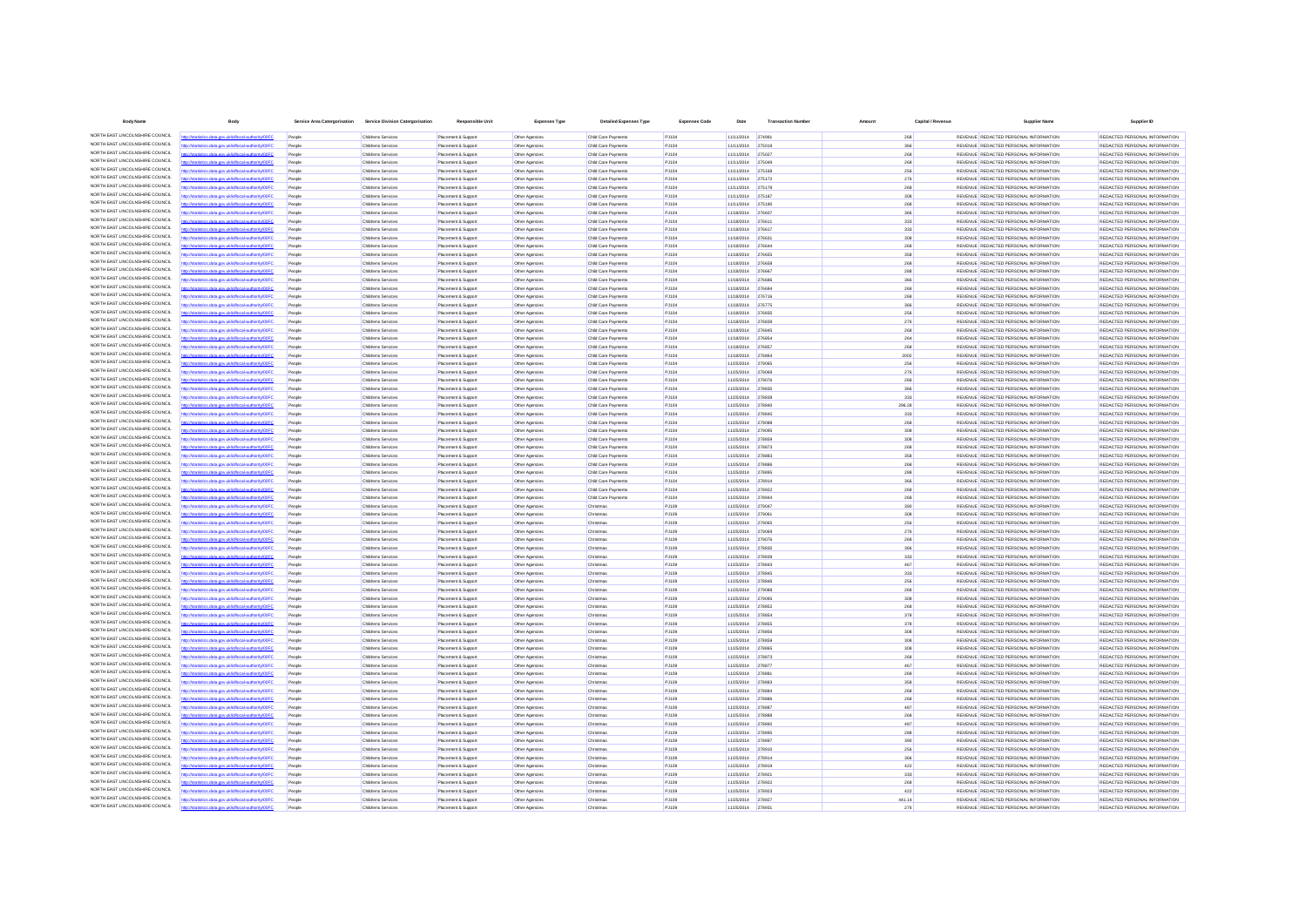| <b>Body Name</b>                                                   | Bod                                                                                               |                  | Service Area Catergorisation Service Division Catergorisation | <b>Responsible Unit</b>                    | <b>Expenses Type</b>             | <b>Detailed Expenses Type</b>             | <b>Expenses Code</b> | Date                                   | <b>Transaction Numbe</b> |            | Capital / Revenue | <b>Supplier Name</b>                                                           | Supplier ID                                                    |
|--------------------------------------------------------------------|---------------------------------------------------------------------------------------------------|------------------|---------------------------------------------------------------|--------------------------------------------|----------------------------------|-------------------------------------------|----------------------|----------------------------------------|--------------------------|------------|-------------------|--------------------------------------------------------------------------------|----------------------------------------------------------------|
| NORTH EAST LINCOLNSHIRE COUNCIL                                    | ttp://statistics.data.gov.uk/id/local-authority/00FC                                              | People           | Childrens Services                                            | Placement & Support                        | Other Agencies                   | Child Care Payments                       | PJ104                | 11/11/2014 274991                      |                          | 268        |                   | REVENUE REDACTED PERSONAL INFORMATION                                          | REDACTED PERSONAL INFORMATION                                  |
| NORTH FAST LINCOLNSHIRE COUNCIL                                    |                                                                                                   | People           | Childrens Services                                            | Placement & Support                        | Other Agencies                   | Child Care Payments                       | PJ104                | 11/11/2014 275019                      |                          |            |                   | REVENUE REDACTED PERSONAL INFORMATION                                          | REDACTED PERSONAL INFORMATION                                  |
| NORTH EAST LINCOLNSHIRE COUNCIL                                    | stins data ony uklidihoal-authority/00EC                                                          | People           | Childrens Services                                            | Placement & Suppor                         | Other Agencies                   | Child Care Payments                       | PJ104                | 11/11/2014 275027                      |                          |            |                   | REVENUE REDACTED PERSONAL INFORMATION                                          | REDACTED PERSONAL INFORMATION                                  |
| NORTH EAST LINCOLNSHIRE COUNCIL<br>NORTH EAST LINCOLNSHIRE COUNCIL | fics.data.gov.uk/id/local-autho<br><b>MOOFC</b>                                                   | People<br>People | Childrens Services                                            | Placement & Support                        | Other Agencies                   | Child Care Payments                       | PJ104                | 11/11/2014 275049                      |                          | 268        |                   | REVENUE REDACTED PERSONAL INFORMATION                                          | REDACTED PERSONAL INFORMATION                                  |
| NORTH EAST LINCOLNSHIRE COUNCIL                                    | stics.data.gov.uk/id/local-authority/00FC                                                         | People           | Childrens Services<br>Childrens Services                      | Placement & Support<br>Placement & Support | Other Agencies<br>Other Agencies | Child Care Payments<br>Child Care Payment | PJ104<br>PJ104       | 11/11/2014<br>11/11/2014               | 275168<br>275172         | 256<br>276 |                   | REVENUE REDACTED PERSONAL INFORMATION<br>REVENUE REDACTED PERSONAL INFORMATION | REDACTED PERSONAL INFORMATION<br>REDACTED PERSONAL INFORMATION |
| NORTH EAST LINCOLNSHIRE COUNCIL                                    |                                                                                                   | People           | Childrens Services                                            | Placement & Support                        | Other Agencies                   | Child Care Payment                        | PJ104                | 11/11/2014 275178                      |                          | 268        |                   | REVENUE REDACTED PERSONAL INFORMATION                                          | REDACTED PERSONAL INFORMATION                                  |
| NORTH EAST LINCOLNSHIRE COUNCIL                                    | istics.data.gov.uk/id/local-authority/00FC                                                        | People           | Childrens Services                                            | Placement & Support                        | Other Agencies                   | Child Care Payment                        | PJ104                | 11/11/2014 275187                      |                          | 308        |                   | REVENUE REDACTED PERSONAL INFORMATION                                          | REDACTED PERSONAL INFORMATION                                  |
| NORTH EAST LINCOLNSHIRE COUNCIL<br>NORTH EAST LINCOLNSHIRE COUNCIL | //statistics.data.gov.uk/id/local-authority/00FC                                                  | People           | Childrens Services                                            | Placement & Support                        | Other Agencies                   | Child Care Payment                        | PJ104                | 11/11/2014 275190                      |                          | 268        |                   | REVENUE REDACTED PERSONAL INFORMATION                                          | REDACTED PERSONAL INFORMATION                                  |
| NORTH EAST LINCOLNSHIRE COUNCIL                                    | stics.data.gov.uk/id/local-authori                                                                | People<br>People | Childrens Services<br>Childrens Services                      | Placement & Support<br>Placement & Suppo   | Other Agencies<br>Other Agencie  | Child Care Payments<br>Child Care Paymen  | PJ104<br>PJ104       | 11/18/2014 276607<br>11/18/2014        | 27661                    | 366<br>333 |                   | REVENUE REDACTED PERSONAL INFORMATION<br>REVENUE REDACTED PERSONAL INFORMATION | REDACTED PERSONAL INFORMATION<br>REDACTED PERSONAL INFORMATION |
| NORTH EAST LINCOLNSHIRE COUNCIL                                    |                                                                                                   | People           | Childrens Services                                            | Placement & Support                        | Other Agencies                   | Child Care Payment                        | PJ104                | 11/18/2014 276617                      |                          | 333        |                   | REVENUE REDACTED PERSONAL INFORMATION                                          | REDACTED PERSONAL INFORMATION                                  |
| NORTH EAST LINCOLNSHIRE COUNCIL                                    | ttp://statistics.data.gov.uk/id/local-authority/00FC                                              | People           | Childrens Services                                            | Placement & Support                        | Other Agencies                   | Child Care Payment                        | PJ104                | 11/18/2014 276631                      |                          | 308        |                   | REVENUE REDACTED PERSONAL INFORMATION                                          | REDACTED PERSONAL INFORMATION                                  |
| NORTH EAST LINCOLNSHIRE COUNCIL                                    |                                                                                                   | Peopl            | Childrens Services                                            | Placement & Support                        | Other Agencies                   | Child Care Payment                        | PJ104                | 11/18/2014 276644                      |                          | 268        |                   | REVENUE REDACTED PERSONAL INFORMATION                                          | REDACTED PERSONAL INFORMATION                                  |
| NORTH EAST LINCOLNSHIRE COUNCIL<br>NORTH EAST LINCOLNSHIRE COUNCIL |                                                                                                   | People           | Childrens Services                                            | Placement & Support                        | Other Agencies                   | Child Care Payments                       | PJ104                | 11/18/2014                             | 276655                   | 358        |                   | REVENUE REDACTED PERSONAL INFORMATION                                          | REDACTED PERSONAL INFORMATION                                  |
| NORTH EAST LINCOLNSHIRE COUNCIL                                    | stics.data.gov.uk/id/local-authority/00FC                                                         | Peopl<br>People  | Childrens Services<br>Childrens Services                      | Placement & Suppor<br>Placement & Support  | Other Agencies<br>Other Agencies | Child Care Payment<br>Child Care Payment  | PJ104<br>PJ104       | 11/18/2014<br>11/18/2014 276667        |                          | 268<br>288 |                   | REVENUE REDACTED PERSONAL INFORMATION<br>REVENUE REDACTED PERSONAL INFORMATION | REDACTED PERSONAL INFORMATION<br>REDACTED PERSONAL INFORMATION |
| NORTH EAST LINCOLNSHIRE COUNCIL                                    | istics.data.gov.uk/id/local-authority/00FC                                                        | People           | Childrens Services                                            | Placement & Support                        | Other Agencies                   | Child Care Payments                       | PJ104                | 11/18/2014 276686                      |                          | 366        |                   | REVENUE REDACTED PERSONAL INFORMATION                                          | REDACTED PERSONAL INFORMATION                                  |
| NORTH EAST LINCOLNSHIRE COUNCIL                                    |                                                                                                   | People           | Childrens Services                                            | Placement & Suppor                         | Other Agencies                   | Child Care Payment                        | PJ104                | 11/18/2014 276694                      |                          | 268        |                   | REVENUE REDACTED PERSONAL INFORMATION                                          | REDACTED PERSONAL INFORMATION                                  |
| NORTH FAST LINCOLNSHIRE COUNCIL                                    |                                                                                                   | People           | Childrens Services                                            | Placement & Support                        | Other Agencies                   | Child Care Payment                        | PJ104                | 11/18/2014 276716                      |                          | 268        |                   | REVENUE REDACTED PERSONAL INFORMATION                                          | REDACTED PERSONAL INFORMATION                                  |
| NORTH EAST LINCOLNSHIRE COUNCIL<br>NORTH EAST LINCOLNSHIRE COUNCIL | tics.data.gov.uk/id/local-autho                                                                   | People           | Childrens Services                                            | Placement & Suppor                         | Other Agencies                   | Child Care Payment                        | PJ104                | 11/18/2014                             |                          | 366        |                   | REVENUE REDACTED PERSONAL INFORMATION                                          | REDACTED PERSONAL INFORMATION                                  |
| NORTH EAST LINCOLNSHIRE COUNCIL                                    | ttp://statistics.data.gov.uk/id/local-authority/00FC                                              | People<br>People | Childrens Services                                            | Placement & Sunnor                         | Other Agencies                   | Child Care Payment                        | PJ104<br>PJ104       | 11/18/2014 276835<br>11/18/2014 276839 |                          | 256<br>276 |                   | REVENUE REDACTED PERSONAL INFORMATION<br>REVENUE REDACTED PERSONAL INFORMATION | REDACTED PERSONAL INFORMATION<br>REDACTED PERSONAL INFORMATION |
| NORTH EAST LINCOLNSHIRE COUNCIL                                    |                                                                                                   | People           | Childrens Services<br>Childrens Services                      | Placement & Support<br>Placement & Support | Other Agencies<br>Other Agencies | Child Care Payments<br>Child Care Payment | PJ104                | 11/18/2014 27684                       |                          | 268        |                   | REVENUE REDACTED PERSONAL INFORMATION                                          | REDACTED PERSONAL INFORMATION                                  |
| NORTH EAST LINCOLNSHIRE COUNCIL                                    | istics.data.gov.uk/id/local-authority/00FC                                                        | People           | Childrens Services                                            | Placement & Support                        | Other Agencies                   | Child Care Payments                       | PJ104                | 11/18/2014                             | 276854                   | 264        |                   | REVENUE REDACTED PERSONAL INFORMATION                                          | REDACTED PERSONAL INFORMATION                                  |
| NORTH EAST LINCOLNSHIRE COUNCIL                                    |                                                                                                   | People           | Childrens Services                                            | Placement & Suppor                         | Other Agencies                   | Child Care Payment                        | PJ104                | 11/18/2014                             |                          | 268        |                   | REVENUE REDACTED PERSONAL INFORMATION                                          | REDACTED PERSONAL INFORMATION                                  |
| NORTH EAST LINCOLNSHIRE COUNCIL                                    |                                                                                                   | People           | Childrens Services                                            | Placement & Support                        | Other Agencies                   | Child Care Payment                        | <b>PJ104</b>         | 11/18/2014                             | 276864                   | 2002       |                   | REVENUE REDACTED PERSONAL INFORMATION                                          | REDACTED PERSONAL INFORMATION                                  |
| NORTH EAST LINCOLNSHIRE COUNCIL<br>NORTH EAST LINCOLNSHIRE COUNCIL | istics.data.gov.uk/id/local-authority/00FC                                                        | People           | Childrens Services                                            | Placement & Support                        | Other Agencies                   | Child Care Payments                       | PJ104                | 11/25/2014 279065                      |                          | 256        |                   | REVENUE REDACTED PERSONAL INFORMATION                                          | REDACTED PERSONAL INFORMATION                                  |
| NORTH EAST LINCOLNSHIRE COUNCIL                                    | statistics.data.gov.uk/id/local-authority/00FC<br>istics.data.gov.uk/id/local-authority/00FC      | People<br>People | Childrens Services<br>Childrens Services                      | Placement & Support<br>Placement & Support | Other Agencies<br>Other Agencies | Child Care Payment<br>Child Care Payment  | PJ104<br>PJ104       | 11/25/2014 279069<br>11/25/2014 279076 |                          | 276<br>268 |                   | REVENUE REDACTED PERSONAL INFORMATION<br>REVENUE REDACTED PERSONAL INFORMATION | REDACTED PERSONAL INFORMATION<br>REDACTED PERSONAL INFORMATION |
| NORTH EAST LINCOLNSHIRE COUNCIL                                    |                                                                                                   | People           | Childrens Services                                            | Placement & Support                        | Other Agencies                   | Child Care Payment                        | PJ104                | 11/25/2014                             | 278835                   | 366        |                   | REVENUE REDACTED PERSONAL INFORMATION                                          | REDACTED PERSONAL INFORMATION                                  |
| NORTH EAST LINCOLNSHIRE COUNCIL                                    |                                                                                                   | Peopl            | Childrens Services                                            | Placement & Suppo                          | Other Agencie                    | Child Care Paymen                         | PJ104                | 11/25/2014                             | 278839                   | 333        |                   | REVENUE REDACTED PERSONAL INFORMATION                                          | REDACTED PERSONAL INFORMATION                                  |
| NORTH EAST LINCOLNSHIRE COUNCIL                                    | istics.data.gov.uk/id/local-authority/00FC                                                        | People           | Childrens Services                                            | Placement & Support                        | Other Agencies                   | Child Care Payments                       | PJ104                | 11/25/2014 278840                      |                          | 296.28     |                   | REVENUE REDACTED PERSONAL INFORMATION                                          | REDACTED PERSONAL INFORMATION                                  |
| NORTH EAST LINCOLNSHIRE COUNCIL                                    |                                                                                                   | People           | Childrens Services                                            | Placement & Support                        | Other Agencies                   | Child Care Payments                       | PJ104                | 11/25/2014 278845                      |                          | 333        |                   | REVENUE REDACTED PERSONAL INFORMATION                                          | REDACTED PERSONAL INFORMATION                                  |
| NORTH EAST LINCOLNSHIRE COUNCIL<br>NORTH EAST LINCOLNSHIRE COUNCIL | distics.data.gov.uk/id/local-authority/00FC                                                       | People           | Childrens Services                                            | Placement & Support                        | Other Agencies                   | Child Care Payments                       | PJ104                | 11/25/2014 279088                      |                          | 268        |                   | REVENUE REDACTED PERSONAL INFORMATION                                          | REDACTED PERSONAL INFORMATION                                  |
| NORTH EAST LINCOLNSHIRE COUNCIL                                    |                                                                                                   | People<br>Peopl  | Childrens Services<br>Childrens Services                      | Placement & Support<br>Placement & Suppo   | Other Agencies<br>Other Agencies | Child Care Payments<br>Child Care Payment | PJ104<br>PJ104       | 11/25/2014<br>11/25/2014               | 279095                   | 308<br>308 |                   | REVENUE REDACTED PERSONAL INFORMATION<br>REVENUE REDACTED PERSONAL INFORMATION | REDACTED PERSONAL INFORMATION<br>REDACTED PERSONAL INFORMATION |
| NORTH EAST LINCOLNSHIRE COUNCIL                                    | distics.data.gov.uk/id/local-authority/00FC                                                       | People           | Childrens Services                                            | Placement & Support                        | Other Agencies                   | Child Care Payments                       | PJ104                | 11/25/2014 278873                      |                          | 268        |                   | REVENUE REDACTED PERSONAL INFORMATION                                          | REDACTED PERSONAL INFORMATION                                  |
| NORTH EAST LINCOLNSHIRE COUNCIL                                    |                                                                                                   | People           | Childrens Services                                            | Placement & Support                        | Other Agencies                   | Child Care Payments                       | PJ104                | 11/25/2014 278883                      |                          | 358        |                   | REVENUE REDACTED PERSONAL INFORMATION                                          | REDACTED PERSONAL INFORMATION                                  |
| NORTH EAST LINCOLNSHIRE COUNCIL                                    | distics.data.gov.uk/id/local-authority/00FC                                                       | People           | Childrens Services                                            | Placement & Support                        | Other Agencies                   | Child Care Payment                        | PJ104                | 11/25/2014 278886                      |                          | 268        |                   | REVENUE REDACTED PERSONAL INFORMATION                                          | REDACTED PERSONAL INFORMATION                                  |
| NORTH EAST LINCOLNSHIRE COUNCIL<br>NORTH EAST LINCOLNSHIRE COUNCIL |                                                                                                   | People           | Childrens Services                                            | Placement & Support                        | Other Agencies                   | Child Care Payment                        | PJ104                | 11/25/2014 278895                      |                          | 288        |                   | REVENUE REDACTED PERSONAL INFORMATION                                          | REDACTED PERSONAL INFORMATION                                  |
| NORTH EAST LINCOLNSHIRE COUNCIL                                    | stics.data.gov.uk/id/local-authority/00FC<br>ttp://statistics.data.gov.uk/id/local-authority/00FC | People<br>People | Childrens Services<br>Childrens Services                      | Placement & Suppor<br>Placement & Support  | Other Agencies<br>Other Agencies | Child Care Payment<br>Child Care Payment  | PJ104<br>PJ104       | 11/25/2014<br>11/25/2014 278922        |                          | 366<br>268 |                   | REVENUE REDACTED PERSONAL INFORMATION<br>REVENUE REDACTED PERSONAL INFORMATION | REDACTED PERSONAL INFORMATION<br>REDACTED PERSONAL INFORMATION |
| NORTH EAST LINCOLNSHIRE COUNCIL                                    |                                                                                                   | People           | Childrens Services                                            | Placement & Support                        | Other Agencies                   | Child Care Payment                        | PJ104                | 11/25/2014 278944                      |                          | 268        |                   | REVENUE REDACTED PERSONAL INFORMATION                                          | REDACTED PERSONAL INFORMATION                                  |
| NORTH EAST LINCOLNSHIRE COUNCIL                                    | tatistics.data.gov.uk/id/local-authority/00FC                                                     | People           | Childrens Services                                            | Placement & Support                        | Other Agencies                   | Christma                                  | PJ109                | 11/25/2014                             | 279047                   | 390        |                   | REVENUE REDACTED PERSONAL INFORMATION                                          | REDACTED PERSONAL INFORMATION                                  |
| NORTH EAST LINCOLNSHIRE COUNCIL                                    | tics data ony uklidiocal authority/00FC                                                           | People           | Childrens Services                                            | Placement & Support                        | Other Agencies                   | Christmas                                 | PJ109                | 11/25/2014                             | 279061                   | 308        |                   | REVENUE REDACTED PERSONAL INFORMATION                                          | REDACTED PERSONAL INFORMATION                                  |
| NORTH EAST LINCOLNSHIRE COUNCIL                                    | fics.data.gov.uk/id/local-authority/00FC                                                          | People           | Childrens Services                                            | Placement & Support                        | Other Agencies                   | Christma                                  | PJ109                | 11/25/2014                             |                          | 256        |                   | REVENUE REDACTED PERSONAL INFORMATION                                          | REDACTED PERSONAL INFORMATION                                  |
| NORTH EAST LINCOLNSHIRE COUNCIL<br>NORTH EAST LINCOLNSHIRE COUNCIL | istics.data.gov.uk/id/local-authority/00FC                                                        | People           | Childrens Services                                            | Placement & Support                        | Other Agencies                   | Christmas                                 | PJ109                | 11/25/2014 279069                      |                          | 276        |                   | REVENUE REDACTED PERSONAL INFORMATION<br>REVENUE REDACTED PERSONAL INFORMATION | REDACTED PERSONAL INFORMATION<br>REDACTED PERSONAL INFORMATION |
| NORTH EAST LINCOLNSHIRE COUNCIL                                    | atistics.data.gov.uk/id/local-authority/00FC                                                      | People<br>Peopl  | Childrens Services<br>Childrens Services                      | Placement & Support<br>Placement & Support | Other Agencies<br>Other Agencies | Christmas<br>Christmas                    | PJ109<br>PJ109       | 11/25/2014 279076<br>11/25/2014 278835 |                          | 268<br>366 |                   | REVENUE REDACTED PERSONAL INFORMATION                                          | REDACTED PERSONAL INFORMATION                                  |
| NORTH EAST LINCOLNSHIRE COUNCIL                                    | stics data nov uklidihoal-authority/00EC                                                          | People           | Childrens Services                                            | Placement & Support                        | Other Agencies                   | Christmas                                 | PJ109                | 11/25/2014 278839                      |                          | 333        |                   | REVENUE REDACTED PERSONAL INFORMATION                                          | REDACTED PERSONAL INFORMATION                                  |
| NORTH EAST LINCOLNSHIRE COUNCIL                                    | stics.data.gov.uk/id/local-authority/00FC                                                         | People           | Childrens Services                                            | Placement & Suppor                         | Other Agencies                   | Christmas                                 | PJ109                | 11/25/2014                             | 278843                   | 467        |                   | REVENUE REDACTED PERSONAL INFORMATION                                          | REDACTED PERSONAL INFORMATION                                  |
| NORTH EAST LINCOLNSHIRE COUNCIL                                    |                                                                                                   | Peopl            | Childrens Services                                            | Placement & Suppo                          | Other Agencie                    | Christma                                  | PJ109                | 11/25/2014                             | 278845                   | 333        |                   | REVENUE REDACTED PERSONAL INFORMATION                                          | REDACTED PERSONAL INFORMATION                                  |
| NORTH EAST LINCOLNSHIRE COUNCIL<br>NORTH EAST LINCOLNSHIRE COUNCIL | tics.data.gov.uk/id/local-authority/00FC                                                          | People           | Childrens Services                                            | Placement & Support                        | Other Agencies                   | Christmas                                 | PJ109                | 11/25/2014 278846                      |                          | 256        |                   | REVENUE REDACTED PERSONAL INFORMATION                                          | REDACTED PERSONAL INFORMATION                                  |
| NORTH EAST LINCOLNSHIRE COUNCIL                                    | atistics.data.gov.uk/id/local-authority/00FC                                                      | Peopl<br>People  | Childrens Services<br>Childrens Services                      | Placement & Support<br>Placement & Support | Other Agencies<br>Other Agencies | Christmas<br>Christmas                    | PJ109<br>PJ109       | 11/25/2014 279088<br>11/25/2014        | 279095                   | 268<br>308 |                   | REVENUE REDACTED PERSONAL INFORMATION<br>REVENUE REDACTED PERSONAL INFORMATION | REDACTED PERSONAL INFORMATION<br>REDACTED PERSONAL INFORMATION |
| NORTH EAST LINCOLNSHIRE COUNCIL                                    | stics.data.gov.uk/id/local-authority/00FC                                                         | People           | Childrens Services                                            | Placement & Support                        | Other Agencies                   | Christmas                                 | PJ109                | 11/25/2014                             | 278852                   | 268        |                   | REVENUE REDACTED PERSONAL INFORMATION                                          | REDACTED PERSONAL INFORMATION                                  |
| NORTH EAST LINCOLNSHIRE COUNCIL                                    |                                                                                                   | Peopl            | Childrens Services                                            | Placement & Suppo                          | Other Agencie                    | Christma                                  | PJ109                | 11/25/2014                             | 278854                   | 378        |                   | REVENUE REDACTED PERSONAL INFORMATION                                          | REDACTED PERSONAL INFORMATION                                  |
| NORTH EAST LINCOLNSHIRE COUNCIL                                    | ics.data.gov.uk/id/local-autho                                                                    | People           | Childrens Services                                            | Placement & Support                        | Other Agencies                   | Christmas                                 | PJ109                | 11/25/2014 278855                      |                          | 378        |                   | REVENUE REDACTED PERSONAL INFORMATION                                          | REDACTED PERSONAL INFORMATION                                  |
| NORTH EAST LINCOLNSHIRE COUNCIL<br>NORTH EAST LINCOLNSHIRE COUNCIL | tatistics.data.gov.uk/id/local-authority/00FC                                                     | People           | Childrens Services                                            | Placement & Support                        | Other Agencies                   | Christmas                                 | PJ109                | 11/25/2014 278856                      |                          | 308        |                   | REVENUE REDACTED PERSONAL INFORMATION                                          | REDACTED PERSONAL INFORMATION                                  |
| NORTH EAST LINCOLNSHIRE COUNCIL                                    | ing about any solution and continued<br>tics.data.gov.uk/id/local-authority/00FC                  | People<br>People | Childrens Services<br>Childrens Services                      | Placement & Support<br>Placement & Support | Other Agencies<br>Other Agencies | Christmas<br>Christmas                    | PJ109<br>PJ109       | 11/25/2014 278859<br>11/25/2014        | 278865                   | 308<br>308 |                   | REVENUE REDACTED PERSONAL INFORMATION<br>REVENUE REDACTED PERSONAL INFORMATION | REDACTED PERSONAL INFORMATION<br>REDACTED PERSONAL INFORMATION |
| NORTH EAST LINCOLNSHIRE COUNCIL                                    |                                                                                                   | People           | Childrens Services                                            | Placement & Suppor                         | Other Agencies                   | Christmas                                 | PJ109                | 11/25/2014                             |                          | 268        |                   | REVENUE REDACTED PERSONAL INFORMATION                                          | REDACTED PERSONAL INFORMATION                                  |
| NORTH EAST LINCOLNSHIRE COUNCIL                                    | //statistics.data.gov.uk/id/local-authority/00FC                                                  | People           | Childrens Services                                            | Placement & Support                        | Other Agencies                   | Christmas                                 | PJ109                | 11/25/2014 278877                      |                          | 467        |                   | REVENUE REDACTED PERSONAL INFORMATION                                          | REDACTED PERSONAL INFORMATION                                  |
| NORTH EAST LINCOLNSHIRE COUNCIL                                    | statistics.data.gov.uk/id/local-authority/00FC                                                    | Peopl            | Childrens Services                                            | Placement & Support                        | Other Agencies                   | Christmas                                 | <b>PJ109</b>         | 11/25/2014 27888                       |                          | 268        |                   | REVENUE REDACTED PERSONAL INFORMATION                                          | REDACTED PERSONAL INFORMATION                                  |
| NORTH EAST LINCOLNSHIRE COUNCIL<br>NORTH EAST LINCOLNSHIRE COUNCIL | ics data ony ukłokocał authority/00FC                                                             | Peopl            | Childrens Services                                            | Placement & Support                        | Other Agencies                   | Christmas                                 | <b>PJ109</b>         | 11/25/2014                             | 278883                   | 358        |                   | REVENUE REDACTED PERSONAL INFORMATION                                          | REDACTED PERSONAL INFORMATION                                  |
| NORTH EAST LINCOLNSHIRE COUNCIL                                    | fics.data.gov.uk/id/local-authority/00FC                                                          | People           | Childrens Services                                            | Placement & Support                        | Other Agencies                   | Christmas                                 | PJ109                | 11/25/2014                             | 278884                   | 268        |                   | REVENUE REDACTED PERSONAL INFORMATION                                          | REDACTED PERSONAL INFORMATION                                  |
| NORTH EAST LINCOLNSHIRE COUNCIL                                    | stics.data.gov.uk/id/local-authority/00FC                                                         | People<br>People | Childrens Services<br>Childrens Services                      | Placement & Support<br>Placement & Support | Other Agencies<br>Other Agencies | Christmas<br>Christmas                    | PJ109<br>PJ109       | 11/25/2014<br>11/25/2014 278887        |                          | 268<br>487 |                   | REVENUE REDACTED PERSONAL INFORMATION<br>REVENUE REDACTED PERSONAL INFORMATION | REDACTED PERSONAL INFORMATION<br>REDACTED PERSONAL INFORMATION |
| NORTH EAST LINCOLNSHIRE COUNCIL                                    |                                                                                                   | People           | Childrens Services                                            | Placement & Support                        | Other Agencies                   | Christmas                                 | PJ109                | 11/25/2014 278888                      |                          | 268        |                   | REVENUE REDACTED PERSONAL INFORMATION                                          | REDACTED PERSONAL INFORMATION                                  |
| NORTH EAST LINCOLNSHIRE COUNCIL                                    | ins data nov ukřdíhoal-authoritvi00EC                                                             | People           | Childrens Services                                            | Placement & Support                        | Other Agencies                   | Christmas                                 | PJ109                | 11/25/2014 278892                      |                          | 487        |                   | REVENUE REDACTED PERSONAL INFORMATION                                          | REDACTED PERSONAL INFORMATION                                  |
| NORTH EAST LINCOLNSHIRE COUNCIL                                    | stics.data.gov.uk/id/local-authority/00FC                                                         | People           | Childrens Services                                            | Placement & Support                        | Other Agencies                   | Christmas                                 | PJ109                | 11/25/2014 278895                      |                          | 288        |                   | REVENUE REDACTED PERSONAL INFORMATION                                          | REDACTED PERSONAL INFORMATION                                  |
| NORTH EAST LINCOLNSHIRE COUNCIL<br>NORTH EAST LINCOLNSHIRE COUNCIL |                                                                                                   | People           | Childrens Services                                            | Placement & Support                        | Other Agencies                   | Christmas                                 | PJ109                | 11/25/2014                             | 27889                    | 390        |                   | REVENUE REDACTED PERSONAL INFORMATION                                          | REDACTED PERSONAL INFORMATION                                  |
| NORTH EAST LINCOLNSHIRE COUNCIL                                    | stics.data.gov.uk/id/local-authority/00FC<br>s.data.gov.uk/id/local-authority/00FC                | People           | Childrens Services                                            | Placement & Support                        | Other Agencies                   | Christmas                                 | PJ109<br>PJ109       | 11/25/2014 278910<br>11/25/2014 278914 |                          | 256        |                   | REVENUE REDACTED PERSONAL INFORMATION<br>REVENUE REDACTED PERSONAL INFORMATION | REDACTED PERSONAL INFORMATION<br>REDACTED PERSONAL INFORMATION |
| NORTH EAST LINCOLNSHIRE COUNCIL                                    | stins data ony uklidingal authority/ORC                                                           | People<br>Peopl  | Childrens Services<br>Childrens Services                      | Placement & Support<br>Placement & Support | Other Agencies<br>Other Agencies | Christmas<br>Christmas                    | PJ109                | 11/25/2014 278919                      |                          | 366<br>422 |                   | REVENUE REDACTED PERSONAL INFORMATION                                          | REDACTED PERSONAL INFORMATION                                  |
| NORTH EAST LINCOLNSHIRE COUNCIL                                    | stics.data.gov.uk/id/local-authority/00FC                                                         | People           | Childrens Services                                            | Placement & Support                        | Other Agencies                   | Christmas                                 | PJ109                | 11/25/2014                             | 278921                   | 333        |                   | REVENUE REDACTED PERSONAL INFORMATION                                          | REDACTED PERSONAL INFORMATION                                  |
| NORTH EAST LINCOLNSHIRE COUNCIL                                    |                                                                                                   | People           | Childrens Services                                            | Placement & Suppor                         | Other Agencies                   | Christmas                                 | PJ109                | 11/25/2014                             | 278922                   | 268        |                   | REVENUE REDACTED PERSONAL INFORMATION                                          | REDACTED PERSONAL INFORMATION                                  |
| NORTH EAST LINCOLNSHIRE COUNCIL<br>NORTH EAST LINCOLNSHIRE COUNCIL | istics.data.gov.uk/id/local-authority/00FC                                                        | People           | Childrens Services                                            | Placement & Support                        | Other Agencies                   | Christmas                                 | PJ109                | 11/25/2014 278923                      |                          | 422        |                   | REVENUE REDACTED PERSONAL INFORMATION                                          | REDACTED PERSONAL INFORMATION                                  |
| NORTH EAST LINCOLNSHIRE COUNCIL                                    | ics.data.gov.uk/id/local-authority/00FC                                                           | People           | Childrens Services<br>Childrens Services                      | Placement & Support<br>Placement & Suppor  | Other Agencies<br>Other Agencies | Christmas                                 | PJ109<br>PJ109       | 11/25/2014 278927<br>11/25/2014        |                          | 441.14     |                   | REVENUE REDACTED PERSONAL INFORMATION<br>REVENUE REDACTED PERSONAL INFORMATION | REDACTED PERSONAL INFORMATION<br>REDACTED PERSONAL INFORMATION |
|                                                                    |                                                                                                   |                  |                                                               |                                            |                                  |                                           |                      |                                        |                          |            |                   |                                                                                |                                                                |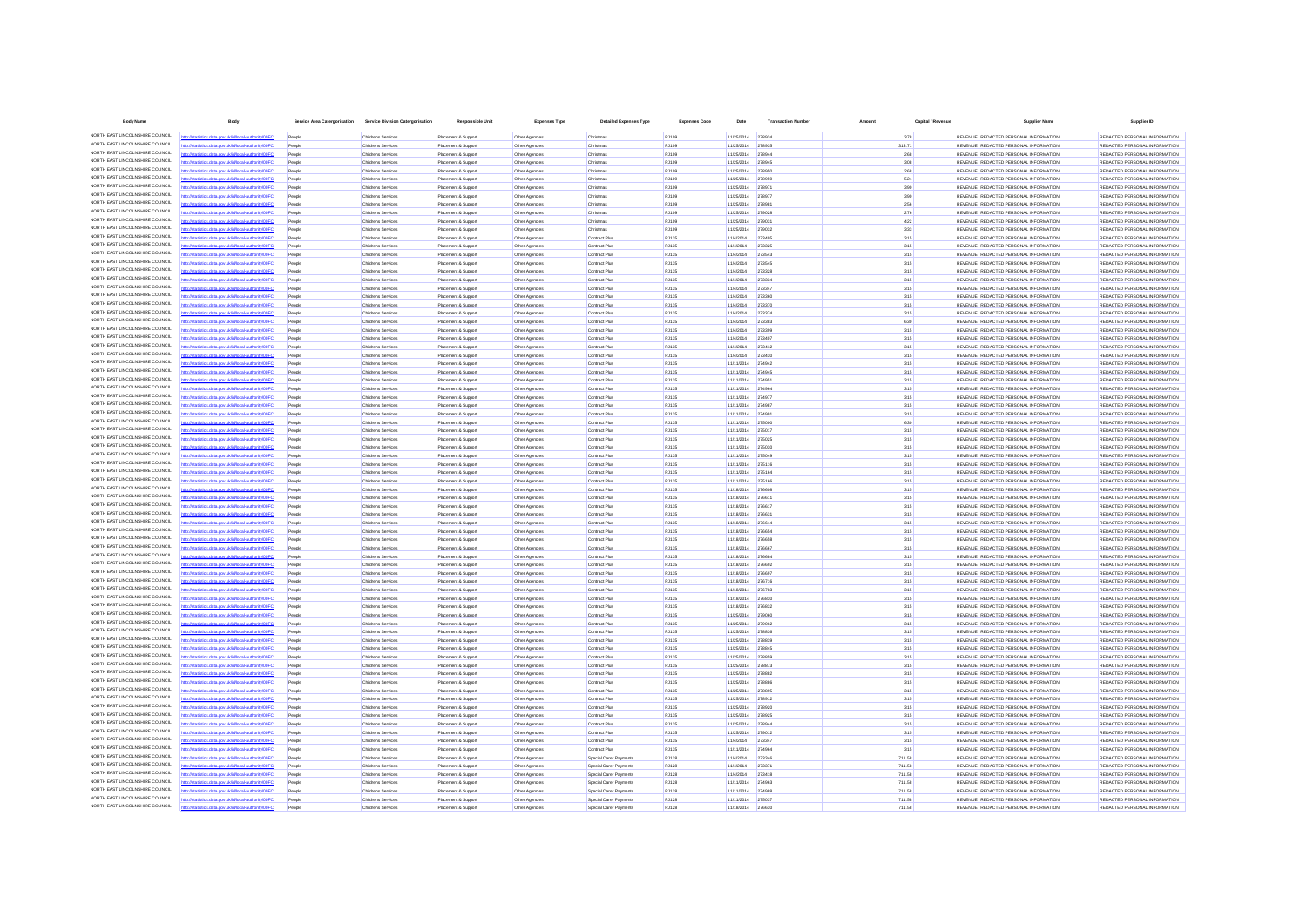| <b>Body Name</b>                                                   | Bod                                                                                               |                  | Service Area Catergorisation Service Division Catergorisation | <b>Responsible Unit</b>                    | <b>Expenses Type</b>             | <b>Detailed Expenses Type</b>                    | <b>Expenses Code</b>         | Date                                   | <b>Transaction Numbe</b> |                  | Capital / Revenue | <b>Supplier Name</b>                                                           | Supplier ID                                                    |
|--------------------------------------------------------------------|---------------------------------------------------------------------------------------------------|------------------|---------------------------------------------------------------|--------------------------------------------|----------------------------------|--------------------------------------------------|------------------------------|----------------------------------------|--------------------------|------------------|-------------------|--------------------------------------------------------------------------------|----------------------------------------------------------------|
| NORTH EAST LINCOLNSHIRE COUNCIL                                    | ttp://statistics.data.gov.uk/id/local-authority/00FC                                              | People           | Childrens Services                                            | Placement & Support                        | Other Agencies                   | Christmas                                        | PJ109                        | 11/25/2014 278934                      |                          | 378              |                   | REVENUE REDACTED PERSONAL INFORMATION                                          | REDACTED PERSONAL INFORMATION                                  |
| NORTH FAST LINCOLNSHIRE COUNCIL                                    |                                                                                                   | People           | Childrens Services                                            | Placement & Support                        | Other Agencies                   | Christmas                                        | PJ109                        | 11/25/2014 278935                      |                          | 313.71           |                   | REVENUE REDACTED PERSONAL INFORMATION                                          | REDACTED PERSONAL INFORMATION                                  |
| NORTH EAST LINCOLNSHIRE COUNCIL                                    | u ukłoślocał authority/ODEC                                                                       | People           | Childrens Services                                            | Placement & Suppor                         | Other Agencies                   | Christmas                                        | <b>PJ109</b>                 | 11/25/2014 278944                      |                          | 268              |                   | REVENUE REDACTED PERSONAL INFORMATION                                          | REDACTED PERSONAL INFORMATION                                  |
| NORTH EAST LINCOLNSHIRE COUNCIL<br>NORTH EAST LINCOLNSHIRE COUNCIL | fics.data.gov.uk/id/local-autho                                                                   | People<br>People | Childrens Services                                            | Placement & Support                        | Other Agencies                   | Christmas                                        | PJ109                        | 11/25/2014                             | 278945                   | 308              |                   | REVENUE REDACTED PERSONAL INFORMATION                                          | REDACTED PERSONAL INFORMATION                                  |
| NORTH EAST LINCOLNSHIRE COUNCIL                                    | stics.data.gov.uk/id/local-authority/00FC                                                         | People           | Childrens Services<br>Childrens Services                      | Placement & Support<br>Placement & Support | Other Agencies<br>Other Agencies | Christmas<br>Christmas                           | PJ109<br>PJ109               | 11/25/2014<br>11/25/2014               | 278950<br>278959         | 268<br>524       |                   | REVENUE REDACTED PERSONAL INFORMATION<br>REVENUE REDACTED PERSONAL INFORMATION | REDACTED PERSONAL INFORMATION<br>REDACTED PERSONAL INFORMATION |
| NORTH EAST LINCOLNSHIRE COUNCIL                                    |                                                                                                   | People           | Childrens Services                                            | Placement & Support                        | Other Agencies                   | Christmas                                        | PJ109                        | 11/25/2014 278971                      |                          | 390              |                   | REVENUE REDACTED PERSONAL INFORMATION                                          | REDACTED PERSONAL INFORMATION                                  |
| NORTH EAST LINCOLNSHIRE COUNCIL                                    | stics.data.gov.uk/id/local-authority/00FC                                                         | People           | Childrens Services                                            | Placement & Support                        | Other Agencies                   | Christmas                                        | PJ109                        | 11/25/2014 27897                       |                          | 390              |                   | REVENUE REDACTED PERSONAL INFORMATION                                          | REDACTED PERSONAL INFORMATION                                  |
| NORTH EAST LINCOLNSHIRE COUNCIL<br>NORTH EAST LINCOLNSHIRE COUNCIL | //statistics.data.gov.uk/id/local-authority/00FC                                                  | People           | Childrens Services                                            | Placement & Support                        | Other Agencies                   | Christmas                                        | PJ109                        | 11/25/2014 278981                      |                          | 256              |                   | REVENUE REDACTED PERSONAL INFORMATION                                          | REDACTED PERSONAL INFORMATION                                  |
| NORTH EAST LINCOLNSHIRE COUNCIL                                    | stics.data.gov.uk/id/local-authori                                                                | People<br>People | Childrens Services<br>Childrens Services                      | Placement & Support<br>Placement & Suppo   | Other Agencies<br>Other Agencie  | Christmas<br>Christmas                           | PJ109<br>PJ109               | 11/25/2014 279028<br>11/25/2014        | 279031                   | 276<br>422       |                   | REVENUE REDACTED PERSONAL INFORMATION<br>REVENUE REDACTED PERSONAL INFORMATION | REDACTED PERSONAL INFORMATION<br>REDACTED PERSONAL INFORMATION |
| NORTH EAST LINCOLNSHIRE COUNCIL                                    |                                                                                                   | People           | Childrens Services                                            | Placement & Support                        | Other Agencies                   | Christmas                                        | PJ109                        | 11/25/2014 279032                      |                          | 333              |                   | REVENUE REDACTED PERSONAL INFORMATION                                          | REDACTED PERSONAL INFORMATION                                  |
| NORTH EAST LINCOLNSHIRE COUNCIL                                    | ttp://statistics.data.gov.uk/id/local-authority/00FC                                              | People           | Childrens Services                                            | Placement & Support                        | Other Agencies                   | Contract Plus                                    | PJ135                        | 11/4/2014 273495                       |                          | 315              |                   | REVENUE REDACTED PERSONAL INFORMATION                                          | REDACTED PERSONAL INFORMATION                                  |
| NORTH EAST LINCOLNSHIRE COUNCIL                                    |                                                                                                   | Peopl            | Childrens Services                                            | Placement & Support                        | Other Agencies                   | Contract Plus                                    | PJ135                        | 11/4/2014                              | 273325                   | 315              |                   | REVENUE REDACTED PERSONAL INFORMATION                                          | REDACTED PERSONAL INFORMATION                                  |
| NORTH EAST LINCOLNSHIRE COUNCIL<br>NORTH EAST LINCOLNSHIRE COUNCIL |                                                                                                   | People           | Childrens Services                                            | Placement & Support                        | Other Agencies                   | Contract Plus                                    | PJ135                        | 11/4/2014                              | 273543                   | 315              |                   | REVENUE REDACTED PERSONAL INFORMATION                                          | REDACTED PERSONAL INFORMATION                                  |
| NORTH EAST LINCOLNSHIRE COUNCIL                                    | stics.data.gov.uk/id/local-authority/00FC                                                         | Peopl<br>People  | Childrens Services<br>Childrens Services                      | Placement & Suppor<br>Placement & Support  | Other Agencies<br>Other Agencies | Contract Plus<br>Contract Plus                   | PJ135<br>PJ135               | 11/4/2014<br>11/4/2014                 | 273545<br>273328         | 315<br>315       |                   | REVENUE REDACTED PERSONAL INFORMATION<br>REVENUE REDACTED PERSONAL INFORMATION | REDACTED PERSONAL INFORMATION<br>REDACTED PERSONAL INFORMATION |
| NORTH EAST LINCOLNSHIRE COUNCIL                                    | istics.data.gov.uk/id/local-authority/00FC                                                        | People           | Childrens Services                                            | Placement & Support                        | Other Agencies                   | Contract Plus                                    | PJ135                        | 11/4/2014                              | 273334                   | 315              |                   | REVENUE REDACTED PERSONAL INFORMATION                                          | REDACTED PERSONAL INFORMATION                                  |
| NORTH EAST LINCOLNSHIRE COUNCIL                                    |                                                                                                   | People           | Childrens Services                                            | Placement & Suppor                         | Other Agencies                   | Contract Plus                                    | PJ135                        | 11/4/2014                              | 273347                   | 315              |                   | REVENUE REDACTED PERSONAL INFORMATION                                          | REDACTED PERSONAL INFORMATION                                  |
| NORTH FAST LINCOLNSHIRE COUNCIL                                    |                                                                                                   | People           | Childrens Services                                            | Placement & Support                        | Other Agencies                   | Contract Plus                                    | PJ135                        | 11/4/2014                              | 273360                   | 315              |                   | REVENUE REDACTED PERSONAL INFORMATION                                          | REDACTED PERSONAL INFORMATION                                  |
| NORTH EAST LINCOLNSHIRE COUNCIL<br>NORTH EAST LINCOLNSHIRE COUNCIL |                                                                                                   | People           | Childrens Services                                            | Placement & Suppor                         | Other Agencies                   | Contract Plus                                    | PJ135                        | 11/4/2014                              | 273370                   | 315              |                   | REVENUE REDACTED PERSONAL INFORMATION                                          | REDACTED PERSONAL INFORMATION                                  |
| NORTH EAST LINCOLNSHIRE COUNCIL                                    | ttp://statistics.data.gov.uk/id/local-authority/00FC                                              | People<br>People | Childrens Services                                            | Placement & Sunnort                        | Other Agencies                   | Contract Plus                                    | PJ135<br>PJ135               | 11/4/2014<br>11/4/2014                 | 273374<br>273383         | 315              |                   | REVENUE REDACTED PERSONAL INFORMATION<br>REVENUE REDACTED PERSONAL INFORMATION | REDACTED PERSONAL INFORMATION<br>REDACTED PERSONAL INFORMATION |
| NORTH EAST LINCOLNSHIRE COUNCIL                                    |                                                                                                   | People           | Childrens Services<br>Childrens Services                      | Placement & Support<br>Placement & Support | Other Agencies<br>Other Agencies | Contract Plus<br>Contract Plus                   | PJ135                        | 11/4/2014                              | 273399                   | 630<br>315       |                   | REVENUE REDACTED PERSONAL INFORMATION                                          | REDACTED PERSONAL INFORMATION                                  |
| NORTH EAST LINCOLNSHIRE COUNCIL                                    | istics.data.gov.uk/id/local-authority/00FC                                                        | People           | Childrens Services                                            | Placement & Support                        | Other Agencies                   | Contract Plus                                    | PJ135                        | 11/4/2014                              | 273407                   | 315              |                   | REVENUE REDACTED PERSONAL INFORMATION                                          | REDACTED PERSONAL INFORMATION                                  |
| NORTH EAST LINCOLNSHIRE COUNCIL                                    |                                                                                                   | People           | Childrens Services                                            | Placement & Suppor                         | Other Agencies                   | Contract Plus                                    | PJ135                        | 11/4/2014                              | 273412                   | 315              |                   | REVENUE REDACTED PERSONAL INFORMATION                                          | REDACTED PERSONAL INFORMATION                                  |
| NORTH EAST LINCOLNSHIRE COUNCIL                                    |                                                                                                   | People           | Childrens Services                                            | Placement & Support                        | Other Agencies                   | Contract Plus                                    | PJ135                        | 11/4/2014                              | 273430                   | 315              |                   | REVENUE REDACTED PERSONAL INFORMATION                                          | REDACTED PERSONAL INFORMATION                                  |
| NORTH EAST LINCOLNSHIRE COUNCIL                                    | istics.data.gov.uk/id/local-authority/00FC                                                        | People           | Childrens Services                                            | Placement & Support                        | Other Agencies                   | Contract Plus                                    | PJ135                        | 11/11/2014 274942                      |                          | 315              |                   | REVENUE REDACTED PERSONAL INFORMATION                                          | REDACTED PERSONAL INFORMATION                                  |
| NORTH EAST LINCOLNSHIRE COUNCIL<br>NORTH EAST LINCOLNSHIRE COUNCIL | statistics.data.gov.uk/id/local-authority/00FC<br>stics.data.gov.uk/id/local-authority/00FC       | People<br>People | Childrens Services<br>Childrens Services                      | Placement & Support<br>Placement & Support | Other Agencies                   | Contract Plus<br>Contract Plus                   | PJ135<br>PJ135               | 11/11/2014 274945<br>11/11/2014 274951 |                          | 315              |                   | REVENUE REDACTED PERSONAL INFORMATION<br>REVENUE REDACTED PERSONAL INFORMATION | REDACTED PERSONAL INFORMATION<br>REDACTED PERSONAL INFORMATION |
| NORTH EAST LINCOLNSHIRE COUNCIL                                    |                                                                                                   | People           | Childrens Services                                            | Placement & Support                        | Other Agencies<br>Other Agencies | Contract Plus                                    | PJ135                        | 11/11/2014 274964                      |                          | 315<br>315       |                   | REVENUE REDACTED PERSONAL INFORMATION                                          | REDACTED PERSONAL INFORMATION                                  |
| NORTH EAST LINCOLNSHIRE COUNCIL                                    |                                                                                                   | Peopl            | Childrens Services                                            | Placement & Suppo                          | Other Agencie                    | Contract Plu                                     | PJ135                        | 11/11/2014 274977                      |                          | 315              |                   | REVENUE REDACTED PERSONAL INFORMATION                                          | REDACTED PERSONAL INFORMATION                                  |
| NORTH EAST LINCOLNSHIRE COUNCIL                                    | istics.data.gov.uk/id/local-authority/00FC                                                        | People           | Childrens Services                                            | Placement & Support                        | Other Agencies                   | Contract Plus                                    | PJ135                        | 11/11/2014 274987                      |                          | 315              |                   | REVENUE REDACTED PERSONAL INFORMATION                                          | REDACTED PERSONAL INFORMATION                                  |
| NORTH EAST LINCOLNSHIRE COUNCIL                                    |                                                                                                   | People           | Childrens Services                                            | Placement & Support                        | Other Agencies                   | Contract Plus                                    | PJ135                        | 11/11/2014 274991                      |                          | 315              |                   | REVENUE REDACTED PERSONAL INFORMATION                                          | REDACTED PERSONAL INFORMATION                                  |
| NORTH EAST LINCOLNSHIRE COUNCIL<br>NORTH EAST LINCOLNSHIRE COUNCIL | distics.data.gov.uk/id/local-authority/00FC                                                       | People           | Childrens Services                                            | Placement & Support                        | Other Agencies                   | Contract Plus                                    | PJ135                        | 11/11/2014 275000                      |                          | 630              |                   | REVENUE REDACTED PERSONAL INFORMATION                                          | REDACTED PERSONAL INFORMATION                                  |
| NORTH EAST LINCOLNSHIRE COUNCIL                                    |                                                                                                   | People<br>Peopl  | Childrens Services<br>Childrens Services                      | Placement & Support<br>Placement & Suppo   | Other Agencies<br>Other Agencies | Contract Plus<br>Contract Plus                   | PJ135<br>PJ135               | 11/11/2014<br>11/11/2014               | 275017                   | 315<br>315       |                   | REVENUE REDACTED PERSONAL INFORMATION<br>REVENUE REDACTED PERSONAL INFORMATION | REDACTED PERSONAL INFORMATION<br>REDACTED PERSONAL INFORMATION |
| NORTH EAST LINCOLNSHIRE COUNCIL                                    | istics.data.gov.uk/id/local-authority/00FC                                                        | People           | Childrens Services                                            | Placement & Support                        | Other Agencies                   | Contract Plus                                    | PJ135                        | 11/11/2014 275030                      |                          | 315              |                   | REVENUE REDACTED PERSONAL INFORMATION                                          | REDACTED PERSONAL INFORMATION                                  |
| NORTH EAST LINCOLNSHIRE COUNCIL                                    |                                                                                                   | People           | Childrens Services                                            | Placement & Support                        | Other Agencies                   | Contract Plus                                    | PJ135                        | 11/11/2014 275049                      |                          | 315              |                   | REVENUE REDACTED PERSONAL INFORMATION                                          | REDACTED PERSONAL INFORMATION                                  |
| NORTH EAST LINCOLNSHIRE COUNCIL                                    | distics.data.gov.uk/id/local-authority/00FC                                                       | People           | Childrens Services                                            | Placement & Support                        | Other Agencies                   | Contract Plus                                    | PJ135                        | 11/11/2014 275116                      |                          | 315              |                   | REVENUE REDACTED PERSONAL INFORMATION                                          | REDACTED PERSONAL INFORMATION                                  |
| NORTH EAST LINCOLNSHIRE COUNCIL<br>NORTH EAST LINCOLNSHIRE COUNCIL |                                                                                                   | People           | Childrens Services                                            | Placement & Support                        | Other Agencies                   | Contract Plus                                    | PJ135                        | 11/11/2014 275164                      |                          | 315              |                   | REVENUE REDACTED PERSONAL INFORMATION                                          | REDACTED PERSONAL INFORMATION                                  |
| NORTH EAST LINCOLNSHIRE COUNCIL                                    | stics.data.gov.uk/id/local-authority/00FC<br>ttp://statistics.data.gov.uk/id/local-authority/00FC | People<br>People | Childrens Services<br>Childrens Services                      | Placement & Suppor<br>Placement & Support  | Other Agencies<br>Other Agencies | Contract Plus<br>Contract Plus                   | PJ135<br>PJ135               | 11/11/2014<br>11/18/2014 276608        | 275166                   | 315<br>315       |                   | REVENUE REDACTED PERSONAL INFORMATION<br>REVENUE REDACTED PERSONAL INFORMATION | REDACTED PERSONAL INFORMATION<br>REDACTED PERSONAL INFORMATION |
| NORTH EAST LINCOLNSHIRE COUNCIL                                    |                                                                                                   | People           | Childrens Services                                            | Placement & Support                        | Other Agencies                   | Contract Plus                                    | PJ135                        | 11/18/2014 27661                       |                          | 315              |                   | REVENUE REDACTED PERSONAL INFORMATION                                          | REDACTED PERSONAL INFORMATION                                  |
| NORTH EAST LINCOLNSHIRE COUNCIL                                    | tatistics.data.gov.uk/id/local-authority/00FC                                                     | People           | Childrens Services                                            | Placement & Support                        | Other Agencies                   | Contract Plus                                    | PJ135                        | 11/18/2014 276617                      |                          | 315              |                   | REVENUE REDACTED PERSONAL INFORMATION                                          | REDACTED PERSONAL INFORMATION                                  |
| NORTH EAST LINCOLNSHIRE COUNCIL                                    | ics data gov uklidiocal authority/00EC                                                            | People           | Childrens Services                                            | Placement & Support                        | Other Agencies                   | Contract Plus                                    | PJ135                        | 11/18/2014                             | 276631                   | 315              |                   | REVENUE REDACTED PERSONAL INFORMATION                                          | REDACTED PERSONAL INFORMATION                                  |
| NORTH EAST LINCOLNSHIRE COUNCIL                                    | tics.data.gov.uk/id/local-authority/00FC                                                          | People           | Childrens Services                                            | Placement & Support                        | Other Agencies                   | Contract Plus                                    | PJ135                        | 11/18/2014                             |                          | 315              |                   | REVENUE REDACTED PERSONAL INFORMATION                                          | REDACTED PERSONAL INFORMATION                                  |
| NORTH EAST LINCOLNSHIRE COUNCIL<br>NORTH EAST LINCOLNSHIRE COUNCIL | stics.data.gov.uk/id/local-authority/00FC                                                         | People           | Childrens Services                                            | Placement & Support                        | Other Agencies                   | Contract Plus                                    | PJ135                        | 11/18/2014 276654                      |                          | 315              |                   | REVENUE REDACTED PERSONAL INFORMATION                                          | REDACTED PERSONAL INFORMATION<br>REDACTED PERSONAL INFORMATION |
| NORTH EAST LINCOLNSHIRE COUNCIL                                    | atistics.data.gov.uk/id/local-authority/00FC                                                      | People<br>Peopl  | Childrens Services<br>Childrens Services                      | Placement & Support<br>Placement & Support | Other Agencies<br>Other Agencies | Contract Plus<br>Contract Plus                   | PJ135<br>PJ135               | 11/18/2014 276658<br>11/18/2014 276667 |                          | 315<br>315       |                   | REVENUE REDACTED PERSONAL INFORMATION<br>REVENUE REDACTED PERSONAL INFORMATION | REDACTED PERSONAL INFORMATION                                  |
| NORTH EAST LINCOLNSHIRE COUNCIL                                    | tics data ony uklidiocal authority/ODEC                                                           | People           | Childrens Services                                            | Placement & Support                        | Other Agencies                   | Contract Plus                                    | PJ135                        | 11/18/2014 276684                      |                          | 315              |                   | REVENUE REDACTED PERSONAL INFORMATION                                          | REDACTED PERSONAL INFORMATION                                  |
| NORTH EAST LINCOLNSHIRE COUNCIL                                    | stics.data.gov.uk/id/local-authority/00FC                                                         | People           | Childrens Services                                            | Placement & Suppor                         | Other Agencies                   | Contract Plus                                    | PJ135                        | 11/18/2014 276692                      |                          | 315              |                   | REVENUE REDACTED PERSONAL INFORMATION                                          | REDACTED PERSONAL INFORMATION                                  |
| NORTH EAST LINCOLNSHIRE COUNCIL                                    |                                                                                                   | Peopl            | Childrens Services                                            | Placement & Suppo                          | Other Agencie                    | Contract Plus                                    | PJ135                        | 11/18/2014                             | 276697                   | 315              |                   | REVENUE REDACTED PERSONAL INFORMATION                                          | REDACTED PERSONAL INFORMATION                                  |
| NORTH EAST LINCOLNSHIRE COUNCIL<br>NORTH EAST LINCOLNSHIRE COUNCIL | tics.data.gov.uk/id/local-authority/00FC                                                          | People           | Childrens Services                                            | Placement & Support                        | Other Agencies                   | Contract Plus                                    | PJ135                        | 11/18/2014 276716                      |                          | 315              |                   | REVENUE REDACTED PERSONAL INFORMATION                                          | REDACTED PERSONAL INFORMATION                                  |
| NORTH EAST LINCOLNSHIRE COUNCIL                                    | distics.data.gov.uk/id/local-authority/00FC                                                       | Peopl<br>People  | Childrens Services<br>Childrens Services                      | Placement & Support<br>Placement & Support | Other Agencies<br>Other Agencies | Contract Plus<br>Contract Plus                   | PJ135<br>PJ135               | 11/18/2014 276783<br>11/18/2014        | 276830                   | 315<br>315       |                   | REVENUE REDACTED PERSONAL INFORMATION<br>REVENUE REDACTED PERSONAL INFORMATION | REDACTED PERSONAL INFORMATION<br>REDACTED PERSONAL INFORMATION |
| NORTH EAST LINCOLNSHIRE COUNCIL                                    | stics.data.gov.uk/id/local-authority/00FC                                                         | People           | Childrens Services                                            | Placement & Support                        | Other Agencies                   | Contract Plus                                    | PJ135                        | 11/18/2014                             | 276832                   | 315              |                   | REVENUE REDACTED PERSONAL INFORMATION                                          | REDACTED PERSONAL INFORMATION                                  |
| NORTH EAST LINCOLNSHIRE COUNCIL                                    |                                                                                                   | Peopl            | Childrens Services                                            | Placement & Suppo                          | Other Agencie                    | Contract Plus                                    | PJ135                        | 11/25/2014                             |                          | 315              |                   | REVENUE REDACTED PERSONAL INFORMATION                                          | REDACTED PERSONAL INFORMATION                                  |
| NORTH EAST LINCOLNSHIRE COUNCIL                                    | cs.data.gov.uk/id/local-autho                                                                     | People           | Childrens Services                                            | Placement & Support                        | Other Agencies                   | Contract Plus                                    | PJ135                        | 11/25/2014 279062                      |                          | 315              |                   | REVENUE REDACTED PERSONAL INFORMATION                                          | REDACTED PERSONAL INFORMATION                                  |
| NORTH EAST LINCOLNSHIRE COUNCIL<br>NORTH EAST LINCOLNSHIRE COUNCIL | atistics.data.gov.uk/id/local-authority/00FC                                                      | People           | Childrens Services                                            | Placement & Support                        | Other Agencies                   | Contract Plus                                    | PJ135                        | 11/25/2014 278836                      |                          | 315              |                   | REVENUE REDACTED PERSONAL INFORMATION                                          | REDACTED PERSONAL INFORMATION                                  |
| NORTH EAST LINCOLNSHIRE COUNCIL                                    | tics.data.gov.uk/id/local-authority/00FC                                                          | People<br>People | Childrens Services<br>Childrens Services                      | Placement & Support<br>Placement & Support | Other Agencies<br>Other Agencies | Contract Plus<br>Contract Plus                   | PJ135<br>PJ135               | 11/25/2014 278839<br>11/25/2014        | 278845                   | 315<br>315       |                   | REVENUE REDACTED PERSONAL INFORMATION<br>REVENUE REDACTED PERSONAL INFORMATION | REDACTED PERSONAL INFORMATION<br>REDACTED PERSONAL INFORMATION |
| NORTH EAST LINCOLNSHIRE COUNCIL                                    |                                                                                                   | People           | Childrens Services                                            | Placement & Suppor                         | Other Agencies                   | Contract Plus                                    | PJ135                        | 11/25/2014                             |                          | 315              |                   | REVENUE REDACTED PERSONAL INFORMATION                                          | REDACTED PERSONAL INFORMATION                                  |
| NORTH EAST LINCOLNSHIRE COUNCIL                                    | //statistics.data.gov.uk/id/local-authority/00FC                                                  | People           | Childrens Services                                            | Placement & Support                        | Other Agencies                   | Contract Plus                                    | PJ135                        | 11/25/2014 278873                      |                          | 315              |                   | REVENUE REDACTED PERSONAL INFORMATION                                          | REDACTED PERSONAL INFORMATION                                  |
| NORTH EAST LINCOLNSHIRE COUNCIL                                    | statistics.data.gov.uk/id/local-authority/00FC                                                    | Peopl            | Childrens Services                                            | Placement & Support                        | Other Agencies                   | Contract Plus                                    | PJ135                        | 11/25/2014 278882                      |                          | 315              |                   | REVENUE REDACTED PERSONAL INFORMATION                                          | REDACTED PERSONAL INFORMATION                                  |
| NORTH EAST LINCOLNSHIRE COUNCIL<br>NORTH EAST LINCOLNSHIRE COUNCIL | ics data ony ukłokocał authority/00FC                                                             | Peopl            | Childrens Services                                            | Placement & Support                        | Other Agencies                   | Contract Plus                                    | PJ135                        | 11/25/2014                             | 278886                   | 315              |                   | REVENUE REDACTED PERSONAL INFORMATION                                          | REDACTED PERSONAL INFORMATION                                  |
| NORTH EAST LINCOLNSHIRE COUNCIL                                    | fics.data.gov.uk/id/local-authority/00FC                                                          | People           | Childrens Services                                            | Placement & Support                        | Other Agencies                   | Contract Plus                                    | PJ135                        | 11/25/2014                             | 278895                   | 315              |                   | REVENUE REDACTED PERSONAL INFORMATION                                          | REDACTED PERSONAL INFORMATION                                  |
| NORTH EAST LINCOLNSHIRE COUNCIL                                    | stics.data.gov.uk/id/local-authority/00FC                                                         | People<br>People | Childrens Services<br>Childrens Services                      | Placement & Support<br>Placement & Support | Other Agencies<br>Other Agencies | Contract Plus<br>Contract Plus                   | PJ135<br>PJ135               | 11/25/2014<br>11/25/2014 278920        | 278912                   | 315<br>315       |                   | REVENUE REDACTED PERSONAL INFORMATION<br>REVENUE REDACTED PERSONAL INFORMATION | REDACTED PERSONAL INFORMATION<br>REDACTED PERSONAL INFORMATION |
| NORTH EAST LINCOLNSHIRE COUNCIL                                    |                                                                                                   | People           | Childrens Services                                            | Placement & Support                        | Other Agencies                   | Contract Plus                                    | PJ135                        | 11/25/2014 278925                      |                          | 315              |                   | REVENUE REDACTED PERSONAL INFORMATION                                          | REDACTED PERSONAL INFORMATION                                  |
| NORTH EAST LINCOLNSHIRE COUNCIL                                    | ins data nov ukřdíhoal-authoritvi00EC                                                             | People           | Childrens Services                                            | Placement & Support                        | Other Agencies                   | Contract Plus                                    | PJ135                        | 11/25/2014 278944                      |                          | 315              |                   | REVENUE REDACTED PERSONAL INFORMATION                                          | REDACTED PERSONAL INFORMATION                                  |
| NORTH EAST LINCOLNSHIRE COUNCIL                                    | stics.data.gov.uk/id/local-authority/00FC                                                         | People           | Childrens Services                                            | Placement & Support                        | Other Agencies                   | Contract Plus                                    | PJ135                        | 11/25/2014 279012                      |                          | 315              |                   | REVENUE REDACTED PERSONAL INFORMATION                                          | REDACTED PERSONAL INFORMATION                                  |
| NORTH EAST LINCOLNSHIRE COUNCIL<br>NORTH EAST LINCOLNSHIRE COUNCIL |                                                                                                   | People           | Childrens Services                                            | Placement & Support                        | Other Agencies                   | Contract Plus                                    | PJ135                        | 11/4/2014                              | 27334                    | 315              |                   | REVENUE REDACTED PERSONAL INFORMATION                                          | REDACTED PERSONAL INFORMATION                                  |
| NORTH EAST LINCOLNSHIRE COUNCIL                                    | stics.data.gov.uk/id/local-authority/00FC                                                         | People           | Childrens Services                                            | Placement & Support                        | Other Agencies                   | Contract Plus                                    | PJ135                        | 11/11/2014 274964                      |                          | 315              |                   | REVENUE REDACTED PERSONAL INFORMATION                                          | REDACTED PERSONAL INFORMATION<br>REDACTED PERSONAL INFORMATION |
| NORTH EAST LINCOLNSHIRE COUNCIL                                    | s.data.gov.uk/id/local-authority/00FC<br>stins data ony uklidingal authority/ORC                  | People<br>Peopl  | Childrens Services<br>Childrens Services                      | Placement & Support<br>Placement & Support | Other Agencies<br>Other Agencies | Special Carer Payments<br>Special Carer Payments | <b>PJ128</b><br><b>PJ128</b> | 11/4/2014 273346<br>11/4/2014          | 273371                   | 711.58<br>711.58 |                   | REVENUE REDACTED PERSONAL INFORMATION<br>REVENUE REDACTED PERSONAL INFORMATION | REDACTED PERSONAL INFORMATION                                  |
| NORTH EAST LINCOLNSHIRE COUNCIL                                    | stics.data.gov.uk/id/local-authority/00FC                                                         | People           | Childrens Services                                            | Placement & Support                        | Other Agencies                   | Special Carer Payments                           | <b>PJ128</b>                 | 11/4/2014                              | 273418                   | 711.58           |                   | REVENUE REDACTED PERSONAL INFORMATION                                          | REDACTED PERSONAL INFORMATION                                  |
| NORTH EAST LINCOLNSHIRE COUNCIL                                    |                                                                                                   | People           | Childrens Services                                            | Placement & Suppor                         | Other Agencies                   | Special Carer Payments                           | PJ128                        | 11/11/2014                             | 274963                   | 711.58           |                   | REVENUE REDACTED PERSONAL INFORMATION                                          | REDACTED PERSONAL INFORMATION                                  |
| NORTH EAST LINCOLNSHIRE COUNCIL<br>NORTH EAST LINCOLNSHIRE COUNCIL | istics.data.gov.uk/id/local-authority/00FC                                                        | People           | Childrens Services                                            | Placement & Support                        | Other Agencies                   | Special Carer Payments                           | <b>PJ128</b>                 | 11/11/2014 274988                      |                          | 711.58           |                   | REVENUE REDACTED PERSONAL INFORMATION                                          | REDACTED PERSONAL INFORMATION                                  |
| NORTH EAST LINCOLNSHIRE COUNCIL                                    | ics.data.gov.uk/id/local-authority/00FC                                                           | People           | Childrens Services<br>Childrens Services                      | Placement & Support<br>Placement & Suppor  | Other Agencies<br>Other Agencies | Special Carer Payments<br>Special Carer Payment  | <b>PJ128</b><br>PJ128        | 11/11/2014 275037<br>11/18/2014        |                          | 711.58<br>711.58 |                   | REVENUE REDACTED PERSONAL INFORMATION<br>REVENUE REDACTED PERSONAL INFORMATION | REDACTED PERSONAL INFORMATION<br>REDACTED PERSONAL INFORMATION |
|                                                                    |                                                                                                   |                  |                                                               |                                            |                                  |                                                  |                              |                                        |                          |                  |                   |                                                                                |                                                                |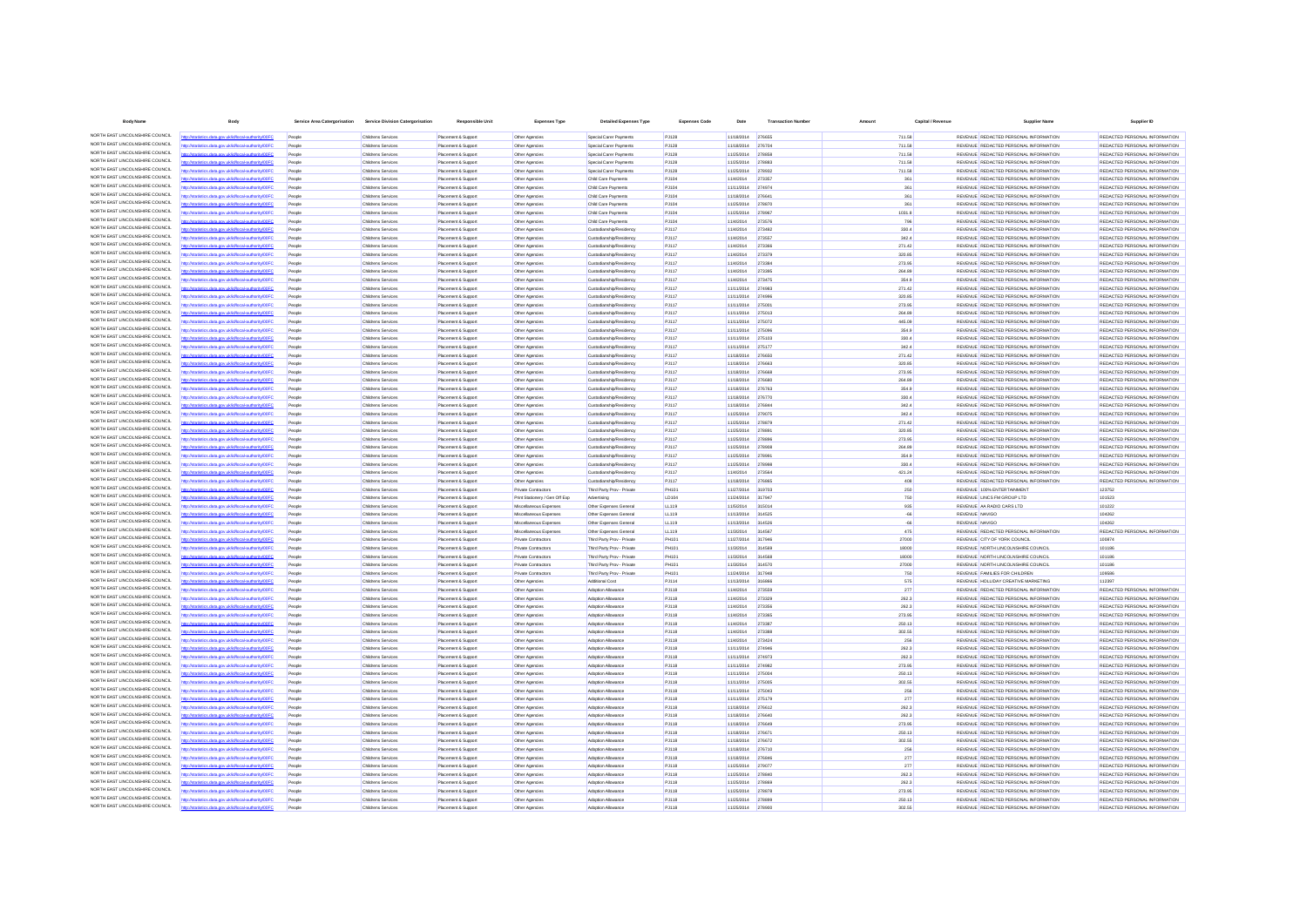| <b>Body Name</b>                                                   |                                                                                        |                  | Service Area Catergorisation Service Division Catergorisation | <b>Responsible Unit</b>                    | <b>Expenses Type</b>                            | <b>Detailed Expenses Type</b>                      | <b>Expenses Code</b>         | Date                                   | <b>Transaction Numbe</b> |                  | Capital / Revenue | <b>Supplier Name</b>                                                           | Supplier ID                                                    |
|--------------------------------------------------------------------|----------------------------------------------------------------------------------------|------------------|---------------------------------------------------------------|--------------------------------------------|-------------------------------------------------|----------------------------------------------------|------------------------------|----------------------------------------|--------------------------|------------------|-------------------|--------------------------------------------------------------------------------|----------------------------------------------------------------|
| NORTH EAST LINCOLNSHIRE COUNCIL                                    | http://statistics.data.gov.uk/id/local-authority/00FC                                  | People           | Childrens Services                                            | Placement & Sunnort                        | Other Agencies                                  | Special Carer Payments                             | <b>PJ128</b>                 | 11/18/2014 276655                      |                          | 711.58           |                   | REVENUE REDACTED PERSONAL INFORMATION                                          | REDACTED PERSONAL INFORMATION                                  |
| NORTH FAST LINCOLNSHIRE COUNCIL                                    | data.gov.uk/id/local-authorit                                                          | People           | Childrens Services                                            | Placement & Support                        | Other Agencies                                  | Special Carer Payments                             | PJ128                        | 11/18/2014 276704                      |                          | 711.58           |                   | REVENUE REDACTED PERSONAL INFORMATION                                          | REDACTED PERSONAL INFORMATION                                  |
| NORTH EAST LINCOLNSHIRE COUNCIL                                    | tics data nov uklidiocal authority/00EC                                                | Peopl            | Childrens Services                                            | Placement & Support                        | Other Agencies                                  | Special Carer Payments                             | <b>PJ128</b>                 | 11/25/2014 278858                      |                          | 711.58           |                   | REVENUE REDACTED PERSONAL INFORMATION                                          | REDACTED PERSONAL INFORMATION                                  |
| NORTH EAST LINCOLNSHIRE COUNCIL                                    | fics.data.gov.uk/id/local-authority/00FC                                               | People           | Childrens Services                                            | Placement & Support                        | Other Agencies                                  | Special Carer Payments                             | <b>PJ128</b>                 | 11/25/2014                             | 278883                   | 711.58           |                   | REVENUE REDACTED PERSONAL INFORMATION                                          | REDACTED PERSONAL INFORMATION                                  |
| NORTH EAST LINCOLNSHIRE COUNCIL<br>NORTH EAST LINCOLNSHIRE COUNCIL |                                                                                        | People           | Childrens Services                                            | Placement & Support                        | Other Agencies                                  | Special Carer Payments                             | PJ128                        | 11/25/2014                             | 278932                   | 711.58           |                   | REVENUE REDACTED PERSONAL INFORMATION                                          | REDACTED PERSONAL INFORMATION                                  |
| NORTH EAST LINCOLNSHIRE COUNCIL                                    | stics.data.gov.uk/id/local-authority/00FC                                              | People<br>People | Childrens Services<br>Childrens Services                      | Placement & Support<br>Placement & Support | Other Agencies<br>Other Agencies                | Child Care Payment<br>Child Care Payments          | PJ104<br>PJ104               | 11/4/2014<br>11/11/2014 274974         | 273357                   | 361<br>361       |                   | REVENUE REDACTED PERSONAL INFORMATION<br>REVENUE REDACTED PERSONAL INFORMATION | REDACTED PERSONAL INFORMATION<br>REDACTED PERSONAL INFORMATION |
| NORTH EAST LINCOLNSHIRE COUNCIL                                    | stics.data.gov.uk/id/local-authority/00FC                                              | Peopl            | Childrens Services                                            | Placement & Support                        | Other Agencies                                  | Child Care Payments                                | PJ104                        | 11/18/2014 27664                       |                          | 361              |                   | REVENUE REDACTED PERSONAL INFORMATION                                          | REDACTED PERSONAL INFORMATION                                  |
| NORTH EAST LINCOLNSHIRE COUNCIL                                    | tatistics.data.gov.uk/id/local-authority/00FC                                          | People           | Childrens Services                                            | Placement & Support                        | Other Agencies                                  | Child Care Payment                                 | PJ104                        | 11/25/2014 278870                      |                          | 361              |                   | REVENUE REDACTED PERSONAL INFORMATION                                          | REDACTED PERSONAL INFORMATION                                  |
| NORTH EAST LINCOLNSHIRE COUNCIL                                    |                                                                                        | People           | Childrens Services                                            | Placement & Support                        | Other Agencies                                  | Child Care Payments                                | PJ104                        | 11/25/2014                             | 278967                   | 1031.8           |                   | REVENUE REDACTED PERSONAL INFORMATION                                          | REDACTED PERSONAL INFORMATION                                  |
| NORTH EAST LINCOLNSHIRE COUNCIL                                    | stics.data.gov.uk/id/local-authori                                                     | People           | Childrens Services                                            | Placement & Suppo                          | Other Agencie                                   | Child Care Payment                                 | PJ104                        | 11/4/2014                              | 273576                   | 796              |                   | REVENUE REDACTED PERSONAL INFORMATION                                          | REDACTED PERSONAL INFORMATION                                  |
| NORTH EAST LINCOLNSHIRE COUNCIL                                    |                                                                                        | People           | Childrens Services                                            | Placement & Support                        | Other Agencies                                  | Custodianship/Residency                            | PJ117                        | 11/4/2014                              | 273482                   | 330.4            |                   | REVENUE REDACTED PERSONAL INFORMATION                                          | REDACTED PERSONAL INFORMATION                                  |
| NORTH EAST LINCOLNSHIRE COUNCIL<br>NORTH EAST LINCOLNSHIRE COUNCIL | stics.data.gov.uk/id/local-authority/00FC                                              | People           | Childrens Services                                            | Placement & Support                        | Other Agencies                                  | Custodianship/Residency                            | PJ117                        | 11/4/2014                              | 273557                   | 342.4            |                   | REVENUE REDACTED PERSONAL INFORMATION                                          | REDACTED PERSONAL INFORMATION                                  |
| NORTH EAST LINCOLNSHIRE COUNCIL                                    |                                                                                        | Peopl            | Childrens Services                                            | Placement & Support                        | Other Agencies                                  | Custodianship/Residency                            | PJ117                        | 11/4/2014                              | 273366                   | 271.42           |                   | REVENUE REDACTED PERSONAL INFORMATION                                          | REDACTED PERSONAL INFORMATION                                  |
| NORTH EAST LINCOLNSHIRE COUNCIL                                    | stics.data.gov.uk/id/local-authority/00FC                                              | People<br>Peopl  | Childrens Services<br>Childrens Services                      | Placement & Support<br>Placement & Support | Other Agencies<br>Other Agencies                | Custodianship/Residency<br>Custodianship/Residency | PJ117<br>PJ117               | 11/4/2014<br>11/4/2014                 | 273379<br>273384         | 320.85<br>273.95 |                   | REVENUE REDACTED PERSONAL INFORMATION<br>REVENUE REDACTED PERSONAL INFORMATION | REDACTED PERSONAL INFORMATION<br>REDACTED PERSONAL INFORMATION |
| NORTH EAST LINCOLNSHIRE COUNCIL                                    |                                                                                        | People           | Childrens Services                                            | Placement & Support                        | Other Agencies                                  | Custodianship/Residency                            | PJ117                        | 11/4/2014                              | 273395                   | 264.89           |                   | REVENUE REDACTED PERSONAL INFORMATION                                          | REDACTED PERSONAL INFORMATION                                  |
| NORTH EAST LINCOLNSHIRE COUNCIL                                    | stics.data.gov.uk/id/local-authority/00FC                                              | People           | Childrens Services                                            | Placement & Support                        | Other Agencies                                  | Custodianship/Residency                            | PJ117                        | 11/4/2014                              | 273475                   | 354.9            |                   | REVENUE REDACTED PERSONAL INFORMATION                                          | REDACTED PERSONAL INFORMATION                                  |
| NORTH EAST LINCOLNSHIRE COUNCIL                                    |                                                                                        | People           | Childrens Services                                            | Placement & Support                        | Other Agencies                                  | Custodianship/Residency                            | PJ117                        | 11/11/2014 274983                      |                          | 271.42           |                   | REVENUE REDACTED PERSONAL INFORMATION                                          | REDACTED PERSONAL INFORMATION                                  |
| NORTH FAST LINCOLNSHIRE COUNCIL                                    |                                                                                        | People           | Childrens Services                                            | Placement & Support                        | Other Agencies                                  | Custodianship/Residency                            | <b>PJ117</b>                 | 11/11/2014 274996                      |                          | 320.85           |                   | REVENUE REDACTED PERSONAL INFORMATION                                          | REDACTED PERSONAL INFORMATION                                  |
| NORTH EAST LINCOLNSHIRE COUNCIL                                    |                                                                                        | Peopl            | Childrens Services                                            | Placement & Suppor                         | Other Agencies                                  | Custodianship/Residency                            | PJ117                        | 11/11/2014                             |                          | 273.95           |                   | REVENUE REDACTED PERSONAL INFORMATION                                          | REDACTED PERSONAL INFORMATION                                  |
| NORTH EAST LINCOLNSHIRE COUNCIL<br>NORTH EAST LINCOLNSHIRE COUNCIL | on data associable throat authority in CO                                              | People           | Childrens Services                                            | Placement & Sunnort                        | Other Agencies                                  | Custodianship/Residency                            | <b>PJ117</b>                 | 11/11/2014 275013                      |                          | 264.89           |                   | REVENUE REDACTED PERSONAL INFORMATION                                          | REDACTED PERSONAL INFORMATION                                  |
| NORTH EAST LINCOLNSHIRE COUNCIL                                    | stics.data.gov.uk/id/local-authority/00FC                                              | People<br>People | Childrens Services<br>Childrens Services                      | Placement & Support<br>Placement & Support | Other Agencies<br>Other Agencies                | Custodianship/Residency<br>Custodianship/Residency | PJ117<br>PJ117               | 11/11/2014 275072<br>11/11/2014 275096 |                          | 445.09<br>354.9  |                   | REVENUE REDACTED PERSONAL INFORMATION<br>REVENUE REDACTED PERSONAL INFORMATION | REDACTED PERSONAL INFORMATION<br>REDACTED PERSONAL INFORMATION |
| NORTH EAST LINCOLNSHIRE COUNCIL                                    | stics.data.gov.uk/id/local-authority/00FC                                              | People           | Childrens Services                                            | Placement & Support                        | Other Agencies                                  | Custodianship/Residency                            | PJ117                        | 11/11/2014                             | 275103                   | 330.4            |                   | REVENUE REDACTED PERSONAL INFORMATION                                          | REDACTED PERSONAL INFORMATION                                  |
| NORTH EAST LINCOLNSHIRE COUNCIL                                    | cs.data.gov.uk/id/local-autho                                                          | Peopl            | Childrens Services                                            | Placement & Suppor                         | Other Agencies                                  | Custodianship/Residency                            | PJ117                        | 11/11/2014                             |                          | 342.4            |                   | REVENUE REDACTED PERSONAL INFORMATION                                          | REDACTED PERSONAL INFORMATION                                  |
| NORTH EAST LINCOLNSHIRE COUNCIL                                    |                                                                                        | People           | Childrens Services                                            | Placement & Support                        | Other Agencies                                  | Custodianship/Residency                            | PJ117                        | 11/18/2014                             | 276650                   | 271.42           |                   | REVENUE REDACTED PERSONAL INFORMATION                                          | REDACTED PERSONAL INFORMATION                                  |
| NORTH EAST LINCOLNSHIRE COUNCIL                                    | stics.data.gov.uk/id/local-authority/00FC                                              | People           | Childrens Services                                            | Placement & Support                        | Other Agencies                                  | Custodianship/Residency                            | PJ117                        | 11/18/2014 276663                      |                          | 320.85           |                   | REVENUE REDACTED PERSONAL INFORMATION                                          | REDACTED PERSONAL INFORMATION                                  |
| NORTH EAST LINCOLNSHIRE COUNCIL                                    | stics.data.gov.uk/id/local-authority/00FC                                              | Peopl            | Childrens Services                                            | Placement & Support                        | Other Agencies                                  | Custodianship/Residency                            | PJ117                        | 11/18/2014 276668                      |                          | 273.95           |                   | REVENUE REDACTED PERSONAL INFORMATION                                          | REDACTED PERSONAL INFORMATION                                  |
| NORTH EAST LINCOLNSHIRE COUNCIL                                    | istics.data.gov.uk/id/local-authority/00FC                                             | People           | Childrens Services                                            | Placement & Support                        | Other Agencies                                  | Custodianship/Residency                            | <b>PJ117</b>                 | 11/18/2014 276680                      |                          | 264.89           |                   | REVENUE REDACTED PERSONAL INFORMATION                                          | REDACTED PERSONAL INFORMATION                                  |
| NORTH EAST LINCOLNSHIRE COUNCIL                                    |                                                                                        | People           | Childrens Services                                            | Placement & Support                        | Other Agencies                                  | Custodianship/Residency                            | PJ117                        | 11/18/2014 276763                      |                          | 354.9            |                   | REVENUE REDACTED PERSONAL INFORMATION                                          | REDACTED PERSONAL INFORMATION                                  |
| NORTH EAST LINCOLNSHIRE COUNCIL<br>NORTH EAST LINCOLNSHIRE COUNCIL | ios data ony uklidihoai-authority/00EC                                                 | Peopl            | Childrens Services                                            | Placement & Suppo                          | Other Agencie                                   | Custodianship/Residency                            | PJ117                        | 11/18/2014                             | 276770                   | 330.4            |                   | REVENUE REDACTED PERSONAL INFORMATION                                          | REDACTED PERSONAL INFORMATION                                  |
| NORTH EAST LINCOLNSHIRE COUNCIL                                    | stics.data.gov.uk/id/local-authority/00FC                                              | People           | Childrens Services                                            | Placement & Support                        | Other Agencies                                  | Custodianship/Residency                            | PJ117                        | 11/18/2014 276844                      |                          | 342.4            |                   | REVENUE REDACTED PERSONAL INFORMATION                                          | REDACTED PERSONAL INFORMATION                                  |
| NORTH EAST LINCOLNSHIRE COUNCIL                                    | stics.data.gov.uk/id/local-authority/00FC                                              | People<br>People | Childrens Services<br>Childrens Services                      | Placement & Support<br>Placement & Support | Other Agencies<br>Other Agencies                | Custodianship/Residency<br>Custodianship/Residency | PJ117<br>PJ117               | 11/25/2014 279075<br>11/25/2014 278879 |                          | 342.4<br>271.42  |                   | REVENUE REDACTED PERSONAL INFORMATION<br>REVENUE REDACTED PERSONAL INFORMATION | REDACTED PERSONAL INFORMATION<br>REDACTED PERSONAL INFORMATION |
| NORTH EAST LINCOLNSHIRE COUNCIL                                    |                                                                                        | People           | Childrens Services                                            | Placement & Support                        | Other Agencies                                  | Custodianship/Residency                            | PJ117                        | 11/25/2014                             | 278891                   | 320.85           |                   | REVENUE REDACTED PERSONAL INFORMATION                                          | REDACTED PERSONAL INFORMATION                                  |
| NORTH EAST LINCOLNSHIRE COUNCIL                                    |                                                                                        | Peopl            | Childrens Services                                            | Placement & Suppor                         | Other Agencies                                  | Custodianship/Residency                            | PJ117                        | 11/25/2014                             |                          | 273.95           |                   | REVENUE REDACTED PERSONAL INFORMATION                                          | REDACTED PERSONAL INFORMATION                                  |
| NORTH EAST LINCOLNSHIRE COUNCIL                                    | istics.data.gov.uk/id/local-authority/00FC                                             | People           | Childrens Services                                            | Placement & Support                        | Other Agencies                                  | Custodianship/Residency                            | PJ117                        | 11/25/2014 278908                      |                          | 264.89           |                   | REVENUE REDACTED PERSONAL INFORMATION                                          | REDACTED PERSONAL INFORMATION                                  |
| NORTH EAST LINCOLNSHIRE COUNCIL                                    |                                                                                        | People           | Childrens Services                                            | Placement & Support                        | Other Agencies                                  | Custodianship/Residency                            | PJ117                        | 11/25/2014 278991                      |                          | 354.9            |                   | REVENUE REDACTED PERSONAL INFORMATION                                          | REDACTED PERSONAL INFORMATION                                  |
| NORTH EAST LINCOLNSHIRE COUNCIL                                    | istics.data.gov.uk/id/local-authority/00FC                                             | People           | Childrens Services                                            | Placement & Support                        | Other Agencies                                  | Custodianship/Residency                            | <b>PJ117</b>                 | 11/25/2014 278998                      |                          | 330.4            |                   | REVENUE REDACTED PERSONAL INFORMATION                                          | REDACTED PERSONAL INFORMATION                                  |
| NORTH EAST LINCOLNSHIRE COUNCIL                                    |                                                                                        | People           | Childrens Services                                            | Placement & Support                        | Other Agencies                                  | Custodianship/Residency                            | <b>PJ117</b>                 | 11/4/2014                              | 273564                   | 421.24           |                   | REVENUE REDACTED PERSONAL INFORMATION                                          | REDACTED PERSONAL INFORMATION                                  |
| NORTH EAST LINCOLNSHIRE COUNCIL                                    | stics.data.gov.uk/id/local-authority/00FC                                              | Peopl            | Childrens Services                                            | Placement & Suppor                         | Other Agencies                                  | Custodianship/Residency                            | PJ117                        | 11/18/2014                             |                          |                  | 408               | REVENUE REDACTED PERSONAL INFORMATION                                          | REDACTED PERSONAL INFORMATION                                  |
| NORTH EAST LINCOLNSHIRE COUNCIL<br>NORTH EAST LINCOLNSHIRE COUNCIL | istics.data.gov.uk/id/local-authority/00FC                                             | People           | Childrens Services                                            | Placement & Support                        | Private Contractors                             | Third Party Prov - Private                         | PH101                        | 11/27/2014 319703                      |                          |                  | 250               | REVENUE 100% ENTERTAINMENT                                                     | 123752                                                         |
| NORTH EAST LINCOLNSHIRE COUNCIL                                    | data.gov.uk/id/local-authority/00FC                                                    | People           | Childrens Services                                            | Placement & Support                        | Print Stationery / Gen Off Exp                  | Advertising                                        | LD104<br>LL119               | 11/24/2014 317947<br>11/5/2014         | 315014                   |                  | 750               | REVENUE LINCS FM GROUP LTD                                                     | 101523<br>101222                                               |
| NORTH EAST LINCOLNSHIRE COUNCIL                                    | stics.data.gov.uk/id/local-authority/00FC<br>ics data ony uklidiocal authority/00FC    | People<br>People | Childrens Services<br>Childrens Services                      | Placement & Support<br>Placement & Support | Miscellaneous Expense<br>Miscellaneous Expenses | Other Expenses General<br>Other Expenses General   | LL119                        | 11/13/2014                             | 314525                   | 935              | $-66$             | REVENUE AA RADIO CARS LTD<br><b>REVENUE NAVIGO</b>                             | 104262                                                         |
| NORTH EAST LINCOLNSHIRE COUNCIL                                    | tics.data.gov.uk/id/local-authority/00FC                                               | Peopl            | Childrens Services                                            | Placement & Suppor                         | Miscellaneous Expenses                          | Other Expenses General                             | LL119                        | 11/13/2014                             |                          |                  | $-66$             | REVENUE NAVIGO                                                                 | 104262                                                         |
| NORTH EAST LINCOLNSHIRE COUNCIL                                    | stics.data.gov.uk/id/local-authority/00FC                                              | People           | Childrens Services                                            | Placement & Support                        | Miscellaneous Expenses                          | Other Expenses General                             | LL119                        | 11/3/2014                              | 314567                   |                  | 475               | REVENUE REDACTED PERSONAL INFORMATION                                          | REDACTED PERSONAL INFORMATION                                  |
| NORTH EAST LINCOLNSHIRE COUNCIL                                    |                                                                                        | People           | Childrens Services                                            | Placement & Support                        | Private Contractors                             | Third Party Prov - Private                         | PH101                        | 11/27/2014 317946                      |                          | 27000            |                   | REVENUE CITY OF YORK COUNCIL                                                   | 100874                                                         |
| NORTH EAST LINCOLNSHIRE COUNCIL                                    | istics.data.gov.uk/id/local-authority/00FC                                             | People           | Childrens Services                                            | Placement & Support                        | Private Contractors                             | Third Party Prov - Private                         | PH101                        | 11/3/2014                              | 314569                   | 18000            |                   | REVENUE NORTH LINCOLNSHIRE COUNCIL                                             | 101186                                                         |
| NORTH EAST LINCOLNSHIRE COUNCIL                                    | stics.data.gov.uk/id/local-authority/00FC                                              | People           | Childrens Services                                            | Placement & Support                        | Private Contractors                             | Third Party Prov - Private                         | PH101                        | 11/3/2014                              | 314568                   | 18000            |                   | REVENUE NORTH LINCOLNSHIRE COUNCIL                                             | 101186                                                         |
| NORTH EAST LINCOLNSHIRE COUNCIL                                    | tics.data.gov.uk/id/local-authority/00FC                                               | People           | Childrens Services                                            | Placement & Support                        | Private Contractors                             | Third Party Prov - Private                         | PH101                        | 11/3/2014                              | 314570                   | 27000            |                   | REVENUE NORTH LINCOLNSHIRE COUNCIL                                             | 101186                                                         |
| NORTH EAST LINCOLNSHIRE COUNCIL<br>NORTH EAST LINCOLNSHIRE COUNCIL |                                                                                        | People           | Childrens Services                                            | Placement & Suppor                         | Private Contractor                              | Third Party Prov - Privat                          | PH101                        | 11/24/2014                             | 317948                   | 750              |                   | REVENUE FAMILIES FOR CHILDREN                                                  | 109586                                                         |
| NORTH EAST LINCOLNSHIRE COUNCIL                                    | ics.data.gov.uk/id/local-authority/00FC                                                | People           | Childrens Services                                            | Placement & Support                        | Other Agencies                                  | Additional Cost                                    | PJ114                        | 11/13/2014 316866                      |                          |                  | 575               | REVENUE HOLLIDAY CREATIVE MARKETING                                            | 112397<br>REDACTED PERSONAL INFORMATION                        |
| NORTH EAST LINCOLNSHIRE COUNCIL                                    | istics.data.gov.uk/id/local-authority/00FC<br>s data ony uklidiocal authority/00FC     | People<br>People | Childrens Services<br>Childrens Services                      | Placement & Support<br>Placement & Support | Other Agencies<br>Other Agencies                | Adoption Allowance<br>Adoption Allowance           | PJ118<br><b>PJ118</b>        | 11/4/2014<br>11/4/2014                 | 273559<br>273329         | 277<br>262.3     |                   | REVENUE REDACTED PERSONAL INFORMATION<br>REVENUE REDACTED PERSONAL INFORMATION | REDACTED PERSONAL INFORMATION                                  |
| NORTH EAST LINCOLNSHIRE COUNCIL                                    | tics.data.gov.uk/id/local-authority/00FC                                               | People           | Childrens Services                                            | Placement & Support                        | Other Agencies                                  | Adoption Allowance                                 | PJ118                        | 11/4/2014                              | 273356                   | 262.3            |                   | REVENUE REDACTED PERSONAL INFORMATION                                          | REDACTED PERSONAL INFORMATION                                  |
| NORTH EAST LINCOLNSHIRE COUNCIL                                    |                                                                                        | Peopl            | Childrens Services                                            | Placement & Suppor                         | Other Agencie                                   | <b>Adoption Allowano</b>                           | <b>PJ118</b>                 | 11/4/2014                              | 273365                   | 273.95           |                   | REVENUE REDACTED PERSONAL INFORMATION                                          | REDACTED PERSONAL INFORMATION                                  |
| NORTH EAST LINCOLNSHIRE COUNCIL                                    | ics.data.gov.uk/id/local-autho                                                         | People           | Childrens Services                                            | Placement & Support                        | Other Agencies                                  | Adoption Allowance                                 | <b>PJ118</b>                 | 11/4/2014                              | 273387                   | 250.13           |                   | REVENUE REDACTED PERSONAL INFORMATION                                          | REDACTED PERSONAL INFORMATION                                  |
| NORTH EAST LINCOLNSHIRE COUNCIL                                    | istics.data.gov.uk/id/local-authority/00FC                                             | Peopl            | Childrens Services                                            | Placement & Support                        | Other Agencies                                  | <b>Adoption Allowance</b>                          | <b>PJ118</b>                 | 11/4/2014                              | 273388                   | 302.55           |                   | REVENUE REDACTED PERSONAL INFORMATION                                          | REDACTED PERSONAL INFORMATION                                  |
| NORTH EAST LINCOLNSHIRE COUNCIL                                    | on data associable throat authority in CO                                              | People           | Childrens Services                                            | Placement & Support                        | Other Agencies                                  | Adoption Allowance                                 | <b>PJ118</b>                 | 11/4/2014                              | 273424                   | 256              |                   | REVENUE REDACTED PERSONAL INFORMATION                                          | REDACTED PERSONAL INFORMATION                                  |
| NORTH EAST LINCOLNSHIRE COUNCIL<br>NORTH EAST LINCOLNSHIRE COUNCIL | ics.data.gov.uk/id/local-authority/00FC                                                | People           | Childrens Services                                            | Placement & Support                        | Other Agencies                                  | <b>Adoption Allowance</b>                          | <b>PJ118</b>                 | 11/11/2014                             | 274946                   | 262.3            |                   | REVENUE REDACTED PERSONAL INFORMATION                                          | REDACTED PERSONAL INFORMATION                                  |
| NORTH EAST LINCOLNSHIRE COUNCIL                                    |                                                                                        | Peopl            | Childrens Services                                            | Placement & Support                        | Other Agencies                                  | Adoption Allowance                                 | PJ118                        | 11/11/2014                             | 274973                   | 262.3            |                   | REVENUE REDACTED PERSONAL INFORMATION                                          | REDACTED PERSONAL INFORMATION                                  |
| NORTH EAST LINCOLNSHIRE COUNCIL                                    | stics.data.gov.uk/id/local-authority/00FC<br>stics.data.gov.uk/id/local-authority/00FC | People<br>Peopl  | Childrens Services<br>Childrens Services                      | Placement & Support<br>Placement & Support | Other Agencies                                  | Adoption Allowance<br>Adoption Allowance           | <b>PJ118</b><br><b>PJ118</b> | 11/11/2014 274982<br>11/11/2014 275004 |                          | 273.95<br>250.13 |                   | REVENUE REDACTED PERSONAL INFORMATION<br>REVENUE REDACTED PERSONAL INFORMATION | REDACTED PERSONAL INFORMATION<br>REDACTED PERSONAL INFORMATION |
| NORTH EAST LINCOLNSHIRE COUNCIL                                    | ics data gov uklidiocal authority/00FC                                                 | People           | Childrens Services                                            | Placement & Support                        | Other Agencies                                  | Adoption Allowance                                 | <b>PJ118</b>                 | 11/11/2014                             | 275005                   | 302.55           |                   | REVENUE REDACTED PERSONAL INFORMATION                                          | REDACTED PERSONAL INFORMATION                                  |
| NORTH EAST LINCOLNSHIRE COUNCIL                                    | tics.data.gov.uk/id/local-authority/00FC                                               | People           | Childrens Services                                            | Placement & Support                        | Other Agencies<br>Other Agencies                | Adoption Allowance                                 | <b>PJ118</b>                 | 11/11/2014                             | 275043                   | 256              |                   | REVENUE REDACTED PERSONAL INFORMATION                                          | REDACTED PERSONAL INFORMATION                                  |
| NORTH EAST LINCOLNSHIRE COUNCIL                                    |                                                                                        | Peopl            | Childrens Services                                            | Placement & Support                        | Other Agencies                                  | Adoption Allowance                                 | PJ118                        | 11/11/2014                             | 275179                   | 277              |                   | REVENUE REDACTED PERSONAL INFORMATION                                          | REDACTED PERSONAL INFORMATION                                  |
| NORTH EAST LINCOLNSHIRE COUNCIL                                    | stics.data.gov.uk/id/local-authority/00FC                                              | People           | Childrens Services                                            | Placement & Support                        | Other Agencies                                  | Adoption Allowance                                 | <b>PJ118</b>                 | 11/18/2014 276612                      |                          | 262.3            |                   | REVENUE REDACTED PERSONAL INFORMATION                                          | REDACTED PERSONAL INFORMATION                                  |
| NORTH EAST LINCOLNSHIRE COUNCIL                                    | data.gov.uk/id/local-authority/00FC                                                    | People           | Childrens Services                                            | Placement & Support                        | Other Agencies                                  | Adoption Allowance                                 | <b>PJ118</b>                 | 11/18/2014 276640                      |                          | 262.3            |                   | REVENUE REDACTED PERSONAL INFORMATION                                          | REDACTED PERSONAL INFORMATION                                  |
| NORTH EAST LINCOLNSHIRE COUNCIL                                    | ics data gov uklidiocal authority/00FC                                                 | People           | Childrens Services                                            | Placement & Support                        | Other Agencies                                  | Adoption Allowance                                 | PJ118                        | 11/18/2014 276649                      |                          | 273.95           |                   | REVENUE REDACTED PERSONAL INFORMATION                                          | REDACTED PERSONAL INFORMATION                                  |
| NORTH EAST LINCOLNSHIRE COUNCIL                                    | stics.data.gov.uk/id/local-authority/00FC                                              | People           | Childrens Services                                            | Placement & Support                        | Other Agencies                                  | Adoption Allowance                                 | <b>PJ118</b>                 | 11/18/2014 276671                      |                          | 250.13           |                   | REVENUE REDACTED PERSONAL INFORMATION                                          | REDACTED PERSONAL INFORMATION                                  |
| NORTH EAST LINCOLNSHIRE COUNCIL                                    |                                                                                        | People           | Childrens Services                                            | Placement & Support                        | Other Agencies                                  | Adoption Allowance                                 | PJ118                        | 11/18/2014                             | 276672                   | 302.55           |                   | REVENUE REDACTED PERSONAL INFORMATION                                          | REDACTED PERSONAL INFORMATION                                  |
| NORTH EAST LINCOLNSHIRE COUNCIL<br>NORTH EAST LINCOLNSHIRE COUNCIL | stics.data.gov.uk/id/local-authority/00FC                                              | People           | Childrens Services                                            | Placement & Support                        | Other Agencies                                  | Adoption Allowance                                 | <b>PJ118</b>                 | 11/18/2014 276710                      |                          |                  | 256               | REVENUE REDACTED PERSONAL INFORMATION                                          | REDACTED PERSONAL INFORMATION                                  |
| NORTH EAST LINCOLNSHIRE COUNCIL                                    | cs.data.gov.uk/id/local-authority/00FC<br>stics data ony uklidlocal authority/ORC      | People           | Childrens Services                                            | Placement & Support                        | Other Agencies                                  | Adoption Allowance                                 | <b>PJ118</b>                 | 11/18/2014 276846                      |                          | 277              |                   | REVENUE REDACTED PERSONAL INFORMATION                                          | REDACTED PERSONAL INFORMATION                                  |
| NORTH EAST LINCOLNSHIRE COUNCIL                                    | stics.data.gov.uk/id/local-authority/00FC                                              | People<br>People | Childrens Services<br>Childrens Services                      | Placement & Support<br>Placement & Support | Other Agencies<br>Other Agencies                | <b>Adoption Allowance</b><br>Adoption Allowance    | <b>PJ118</b><br><b>PJ118</b> | 11/25/2014 279077<br>11/25/2014        | 278840                   | 277<br>262.3     |                   | REVENUE REDACTED PERSONAL INFORMATION<br>REVENUE REDACTED PERSONAL INFORMATION | REDACTED PERSONAL INFORMATION<br>REDACTED PERSONAL INFORMATION |
| NORTH EAST LINCOLNSHIRE COUNCIL                                    |                                                                                        | People           | Childrens Services                                            | Placement & Support                        | Other Agencies                                  | Adoption Allowance                                 | PJ118                        | 11/25/2014                             |                          | 262.3            |                   | REVENUE REDACTED PERSONAL INFORMATION                                          | REDACTED PERSONAL INFORMATION                                  |
| NORTH EAST LINCOLNSHIRE COUNCIL                                    | istics.data.gov.uk/id/local-authority/00FC                                             | People           | Childrens Services                                            | Placement & Support                        | Other Agencies                                  | <b>Adoption Allowance</b>                          | <b>PJ118</b>                 | 11/25/2014 278878                      |                          | 273.95           |                   | REVENUE REDACTED PERSONAL INFORMATION                                          | REDACTED PERSONAL INFORMATION                                  |
| NORTH EAST LINCOLNSHIRE COUNCIL                                    | ics.data.gov.uk/id/local-authority/00FC                                                | People           | Childrens Services                                            | Placement & Support                        | Other Agencies                                  | Adoption Allowance                                 | <b>PJ118</b>                 | 11/25/2014 278899                      |                          | 250.13           |                   | REVENUE REDACTED PERSONAL INFORMATION                                          | REDACTED PERSONAL INFORMATION                                  |
| NORTH EAST LINCOLNSHIRE COUNCIL                                    |                                                                                        |                  | Childrens Services                                            | Placement & Support                        | Other Agencies                                  | Adoption Allow                                     | PJ118                        | 11/25/2014                             |                          | 302.55           |                   | REVENUE REDACTED PERSONAL INFORMATION                                          | REDACTED PERSONAL INFORMATION                                  |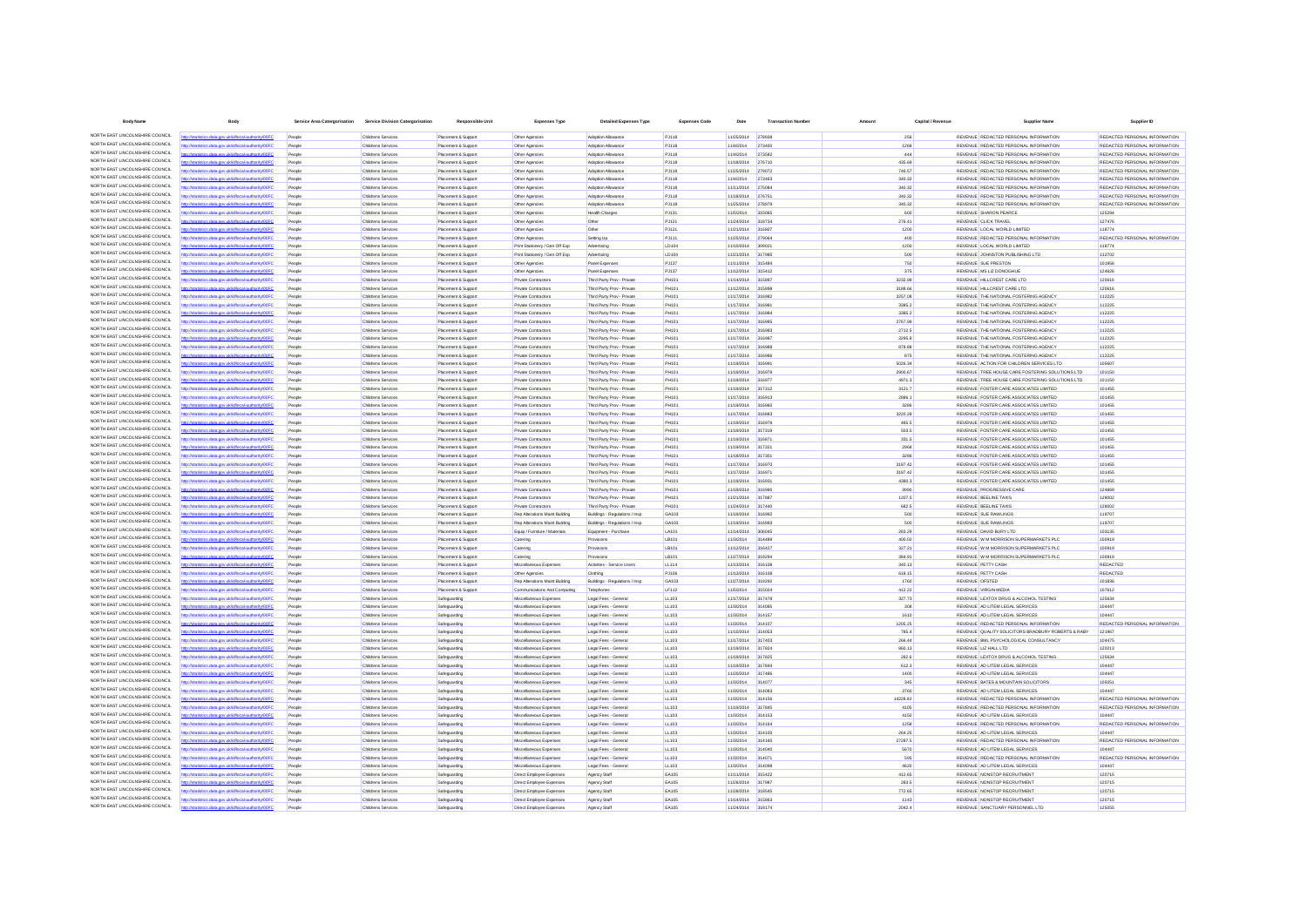| <b>Body Name</b>                                                   | Bod                                                                          | Service Area Catergorisation | <b>Service Division Catergorisation</b>  | <b>Responsible Unit</b>                    | <b>Expenses Type</b>                                             | <b>Detailed Expenses Type</b>                                    | <b>Expenses Code</b>         | Date                                   | <b>Transaction Number</b> |                  | Capital / Revenue | <b>Supplier Name</b>                                                             | <b>Supplier ID</b>                                             |
|--------------------------------------------------------------------|------------------------------------------------------------------------------|------------------------------|------------------------------------------|--------------------------------------------|------------------------------------------------------------------|------------------------------------------------------------------|------------------------------|----------------------------------------|---------------------------|------------------|-------------------|----------------------------------------------------------------------------------|----------------------------------------------------------------|
| NORTH EAST LINCOLNSHIRE COUNCIL                                    | ttp://statistics.data.gov.uk/id/local-authority/00FC                         | People                       | Childrens Services                       | Placement & Support                        | Other Agencies                                                   | <b>Adoption Allowance</b>                                        | PJ118                        | 11/25/2014 278938                      |                           | 256              |                   | REVENUE REDACTED PERSONAL INFORMATION                                            | REDACTED PERSONAL INFORMATION                                  |
| NORTH FAST LINCOLNSHIRE COUNCIL                                    | ukldhoal-autho                                                               | People                       | Childrens Services                       | Placement & Support                        | Other Agencies                                                   | Adoption Allowance                                               | PJ118                        | 11/4/2014                              | 273400                    | 1268             |                   | REVENUE REDACTED PERSONAL INFORMATION                                            | REDACTED PERSONAL INFORMATION                                  |
| NORTH EAST LINCOLNSHIRE COUNCIL                                    | ukldhoal-authority/DDFC                                                      | People                       | Childrens Services                       | Placement & Suppor                         | Other Agencies                                                   | <b>Adoption Allowance</b>                                        | <b>PJ118</b>                 | 11/4/2014                              | 273582                    | 44               |                   | REVENUE REDACTED PERSONAL INFORMATION                                            | REDACTED PERSONAL INFORMATION                                  |
| NORTH EAST LINCOLNSHIRE COUNCIL                                    | tics.data.gov.uk/id/local-auth<br><b>IDOFC</b>                               | People                       | Childrens Services                       | Placement & Support                        | Other Agencies                                                   | <b>Adoption Allowance</b>                                        | PJ118                        | 11/18/2014                             | 276710                    | 435.69           |                   | REVENUE REDACTED PERSONAL INFORMATION                                            | REDACTED PERSONAL INFORMATION                                  |
| NORTH EAST LINCOLNSHIRE COUNCIL<br>NORTH EAST LINCOLNSHIRE COUNCIL |                                                                              | People                       | Childrens Services                       | Placement & Support                        | Other Agencies                                                   | Adoption Allowance                                               | <b>PJ118</b>                 | 11/25/2014                             | 279072                    | 746.57           |                   | REVENUE REDACTED PERSONAL INFORMATION                                            | REDACTED PERSONAL INFORMATION                                  |
| NORTH EAST LINCOLNSHIRE COUNCIL                                    | stics.data.gov.uk/id/local-authority/00FC                                    | People<br>People             | Childrens Services<br>Childrens Services | Placement & Support<br>Placement & Support | Other Agencies<br>Other Agencies                                 | <b>Adoption Allowanc</b><br>Adoption Allowance                   | <b>PJ118</b><br><b>PJ118</b> | 11/4/2014<br>11/11/2014                | 273463<br>275084          | 340.32<br>340.32 |                   | REVENUE REDACTED PERSONAL INFORMATION<br>REVENUE REDACTED PERSONAL INFORMATION   | REDACTED PERSONAL INFORMATION<br>REDACTED PERSONAL INFORMATION |
| NORTH EAST LINCOLNSHIRE COUNCIL                                    | stics.data.gov.uk/id/local-authority/00FC                                    | People                       | Childrens Services                       | Placement & Suppor                         | Other Agencies                                                   | Adoption Allowance                                               | <b>PJ118</b>                 | 11/18/2014                             | 276751                    | 340.32           |                   | REVENUE REDACTED PERSONAL INFORMATION                                            | REDACTED PERSONAL INFORMATION                                  |
| NORTH EAST LINCOLNSHIRE COUNCIL                                    | statistics.data.gov.uk/id/local-authority/00FC                               | People                       | Childrens Services                       | Placement & Support                        | Other Agencies                                                   | Adoption Allowance                                               | PJ118                        | 11/25/2014                             | 278979                    | 340.32           |                   | REVENUE REDACTED PERSONAL INFORMATION                                            | REDACTED PERSONAL INFORMATION                                  |
| NORTH EAST LINCOLNSHIRE COUNCIL                                    |                                                                              | People                       | Childrens Services                       | Placement & Support                        | Other Agencies                                                   | Health Charges                                                   | PJ131                        | 11/5/2014                              | 315065                    | 600              |                   | REVENUE SHARON PEARCE                                                            | 125294                                                         |
| NORTH EAST LINCOLNSHIRE COUNCIL                                    | tics.data.gov.uk/id/local-auth                                               | People                       | Childrens Services                       | Placement & Suppo                          | Other Agencie                                                    | Other                                                            | PJ121                        | 11/24/2014                             | 318734                    | 276.41           |                   | REVENUE CLICK TRAVEL                                                             | 127476                                                         |
| NORTH EAST LINCOLNSHIRE COUNCIL                                    |                                                                              | People                       | Childrens Services                       | Placement & Support                        | Other Agencies                                                   | Other                                                            | PJ121                        | 11/21/2014 316807                      |                           | 1200             |                   | REVENUE LOCAL WORLD LIMITED                                                      | 118774                                                         |
| NORTH EAST LINCOLNSHIRE COUNCIL<br>NORTH EAST LINCOLNSHIRE COUNCIL | stics.data.gov.uk/id/local-authority/00FC                                    | People                       | Childrens Services                       | Placement & Suppor                         | Other Agencies                                                   | Setting Up                                                       | PJ111                        | 11/25/2014 279064                      |                           | 400              |                   | REVENUE REDACTED PERSONAL INFORMATION                                            | REDACTED PERSONAL INFORMATION                                  |
| NORTH EAST LINCOLNSHIRE COUNCIL                                    |                                                                              | Peopl<br>People              | Childrens Services<br>Childrens Services | Placement & Suppor<br>Placement & Support  | Print Stationery / Gen Off Exp<br>Print Stationery / Gen Off Exp | Advertising<br>Advertising                                       | LD104<br>LD104               | 11/10/2014<br>11/21/2014               | 309021<br>317985          | 1200<br>500      |                   | REVENUE LOCAL WORLD LIMITED<br>REVENUE JOHNSTON PUBLISHING LTD                   | 118774<br>112702                                               |
| NORTH EAST LINCOLNSHIRE COUNCIL                                    | stics.data.gov.uk/id/local-authority/00FC                                    | Peopl                        | Childrens Services                       | Placement & Suppor                         | Other Agencies                                                   | Panel Expenses                                                   | <b>PJ137</b>                 | 11/11/2014                             | 315484                    | 750              |                   | REVENUE SUE PRESTOP                                                              | 101956                                                         |
| NORTH EAST LINCOLNSHIRE COUNCIL                                    |                                                                              | People                       | Childrens Services                       | Placement & Support                        | Other Agencies                                                   | Panel Expenses                                                   | PJ137                        | 11/12/2014                             | 315412                    | 375              |                   | REVENUE MS LIZ DONOGHUE                                                          | 124626                                                         |
| NORTH EAST LINCOLNSHIRE COUNCIL                                    | stics.data.gov.uk/id/local-authority/00FC                                    | People                       | Childrens Services                       | Placement & Support                        | Private Contractors                                              | Third Party Prov - Private                                       | PH101                        | 11/14/2014 315897                      |                           | 3232.99          |                   | REVENUE HILLCREST CARE LTD                                                       | 120616                                                         |
| NORTH EAST LINCOLNSHIRE COUNCIL                                    | ics data ony uklidiocal authority/00FC                                       | People                       | Childrens Services                       | Placement & Suppor                         | Private Contractors                                              | Third Party Prov - Private                                       | PH101                        | 11/12/2014                             | 315898                    | 3188.66          |                   | REVENUE HILLCREST CARE LTD                                                       | 120616                                                         |
| NORTH FAST LINCOLNSHIRE COUNCIL<br>NORTH EAST LINCOLNSHIRE COUNCIL |                                                                              | People                       | Childrens Services                       | Placement & Support                        | Private Contractors                                              | Third Party Prov - Private                                       | PH101                        | 11/17/2014                             | 316982                    | 3257.08          |                   | REVENUE THE NATIONAL FOSTERING AGENCY                                            | 112225                                                         |
| NORTH EAST LINCOLNSHIRE COUNCIL                                    | tics.data.gov.uk/id/local-authr                                              | People                       | Childrens Services                       | Placement & Suppor                         | Private Contractors                                              | Third Party Prov - Private                                       | PH101<br>PH101               | 11/17/2014                             | 316984                    | 3385.2<br>3385.2 |                   | REVENUE THE NATIONAL FOSTERING AGENCY                                            | 112225<br>112225                                               |
| NORTH EAST LINCOLNSHIRE COUNCIL                                    | stics.data.gov.uk/id/local-authority/00FC                                    | People<br>People             | Childrens Services<br>Childrens Services | Placement & Support<br>Placement & Support | Private Contractor:<br>Private Contractors                       | Third Party Prov - Private<br>Third Party Prov - Private         | PH101                        | 11/17/2014<br>11/17/2014 316985        |                           | 2767.99          |                   | REVENUE THE NATIONAL FOSTERING AGENCY<br>REVENUE THE NATIONAL FOSTERING AGENCY   | 112225                                                         |
| NORTH EAST LINCOLNSHIRE COUNCIL                                    | stics.data.gov.uk/id/local-authority/00FC                                    | People                       | Childrens Services                       | Placement & Suppor                         | Private Contractors                                              | Third Party Prov - Private                                       | PH101                        | 11/17/2014                             | 316983                    | 2712.5           |                   | REVENUE THE NATIONAL FOSTERING AGENCY                                            | 112225                                                         |
| NORTH EAST LINCOLNSHIRE COUNCIL                                    | stics.data.gov.uk/id/local-authority/00FC                                    | People                       | Childrens Services                       | Placement & Support                        | Private Contractors                                              | Third Party Prov - Private                                       | PH101                        | 11/17/2014                             | 316987                    | 3295.8           |                   | REVENUE THE NATIONAL FOSTERING AGENCY                                            | 112225                                                         |
| NORTH EAST LINCOLNSHIRE COUNCIL                                    |                                                                              | People                       | Childrens Services                       | Placement & Suppor                         | Private Contractors                                              | Third Party Prov - Private                                       | PH101                        | 11/17/2014                             |                           | 878.88           |                   | REVENUE THE NATIONAL FOSTERING AGENCY                                            | 112225                                                         |
| NORTH EAST LINCOLNSHIRE COUNCIL                                    |                                                                              | Peopl                        | Childrens Services                       | Placement & Support                        | Private Contractor:                                              | Third Party Prov - Private                                       | PH101                        | 11/17/2014                             | 316986                    | 875              |                   | REVENUE THE NATIONAL FOSTERING AGENCY                                            | 112225                                                         |
| NORTH EAST LINCOLNSHIRE COUNCIL                                    | stics.data.gov.uk/id/local-authority/00FC                                    | People                       | Childrens Services                       | Placement & Support                        | Private Contractors                                              | Third Party Prov - Private                                       | PH101                        | 11/19/2014                             | 316991                    | 5026.34          |                   | REVENUE ACTION FOR CHILDREN SERVICES LTD                                         | 105607                                                         |
| NORTH EAST LINCOLNSHIRE COUNCIL<br>NORTH EAST LINCOLNSHIRE COUNCIL |                                                                              | People                       | Childrens Services                       | Placement & Support                        | Private Contractors                                              | Third Party Prov - Private                                       | PH101                        | 11/19/2014 316978                      |                           | 2900.67          |                   | REVENUE TREE HOUSE CARE FOSTERING SOLUTIONS LTD                                  | 101150                                                         |
| NORTH EAST LINCOLNSHIRE COUNCIL                                    | stics.data.gov.uk/id/local-authority/00FC                                    | People                       | Childrens Services                       | Placement & Support                        | Private Contractors                                              | Third Party Prov - Private                                       | PH101                        | 11/19/2014 316977                      |                           | 4971.3           |                   | REVENUE TREE HOUSE CARE FOSTERING SOLUTIONS LTD                                  | 101150                                                         |
| NORTH EAST LINCOLNSHIRE COUNCIL                                    | ing data any uklidional suttoda (DOCC)                                       | People<br>People             | Childrens Services<br>Childrens Services | Placement & Support<br>Placement & Suppor  | Private Contractors<br>Private Contractors                       | Third Party Prov - Private<br>Third Party Prov - Privat          | PH101<br>PH101               | 11/19/2014<br>11/17/2014               | 317312<br>316913          | 3121.7<br>2886.1 |                   | REVENUE FOSTER CARE ASSOCIATES LIMITED<br>REVENUE FOSTER CARE ASSOCIATES LIMITED | 101455<br>101455                                               |
| NORTH EAST LINCOLNSHIRE COUNCIL                                    | istics.data.gov.uk/id/local-authority/00FC                                   | People                       | Childrens Services                       | Placement & Support                        | Private Contractors                                              | Third Party Prov - Private                                       | PH101                        | 11/19/2014 316960                      |                           | 3286             |                   | REVENUE FOSTER CARE ASSOCIATES LIMITED                                           | 101455                                                         |
| NORTH EAST LINCOLNSHIRE COUNCIL                                    |                                                                              | People                       | Childrens Services                       | Placement & Suppor                         | Private Contractors                                              | Third Party Prov - Private                                       | PH101                        | 11/17/2014                             | 316883                    | 3220.28          |                   | REVENUE FOSTER CARE ASSOCIATES LIMITED                                           | 101455                                                         |
| NORTH EAST LINCOLNSHIRE COUNCIL                                    | stics.data.gov.uk/id/local-authority/00FC                                    | People                       | Childrens Services                       | Placement & Support                        | Private Contractors                                              | Third Party Prov - Private                                       | PH101                        | 11/19/2014                             | 316976                    | 465.5            |                   | REVENUE FOSTER CARE ASSOCIATES LIMITED                                           | 101455                                                         |
| NORTH EAST LINCOLNSHIRE COUNCIL                                    |                                                                              | People                       | Childrens Services                       | Placement & Support                        | Private Contractors                                              | Third Party Prov - Private                                       | PH101                        | 11/19/2014                             | 317319                    | 503.5            |                   | REVENUE FOSTER CARE ASSOCIATES LIMITED                                           | 101455                                                         |
| NORTH EAST LINCOLNSHIRE COUNCIL<br>NORTH EAST LINCOLNSHIRE COUNCIL |                                                                              | Peopl                        | Childrens Services                       | Placement & Suppo                          | Private Contractor                                               | Third Party Prov - Privat                                        | PH101                        | 11/19/2014                             | 31687                     | 331.5            |                   | REVENUE FOSTER CARE ASSOCIATES LIMITED                                           | 101455                                                         |
| NORTH EAST LINCOLNSHIRE COUNCIL                                    | stics.data.gov.uk/id/local-authority/00FC                                    | People                       | Childrens Services                       | Placement & Support                        | Private Contractors                                              | Third Party Prov - Private                                       | PH101                        | 11/19/2014 317321                      |                           | 2968             |                   | REVENUE FOSTER CARE ASSOCIATES LIMITED                                           | 101455                                                         |
| NORTH EAST LINCOLNSHIRE COUNCIL                                    | stics.data.gov.uk/id/local-authority/00FC                                    | People<br>People             | Childrens Services<br>Childrens Services | Placement & Support<br>Placement & Support | Private Contractors<br>Private Contractors                       | Third Party Prov - Private<br>Third Party Prov - Private         | PH101<br><b>PH101</b>        | 11/18/2014 317301<br>11/17/2014 316970 |                           | 3286<br>3187.42  |                   | REVENUE FOSTER CARE ASSOCIATES LIMITED<br>REVENUE FOSTER CARE ASSOCIATES LIMITED | 101455<br>101455                                               |
| NORTH EAST LINCOLNSHIRE COUNCIL                                    |                                                                              | People                       | Childrens Services                       | Placement & Support                        | Private Contractors                                              | Third Party Prov - Private                                       | PH101                        | 11/17/2014                             | 316971                    | 3187.42          |                   | REVENUE FOSTER CARE ASSOCIATES LIMITED                                           | 101455                                                         |
| NORTH EAST LINCOLNSHIRE COUNCIL                                    | tics.data.gov.uk/id/local-autho                                              | People                       | Childrens Services                       | Placement & Suppor                         | Private Contractors                                              | Third Party Prov - Private                                       | PH101                        | 11/19/2014                             |                           | 4380.3           |                   | REVENUE FOSTER CARE ASSOCIATES LIMITED                                           | 101455                                                         |
| NORTH EAST LINCOLNSHIRE COUNCIL                                    | stics.data.gov.uk/id/local-authority/00FC                                    | People                       | Childrens Services                       | Placement & Support                        | Private Contractors                                              | Third Party Prov - Private                                       | PH101                        | 11/19/2014 316990                      |                           | 3990             |                   | REVENUE PROGRESSIVE CARE                                                         | 124869                                                         |
| NORTH EAST LINCOLNSHIRE COUNCIL                                    | cs.data.gov.uk/id/local-authority/00FC                                       | People                       | Childrens Services                       | Placement & Support                        | Private Contractors                                              | Third Party Prov - Private                                       | PH101                        | 11/21/2014 317887                      |                           | 1207.5           |                   | REVENUE BEELINE TAXIS                                                            | 128002                                                         |
| NORTH EAST LINCOLNSHIRE COUNCIL<br>NORTH EAST LINCOLNSHIRE COUNCIL | stics.data.gov.uk/id/local-authority/00FC                                    | People                       | Childrens Services                       | Placement & Suppor                         | Private Contractors                                              | Third Party Prov - Private                                       | PH101                        | 11/24/2014                             | 317440                    | 682.5            |                   | REVENUE BEELINE TAXIS                                                            | 128002                                                         |
| NORTH EAST LINCOLNSHIRE COUNCIL                                    | cs.data.gov.uk/id/local-authority/00FC                                       | People<br>People             | Childrens Services<br>Childrens Services | Placement & Support<br>Placement & Suppor  | Rep Aterations Maint Building<br>Rep Alterations Maint Building  | Buildings - Regulations / Insc<br>Buildings - Regulations / Insp | GA103<br>GA103               | 11/19/2014<br>11/19/2014               | 316992                    | 500<br>500       |                   | REVENUE SUE RAWLINGS<br>REVENUE SUE RAWLINGS                                     | 119707<br>119707                                               |
| NORTH EAST LINCOLNSHIRE COUNCIL                                    | atistics.data.gov.uk/id/local-authority/00FC                                 | People                       | Childrens Services                       | Placement & Support                        | Equip / Furniture / Materials                                    | Equipment - Purchase                                             | LA101                        | 11/14/2014                             | 306045                    | 283.29           |                   | REVENUE DAVID BURY LTD                                                           | 103135                                                         |
| NORTH EAST LINCOLNSHIRE COUNCIL                                    |                                                                              | People                       | Childrens Services                       | Placement & Support                        | Catering                                                         | Provisions                                                       | LB101                        | 11/3/2014                              | 314489                    | 400.02           |                   | REVENUE W M MORRISON SUPERMARKETS PLC                                            | 100919                                                         |
| NORTH EAST LINCOLNSHIRE COUNCIL                                    | istics.data.gov.uk/id/local-authority/00FC                                   | People                       | Childrens Services                       | Placement & Suppor                         | Catering                                                         | Provision                                                        | LB101                        | 11/12/2014                             | 316427                    | 327.21           |                   | REVENUE W M MORRISON SUPERMARKETS PLC                                            | 100919                                                         |
| NORTH EAST LINCOLNSHIRE COUNCIL                                    | stics data ony uklidiocal authority/00FC                                     | People                       | Childrens Services                       | Placement & Support                        | Catering                                                         | Provisions                                                       | LB101                        | 11/27/2014                             | 319294                    | 384.91           |                   | REVENUE W M MORRISON SUPERMARKETS PLC                                            | 100919                                                         |
| NORTH EAST LINCOLNSHIRE COUNCIL                                    | tics.data.gov.uk/id/local-authority/00FC                                     | People                       | Childrens Services                       | Placement & Suppor                         | Miscellaneous Expenses                                           | Activities - Service Users                                       | LL114                        | 11/13/2014                             | 316108                    | 340.13           |                   | REVENUE PETTY CASH                                                               | REDACTED                                                       |
| NORTH EAST LINCOLNSHIRE COUNCIL<br>NORTH EAST LINCOLNSHIRE COUNCIL |                                                                              | Peopl                        | Childrens Services                       | Placement & Suppo                          | Other Agencie                                                    | Clothing                                                         | PJ106                        | 11/13/2014                             | 316108                    | 618.15           |                   | REVENUE PETTY CASH                                                               | REDACTED                                                       |
| NORTH EAST LINCOLNSHIRE COUNCIL                                    | data.gov.uk/id/local-auth                                                    | People                       | Childrens Services                       | Placement & Support                        | Rep Alterations Maint Building                                   | Buildings - Regulations / Insp.                                  | GA103                        | 11/27/2014 319292                      | 315024                    | 1760             |                   | REVENUE OFSTED                                                                   | 101836                                                         |
| NORTH EAST LINCOLNSHIRE COUNCIL                                    | stics.data.gov.uk/id/local-authority/00FC<br>ins data ony uklidional authori | Peopl<br>People              | Childrens Services<br>Childrens Services | Placement & Suppo<br>Safeguarding          | Communications And Computing<br>Miscelaneous Expenses            | Telephones<br>Legal Fees - General                               | LF112<br>LL103               | 11/5/2014<br>11/17/2014                | 317478                    | 412.22<br>327.73 |                   | REVENUE VIRGIN MEDIA<br>REVENUE LEXTOX DRUG & ALCOHOL TESTING                    | 107612<br>125634                                               |
| NORTH EAST LINCOLNSHIRE COUNCIL                                    | stics.data.gov.uk/id/local-authority/00FC                                    | People                       | Childrens Services                       | Safeguarding                               | Miscellaneous Expenses                                           | Legal Fees - General                                             | LL103                        | 11/3/2014                              | 314085                    | 308              |                   | REVENUE AD LITEM LEGAL SERVICES                                                  | 104447                                                         |
| NORTH EAST LINCOLNSHIRE COUNCIL                                    |                                                                              | Peopl                        | Childrens Services                       | Safeguardi                                 | Miscella<br>tous Expenses                                        | Legal Fees - Gener                                               | LL103                        | 11/3/2014                              | 314157                    | 1610             |                   | REVENUE AD LITEM LEGAL SERVICES                                                  | 104447                                                         |
| NORTH EAST LINCOLNSHIRE COUNCIL                                    | cs.data.gov.uk/id/local-authr                                                | People                       | Childrens Services                       | Safeguarding                               | Miscelaneous Expenses                                            | Legal Fees - General                                             | LL103                        | 11/3/2014                              | 314107                    | 1205.25          |                   | REVENUE REDACTED PERSONAL INFORMATION                                            | REDACTED PERSONAL INFORMATION                                  |
| NORTH EAST LINCOLNSHIRE COUNCIL                                    | istics.data.gov.uk/id/local-authority/00FC                                   | People                       | Childrens Services                       | Safeguarding                               | Miscellaneous Expenses                                           | Legal Fees - Genera                                              | LL103                        | 11/10/2014                             | 314053                    | 785.4            |                   | REVENUE QUALITY SOLICITORS BRADBURY ROBERTS & RABY                               | 121967                                                         |
| NORTH EAST LINCOLNSHIRE COUNCIL<br>NORTH EAST LINCOLNSHIRE COUNCIL | ing state and distinguishment and                                            | People                       | Childrens Services                       | Safeguarding                               | Miscellaneous Expenses                                           | Legal Fees - General                                             | LL103                        | 11/17/2014 317403                      |                           | 266.44           |                   | REVENUE BML PSYCHOLOGICAL CONSULTANCY                                            | 104475                                                         |
| NORTH EAST LINCOLNSHIRE COUNCIL                                    | ics.data.gov.uk/id/local-authority/00FC                                      | People                       | Childrens Services                       | Safeguarding                               | Miscelaneous Expenses                                            | Legal Fees - General                                             | LL103                        | 11/19/2014                             | 317824                    | 860.13           |                   | REVENUE LIZ HALL LTD                                                             | 120213                                                         |
| NORTH EAST LINCOLNSHIRE COUNCIL                                    | stics.data.gov.uk/id/local-authority/00FC                                    | People<br>People             | Childrens Services<br>Childrens Services | Safeguarding<br>Safeguarding               | Miscellaneous Expenses<br>Miscellaneous Expenses                 | Legal Fees - Genera<br>Legal Fees - General                      | LL103<br>LL103               | 11/19/2014<br>11/19/2014               | 317825<br>317844          | 282.6<br>612.3   |                   | REVENUE LEXTOX DRUG & ALCOHOL TESTING<br>REVENUE AD LITEM LEGAL SERVICES         | 125634<br>104447                                               |
| NORTH EAST LINCOLNSHIRE COUNCIL                                    | distics.data.gov.uk/id/local-authority/00FC                                  | Peopl                        | Childrens Services                       | Safeguarding                               | Miscellaneous Expenses                                           | Legal Fees - Genera                                              | LL103                        | 11/20/2014                             | 317486                    | 1400             |                   | REVENUE AD LITEM LEGAL SERVICES                                                  | 104447                                                         |
| NORTH EAST LINCOLNSHIRE COUNCIL                                    | os data gov ukřdíhoal-authority                                              | People                       | Childrens Services                       | Safeguarding                               | Miscellaneous Expenses                                           | Legal Fees - General                                             | LL103                        | 11/3/2014                              | 314077                    | 345              |                   | REVENUE BATES & MOUNTAIN SOLICITORS                                              | 105051                                                         |
| NORTH EAST LINCOLNSHIRE COUNCIL                                    | tics.data.gov.uk/id/local-authority/00FC                                     | People                       | Childrens Services                       | Safeguarding                               | Miscelaneous Expenses                                            | Legal Fees - General                                             | LL103                        | 11/3/2014                              | 314083                    | 3760             |                   | REVENUE AD LITEM LEGAL SERVICES                                                  | 104447                                                         |
| NORTH EAST LINCOLNSHIRE COUNCIL                                    |                                                                              | People                       | Childrens Services                       | Safeguarding                               | Miscellaneous Expenses                                           | Legal Fees - General                                             | LL103                        | 11/3/2014                              | 314156                    | 14228.92         |                   | REVENUE REDACTED PERSONAL INFORMATION                                            | REDACTED PERSONAL INFORMATION                                  |
| NORTH EAST LINCOLNSHIRE COUNCIL                                    | stics.data.gov.uk/id/local-authority/00FC                                    | People                       | Childrens Services                       | Safeguarding                               | Miscelaneous Expenses                                            | Legal Fees - General                                             | LL103                        | 11/19/2014                             | 317845                    | 4105             |                   | REVENUE REDACTED PERSONAL INFORMATION                                            | REDACTED PERSONAL INFORMATION                                  |
| NORTH EAST LINCOLNSHIRE COUNCIL<br>NORTH EAST LINCOLNSHIRE COUNCIL |                                                                              | People                       | Childrens Services                       | Safeguarding                               | Miscelaneous Expenses                                            | Legal Fees - General                                             | LL103                        | 11/3/2014                              | 314153                    | 4150             |                   | REVENUE AD LITEM LEGAL SERVICES                                                  | 104447                                                         |
| NORTH EAST LINCOLNSHIRE COUNCIL                                    |                                                                              | People<br>People             | Childrens Services                       | Safeguarding                               | Miscelaneous Expenses                                            | Legal Fees - Genera                                              | LL103<br>LL103               | 11/3/2014<br>11/3/2014                 | 314164                    | 1258<br>264.25   |                   | REVENUE REDACTED PERSONAL INFORMATION<br>REVENUE AD LITEM LEGAL SERVICES         | REDACTED PERSONAL INFORMATION<br>104447                        |
| NORTH EAST LINCOLNSHIRE COUNCIL                                    | tics.data.gov.uk/id/local-authority/00FC                                     | People                       | Childrens Services<br>Childrens Services | Safeguarding<br>Safeguarding               | Miscellaneous Expenses<br>Miscelaneous Expenses                  | Legal Fees - General<br>Legal Fees - General                     | LL103                        | 11/3/2014                              | 314100<br>314160          | 27287.5          |                   | REVENUE REDACTED PERSONAL INFORMATION                                            | REDACTED PERSONAL INFORMATION                                  |
| NORTH EAST LINCOLNSHIRE COUNCIL                                    | stics.data.gov.uk/id/local-authority/00FC                                    | People                       | Childrens Services                       | Safeguarding                               | Miscellaneous Expenses                                           | Legal Fees - General                                             | LL103                        | 11/3/2014                              | 314040                    | 5670             |                   | REVENUE AD LITEM LEGAL SERVICES                                                  | 104447                                                         |
| NORTH EAST LINCOLNSHIRE COUNCIL                                    | s.data.gov.uk/id/local-authori                                               | People                       | Childrens Services                       | Safeguarding                               | Miscelaneous Expenses                                            | Legal Fees - General                                             | LL103                        | 11/3/2014                              | 314071                    | 595              |                   | REVENUE REDACTED PERSONAL INFORMATION                                            | REDACTED PERSONAL INFORMATION                                  |
| NORTH EAST LINCOLNSHIRE COUNCIL                                    | dics data ony uklidiocal authority/OFC                                       | Peopl                        | Childrens Services                       | Safeguarding                               | Miscelaneous Expenses                                            | Legal Fees - Genera                                              | LL103                        | 11/3/2014                              | 314098                    | 4620             |                   | REVENUE AD LITEM LEGAL SERVICES                                                  | 104447                                                         |
| NORTH EAST LINCOLNSHIRE COUNCIL                                    | stics.data.gov.uk/id/local-authority/00FC                                    | People                       | Childrens Services                       | Safeguarding                               | Direct Employee Expenses                                         | Agency Staf                                                      | EA105                        | 11/11/2014                             | 315422                    | 412.65           |                   | REVENUE NONSTOP RECRUITMENT                                                      | 120715                                                         |
| NORTH EAST LINCOLNSHIRE COUNCIL<br>NORTH EAST LINCOLNSHIRE COUNCIL |                                                                              | People                       | Childrens Services                       | Safeguarding                               | Direct Employee Expenses                                         | Agency Staf                                                      | EA105                        | 11/26/2014                             | 317987                    | 283.5            |                   | REVENUE NONSTOP RECRUITMENT                                                      | 120715                                                         |
| NORTH EAST LINCOLNSHIRE COUNCIL                                    | stics.data.gov.uk/id/local-authority/00FC                                    | People                       | Childrens Services                       | Safeguarding                               | Direct Employee Expenses                                         | Agency Staf                                                      | EA105                        | 11/28/2014                             | 318545                    | 772.65           |                   | REVENUE NONSTOP RECRUITMENT                                                      | 120715                                                         |
| NORTH EAST LINCOLNSHIRE COUNCIL                                    | ics.data.gov.uk/id/local-authority/00FC                                      | People                       | Childrens Services<br>Childrens Services | Safeguarding                               | Direct Employee Expenses<br>Direct Employee Expenses             | Agency Staff<br>Agency Staf                                      | EA105<br>EA105               | 11/14/2014 315863<br>11/24/2014        | 318174                    | 1143<br>2042.4   |                   | REVENUE NONSTOP RECRUITMENT<br>REVENUE SANCTUARY PERSONNEL LTD                   | 120715<br>25055                                                |
|                                                                    |                                                                              |                              |                                          |                                            |                                                                  |                                                                  |                              |                                        |                           |                  |                   |                                                                                  |                                                                |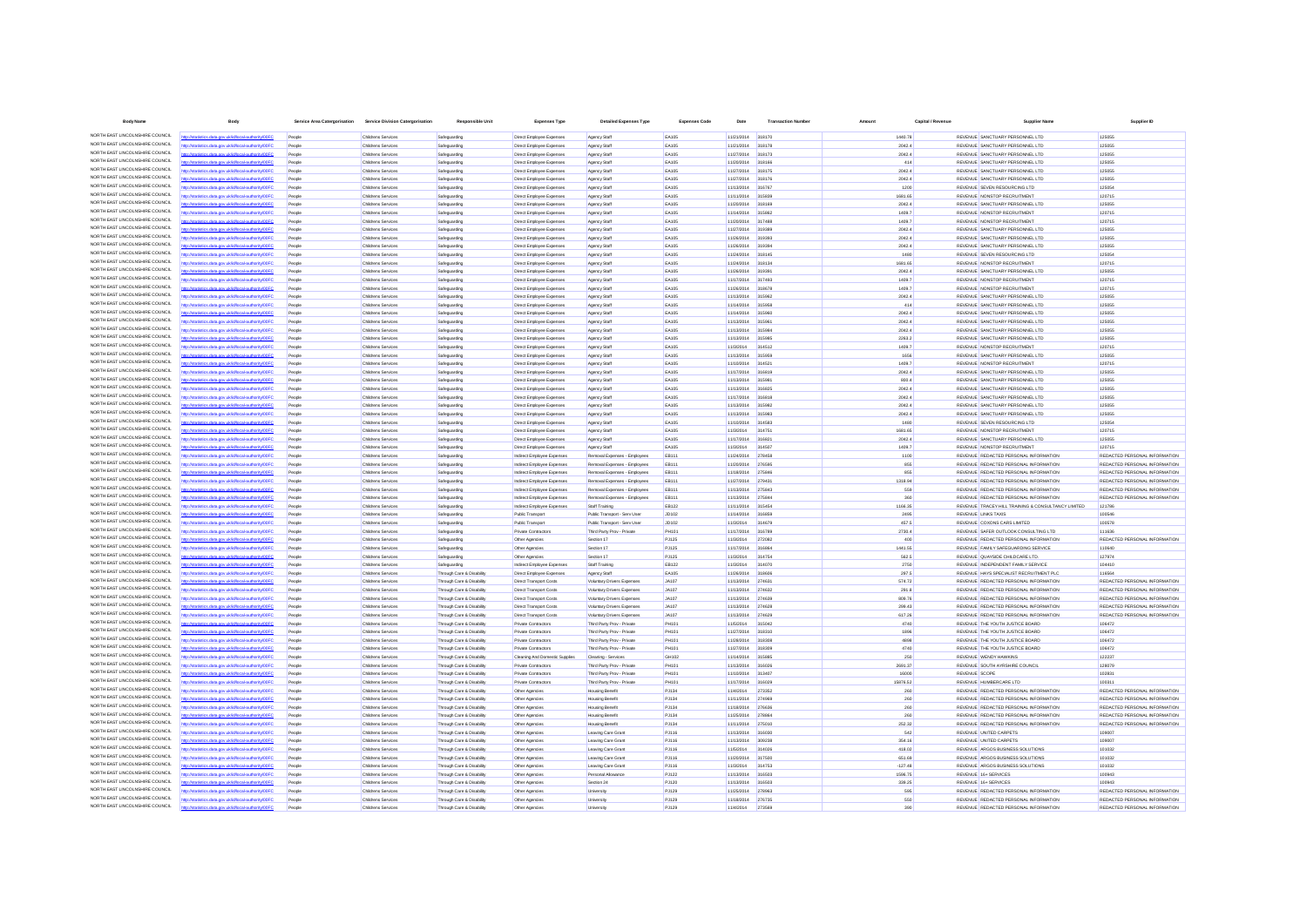| <b>Body Name</b>                                                    |                                                                                            |                  | Service Area Catergorisation Service Division Catergorisation | <b>Responsible Unit</b>                                | <b>Expenses Type</b>                                     | <b>Detailed Expenses Type</b>                                | <b>Expenses Code</b>         | Date                     | <b>Transaction Numbe</b> | Amoun             | Capital / Revenue    | <b>Supplier Name</b>                                                           |                                                                |
|---------------------------------------------------------------------|--------------------------------------------------------------------------------------------|------------------|---------------------------------------------------------------|--------------------------------------------------------|----------------------------------------------------------|--------------------------------------------------------------|------------------------------|--------------------------|--------------------------|-------------------|----------------------|--------------------------------------------------------------------------------|----------------------------------------------------------------|
| NORTH EAST LINCOLNSHIRE COUNCIL                                     | //statistics.data.gov.uk/id/local-authority/00FC                                           | People           | Childrens Services                                            | Safeguarding                                           | Direct Employee Expenses                                 | Agency Staff                                                 | <b>EA105</b>                 | 11/21/2014               | 318170                   | 1440.78           |                      | REVENUE SANCTUARY PERSONNEL LTD                                                | 125055                                                         |
| NORTH EAST LINCOLNSHIRE COUNCIL                                     |                                                                                            | People           | Childrens Service                                             | Saferuprdin                                            | Direct Employee Expenses                                 | Anency Staff                                                 | <b>FA105</b>                 | 11/21/2014               | 318178                   | 2042.4            |                      | REVENUE SANCTUARY PERSONNEL LTD                                                | 125055                                                         |
| NORTH EAST LINCOLNSHIRE COUNCIL<br>NORTH EAST LINCOLNSHIRE COUNCIL  |                                                                                            | People           | Childrens Services                                            | Safeguarding                                           | Direct Employee Expenses                                 | Agency Staff                                                 | <b>EA105</b>                 | 11/27/2014 318173        |                          | 2042.4            |                      | REVENUE SANCTUARY PERSONNEL LTD                                                | 125055                                                         |
| NORTH EAST LINCOLNSHIRE COUNCIL                                     | atistics.data.gov.uk/id/local-authority/00FC                                               | People<br>People | Childrens Services<br>Childrens Services                      | Safeguarding<br>Safeguarding                           | Direct Employee Expenses<br>Direct Employee Expenses     | Agency Staff<br>Agency Staff                                 | <b>FA105</b><br><b>EA105</b> | 11/20/2014<br>11/27/2014 | 318166<br>318175         | 414<br>2042.4     |                      | REVENUE SANCTUARY PERSONNEL LTD<br>REVENUE SANCTUARY PERSONNEL LTD             | 125055<br>125055                                               |
| NORTH EAST LINCOLNSHIRE COUNCIL                                     | fics.data.gov.uk/id/local-authority/00FC                                                   | People           | Childrens Services                                            | Safeguardin                                            | Direct Employee Expenses                                 | Agency Stat                                                  | EA105                        | 11/27/2014               | 318176                   | 2042.4            |                      | REVENUE SANCTUARY PERSONNEL LTD                                                | 125055                                                         |
| NORTH EAST LINCOLNSHIRE COUNCIL                                     |                                                                                            | People           | Childrens Services                                            | Saferuardo                                             | Direct Employee Expenses                                 | Agency Staff                                                 | EA105                        | 11/13/2014               | 316767                   | 1200              |                      | REVENUE SEVEN RESOURCING LTD                                                   | 125054                                                         |
| NORTH EAST LINCOLNSHIRE COUNCIL                                     | stics.data.gov.uk/id/local-authority/00FC                                                  | People           | Childrens Services                                            | Safeguarding                                           | Direct Employee Expenses                                 | Agency Staff                                                 | EA105                        | 11/11/2014               | 315839                   | 1681.65           |                      | REVENUE NONSTOP RECRUITMENT                                                    | 120715                                                         |
| NORTH EAST LINCOLNSHIRE COUNCIL<br>NORTH EAST LINCOLNSHIRE COUNCIL  | //statistics.data.gov.uk/id/local-authority/00FC                                           | People           | Childrens Services                                            | Safeguarding                                           | Direct Employee Expenses                                 | Agency Staff                                                 | EA105                        | 11/20/2014               | 318169                   | 2042.4            |                      | REVENUE SANCTUARY PERSONNEL LTD                                                | 125055                                                         |
| NORTH EAST LINCOLNSHIRE COUNCIL                                     | ns data ony uklidihoal-autho<br>fics.data.gov.uk/id/local-authority/00FC                   | People<br>People | Childrens Services<br>Childrens Services                      | Safeguarding<br>Safeguarding                           | Direct Employee Expenses<br>Direct Employee Expenses     | Agency Staff<br>Agency Stat                                  | <b>EA105</b><br>EA105        | 11/14/2014<br>11/20/2014 | 315862<br>317488         | 1409.7<br>1409.7  |                      | REVENUE NONSTOP RECRUITMENT<br>REVENUE NONSTOP RECRUITMEN                      | 120715<br>120715                                               |
| NORTH EAST LINCOLNSHIRE COUNCIL                                     |                                                                                            | People           | Childrens Service                                             | Safeguardin                                            | Direct Employee Expenses                                 | Agency Staff                                                 | <b>EA105</b>                 | 11/27/2014               | 319389                   | 2042.4            |                      | REVENUE SANCTUARY PERSONNEL LTD                                                | 125055                                                         |
| NORTH EAST LINCOLNSHIRE COUNCIL                                     | istics.data.gov.uk/id/local-authority/00FC                                                 | People           | Childrens Services                                            | Safeguarding                                           | Direct Employee Expenses                                 | Agency Staff                                                 | EA105                        | 11/26/2014               | 319393                   | 2042.4            |                      | REVENUE SANCTUARY PERSONNEL LTD                                                | 125055                                                         |
| NORTH EAST LINCOLNSHIRE COUNCIL                                     | ics.data.gov.uk/id/local-authority/00FC                                                    | People           | Childrens Services                                            | Safeguarding                                           | Direct Employee Expenses                                 | Agency Staff                                                 | EA105                        | 11/26/2014               | 319394                   | 2042.4            |                      | REVENUE SANCTUARY PERSONNEL LTD                                                | 125055                                                         |
| NORTH EAST LINCOLNSHIRE COUNCIL<br>NORTH EAST LINCOLNSHIRE COUNCIL  | ins data now uklidional authr                                                              | People           | Childrens Services                                            | Safeguarding                                           | Direct Employee Expenses                                 | Agency Staff                                                 | <b>EA105</b>                 | 11/24/2014               | 318145                   | 1480              |                      | REVENUE SEVEN RESOURCING LTD                                                   | 125054                                                         |
| NORTH EAST LINCOLNSHIRE COUNCIL                                     | stics.data.gov.uk/id/local-authority/00FC                                                  | People<br>People | Childrens Services                                            | Safeguarding<br>Safeguardin                            | Direct Employee Expenses                                 | Agency Stat                                                  | EA105<br>EA105               | 11/24/2014<br>11/26/2014 | 318134<br>31939          | 1681.65<br>2042.4 |                      | REVENUE NONSTOP RECRUITMENT<br>REVENUE SANCTUARY PERSONNEL LTD                 | 120715<br>125055                                               |
| NORTH EAST LINCOLNSHIRE COUNCIL                                     | stics.data.gov.uk/id/local-authority/00FC                                                  | People           | Childrens Service<br>Childrens Services                       | Safeguarding                                           | Direct Employee Expenses<br>Direct Employee Expenses     | Agency Stat<br>Agency Staff                                  | EA105                        | 11/17/2014               | 317493                   | 1409.7            |                      | REVENUE NONSTOP RECRUITMENT                                                    | 120715                                                         |
| NORTH EAST LINCOLNSHIRE COUNCIL                                     |                                                                                            | People           | Childrens Services                                            | Safeguarding                                           | Direct Employee Expenses                                 | Agency Staff                                                 | EA105                        | 11/26/2014               | 318678                   | 1409.7            |                      | REVENUE NONSTOP RECRUITMENT                                                    | 120715                                                         |
| NORTH EAST LINCOLNSHIRE COUNCIL                                     | os data cov uklidiocal authority/00EC.                                                     | People           | Childrens Services                                            | Safeguarding                                           | Direct Employee Expenses                                 | Agency Staff                                                 | <b>EA105</b>                 | 11/13/2014               | 315962                   | 2042.4            |                      | REVENUE SANCTUARY PERSONNEL LTD                                                | 125055                                                         |
| NORTH EAST LINCOLNSHIRE COUNCIL<br>NORTH EAST LINCOLNSHIRE COUNCIL  | tics.data.gov.uk/id/local-author                                                           | People           | Childrens Services                                            | Safeguarding                                           | Direct Employee Expenses                                 | <b>Agency Staff</b>                                          | EA105                        | 11/14/2014               | 315958                   | 414               |                      | REVENUE SANCTUARY PERSONNEL LTD                                                | 125055                                                         |
| NORTH EAST LINCOLNSHIRE COUNCIL                                     |                                                                                            | Peopl            | Childrens Service                                             |                                                        | Direct Employee Expenses                                 | Agency Staff                                                 | EA105                        | 11/14/2014               | 315960<br>315961         | 2042.4            |                      | REVENUE SANCTUARY PERSONNEL LTD                                                | 125055                                                         |
| NORTH EAST LINCOLNSHIRE COUNCIL                                     | statistics.data.gov.uk/id/local-authority/00FC                                             | People<br>People | Childrens Services<br>Childrens Services                      | Safeguarding<br>Safeguarding                           | Direct Employee Expenses<br>Direct Employee Expenses     | Agency Staff<br>Agency Staff                                 | EA105<br>EA105               | 11/13/2014<br>11/13/2014 | 315984                   | 2042.4<br>2042.4  |                      | REVENUE SANCTUARY PERSONNEL LTD<br>REVENUE SANCTUARY PERSONNEL LTD             | 125055<br>125055                                               |
| NORTH EAST LINCOLNSHIRE COUNCIL                                     | atistics.data.gov.uk/id/local-authority/00FC                                               | People           | Childrens Services                                            | Safeguarding                                           | Direct Employee Expenses                                 | Agency Staff                                                 | EA105                        | 11/13/2014               | 315985                   | 2263.2            |                      | REVENUE SANCTUARY PERSONNEL LTD                                                | 125055                                                         |
| NORTH FAST LINCOLNSHIRE COUNCIL                                     |                                                                                            | People           | <b>Childrens Services</b>                                     | Safeguarding                                           | Direct Employee Expenses                                 | Agency Staff                                                 | EA105                        | 11/3/2014                | 314512                   | 1409.7            |                      | REVENUE NONSTOP RECRUITMEN                                                     | 120715                                                         |
| NORTH EAST LINCOLNSHIRE COUNCIL<br>NORTH FAST LINCOLNSHIRE COLINCIL |                                                                                            | Peopl            | Childrens Service                                             | Safeguardin                                            | Direct Employee Expenses                                 | Agency Stat                                                  | <b>EA105</b>                 | 11/13/2014               | 315959                   | 1656              |                      | REVENUE SANCTUARY PERSONNEL LTD                                                | 125055                                                         |
| NORTH EAST LINCOLNSHIRE COUNCIL                                     | istics.data.gov.uk/id/local-authority/00FC                                                 | People           | Childrens Services                                            | Safeguarding                                           | Direct Employee Expenses                                 | Agency Staff                                                 | <b>EA105</b>                 | 11/10/2014               | 314521                   | 1409.7            |                      | REVENUE NONSTOP RECRUITMENT                                                    | 120715                                                         |
| NORTH EAST LINCOLNSHIRE COUNCIL                                     | distics.data.gov.uk/id/local-authority/00FC                                                | People<br>People | Childrens Services<br>Childrens Services                      | Safeguarding<br>Safeguarding                           | Direct Employee Expenses<br>Direct Employee Expenses     | Agency Staff<br>Agency Staff                                 | <b>EA105</b><br><b>EA105</b> | 11/17/2014<br>11/13/2014 | 316819<br>315981         | 2042.4<br>800.4   |                      | REVENUE SANCTUARY PERSONNEL LTD<br>REVENUE SANCTUARY PERSONNEL LTD             | 125055<br>125055                                               |
| NORTH FAST LINCOLNSHIRE COLINCIL                                    | tics data one uklidiocal autho                                                             | People           | Childrens Services                                            | Safeguarding                                           | Direct Employee Expenses                                 | Agency Staff                                                 | <b>EA105</b>                 | 11/13/2014               | 316825                   | 2042.4            |                      | REVENUE SANCTUARY PERSONNEL LTD                                                | 125055                                                         |
| NORTH EAST LINCOLNSHIRE COUNCIL                                     |                                                                                            | People           | Childrens Services                                            | Safeguardin                                            | Direct Employee Expenses                                 | Agency Stat                                                  | EA105                        | 11/17/2014               | 316818                   | 2042.4            |                      | REVENUE SANCTUARY PERSONNEL LTD                                                | 125055                                                         |
| NORTH EAST LINCOLNSHIRE COUNCIL                                     | statistics.data.gov.uk/id/local-authority/00FC                                             | People           | Childrens Services                                            | Safeguarding                                           | Direct Employee Expenses                                 | Agency Staff                                                 | <b>EA105</b>                 | 11/13/2014               | 315982                   | 2042.4            |                      | REVENUE SANCTUARY PERSONNEL LTD                                                | 125055                                                         |
| NORTH EAST LINCOLNSHIRE COUNCIL<br>NORTH EAST LINCOLNSHIRE COUNCIL  |                                                                                            | People           | Childrens Services                                            | Safeguarding                                           | Direct Employee Expenses                                 | Agency Staff                                                 | EA105                        | 11/13/2014               | 315983                   | 2042.4            |                      | REVENUE SANCTUARY PERSONNEL LTD                                                | 125055                                                         |
| NORTH EAST LINCOLNSHIRE COUNCIL                                     | atistics.data.gov.uk/id/local-authority/00FC                                               | People           | Childrens Services                                            | Safeguarding                                           | Direct Employee Expenses                                 | Agency Staff                                                 | EA105                        | 11/10/2014               | 314583                   | 1480              |                      | REVENUE SEVEN RESOURCING LTD                                                   | 125054                                                         |
| NORTH EAST LINCOLNSHIRE COUNCIL                                     |                                                                                            | People<br>People | Childrens Services<br>Childrens Services                      | Safeguarding<br>Safeguarding                           | Direct Employee Expenses<br>Direct Employee Expenses     | Agency Staff<br>Agency Stat                                  | <b>EA105</b><br>EA105        | 11/3/2014<br>11/17/2014  | 314751<br>31682          | 1681.65<br>2042.4 |                      | REVENUE NONSTOP RECRUITMENT<br>REVENUE SANCTUARY PERSONNEL LTD                 | 120715<br>125055                                               |
| NORTH EAST LINCOLNSHIRE COUNCIL                                     | stics.data.gov.uk/id/local-authority/00FC                                                  | People           | Childrens Services                                            | Safeguarding                                           | Direct Employee Expenses                                 | Agency Staff                                                 | <b>EA105</b>                 | 11/3/2014                | 314507                   | 1409.7            |                      | REVENUE NONSTOP RECRUITMENT                                                    | 120715                                                         |
| NORTH EAST LINCOLNSHIRE COUNCIL                                     |                                                                                            | People           | Childrens Services                                            | Safeguarding                                           | Indirect Employee Expenses                               | Removal Expenses - Employees                                 | EB111                        | 11/24/2014               | 278458                   | 1100              |                      | REVENUE REDACTED PERSONAL INFORMATION                                          | REDACTED PERSONAL INFORMATION                                  |
| NORTH EAST LINCOLNSHIRE COUNCIL                                     | istics.data.gov.uk/id/local-authority/00FC                                                 | People           | Childrens Services                                            | Safeguarding                                           | Indirect Employee Expenses                               | Removal Expenses - Employees                                 | EB111                        | 11/20/2014               | 276595                   | 855               |                      | REVENUE REDACTED PERSONAL INFORMATION                                          | REDACTED PERSONAL INFORMATION                                  |
| NORTH EAST LINCOLNSHIRE COUNCIL<br>NORTH EAST LINCOLNSHIRE COUNCIL  | ns data ony uklidihoakauth                                                                 | People           | Childrens Services                                            | Safeguarding                                           | Indirect Employee Expenses                               | Removal Expenses - Employees                                 | EB111                        | 11/18/2014               | 275846                   | 855               |                      | REVENUE REDACTED PERSONAL INFORMATION                                          | REDACTED PERSONAL INFORMATION                                  |
| NORTH EAST LINCOLNSHIRE COUNCIL                                     | ics.data.gov.uk/id/local-authority/00FC<br>Vstatistics.data.gov.uk/id/local-authority/00FC | People<br>People | Childrens Services<br>Childrens Services                      | Safeguarding<br>Safeguarding                           | Indirect Employee Expenses<br>Indirect Employee Expenses | Removal Expenses - Employees<br>Removal Expenses - Employees | EB111<br>EB111               | 11/27/2014<br>11/13/2014 | 279431<br>275843         | 1318.94<br>559    |                      | REVENUE REDACTED PERSONAL INFORMATION<br>REVENUE REDACTED PERSONAL INFORMATION | REDACTED PERSONAL INFORMATION<br>REDACTED PERSONAL INFORMATION |
| NORTH EAST LINCOLNSHIRE COUNCIL                                     | cs.data.gov.uk/id/local-authority/00FC                                                     | People           | Childrens Services                                            | Safeguarding                                           | Indirect Employee Expenses                               | Removal Expenses - Employees                                 | EB111                        | 11/13/2014               | 275844                   | 360               |                      | REVENUE REDACTED PERSONAL INFORMATION                                          | REDACTED PERSONAL INFORMATION                                  |
| NORTH EAST LINCOLNSHIRE COUNCIL                                     | tatistics.data.gov.uk/id/local-authority/00FC                                              | People           | Childrens Services                                            | Safeguarding                                           | Indirect Employee Expenses                               | <b>Staff Training</b>                                        | EB122                        | 11/11/2014               | 315454                   | 1166.35           |                      | REVENUE TRACEY HILL TRAINING & CONSULTANCY LIMITED                             | 121786                                                         |
| NORTH EAST LINCOLNSHIRE COUNCIL                                     | is data ony uklidional auth                                                                | People           | Childrens Services                                            | Safeguarding                                           | Public Transport                                         | Public Transport - Serv User                                 | JD102                        | 11/14/2014               | 316859                   | 2495              |                      | <b>REVENUE LINKS TAXIS</b>                                                     | 100546                                                         |
| NORTH EAST LINCOLNSHIRE COUNCIL<br>NORTH EAST LINCOLNSHIRE COUNCIL  | tics.data.gov.uk/id/local-authority/00FC                                                   | People           | Childrens Services                                            | Safeguarding                                           | Public Transport                                         | Public Transport - Serv User                                 | JD102                        | 11/3/2014                | 314679                   | 457.5             |                      | REVENUE COXONS CARS LIMITED                                                    | 100578                                                         |
| NORTH EAST LINCOLNSHIRE COUNCIL                                     | Vstatistics.data.gov.uk/id/local-authority/00FC                                            | People           | Childrens Services                                            | Safeguarding                                           | Private Contractors                                      | Third Party Prov - Private                                   | PH101                        | 11/17/2014               | 316789                   | 2730.4            |                      | REVENUE SAFER OUTLOOK CONSULTING LTD                                           | 111636                                                         |
| NORTH EAST LINCOLNSHIRE COUNCIL                                     | atistics.data.gov.uk/id/local-authority/00FC                                               | People<br>Peopl  | Childrens Services<br>Childrens Services                      | Safeguarding<br>Safeguarding                           | Other Agencies<br>Other Agencies                         | Section 17<br>Section 17                                     | PJ125<br>PJ125               | 11/3/2014<br>11/17/2014  | 272082<br>316864         | 400<br>1441.55    |                      | REVENUE REDACTED PERSONAL INFORMATION<br>REVENUE FAMILY SAFEGUARDING SERVICE   | REDACTED PERSONAL INFORMATION<br>110640                        |
| NORTH EAST LINCOLNSHIRE COUNCIL                                     | tins data ony uklidional-authori                                                           | People           | Childrens Services                                            | Safeguarding                                           | Other Agencies                                           | Section 17                                                   | PJ125                        | 11/3/2014                | 314754                   | 562.5             |                      | REVENUE QUAYSIDE CHILDCARE LTD.                                                | 127974                                                         |
| NORTH EAST LINCOLNSHIRE COUNCIL                                     | fics.data.gov.uk/id/local-authority/00FC                                                   | People           | Childrens Services                                            | Safeguarding                                           | Indirect Employee Expenses                               | Staff Training                                               | <b>EB122</b>                 | 11/3/2014                | 314070                   | 2750              |                      | REVENUE INDEPENDENT FAMILY SERVICE                                             | 104410                                                         |
| NORTH EAST LINCOLNSHIRE COUNCIL                                     |                                                                                            | Peopl            | Childrens Services                                            | Through Care & Disability                              | Direct Employee Expenses                                 | Agency Stat                                                  | EA105                        | 11/26/2014               |                          | 297.5             |                      | REVENUE HAYS SPECIALIST RECRUITMENT PLC                                        | 116564                                                         |
| NORTH EAST LINCOLNSHIRE COUNCIL<br>NORTH EAST LINCOLNSHIRE COUNCIL  | ns data ony uklidional-authr<br>tatistics.data.gov.uk/id/local-authority/00FC              | People<br>People | Childrens Services<br>Childrens Services                      | Through Care & Disability<br>Through Care & Disability | <b>Direct Transport Costs</b><br>Direct Transport Costs  | Voluntary Drivers Expenses<br>Voluntary Drivers Expenses     | <b>JA107</b><br><b>JA107</b> | 11/13/2014<br>11/13/2014 | 274631<br>274632         | 574.72<br>291.8   |                      | REVENUE REDACTED PERSONAL INFORMATION<br>REVENUE REDACTED PERSONAL INFORMATION | REDACTED PERSONAL INFORMATION<br>REDACTED PERSONAL INFORMATIO  |
| NORTH EAST LINCOLNSHIRE COUNCIL                                     | a stata zem uklidioent.nutkosi                                                             | People           | Childrens Services                                            | Through Care & Disability                              | Direct Transport Costs                                   | Voluntary Drivers Expenses                                   | 14107                        | 11/13/2014               | 274639                   | 809.76            |                      | REVENUE REDACTED PERSONAL INFORMATION                                          | REDACTED PERSONAL INFORMATION                                  |
| NORTH EAST LINCOLNSHIRE COUNCIL                                     | stics.data.gov.uk/id/local-authority/00FC                                                  | People           | Childrens Services                                            | Through Care & Disability                              | <b>Direct Transport Costs</b>                            | Voluntary Drivers Expenses                                   | <b>JA107</b>                 | 11/13/2014               | 274628                   | 299.43            |                      | REVENUE REDACTED PERSONAL INFORMATION                                          | REDACTED PERSONAL INFORMATION                                  |
| NORTH EAST LINCOLNSHIRE COUNCIL                                     |                                                                                            | Peopl            | Childrens Services                                            | Through Care & Disability                              | Direct Transport Cost                                    | /oluntary Drivers Expenses                                   | <b>JA107</b>                 | 11/13/2014               | 274629                   | 617.26            |                      | REVENUE REDACTED PERSONAL INFORMATION                                          | REDACTED PERSONAL INFORMATION                                  |
| NORTH EAST LINCOLNSHIRE COUNCIL                                     | tics data ony uklidingal autho                                                             | People           | Childrens Services                                            | Through Care & Disability                              | Private Contractors                                      | Third Party Prov - Private                                   | PH101                        | 11/5/2014                | 315042                   | 4740              |                      | REVENUE THE YOUTH JUSTICE BOARD                                                | 106472                                                         |
| NORTH EAST LINCOLNSHIRE COUNCIL<br>NORTH EAST LINCOLNSHIRE COUNCIL  | tatistics.data.gov.uk/id/local-authority/00FC                                              | People           | Childrens Services                                            | Through Care & Disability                              | Private Contractors                                      | Third Party Prov - Private                                   | PH101<br><b>PH101</b>        | 11/27/2014               | 318310                   | 1896              |                      | REVENUE THE YOUTH JUSTICE BOARD                                                | 106472                                                         |
| NORTH EAST LINCOLNSHIRE COUNCIL                                     | tics.data.gov.uk/id/local-authority/00FC                                                   | People<br>People | Childrens Services<br>Childrens Services                      | Through Care & Disability<br>Through Care & Disability | Private Contractors<br>Private Contractors               | Third Party Prov - Private<br>Third Party Prov - Private     | PH101                        | 11/28/2014<br>11/27/2014 | 318308<br>318309         | 4898<br>4740      |                      | REVENUE THE YOUTH JUSTICE BOARD<br>REVENUE THE YOUTH JUSTICE BOARD             | 106472<br>106472                                               |
| NORTH EAST LINCOLNSHIRE COUNCIL                                     |                                                                                            | People           | Childrens Services                                            | Through Care & Disability                              | Cleaning And Domestic Supples                            | Cleaning - Services                                          | GH102                        | 11/14/2014               | 315885                   | 250               |                      | REVENUE WENDY HAWKIN!                                                          | 122237                                                         |
| NORTH EAST LINCOLNSHIRE COUNCIL                                     | Vstatistics.data.gov.uk/id/local-authority/00FC                                            | People           | Childrens Services                                            | Through Care & Disability                              | Private Contractors                                      | Third Party Prov - Private                                   | PH101                        | 11/13/2014               | 316026                   | 2691.37           |                      | REVENUE SOUTH AYRSHIRE COUNCIL                                                 | 128079                                                         |
| NORTH EAST LINCOLNSHIRE COUNCIL                                     | distics.data.gov.uk/id/local-authority/00FC                                                | People           | Childrens Services                                            | Through Care & Disability                              | Private Contractors                                      | Third Party Prov - Privati                                   | PH101                        | 11/10/2014               | 313407                   | 16000             | <b>REVENUE</b> SCOPE |                                                                                | 102831                                                         |
| NORTH EAST LINCOLNSHIRE COUNCIL<br>NORTH EAST LINCOLNSHIRE COUNCIL  | ns data ony uklidional-authority                                                           | People           | Childrens Services                                            | Through Care & Disability                              | Private Contractor                                       | Third Party Prov - Privat                                    | PH101                        | 11/17/2014               | 316029                   | 15876.52          |                      | REVENUE HUMBERCARE LTD                                                         | 100311                                                         |
| NORTH EAST LINCOLNSHIRE COUNCIL                                     | stics.data.gov.uk/id/local-authority/00FC                                                  | People<br>People | Childrens Services<br>Childrens Services                      | Through Care & Disability<br>Through Care & Disability | Other Agencies<br>Other Agencies                         | <b>Housing Benefit</b><br><b>Housing Benefi</b>              | PJ134<br><b>PJ134</b>        | 11/4/2014<br>11/11/2014  | 273352<br>274969         | 260<br>260        |                      | REVENUE REDACTED PERSONAL INFORMATION<br>REVENUE REDACTED PERSONAL INFORMATION | REDACTED PERSONAL INFORMATION<br>REDACTED PERSONAL INFORMATION |
| NORTH EAST LINCOLNSHIRE COUNCIL                                     | stics.data.gov.uk/id/local-authority/00FC                                                  | People           | Childrens Services                                            | Through Care & Disability                              | Other Agencies                                           | <b>Housing Benefit</b>                                       | PJ134                        | 11/18/2014               | 276636                   | 260               |                      | REVENUE REDACTED PERSONAL INFORMATION                                          | REDACTED PERSONAL INFORMATION                                  |
| NORTH EAST LINCOLNSHIRE COUNCIL                                     |                                                                                            | People           | Childrens Services                                            | Through Care & Disability                              | Other Agencies                                           | <b>Housing Benefit</b>                                       | PJ134                        | 11/25/2014               | 278864                   | 260               |                      | REVENUE REDACTED PERSONAL INFORMATION                                          | REDACTED PERSONAL INFORMATION                                  |
| NORTH EAST LINCOLNSHIRE COUNCIL                                     |                                                                                            | People           | Childrens Services                                            | Through Care & Disability                              | Other Agencies                                           | <b>Housing Benefit</b>                                       | PJ134                        | 11/11/2014               | 275010                   | 252.32            |                      | REVENUE REDACTED PERSONAL INFORMATION                                          | REDACTED PERSONAL INFORMATION                                  |
| NORTH EAST LINCOLNSHIRE COUNCIL                                     | stics.data.gov.uk/id/local-authority/00FC                                                  | People           | Childrens Services                                            | Through Care & Disability                              | Other Agencies                                           | Leaving Care Grant                                           | PJ116                        | 11/13/2014               | 316030                   | 542               |                      | REVENUE UNITED CARPETS                                                         | 109007                                                         |
| NORTH EAST LINCOLNSHIRE COUNCIL<br>NORTH EAST LINCOLNSHIRE COUNCIL  | stics.data.gov.uk/id/local-authority/00FC                                                  | People           | Childrens Services                                            | Through Care & Disability<br>Through Care & Disability | Other Agencies                                           | Leaving Care Grant                                           | PJ116<br>PJ116               | 11/13/2014               | 309238                   | 354.16<br>418.02  |                      | REVENUE UNITED CARPETS                                                         | 109007<br>101032                                               |
| NORTH EAST LINCOLNSHIRE COUNCIL                                     |                                                                                            | People<br>People | <b>Childrens Services</b><br>Childrens Services               | Through Care & Disability                              | Other Agencies<br>Other Agencies                         | Leaving Care Grant<br>Leaving Care Grant                     | PJ116                        | 11/5/2014<br>11/20/2014  | 314026<br>317500         | 651.69            |                      | REVENUE ARGOS BUSINESS SOLUTIONS<br>REVENUE ARGOS BUSINESS SOLUTIONS           | 101032                                                         |
| NORTH EAST LINCOLNSHIRE COUNCIL                                     | istics.data.gov.uk/id/local-authority/00FC                                                 | Peopl            | Childrens Services                                            | Through Care & Disability                              | Other Agencies                                           | <b>Leaving Care Grant</b>                                    | PJ116                        | 11/3/2014                | 314753                   | $-127.48$         |                      | REVENUE ARGOS BUSINESS SOLUTIONS                                               | 101032                                                         |
| NORTH EAST LINCOLNSHIRE COUNCIL                                     | stics.data.gov.uk/id/local-authority/00FC                                                  | People           | Childrens Services                                            | Through Care & Disability                              | Other Agencies                                           | Personal Allowance                                           | PJ122                        | 11/13/2014               | 316503                   | 1596.75           |                      | REVENUE 16+ SERVICES                                                           | 100943                                                         |
| NORTH EAST LINCOLNSHIRE COUNCIL<br>NORTH EAST LINCOLNSHIRE COUNCIL  |                                                                                            | People           | Childrens Services                                            | Through Care & Disability                              | Other Agencies                                           | Section 24                                                   | PJ120                        | 11/13/2014               | 316503                   | 339.25            |                      | REVENUE 16+ SERVICES                                                           | 100943                                                         |
| NORTH EAST LINCOLNSHIRE COUNCIL                                     | stics.data.gov.uk/id/local-authority/00FC                                                  | People           | Childrens Services                                            | Through Care & Disability                              | Other Agencies                                           | University                                                   | PJ129                        | 11/25/2014               | 278963                   | 595               |                      | REVENUE REDACTED PERSONAL INFORMATION                                          | REDACTED PERSONAL INFORMATION                                  |
| NORTH EAST LINCOLNSHIRE COUNCIL                                     | cs.data.gov.uk/id/local-authority/00FC                                                     | People           | Childrens Services<br>Childrens Services                      | Through Care & Disability<br>Through Care & Disability | Other Agencies                                           | University                                                   | PJ129<br>PJ129               | 11/18/2014<br>11/4/2014  | 276735                   | 550               |                      | REVENUE REDACTED PERSONAL INFORMATION<br>REVENUE REDACTED PERSONAL INFORMATION | REDACTED PERSONAL INFORMATION<br>REDACTED PERSONAL INFORMATION |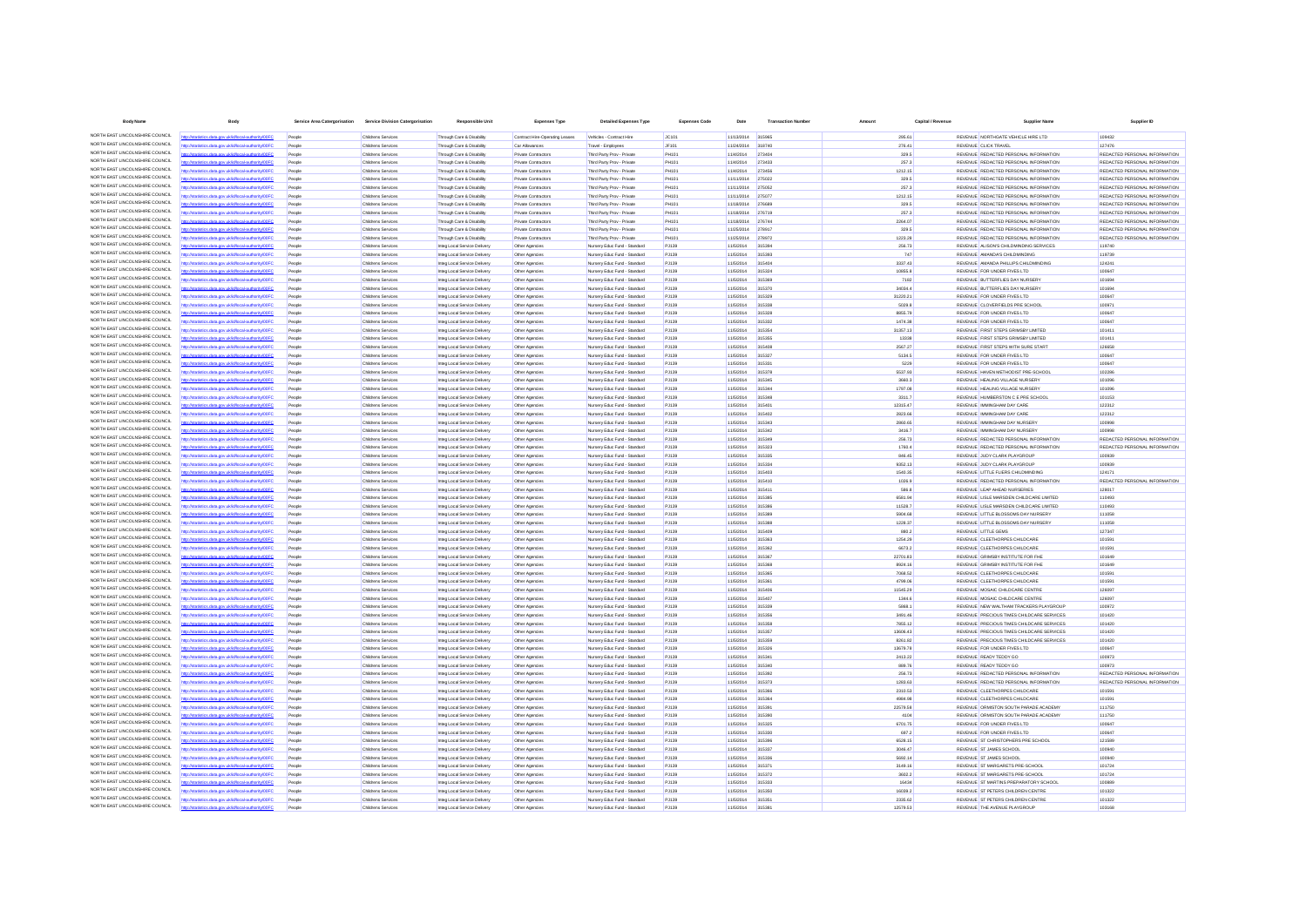| <b>Body Name</b>                                                   |                                                                                        | Service Area Catergorisation | Service Division Catergorisation         | <b>Responsible Unit</b>                                      | <b>Expenses Type</b>                       | <b>Detailed Expenses Type</b>                                | <b>Expenses Code</b> | Date                     | <b>Transaction Number</b> | Amount             | Capital / Revenue | <b>Supplier Name</b>                                                                   | Supplier ID                                                    |
|--------------------------------------------------------------------|----------------------------------------------------------------------------------------|------------------------------|------------------------------------------|--------------------------------------------------------------|--------------------------------------------|--------------------------------------------------------------|----------------------|--------------------------|---------------------------|--------------------|-------------------|----------------------------------------------------------------------------------------|----------------------------------------------------------------|
| NORTH EAST LINCOLNSHIRE COUNCIL                                    | ttp://statistics.data.gov.uk/id/local-authority/00FC                                   | People                       | Childrens Services                       | Through Care & Disability                                    | Contract Hire-Operating Leases             | Vehicles - Contract Hire                                     | JC101                | 11/13/2014               | 315965                    | 295.61             |                   | REVENUE NORTHGATE VEHICLE HIRE LTD                                                     | 109432                                                         |
| NORTH EAST LINCOLNSHIRE COUNCIL                                    |                                                                                        | Penni                        | Childrens Services                       | Through Care & Disability                                    | Car Alovances                              | Travel - Employees                                           | <b>JE101</b>         | 11/24/2014               | 318740                    | 276.41             |                   | REVENUE CUCK TRAVEL                                                                    | 127476                                                         |
| NORTH EAST LINCOLNSHIRE COUNCIL                                    |                                                                                        | People                       | Childrens Services                       | Through Care & Disability                                    | Private Contractors                        | Third Party Prov - Private                                   | PH101                | 11/4/2014                | 273404                    | 329.5              |                   | REVENUE REDACTED PERSONAL INFORMATION                                                  | REDACTED PERSONAL INFORMATION                                  |
| NORTH EAST LINCOLNSHIRE COUNCIL<br>NORTH EAST LINCOLNSHIRE COUNCIL | distics.data.gov.uk/id/local-authority/00FC                                            | People                       | Childrens Services                       | Through Care & Disability                                    | Private Contractors                        | Third Party Prov - Private                                   | <b>PH101</b>         | 11/4/2014                | 273433                    | 257.3              |                   | REVENUE REDACTED PERSONAL INFORMATION                                                  | REDACTED PERSONAL INFORMATION                                  |
| NORTH EAST LINCOLNSHIRE COUNCIL                                    | cs.data.gov.uk/id/local-authority/00FC                                                 | People<br>People             | Childrens Services<br>Childrens Services | Through Care & Disability<br>Through Care & Disability       | Private Contractors<br>Private Contractors | Third Party Prov - Private<br>Third Party Prov - Private     | PH101<br>PH101       | 11/4/2014<br>11/11/2014  | 273456<br>275022          | 1212.15<br>329.5   |                   | REVENUE REDACTED PERSONAL INFORMATION<br>REVENUE REDACTED PERSONAL INFORMATION         | REDACTED PERSONAL INFORMATION<br>REDACTED PERSONAL INFORMATION |
| NORTH EAST LINCOLNSHIRE COUNCIL                                    |                                                                                        | People                       | Childrens Services                       | Through Care & Disability                                    | Private Contractors                        | Third Party Prov - Private                                   | PH101                | 11/11/2014               | 275052                    | 257.3              |                   | REVENUE REDACTED PERSONAL INFORMATION                                                  | REDACTED PERSONAL INFORMATION                                  |
| NORTH EAST LINCOLNSHIRE COUNCIL                                    | stics.data.gov.uk/id/local-authority/00FC                                              | People                       | Childrens Services                       | Through Care & Disability                                    | Private Contractors                        | Third Party Prov - Private                                   | PH101                | 11/11/2014 275077        |                           | 1212.15            |                   | REVENUE REDACTED PERSONAL INFORMATION                                                  | REDACTED PERSONAL INFORMATION                                  |
| NORTH EAST LINCOLNSHIRE COUNCIL                                    | ttp://statistics.data.gov.uk/id/local-authority/00FC                                   | People                       | Childrens Services                       | Through Care & Disability                                    | Private Contractors                        | Third Party Prov - Private                                   | PH101                | 11/18/2014 276689        |                           | 329.5              |                   | REVENUE REDACTED PERSONAL INFORMATION                                                  | REDACTED PERSONAL INFORMATION                                  |
| NORTH EAST LINCOLNSHIRE COUNCIL<br>NORTH EAST LINCOLNSHIRE COUNCIL | ins data gov uklidiheal-author                                                         | People                       | Childrens Services                       | Through Care & Disability                                    | Private Contractors                        | Third Party Prov - Private                                   | PH101                | 11/18/2014               | 276719                    | 257.3              |                   | REVENUE REDACTED PERSONAL INFORMATION                                                  | REDACTED PERSONAL INFORMATION                                  |
| NORTH EAST LINCOLNSHIRE COUNCIL                                    | cs.data.gov.uk/id/local-authority/00FC                                                 | People                       | Childrens Services                       | Through Care & Disability                                    | Private Contractors                        | Third Party Prov - Private                                   | PH101                | 11/18/2014               | 276744                    | 2264.07            |                   | REVENUE REDACTED PERSONAL INFORMATION                                                  | REDACTED PERSONAL INFORMATION                                  |
| NORTH EAST LINCOLNSHIRE COUNCIL                                    | stics.data.gov.uk/id/local-authority/00FC                                              | People<br>People             | Childrens Services<br>Childrens Services | Through Care & Disability<br>Through Care & Disability       | Private Contractor<br>Private Contractors  | Third Party Prov - Privat<br>Third Party Prov - Private      | PH101<br>PH101       | 11/25/2014<br>11/25/2014 | 278917<br>278972          | 329.5<br>1223.28   |                   | REVENUE REDACTED PERSONAL INFORMATION<br>REVENUE REDACTED PERSONAL INFORMATION         | REDACTED PERSONAL INFORMATION<br>REDACTED PERSONAL INFORMATION |
| NORTH EAST LINCOLNSHIRE COUNCIL                                    | cs.data.gov.uk/id/local-authority/00FC                                                 | People                       | Childrens Services                       | Integ Local Service Delivery                                 | Other Agencies                             | Nursery Educ Fund - Standard                                 | PJ139                | 11/5/2014                | 315394                    | 256.73             |                   | REVENUE ALISON'S CHILDMINDING SERVICES                                                 | 119740                                                         |
| NORTH EAST LINCOLNSHIRE COUNCIL                                    | cs.data.gov.uk/id/local-authr                                                          | People                       | Childrens Services                       | Integ Local Service Delivery                                 | Other Agencies                             | Nursery Educ Fund - Standard                                 | PJ139                | 11/5/2014                | 315393                    | 747                |                   | REVENUE AMANDA'S CHILDMINDING                                                          | 119739                                                         |
| NORTH EAST LINCOLNSHIRE COUNCIL                                    | tics.data.gov.uk/id/local-authority/00FC                                               | People                       | Childrens Services                       | Integ Local Service Delivery                                 | Other Agencies                             | Nursery Educ Fund - Standard                                 | PJ139                | 11/5/2014                | 315404                    | 3337.43            |                   | REVENUE AMANDA PHILLIPS CHILDMINDING                                                   | 124241                                                         |
| NORTH EAST LINCOLNSHIRE COUNCIL<br>NORTH EAST LINCOLNSHIRE COUNCIL |                                                                                        | Peopl                        | Childrens Service                        | Integ Local Service Delivery                                 | Other Agencie                              | Nursery Educ Fund - Standard                                 | PJ139                | 11/5/2014                | 315324                    | 10855.8            |                   | REVENUE FOR UNDER FIVES LTD                                                            | 100647                                                         |
| NORTH EAST LINCOLNSHIRE COUNCIL                                    | stics.data.gov.uk/id/local-authority/00FC                                              | People<br>People             | Childrens Services<br>Childrens Services | Integ Local Service Delivery<br>Integ Local Service Delivery | Other Agencies<br>Other Agencies           | Nursery Educ Fund - Standard<br>Nursery Educ Fund - Standard | PJ139<br>PJ139       | 11/5/2014<br>11/5/2014   | 315369<br>315370          | 7182<br>34034.4    |                   | REVENUE BUTTERFLIES DAY NURSERY<br>REVENUE BUTTERFLIES DAY NURSERY                     | 101694<br>101694                                               |
| NORTH EAST LINCOLNSHIRE COUNCIL                                    | ns data ony uklidihoakautho                                                            | People                       | Childrens Services                       | Integ Local Service Delivery                                 | Other Agencies                             | Nursery Educ Fund - Standard                                 | PJ139                | 11/5/2014                | 315329                    | 31220.21           |                   | REVENUE FOR UNDER FIVES LTD                                                            | 100647                                                         |
| NORTH EAST LINCOLNSHIRE COUNCIL                                    | cs.data.gov.uk/id/local-author                                                         | People                       | Childrens Services                       | Integ Local Service Delivery                                 | Other Agencies                             | Nursery Educ Fund - Standard                                 | PJ139                | 11/5/2014                | 315338                    | 5029.8             |                   | REVENUE CLOVERFIELDS PRE SCHOOL                                                        | 100971                                                         |
| NORTH EAST LINCOLNSHIRE COUNCIL                                    |                                                                                        | Peopl                        | Childrens Services                       | Integ Local Service Delivery                                 | Other Agencie                              | Nursery Educ Fund - Standard                                 | PJ139                | 11/5/2014                | 315328                    | 8855.79            |                   | REVENUE FOR UNDER FIVES LTD                                                            | 100647                                                         |
| NORTH EAST LINCOLNSHIRE COUNCIL                                    | istics.data.gov.uk/id/local-authority/00FC                                             | People                       | Childrens Services                       | Integ Local Service Delivery                                 | Other Agencies                             | Nursery Educ Fund - Standard                                 | PJ139                | 11/5/2014                | 315332                    | 1474.38            |                   | REVENUE FOR UNDER FIVES LTD                                                            | 100647                                                         |
| NORTH EAST LINCOLNSHIRE COUNCIL<br>NORTH EAST LINCOLNSHIRE COUNCIL |                                                                                        | People                       | Childrens Services                       | Integ Local Service Delivery                                 | Other Agencies                             | Nursery Educ Fund - Standard                                 | PJ139                | 11/5/2014                | 315354                    | 31357.13           |                   | REVENUE FIRST STEPS GRIMSBY LIMITED                                                    | 101411                                                         |
| NORTH FAST LINCOLNSHIRE COUNCIL                                    | stics.data.gov.uk/id/local-authority/00FC<br>stics.data.gov.uk/id/local-authorit       | People<br>People             | Childrens Services<br>Childrens Services | Integ Local Service Delivery<br>Integ Local Service Delivery | Other Agencies<br>Other Agencies           | Nursery Educ Fund - Standard<br>Nursery Educ Fund - Standard | PJ139<br>PJ139       | 11/5/2014<br>11/5/2014   | 315355<br>315408          | 13338<br>2567.27   |                   | REVENUE FIRST STEPS GRIMSBY LIMITED<br>REVENUE FIRST STEPS WITH SURE START             | 101411<br>126658                                               |
| NORTH EAST LINCOLNSHIRE COUNCIL                                    |                                                                                        | People                       | Childrens Services                       | meg Local Service Delivery                                   | Other Agencie                              | Nursery Educ Fund - Standard                                 | PJ139                | 11/5/2014                | 315327                    | 5134.5             |                   | REVENUE FOR UNDER FIVES LTD                                                            | 100647                                                         |
| NORTH EAST LINCOLNSHIRE COUNCIL                                    | stics.data.gov.uk/id/local-authority/00FC                                              | People                       | Childrens Services                       | Integ Local Service Delivery                                 | Other Agencies                             | Nursery Educ Fund - Standard                                 | PJ139                | 11/5/2014                | 315331                    | 5229               |                   | REVENUE FOR UNDER FIVES LTD                                                            | 100647                                                         |
| NORTH EAST LINCOLNSHIRE COUNCIL                                    |                                                                                        | People                       | Childrens Services                       | Integ Local Service Delivery                                 | Other Agencies                             | Nursery Educ Fund - Standard                                 | PJ139                | 11/5/2014                | 315378                    | 5537.93            |                   | REVENUE HAVEN METHODIST PRE-SCHOOL                                                     | 102286                                                         |
| NORTH EAST LINCOLNSHIRE COUNCIL<br>NORTH EAST LINCOLNSHIRE COUNCIL | stics.data.gov.uk/id/local-authority/00FC                                              | People                       | Childrens Services                       | Integ Local Service Delivery                                 | Other Agencies                             | Nursery Educ Fund - Standard                                 | PJ139                | 11/5/2014                | 315345                    | 3660.3             |                   | REVENUE HEALING VILLAGE NURSERY                                                        | 101096                                                         |
| NORTH EAST LINCOLNSHIRE COUNCIL                                    |                                                                                        | People                       | Childrens Services                       | Integ Local Service Delivery                                 | Other Agencies                             | Nursery Educ Fund - Standard                                 | PJ139                | 11/5/2014                | 315344                    | 1797.08            |                   | REVENUE HEALING VILLAGE NURSERY                                                        | 101096                                                         |
| NORTH EAST LINCOLNSHIRE COUNCIL                                    | stics.data.gov.uk/id/local-authority/00FC                                              | People<br>People             | Childrens Services<br>Childrens Services | Integ Local Service Delivery<br>Integ Local Service Delivery | Other Agencies<br>Other Agencies           | Nursery Educ Fund - Standard<br>Nursery Educ Fund - Standard | PJ139<br>PJ139       | 11/5/2014<br>11/5/2014   | 315348<br>315401          | 3311.7<br>12315.47 |                   | REVENUE HUMBERSTON C E PRE SCHOOL<br>REVENUE IMMINGHAM DAY CARE                        | 101153<br>122312                                               |
| NORTH EAST LINCOLNSHIRE COUNCIL                                    |                                                                                        | People                       | Childrens Services                       | Integ Local Service Delivery                                 | Other Agencies                             | Nursery Educ Fund - Standard                                 | PJ139                | 11/5/2014                | 315402                    | 2823.66            |                   | REVENUE IMMINGHAM DAY CARE                                                             | 122312                                                         |
| NORTH EAST LINCOLNSHIRE COUNCIL                                    | stics.data.gov.uk/id/local-authority/00FC                                              | People                       | Childrens Services                       | Integ Local Service Delivery                                 | Other Agencies                             | Nursery Educ Fund - Standard                                 | PJ139                | 11/5/2014                | 315343                    | 2860.65            |                   | REVENUE MMINGHAM DAY NURSERY                                                           | 100998                                                         |
| NORTH EAST LINCOLNSHIRE COUNCIL                                    |                                                                                        | People                       | Childrens Services                       | Integ Local Service Delivery                                 | Other Agencies                             | Nursery Educ Fund - Standard                                 | PJ139                | 11/5/2014                | 315342                    | 3416.7             |                   | REVENUE IMMINGHAM DAY NURSERY                                                          | 100996                                                         |
| NORTH EAST LINCOLNSHIRE COUNCIL<br>NORTH EAST LINCOLNSHIRE COUNCIL |                                                                                        | People                       | Childrens Services                       | Integ Local Service Delivery                                 | Other Agencies                             | Nursery Educ Fund - Standard                                 | PJ139                | 11/5/2014                |                           | 256.73             |                   | REVENUE REDACTED PERSONAL INFORMATION                                                  | REDACTED PERSONAL INFORMATION                                  |
| NORTH EAST LINCOLNSHIRE COUNCIL                                    | stics.data.gov.uk/id/local-authority/00FC                                              | People                       | Childrens Services                       | Integ Local Service Delivery                                 | Other Agencies                             | Nursery Educ Fund - Standard                                 | PJ139                | 11/5/2014                | 315323                    | 1760.4             |                   | REVENUE REDACTED PERSONAL INFORMATION                                                  | REDACTED PERSONAL INFORMATION                                  |
| NORTH EAST LINCOLNSHIRE COUNCIL                                    | stics.data.gov.uk/id/local-authority/00FC                                              | People<br>People             | Childrens Services<br>Childrens Services | Integ Local Service Delivery<br>Integ Local Service Delivery | Other Agencies<br>Other Agencies           | Nursery Educ Fund - Standard<br>Nursery Educ Fund - Standard | PJ139<br>PJ139       | 11/5/2014<br>11/5/2014   | 315335<br>315334          | 846.45<br>9352.13  |                   | REVENUE JUDY CLARK PLAYGROUP<br>REVENUE JUDY CLARK PLAYGROUP                           | 100939<br>100939                                               |
| NORTH EAST LINCOLNSHIRE COUNCIL                                    | tics data ony uklidiocal-authority/00EC                                                | People                       | Childrens Services                       | Integ Local Service Delivery                                 | Other Agencies                             | Nursery Educ Fund - Standard                                 | PJ139                | 11/5/2014                | 315403                    | 1540.35            |                   | REVENUE LITTLE FLIERS CHILDMINDING                                                     | 124171                                                         |
| NORTH EAST LINCOLNSHIRE COUNCIL                                    | ics.data.gov.uk/id/local-authority/00FC                                                | People                       | Childrens Services                       | Integ Local Service Delivery                                 | Other Agencies                             | Nursery Educ Fund - Standard                                 | PJ139                | 11/5/2014                | 315410                    | 1026.9             |                   | REVENUE REDACTED PERSONAL INFORMATION                                                  | REDACTED PERSONAL INFORMATION                                  |
| NORTH EAST LINCOLNSHIRE COUNCIL                                    | stics.data.gov.uk/id/local-authority/00FC                                              | People                       | Childrens Services                       | Integ Local Service Delivery                                 | Other Agencies                             | Nursery Educ Fund - Standard                                 | PJ139                | 11/5/2014                | 315411                    | 586.8              |                   | REVENUE LEAP AHEAD NURSERIES                                                           | 128017                                                         |
| NORTH EAST LINCOLNSHIRE COUNCIL<br>NORTH EAST LINCOLNSHIRE COUNCIL | data.gov.uk/id/local-author.                                                           | People                       | Childrens Services                       | Integ Local Service Delivery                                 | Other Agencies                             | Nursery Educ Fund - Standard                                 | PJ139                | 11/5/2014                | 315385                    | 6581.94            |                   | REVENUE LISLE MARSDEN CHILDCARE LIMITED                                                | 110493                                                         |
| NORTH EAST LINCOLNSHIRE COUNCIL                                    | stics.data.gov.uk/id/local-authority/00FC                                              | Peopl<br>People              | Childrens Services<br>Childrens Services | Integ Local Service Delivery<br>Integ Local Service Delivery | Other Agencies<br>Other Agencies           | Nursery Educ Fund - Standard                                 | PJ139<br>PJ139       | 11/5/2014<br>11/5/2014   | 315386<br>315389          | 11528.7<br>5904.68 |                   | REVENUE LISLE MARSDEN CHILDCARE LIMITED                                                | 110493<br>111058                                               |
| NORTH EAST LINCOLNSHIRE COUNCIL                                    | ics.data.gov.uk/id/local-authori                                                       | People                       | Childrens Services                       | Integ Local Service Delivery                                 | Other Agencies                             | Nursery Educ Fund - Standard<br>Nursery Educ Fund - Standard | PJ139                | 11/5/2014                | 315388                    | 1228.37            |                   | REVENUE LITTLE BLOSSOMS DAY NURSERY<br>REVENUE LITTLE BLOSSOMS DAY NURSERY             | 111058                                                         |
| NORTH EAST LINCOLNSHIRE COUNCIL                                    | istics.data.gov.uk/id/local-authority/00FC                                             | People                       | Childrens Services                       | Integ Local Service Delivery                                 | Other Agencies                             | Nursery Educ Fund - Standard                                 | PJ139                | 11/5/2014                | 315409                    | 880.2              |                   | REVENUE LITTLE GEMS                                                                    | 127347                                                         |
| NORTH EAST LINCOLNSHIRE COUNCIL                                    | cs.data.gov.uk/id/local-autho                                                          | People                       | Childrens Services                       | Integ Local Service Delivery                                 | Other Agencies                             | Nursery Educ Fund - Standard                                 | PJ139                | 11/5/2014                | 315363                    | 1254.29            |                   | REVENUE CLEETHORPES CHILDCARE                                                          | 101591                                                         |
| NORTH EAST LINCOLNSHIRE COUNCIL                                    | istics.data.gov.uk/id/local-authority/00FC                                             | People                       | Childrens Services                       | Integ Local Service Delivery                                 | Other Agencies                             | Nursery Educ Fund - Standard                                 | PJ139                | 11/5/2014                | 315362                    | 6673.2             |                   | REVENUE CLEETHORPES CHILDCARE                                                          | 101591                                                         |
| NORTH EAST LINCOLNSHIRE COUNCIL<br>NORTH EAST LINCOLNSHIRE COUNCIL | ins data ony uklidional authr                                                          | People                       | Childrens Services                       | Integ Local Service Delivery                                 | Other Agencies                             | Nursery Educ Fund - Standard                                 | PJ139                | 11/5/2014                | 315367                    | 22701.83           |                   | REVENUE GRIMSBY INSTITUTE FOR FHE                                                      | 101649                                                         |
| NORTH EAST LINCOLNSHIRE COUNCIL                                    | ics.data.gov.uk/id/local-authority/00FC                                                | People<br>Peopl              | Childrens Services<br>Childrens Services | Integ Local Service Delivery<br>nteg Local Service Delivery  | Other Agencies<br>Other Agencie            | Nursery Educ Fund - Standard<br>Nursery Educ Fund - Standard | PJ139<br>PJ139       | 11/5/2014<br>11/5/2014   | 315368<br>315365          | 8924.16<br>7068.52 |                   | REVENUE GRIMSBY INSTITUTE FOR FHE<br>REVENUE CLEETHORPES CHILDCARE                     | 101649<br>101591                                               |
| NORTH FAST LINCOLNSHIRE COUNCIL                                    | ns data ony uklidingal-autho                                                           | People                       | Childrens Services                       | Integ Local Service Delivery                                 | Other Agencies                             | Nursery Educ Fund - Standard                                 | PJ139                | 11/5/2014                | 315361                    | 4799.06            |                   | REVENUE CLEETHORPES CHILDCARE                                                          | 101591                                                         |
| NORTH EAST LINCOLNSHIRE COUNCIL                                    | stics.data.gov.uk/id/local-authority/00FC                                              | Peopl                        | Childrens Services                       | Integ Local Service Delivery                                 | Other Agencies                             | Nursery Educ Fund - Standard                                 | PJ139                | 11/5/2014                | 315406                    | 11545.29           |                   | REVENUE MOSAIC CHILDCARE CENTRE                                                        | 126097                                                         |
| NORTH EAST LINCOLNSHIRE COUNCIL                                    |                                                                                        | People                       | Childrens Services                       | Integ Local Service Delivery                                 | Other Agencies                             | Nursery Educ Fund - Standard                                 | PJ139                | 11/5/2014                | 315407                    | 1344.6             |                   | REVENUE MOSAIC CHILDCARE CENTRE                                                        | 126097                                                         |
| NORTH EAST LINCOLNSHIRE COUNCIL<br>NORTH EAST LINCOLNSHIRE COUNCIL | stics.data.gov.uk/id/local-authority/00FC                                              | People                       | Childrens Services                       | Integ Local Service Delivery                                 | Other Agencies                             | Nursery Educ Fund - Standard                                 | PJ139                | 11/5/2014                | 315339                    | 5868.1             |                   | REVENUE NEW WALTHAM TRACKERS PLAYGROUP                                                 | 100972                                                         |
| NORTH EAST LINCOLNSHIRE COUNCIL                                    |                                                                                        | People<br>People             | Childrens Services<br>Childrens Services | nteg Local Service Delivery<br>Integ Local Service Delivery  | Other Agencies<br>Other Agencies           | Nursery Educ Fund - Standard<br>Nursery Educ Fund - Standard | PJ139<br>PJ139       | 11/5/2014<br>11/5/2014   | 315356<br>315358          | 3491.46<br>7855.12 |                   | REVENUE PRECIOUS TIMES CHILDCARE SERVICES<br>REVENUE PRECIOUS TIMES CHILDCARE SERVICES | 101420<br>101420                                               |
| NORTH EAST LINCOLNSHIRE COUNCIL                                    | stics.data.gov.uk/id/local-authority/00FC                                              | People                       | Childrens Services                       | Integ Local Service Delivery                                 | Other Agencies                             | Nursery Educ Fund - Standard                                 | PJ139                | 11/5/2014                | 315357                    | 13606.43           |                   | REVENUE PRECIOUS TIMES CHILDCARE SERVICES                                              | 101420                                                         |
| NORTH EAST LINCOLNSHIRE COUNCIL                                    | or data assumblidheed authoritating?                                                   | People                       | Childrens Services                       | Integ Local Service Delivery                                 | Other Agencies                             | Nursery Educ Fund - Standard                                 | PJ139                | 11/5/2014                | 315359                    | 8261.82            |                   | REVENUE PRECIOUS TIMES CHILDCARE SERVICES                                              | 101420                                                         |
| NORTH EAST LINCOLNSHIRE COUNCIL                                    | ics.data.gov.uk/id/local-authority/00FC                                                | People                       | Childrens Services                       | Integ Local Service Delivery                                 | Other Agencies                             | Nursery Educ Fund - Standard                                 | PJ139                | 11/5/2014                | 315326                    | 13679.78           |                   | REVENUE FOR UNDER FIVES LTD                                                            | 100647                                                         |
| NORTH EAST LINCOLNSHIRE COUNCIL<br>NORTH EAST LINCOLNSHIRE COUNCIL |                                                                                        | People                       | Childrens Services                       | Integ Local Service Delivery                                 | Other Agencies                             | Nursery Educ Fund - Standard                                 | PJ139                | 11/5/2014                | 31534                     | 2413.22            |                   | REVENUE READY TEDDY GO                                                                 | 100973                                                         |
| NORTH EAST LINCOLNSHIRE COUNCIL                                    | stics.data.gov.uk/id/local-authority/00FC<br>stics.data.gov.uk/id/local-authority/00FC | People<br>People             | Childrens Services<br>Childrens Services | Integ Local Service Delivery<br>Integ Local Service Delivery | Other Agencies                             | Nursery Educ Fund - Standard<br>Nursery Educ Fund - Standard | PJ139<br>PJ139       | 11/5/2014<br>11/5/2014   | 315340<br>315392          | 889.76<br>256.73   |                   | REVENUE READY TEDDY GO<br>REVENUE REDACTED PERSONAL INFORMATION                        | 100973<br>REDACTED PERSONAL INFORMATION                        |
| NORTH EAST LINCOLNSHIRE COUNCIL                                    | cs data gov ukřdíhoal-authoritvi00EC                                                   | People                       | Childrens Services                       | Integ Local Service Delivery                                 | Other Agencies<br>Other Agencies           | Nursery Educ Fund - Standard                                 | PJ139                | 11/5/2014                | 315373                    | 1283.63            |                   | REVENUE REDACTED PERSONAL INFORMATION                                                  | REDACTED PERSONAL INFORMATION                                  |
| NORTH EAST LINCOLNSHIRE COUNCIL                                    | tics.data.gov.uk/id/local-authority/00FC                                               | People                       | Childrens Services                       | Integ Local Service Delivery                                 | Other Agencies                             | Nursery Educ Fund - Standard                                 | PJ139                | 11/5/2014                | 315366                    | 2310.53            |                   | REVENUE CLEETHORPES CHILDCARE                                                          | 101591                                                         |
| NORTH EAST LINCOLNSHIRE COUNCIL                                    |                                                                                        | People                       | Childrens Services                       | Integ Local Service Delivery                                 | Other Agencies                             | Nursery Educ Fund - Standard                                 | PJ139                | 11/5/2014                | 315364                    | 4984.98            |                   | REVENUE CLEETHORPES CHILDCARE                                                          | 101591                                                         |
| NORTH EAST LINCOLNSHIRE COUNCIL                                    | stics.data.gov.uk/id/local-authority/00FC                                              | People                       | Childrens Services                       | Integ Local Service Delivery                                 | Other Agencies                             | Nursery Educ Fund - Standard                                 | PJ139                | 11/5/2014                | 315391                    | 22579.58           |                   | REVENUE ORMISTON SOUTH PARADE ACADEMY                                                  | 111750                                                         |
| NORTH EAST LINCOLNSHIRE COUNCIL<br>NORTH EAST LINCOLNSHIRE COUNCIL |                                                                                        | People                       | Childrens Services                       | Integ Local Service Delivery                                 | Other Agencies                             | Nursery Educ Fund - Standard                                 | PJ139                | 11/5/2014                | 315390                    | 4104               |                   | REVENUE ORMISTON SOUTH PARADE ACADEMY                                                  | 111750                                                         |
| NORTH EAST LINCOLNSHIRE COUNCIL                                    |                                                                                        | People<br>People             | Childrens Services                       | Integ Local Service Delivery                                 | Other Agencies                             | Nursery Educ Fund - Standard                                 | PJ139                | 11/5/2014                | 315325                    | 6701.75            |                   | REVENUE FOR UNDER FIVES LTD                                                            | 100647<br>100647                                               |
| NORTH EAST LINCOLNSHIRE COUNCIL                                    | stics.data.gov.uk/id/local-authority/00FC                                              | People                       | Childrens Services<br>Childrens Services | Integ Local Service Delivery<br>Integ Local Service Delivery | Other Agencies<br>Other Agencies           | Nursery Educ Fund - Standard<br>Nursery Educ Fund - Standard | PJ139<br>PJ139       | 11/5/2014<br>11/5/2014   | 315330<br>315396          | 697.2<br>6528.15   |                   | REVENUE FOR UNDER FIVES LTD<br>REVENUE ST CHRISTOPHERS PRE SCHOOL                      | 121589                                                         |
| NORTH EAST LINCOLNSHIRE COUNCIL                                    | stics.data.gov.uk/id/local-authority/00FC                                              | People                       | Childrens Services                       | Integ Local Service Delivery                                 | Other Agencies                             | Nursery Educ Fund - Standard                                 | PJ139                | 11/5/2014                | 315337                    | 3046.47            |                   | REVENUE ST JAMES SCHOOL                                                                | 100940                                                         |
| NORTH EAST LINCOLNSHIRE COUNCIL                                    | s.data.gov.uk/id/local-author                                                          | People                       | Childrens Services                       | Integ Local Service Delivery                                 | Other Agencies                             | Nursery Educ Fund - Standard                                 | PJ139                | 11/5/2014                | 315336                    | 5692.14            |                   | REVENUE ST JAMES SCHOOL                                                                | 100940                                                         |
| NORTH EAST LINCOLNSHIRE COUNCIL<br>NORTH EAST LINCOLNSHIRE COUNCIL | dics data ony uklidiocal authority/OFC                                                 | Peopl                        | Childrens Services                       | Integ Local Service Delivery                                 | Other Agencies                             | Nursery Educ Fund - Standard                                 | PJ139                | 11/5/2014                | 315371                    | 3149.16            |                   | REVENUE ST MARGARETS PRE-SCHOOL                                                        | 101724                                                         |
| NORTH EAST LINCOLNSHIRE COUNCIL                                    | stics.data.gov.uk/id/local-authority/00FC                                              | People                       | Childrens Services                       | Integ Local Service Delivery                                 | Other Agencies                             | Nursery Educ Fund - Standard                                 | PJ139                | 11/5/2014                | 315372                    | 3602.2             |                   | REVENUE ST MARGARETS PRE-SCHOOL                                                        | 101724                                                         |
| NORTH EAST LINCOLNSHIRE COUNCIL                                    | stics.data.gov.uk/id/local-authority/00FC                                              | People<br>People             | Childrens Services<br>Childrens Services | Integ Local Service Delivery<br>Integ Local Service Delivery | Other Agencies<br>Other Agencies           | Nursery Educ Fund - Standard<br>Nursery Educ Fund - Standard | PJ139<br>PJ139       | 11/5/2014<br>11/5/2014   | 315333<br>315350          | 16434<br>16039.2   |                   | REVENUE ST MARTINS PREPARATORY SCHOOL<br>REVENUE ST PETERS CHILDREN CENTRE             | 100889<br>101322                                               |
| NORTH EAST LINCOLNSHIRE COUNCIL                                    | cs.data.gov.uk/id/local-authority/00FC                                                 | People                       | Childrens Services                       | Integ Local Service Delivery                                 | Other Agencies                             | Nursery Educ Fund - Standard                                 | PJ139                | 11/5/2014                | 315351                    | 2335.62            |                   | REVENUE ST PETERS CHILDREN CENTRE                                                      | 101322                                                         |
| NORTH EAST LINCOLNSHIRE COUNCIL                                    |                                                                                        |                              | Childrens Services                       | Integ Local Service Delivery                                 |                                            | Nursery Educ Fund - Standard                                 | PJ139                | 11/5/2014                |                           | 12579.53           |                   | REVENUE THE AVENUE PLAYGROUP                                                           | 103168                                                         |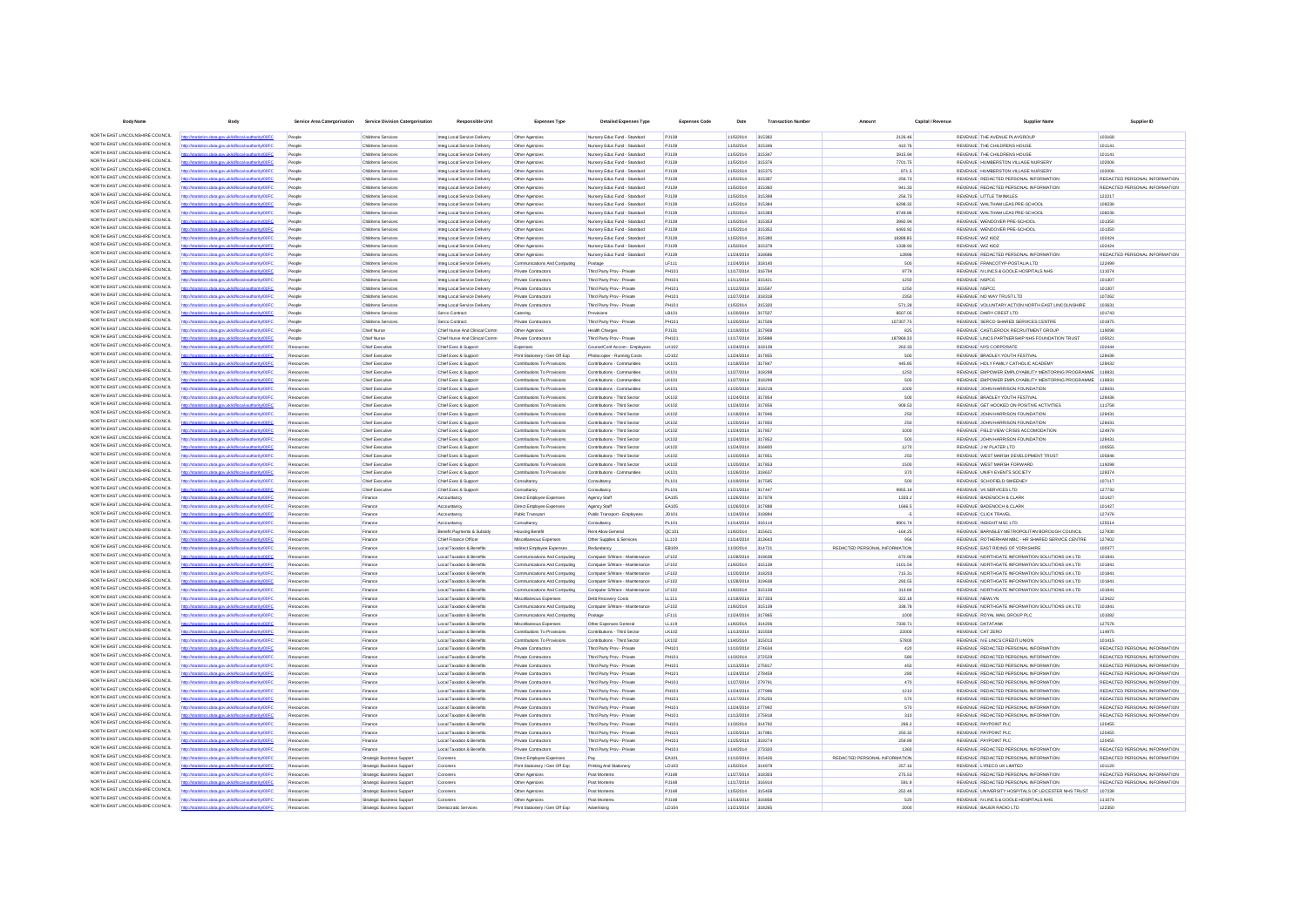|                                                                    |                                                                                     | Service Area Catergorisation | <b>Service Division Catergorisation</b>                 | Responsible Unit                                             | <b>Expenses Type</b>                                         | <b>Detailed Expenses Type</b>                                  | <b>Expenses Code</b> | Date                     | <b>Transaction Numbe</b> | Amoun                                   | Capital / Revenue | <b>Supplier Name</b>                                                                                                 |                                                                |
|--------------------------------------------------------------------|-------------------------------------------------------------------------------------|------------------------------|---------------------------------------------------------|--------------------------------------------------------------|--------------------------------------------------------------|----------------------------------------------------------------|----------------------|--------------------------|--------------------------|-----------------------------------------|-------------------|----------------------------------------------------------------------------------------------------------------------|----------------------------------------------------------------|
| NORTH EAST LINCOLNSHIRE COUNCIL                                    | ttp://statistics.data.gov.uk/id/local-authority/00FC                                | People                       | Childrens Services                                      | nteg Local Service Delivery                                  | Other Agencies                                               | Nursery Educ Fund - Standard                                   | PJ139                | 11/5/2014                | 315382                   | 2126.46                                 |                   | REVENUE THE AVENUE PLAYGROUP                                                                                         | 103168                                                         |
| NORTH EAST LINCOLNSHIRE COUNCIL                                    |                                                                                     | Penni                        | Childrens Services                                      | Integ Local Service Deliven                                  | Other Agencies                                               | Nursery Educ Fund - Standard                                   | P.1139               | 11/5/2014                | 315346                   | 410.76                                  |                   | REVENUE THE CHILDRENS HOUSE                                                                                          | 101141                                                         |
| NORTH EAST LINCOLNSHIRE COUNCIL                                    |                                                                                     | People                       | Childrens Services                                      | Integ Local Service Delivery                                 | Other Agencies                                               | Nursery Educ Fund - Standard                                   | PJ139                | 11/5/2014                | 315347                   | 3915.94                                 |                   | REVENUE THE CHILDRENS HOUSE                                                                                          | 101141                                                         |
| NORTH EAST LINCOLNSHIRE COUNCIL<br>NORTH EAST LINCOLNSHIRE COUNCIL | distics.data.gov.uk/id/local-authority/00FC                                         | People                       | Childrens Services                                      | Integ Local Service Delivery                                 | Other Agencies                                               | Nursery Educ Fund - Standard                                   | P.1139               | 11/5/2014                | 315376                   | 7701.75                                 |                   | REVENUE HUMBERSTON VILLAGE NURSERY                                                                                   | 102006                                                         |
| NORTH EAST LINCOLNSHIRE COUNCIL                                    | ics.data.gov.uk/id/local-author                                                     | People<br>People             | Childrens Services<br>Childrens Services                | Integ Local Service Delivery                                 | Other Agencies<br>Other Agencies                             | Nursery Educ Fund - Standard<br>Nursery Educ Fund - Standard   | PJ139<br>PJ139       | 11/5/2014<br>11/5/2014   | 315375<br>315397         | 871.5<br>256.73                         |                   | REVENUE HUMBERSTON VILLAGE NURSERY<br>REVENUE REDACTED PERSONAL INFORMATION                                          | 102006<br>REDACTED PERSONAL INFORMATION                        |
| NORTH EAST LINCOLNSHIRE COUNCIL                                    |                                                                                     | People                       | Childrens Services                                      | Integ Local Service Delivery<br>Integ Local Service Delivery | Other Agencies                                               | Nursery Educ Fund - Standard                                   | PJ139                | 11/5/2014                | 315350                   | 941.33                                  |                   | REVENUE REDACTED PERSONAL INFORMATION                                                                                | REDACTED PERSONAL INFORMATION                                  |
| NORTH EAST LINCOLNSHIRE COUNCIL                                    | stics.data.gov.uk/id/local-authority/00FC                                           | People                       | Childrens Services                                      | Integ Local Service Delivery                                 | Other Agencies                                               | Nursery Educ Fund - Standard                                   | PJ139                | 11/5/2014                | 315399                   | 256.73                                  |                   | REVENUE LITTLE TWINKLES                                                                                              | 122217                                                         |
| NORTH EAST LINCOLNSHIRE COUNCIL                                    | ttp://statistics.data.gov.uk/id/local-authority/00FC                                | People                       | Childrens Services                                      | Integ Local Service Delivery                                 | Other Agencies                                               | Nursery Educ Fund - Standard                                   | PJ139                | 11/5/2014                | 315384                   | 6298.32                                 |                   | REVENUE WALTHAM LEAS PRE-SCHOOL                                                                                      | 108236                                                         |
| NORTH EAST LINCOLNSHIRE COUNCIL                                    | ics data ony ukkilocal-autho                                                        | People                       | Childrens Services                                      | Integ Local Service Delivery                                 | Other Agencies                                               | Nursery Educ Fund - Standard                                   | PJ139                | 11/5/2014                | 315383                   | 8749.86                                 |                   | REVENUE WALTHAM LEAS PRE-SCHOOL                                                                                      | 108236                                                         |
| NORTH EAST LINCOLNSHIRE COUNCIL                                    | ics.data.gov.uk/id/local-authority/00FC                                             | People                       | Childrens Services                                      | Integ Local Service Delivery                                 | Other Agencies                                               | Nursery Educ Fund - Standard                                   | PJ139                | 11/5/2014                | 315353                   | 3992.94                                 |                   | REVENUE WENDOVER PRE-SCHOOL                                                                                          | 101350                                                         |
| NORTH EAST LINCOLNSHIRE COUNCIL<br>NORTH EAST LINCOLNSHIRE COUNCIL |                                                                                     | Peopl                        | Childrens Service                                       | Integ Local Service Delivery                                 | Other Agencie                                                | Nursery Educ Fund - Standard                                   | PJ139                | 11/5/2014                | 315352                   | 6493.92                                 |                   | REVENUE WENDOVER PRE-SCHOOL                                                                                          | 101350                                                         |
| NORTH EAST LINCOLNSHIRE COUNCIL                                    | stics.data.gov.uk/id/local-authority/00FC<br>cs.data.gov.uk/id/local-authority/00FC | People<br>People             | Childrens Services<br>Childrens Services                | Integ Local Service Delivery<br>Integ Local Service Delivery | Other Agencies                                               | Nursery Educ Fund - Standard<br>Nursery Educ Fund - Standard   | PJ139<br>PJ139       | 11/5/2014<br>11/5/2014   | 315380<br>315379         | 18388.85<br>1338.93                     |                   | REVENUE WIZ KIDZ<br>REVENUE WIZ KIDZ                                                                                 | 102424<br>102424                                               |
| NORTH EAST LINCOLNSHIRE COUNCIL                                    | cs.data.gov.uk/id/local-auth                                                        | People                       | Childrens Services                                      | Integ Local Service Delivery                                 | Other Agencies<br>Other Agencies                             | Nursery Educ Fund - Standard                                   | PJ139                | 11/24/2014               | 318686                   | 12896                                   |                   | REVENUE REDACTED PERSONAL INFORMATION                                                                                | REDACTED PERSONAL INFORMATION                                  |
| NORTH EAST LINCOLNSHIRE COUNCIL                                    | stics.data.gov.uk/id/local-authority/00FC                                           | People                       | Childrens Services                                      | Integ Local Service Delivery                                 | Communications And Computing                                 | Postage                                                        | LF111                | 11/24/2014               | 318140                   | 500                                     |                   | REVENUE FRANCOTYP-POSTALIA LTD                                                                                       | 12249                                                          |
| NORTH EAST LINCOLNSHIRE COUNCIL                                    |                                                                                     | Peopl                        | Childrens Service                                       | nteg Local Service Delivery                                  | Private Contractor                                           | Third Party Prov - Privat                                      | PH101                | 11/17/2014               | 316794                   | 9779                                    |                   | REVENUE N LINCS & GOOLE HOSPITALS NHS                                                                                | 111074                                                         |
| NORTH EAST LINCOLNSHIRE COUNCIL                                    | stics.data.gov.uk/id/local-authority/00FC                                           | People                       | Childrens Services                                      | Integ Local Service Delivery                                 | Private Contractors                                          | Third Party Prov - Private                                     | PH101                | 11/11/2014               | 315421                   | 1250                                    |                   | <b>REVENUE NSPCC</b>                                                                                                 | 101307                                                         |
| NORTH EAST LINCOLNSHIRE COUNCIL                                    |                                                                                     | People                       | Childrens Services                                      | Integ Local Service Delivery                                 | Private Contractors                                          | Third Party Prov - Private                                     | PH101                | 11/12/2014               | 315597                   | 1250                                    |                   | REVENUE NSPCC                                                                                                        | 101307                                                         |
| NORTH EAST LINCOLNSHIRE COUNCIL<br>NORTH EAST LINCOLNSHIRE COUNCIL | ns data ony uklidional auth                                                         | People                       | Childrens Services                                      | Integ Local Service Delivery                                 | Private Contractors                                          | Third Party Prov - Private                                     | PH101                | 11/27/2014               | 318318                   | 2350                                    |                   | REVENUE NO WAY TRUST LTD                                                                                             | 107262                                                         |
| NORTH EAST LINCOLNSHIRE COUNCIL                                    | ics.data.gov.uk/id/local-autho                                                      | People<br>Peopl              | Childrens Services<br>Childrens Services                | Integ Local Service Delivery<br>Serco Contrac                | Private Contractors<br>Catering                              | Third Party Prov - Private                                     | PH101<br>LB101       | 11/5/2014<br>11/20/2014  | 315320<br>317507         | 571.28<br>8507.05                       |                   | REVENUE VOLUNTARY ACTION NORTH EAST LINCOLNSHIRE<br>REVENUE DAIRY CREST LTD                                          | 103631<br>101743                                               |
| NORTH EAST LINCOLNSHIRE COUNCIL                                    | istics.data.gov.uk/id/local-authority/00FC                                          | People                       | Childrens Services                                      | Serco Contract                                               | Private Contractors                                          | Third Party Prov - Private                                     | PH101                | 11/20/2014               | 317506                   | 107307.75                               |                   | REVENUE SERCO SHARED SERVICES CENTRE                                                                                 | 101875                                                         |
| NORTH EAST LINCOLNSHIRE COUNCIL                                    |                                                                                     | People                       | Chief Nurse                                             | Chief Nurse And Clinical Comm                                | Other Agencies                                               | <b>Health Charges</b>                                          | PJ131                | 11/19/2014               | 317908                   | 825                                     |                   | REVENUE CASTLEROCK RECRUITMENT GROUP                                                                                 | 119098                                                         |
| NORTH EAST LINCOLNSHIRE COUNCIL                                    | stics.data.gov.uk/id/local-authority/00FC                                           | People                       | Chief Nurse                                             | Chief Nurse And Clinical Comm                                | Private Contractors                                          | Third Party Prov - Private                                     | PH101                | 11/17/2014               | 315888                   | 187869.33                               |                   | REVENUE LINCS PARTNERSHIP NHS FOUNDATION TRUST                                                                       | 105021                                                         |
| NORTH FAST LINCOLNSHIRE COUNCIL                                    | stics.data.gov.uk/id/local-authorit                                                 | Resource                     | Chief Executive                                         | Chief Exec & Support                                         | Expenses                                                     | Course/Conf Accom - Employees                                  | LH102                | 11/24/2014               | 318139                   | 263.33                                  |                   | REVENUE NYS CORPORATE                                                                                                | 10244                                                          |
| NORTH EAST LINCOLNSHIRE COUNCIL<br>NORTH EAST LINCOLNSHIRE COUNCIL |                                                                                     | Reso                         | Chief Executiv                                          | Chief Exec & Support                                         | Print Stationery / Gen Off Exp                               | Photocopier - Running Costs                                    | LD102                | 11/24/2014               | 317855                   | 500                                     |                   | REVENUE BRADLEY YOUTH FESTIVAL                                                                                       | 128436                                                         |
| NORTH EAST LINCOLNSHIRE COUNCIL                                    | stics.data.gov.uk/id/local-authority/00FC                                           | Resource                     | Chief Executive                                         | Chief Exec & Support                                         | Contributions To Provisions                                  | Contributions - Communities                                    | LK101                | 11/18/2014               | 317847                   | 445.85                                  |                   | REVENUE HOLY FAMILY CATHOLIC ACADEMY                                                                                 | 128432                                                         |
| NORTH EAST LINCOLNSHIRE COUNCIL                                    | stics.data.gov.uk/id/local-authority/00FC                                           | Resources<br>Resources       | Chief Executive<br>Chief Executive                      | Chief Exec & Support<br>Chief Exec & Support                 | Contributions To Provisions<br>Contributions To Provisions   | Contributions - Communities<br>Contributions - Communities     | LK101<br>LK101       | 11/27/2014<br>11/27/2014 | 318298<br>318299         | 1250<br>500                             |                   | REVENUE EMPOWER EMPLOYABILITY MENTORING PROGRAMME 118831<br>REVENUE EMPOWER EMPLOYABILITY MENTORING PROGRAMME 118831 |                                                                |
| NORTH EAST LINCOLNSHIRE COUNCIL                                    |                                                                                     | Resources                    | Chief Executive                                         | Chief Exec & Support                                         | Contributions To Provisions                                  | Contributions - Communities                                    | LK101                | 11/20/2014               | 318219                   | 1000                                    |                   | REVENUE JOHN HARRISON FOUNDATION                                                                                     | 128431                                                         |
| NORTH EAST LINCOLNSHIRE COUNCIL                                    |                                                                                     | Resource                     | Chief Executive                                         | Chief Exec & Support                                         | Contributions To Provisions                                  | Contributions - Third Sector                                   | LK102                | 11/24/2014               | 317854                   | 500                                     |                   | REVENUE BRADLEY YOUTH FESTIVAL                                                                                       | 128436                                                         |
| NORTH EAST LINCOLNSHIRE COUNCIL                                    | stics.data.gov.uk/id/local-authority/00FC                                           | Resources                    | Chief Executive                                         | Chief Exec & Support                                         | Contributions To Provisions                                  | Contributions - Third Sector                                   | LK102                | 11/24/2014               | 317856                   | 909.53                                  |                   | REVENUE GET HOOKED ON POSITIVE ACTIVITIES                                                                            | 111758                                                         |
| NORTH EAST LINCOLNSHIRE COUNCIL                                    |                                                                                     | Resources                    | Chief Executive                                         | Chief Exec & Support                                         | Contributions To Provisions                                  | Contributions - Third Sector                                   | LK102                | 11/18/2014               | 317846                   | 250                                     |                   | REVENUE JOHN HARRISON FOUNDATION                                                                                     | 128431                                                         |
| NORTH EAST LINCOLNSHIRE COUNCIL<br>NORTH EAST LINCOLNSHIRE COUNCIL | stics.data.gov.uk/id/local-authority/00FC                                           | Resource                     | Chief Executive                                         | Chief Exec & Support                                         | Contributions To Provisions                                  | Contributions - Third Sector                                   | LK102                | 11/20/2014               | 317850                   | 250                                     |                   | REVENUE JOHN HARRISON FOUNDATION                                                                                     | 128431                                                         |
| NORTH EAST LINCOLNSHIRE COUNCIL                                    |                                                                                     | Resource                     | Chief Executive<br>Chief Executive                      | Chief Exec & Support<br>Chief Exec & Support                 | Contributions To Provisions<br>Contributions To Provisions   | Contributions - Third Sector                                   | LK102<br>LK102       | 11/24/2014<br>11/24/2014 | 317857                   | 1000<br>500                             |                   | REVENUE FIELD VIEW CRISIS ACCOMODATION<br>REVENUE JOHN HARRISON FOUNDATION                                           | 124979<br>12843                                                |
| NORTH EAST LINCOLNSHIRE COUNCIL                                    | stics.data.gov.uk/id/local-authority/00FC                                           | Resources                    | Chief Executive                                         | Chief Exec & Support                                         | Contributions To Provisions                                  | Contributions - Third Sector<br>Contributions - Third Sector   | LK102                | 11/24/2014               | 316800                   | 1270                                    |                   | REVENUE J W PLATER LTD                                                                                               | 100555                                                         |
| NORTH EAST LINCOLNSHIRE COUNCIL                                    |                                                                                     | Resources                    | Chief Executive                                         | Chief Exec & Support                                         | Contributions To Provisions                                  | Contributions - Third Sector                                   | LK102                | 11/20/2014               | 317851                   | 250                                     |                   | REVENUE WEST MARSH DEVELOPMENT TRUST                                                                                 | 105846                                                         |
| NORTH EAST LINCOLNSHIRE COUNCIL                                    | istics.data.gov.uk/id/local-authority/00FC                                          | Resource                     | Chief Executive                                         | Chief Exec & Support                                         | Contributions To Provisions                                  | Contributions - Third Sector                                   | LK102                | 11/20/2014               | 317853                   | 1500                                    |                   | REVENUE WEST MARSH FORWARD                                                                                           | 119298                                                         |
| NORTH EAST LINCOLNSHIRE COUNCIL                                    | tics data ony uklidlocal authority/00EC                                             | Resources                    | Chief Executive                                         | Chief Exec & Support                                         | Contributions To Provisions                                  | Contributions - Communities                                    | LK101                | 11/26/2014               | 318637                   | 370                                     |                   | REVENUE UNIFY EVENTS SOCIETY                                                                                         | 128374                                                         |
| NORTH EAST LINCOLNSHIRE COUNCIL                                    | ics.data.gov.uk/id/local-authority/00FC                                             | Resource                     | Chief Executive                                         | Chief Exec & Support                                         | Consultancy                                                  | Consultancy                                                    | PL101                | 11/19/2014               | 317595                   | 500                                     |                   | REVENUE SCHOFIELD SWEENEY                                                                                            | 107117                                                         |
| NORTH EAST LINCOLNSHIRE COUNCIL<br>NORTH EAST LINCOLNSHIRE COUNCIL | stics.data.gov.uk/id/local-authority/00FC                                           | Resources                    | Chief Executive                                         | Chief Exec & Support                                         | Consultancy                                                  | Consultancy                                                    | PL101                | 11/21/2014               | 317447                   | 9955.19                                 |                   | REVENUE V4 SERVICES LTD                                                                                              | 127732                                                         |
| NORTH EAST LINCOLNSHIRE COUNCIL                                    | stics.data.gov.uk/id/local-authority/00FC                                           | Resources<br>Resource        | Finance<br>Finance                                      | Accountancy<br>Accountancy                                   | Direct Employee Expenses<br>Direct Employee Expenses         | Agency Staff<br>Agency Staff                                   | EA105<br>EA105       | 11/26/2014<br>11/26/2014 | 317878<br>317888         | 1333.2<br>1666.5                        |                   | REVENUE BADENOCH & CLARK<br>REVENUE BADENOCH & CLARK                                                                 | 101427<br>101427                                               |
| NORTH EAST LINCOLNSHIRE COUNCIL                                    |                                                                                     | Resource                     | Finance                                                 | Accountancy                                                  | Public Transport                                             | Public Transport - Employees                                   | JD101                | 11/24/2014               | 318894                   |                                         |                   | REVENUE CLICK TRAVEL                                                                                                 | 127476                                                         |
| NORTH EAST LINCOLNSHIRE COUNCIL                                    | tics.data.gov.uk/id/local-authori                                                   | Resource                     | Finance                                                 | Accountancy                                                  | Consultancy                                                  | Consultancy                                                    | PL101                | 11/14/2014               | 316114                   | 8901.74                                 |                   | REVENUE INSIGHT MSC LTD                                                                                              | 125514                                                         |
| NORTH EAST LINCOLNSHIRE COUNCIL                                    | istics.data.gov.uk/id/local-authority/00FC                                          | Resource                     | Finance                                                 | Benefit Payments & Subsidy                                   | <b>Housing Benefit</b>                                       | Rent Allow General                                             | OC101                | 11/6/2014                | 315621                   | $-164.25$                               |                   | REVENUE BARNSLEY METROPOLITAN BOROUGH COUNCIL                                                                        | 127930                                                         |
| NORTH EAST LINCOLNSHIRE COUNCIL                                    | cs.data.gov.uk/id/local-autho                                                       | Resources                    | Finance                                                 | Chief Finance Officer                                        | Miscelaneous Expenses                                        | Other Supplies & Services                                      | LL110                | 11/14/2014               | 313643                   | 956                                     |                   | REVENUE ROTHERHAM MBC - HR SHARED SERVICE CENTRE                                                                     | 127602                                                         |
| NORTH EAST LINCOLNSHIRE COUNCIL                                    | istics.data.gov.uk/id/local-authority/00FC                                          | Resource                     | Finance                                                 | Local Taxation & Benefits                                    | Indirect Employee Expenses                                   | Redundancy                                                     | EB109                | 11/3/2014                | 314721                   | REDACTED PERSONAL INFORMATION           |                   | REVENUE EAST RIDING OF YORKSHIRE                                                                                     | 100377                                                         |
| NORTH EAST LINCOLNSHIRE COUNCIL<br>NORTH EAST LINCOLNSHIRE COUNCIL | ics data ony ukldihoakautho                                                         | Resources                    | Finance                                                 | Local Taxation & Benefits                                    | Communications And Computing                                 | Computer S/Ware - Maintenance                                  | LF102                | 11/28/2014               | 319638                   | 670.96                                  |                   | REVENUE NORTHGATE INFORMATION SOLUTIONS UK LTD                                                                       | 101841<br>101841                                               |
| NORTH EAST LINCOLNSHIRE COUNCIL                                    | ics.data.gov.uk/id/local-authority/00FC                                             | Resources<br>Reso            | Finance<br>Finance                                      | Local Taxation & Benefits<br>Local Taxation & Benefits       | Communications And Computing<br>Communications And Computing | Computer S/Ware - Maintenance<br>Computer S/Ware - Maintenance | LF102<br>LF102       | 11/6/2014<br>11/20/2014  | 315139<br>318203         | 1101.54<br>715.31                       |                   | REVENUE NORTHGATE INFORMATION SOLUTIONS UK LTD<br>REVENUE NORTHGATE INFORMATION SOLUTIONS UK LTD                     | 101841                                                         |
| NORTH FAST LINCOLNSHIRE COUNCIL                                    | ns data ony uklidingal-autho                                                        | Resources                    | Finance                                                 | Local Taxation & Benefits                                    | Communications And Computing                                 | Computer S/Ware - Maintenance                                  | LF102                | 11/28/2014               | 319638                   | 293.55                                  |                   | REVENUE NORTHGATE INFORMATION SOLUTIONS UK LTD                                                                       | 101841                                                         |
| NORTH EAST LINCOLNSHIRE COUNCIL                                    | stics.data.gov.uk/id/local-authority/00FC                                           | Resource                     | Finance                                                 | Local Taxation & Benefits                                    | Communications And Computing                                 | Computer S/Ware - Maintenance                                  | LF102                | 11/6/2014                | 315139                   | 313.84                                  |                   | REVENUE NORTHGATE INFORMATION SOLUTIONS UK LTD                                                                       | 101841                                                         |
| NORTH EAST LINCOLNSHIRE COUNCIL                                    |                                                                                     | Resource                     | Finance                                                 | Local Taxation & Benefits                                    | Miscellaneous Expenses                                       | Debt Recovery Costs                                            | LL111                | 11/18/2014               | 317333                   | 322.18                                  |                   | REVENUE NEWLYN                                                                                                       | 123422                                                         |
| NORTH EAST LINCOLNSHIRE COUNCIL<br>NORTH EAST LINCOLNSHIRE COUNCIL | stics.data.gov.uk/id/local-authority/00FC                                           | Resource                     | Finance                                                 | Local Taxation & Benefits                                    | Communications And Computing                                 | Computer S/Ware - Maintenance                                  | LF102                | 11/6/2014                | 315139                   | 338.78                                  |                   | REVENUE NORTHGATE INFORMATION SOLUTIONS UK LTD                                                                       | 101841                                                         |
| NORTH EAST LINCOLNSHIRE COUNCIL                                    |                                                                                     |                              | Finance                                                 | Local Taxation & Benefits                                    | Communications And Computing                                 |                                                                | LF111                | 11/24/2014               | 317865                   |                                         |                   | REVENUE ROYAL MAIL GROUP PLC                                                                                         | 101082                                                         |
| NORTH EAST LINCOLNSHIRE COUNCIL                                    | stics.data.gov.uk/id/local-authority/00FC                                           | Resources<br>Resource        | Finance<br>Finance                                      | Local Taxation & Benefits<br>Local Taxation & Benefits       | Miscellaneous Expenses<br>Contributions To Provisions        | Other Expenses General<br>Contributions - Third Sector         | LL119<br>LK102       | 11/6/2014<br>11/13/2014  | 314206<br>315558         | 7330.71<br>22000                        |                   | <b>REVENUE DATATANK</b><br>REVENUE CAT ZERO                                                                          | 127576<br>114975                                               |
| NORTH EAST LINCOLNSHIRE COUNCIL                                    | or data assumblidheed, subscituto@C                                                 | Resources                    | Finance                                                 | Local Taxation & Benefits                                    | Contributions To Provisions                                  | Contributions - Third Sector                                   | LK102                | 11/4/2014                | 315013                   | 57800                                   |                   | REVENUE IN E LINCS CREDIT UNION                                                                                      | 101415                                                         |
| NORTH EAST LINCOLNSHIRE COUNCIL                                    | ics.data.gov.uk/id/local-authority/00FC                                             | Resources                    | Finance                                                 | Local Taxation & Benefits                                    | Private Contractors                                          | Third Party Prov - Private                                     | PH101                | 11/10/2014               | 274634                   | 420                                     |                   | REVENUE REDACTED PERSONAL INFORMATION                                                                                | REDACTED PERSONAL INFORMATION                                  |
| NORTH EAST LINCOLNSHIRE COUNCIL                                    |                                                                                     |                              | Finance                                                 | Local Taxation & Benefits                                    | Private Contractors                                          | Third Party Prov - Private                                     | PH101                | 11/3/2014                | 272529                   | 580                                     |                   | REVENUE REDACTED PERSONAL INFORMATION                                                                                | REDACTED PERSONAL INFORMATION                                  |
| NORTH EAST LINCOLNSHIRE COUNCIL                                    | stics.data.gov.uk/id/local-authority/00FC                                           | Resources                    | Finance                                                 | Local Taxation & Benefits                                    | Private Contractors                                          | Third Party Prov - Private                                     | PH101                | 11/13/2014               | 275817                   | 450                                     |                   | REVENUE REDACTED PERSONAL INFORMATION                                                                                | REDACTED PERSONAL INFORMATION                                  |
| NORTH EAST LINCOLNSHIRE COUNCIL<br>NORTH EAST LINCOLNSHIRE COUNCIL | stics.data.gov.uk/id/local-authority/00FC                                           | Resource                     | Finance                                                 | Local Taxation & Benefits                                    | Private Contractors                                          | Third Party Prov - Private                                     | PH101                | 11/24/2014               | 278459                   | 280                                     |                   | REVENUE REDACTED PERSONAL INFORMATION                                                                                | REDACTED PERSONAL INFORMATION                                  |
| NORTH EAST LINCOLNSHIRE COUNCIL                                    |                                                                                     | Resource<br>Resources        | Finance                                                 | Local Taxation & Benefits                                    | Private Contractors                                          | Third Party Prov - Privat                                      | PH101<br>PH101       | 11/27/2014               | 279791<br>277996         | 470<br>1210                             |                   | REVENUE REDACTED PERSONAL INFORMATION                                                                                | REDACTED PERSONAL INFORMATION                                  |
| NORTH EAST LINCOLNSHIRE COUNCIL                                    | tics.data.gov.uk/id/local-author                                                    |                              | Finance<br>Finance                                      | Local Taxation & Benefits<br>Local Taxation & Benefits       | Private Contractors<br>Private Contractors                   | Third Party Prov - Private<br>Third Party Prov - Private       | PH101                | 11/24/2014<br>11/17/2014 | 276250                   | 570                                     |                   | REVENUE REDACTED PERSONAL INFORMATION<br>REVENUE REDACTED PERSONAL INFORMATION                                       | REDACTED PERSONAL INFORMATION<br>REDACTED PERSONAL INFORMATION |
| NORTH EAST LINCOLNSHIRE COUNCIL                                    | stics.data.gov.uk/id/local-authority/00FC                                           | Resources                    | Finance                                                 | Local Taxation & Benefits                                    | Private Contractors                                          | Third Party Prov - Private                                     | PH101                | 11/24/2014               | 277992                   | 570                                     |                   | REVENUE REDACTED PERSONAL INFORMATION                                                                                | REDACTED PERSONAL INFORMATION                                  |
| NORTH EAST LINCOLNSHIRE COUNCIL                                    |                                                                                     | Resources                    | Finance                                                 | Local Taxation & Benefits                                    | Private Contractors                                          | Third Party Prov - Private                                     | PH101                | 11/13/2014               | 275818                   | 310                                     |                   | REVENUE REDACTED PERSONAL INFORMATION                                                                                | REDACTED PERSONAL INFORMATION                                  |
| NORTH EAST LINCOLNSHIRE COUNCIL                                    |                                                                                     | Resource                     | Finance                                                 | Local Taxation & Benefits                                    | Private Contractors                                          | Third Party Prov - Privat                                      | PH101                | 11/3/2014                | 314792                   | 266.2                                   |                   | REVENUE PAYPOINT PLC                                                                                                 | 120455                                                         |
| NORTH EAST LINCOLNSHIRE COUNCIL                                    | stics.data.gov.uk/id/local-authority/00FC                                           | Resources                    | Finance                                                 | Local Taxation & Benefits                                    | Private Contractors                                          | Third Party Prov - Private                                     | PH101                | 11/20/2014               | 317981                   | 250.32                                  |                   | REVENUE PAYPOINT PLC                                                                                                 | 120455                                                         |
| NORTH EAST LINCOLNSHIRE COUNCIL                                    |                                                                                     | Resource                     | Finance                                                 | Local Taxation & Benefits                                    | Private Contractors                                          | Third Party Prov - Private                                     | PH101                | 11/25/2014               | 319274                   | 259.89                                  |                   | REVENUE PAYPOINT PLC                                                                                                 | 120455                                                         |
| NORTH EAST LINCOLNSHIRE COUNCIL<br>NORTH EAST LINCOLNSHIRE COUNCIL | stics.data.gov.uk/id/local-authority/00FC                                           | Resource                     | Finance                                                 | Local Taxation & Benefits                                    | Private Contractors                                          | Third Party Prov - Private                                     | PH101                | 11/4/2014                | 273320                   | 1360                                    |                   | REVENUE REDACTED PERSONAL INFORMATION                                                                                | REDACTED PERSONAL INFORMATION                                  |
| NORTH EAST LINCOLNSHIRE COUNCIL                                    | dics data ony uklidiocal authority/00FC                                             | Resources<br>Resource        | Strategic Business Support<br>Strategic Business Suppor | Coroners<br>Coroners                                         | Direct Employee Expenses<br>Print Stationery / Gen Off Exp   | Printing And Stationery                                        | EA101<br>LD103       | 11/10/2014<br>11/5/2014  | 315426<br>314979         | REDACTED PERSONAL INFORMATION<br>257.16 |                   | REVENUE REDACTED PERSONAL INFORMATION<br>REVENUE LYRECO UK LIMITED                                                   | REDACTED PERSONAL INFORMATION<br>101120                        |
| NORTH EAST LINCOLNSHIRE COUNCIL                                    | stics.data.gov.uk/id/local-authority/00FC                                           | Resources                    | Strategic Business Support                              | Coroners                                                     | Other Agencies                                               | Post Mortems                                                   | PJ148                | 11/27/2014               | 318303                   | 275.53                                  |                   | REVENUE REDACTED PERSONAL INFORMATION                                                                                | REDACTED PERSONAL INFORMATION                                  |
| NORTH EAST LINCOLNSHIRE COUNCIL                                    |                                                                                     | Resource                     | Strategic Business Support                              | Coroners                                                     | Other Agencies                                               | Post Mortems                                                   | PJ148                | 11/17/2014               | 316914                   | 591.9                                   |                   | REVENUE REDACTED PERSONAL INFORMATION                                                                                | REDACTED PERSONAL INFORMATION                                  |
| NORTH EAST LINCOLNSHIRE COUNCIL                                    | stics.data.gov.uk/id/local-authority/00FC                                           | Resource                     | Strategic Business Support                              | Coroners                                                     | Other Agencies                                               | Post Mortems                                                   | PJ148                | 11/5/2014                | 315458                   | 252.49                                  |                   | REVENUE UNIVERSITY HOSPITALS OF LEICESTER NHS TRUST                                                                  | 107238                                                         |
| NORTH EAST LINCOLNSHIRE COUNCIL<br>NORTH EAST LINCOLNSHIRE COUNCIL | cs.data.gov.uk/id/local-authority/00FC                                              | Resources                    | Strategic Business Support                              | Coroners                                                     | Other Agencies                                               | Post Mortems                                                   | PJ148                | 11/14/2014 316858        |                          | 520                                     |                   | REVENUE N LINCS & GOOLE HOSPITALS NHS                                                                                | 111074                                                         |
|                                                                    |                                                                                     |                              | Strategic Business Support                              | Democratic Services                                          | Print Stationery / Gen Off Exp                               |                                                                | LD <sub>104</sub>    | 11/21/2014               |                          |                                         |                   | REVENUE BAUER RADIO LTD                                                                                              | 122350                                                         |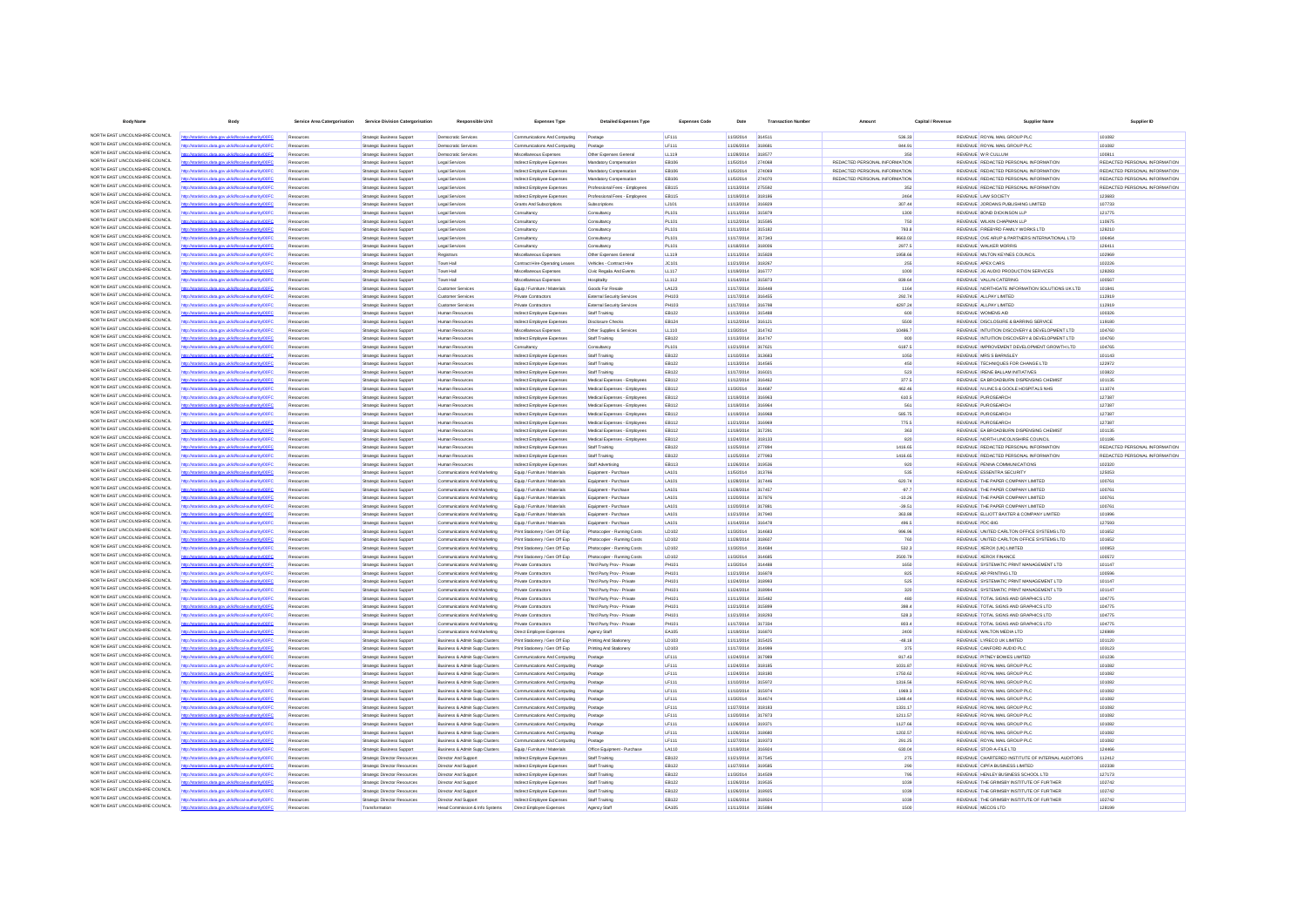| <b>Body Name</b>                                                   |                                                                                           |                        | Service Area Catergorisation Service Division Catergorisation | Responsible Unit                                                 | <b>Expenses Type</b>                                            | <b>Detailed Expenses Type</b>                                | <b>Expenses Code</b>         | Date                     | <b>Transaction Number</b> | Amount                                                         | Capital / Revenue |                                                                                 | Supplier ID                                                    |
|--------------------------------------------------------------------|-------------------------------------------------------------------------------------------|------------------------|---------------------------------------------------------------|------------------------------------------------------------------|-----------------------------------------------------------------|--------------------------------------------------------------|------------------------------|--------------------------|---------------------------|----------------------------------------------------------------|-------------------|---------------------------------------------------------------------------------|----------------------------------------------------------------|
| NORTH EAST LINCOLNSHIRE COUNCIL                                    | ttp://statistics.data.gov.uk/id/local-authority/00FC                                      | Resources              | Strategic Business Support                                    | Democratic Services                                              | Communications And Computing                                    | Postage                                                      | LF111                        | 11/3/2014                | 314511                    | 536.33                                                         |                   | REVENUE ROYAL MAIL GROUP PLC                                                    | 101082                                                         |
| NORTH EAST LINCOLNSHIRE COUNCIL                                    |                                                                                           | <b>Derniens</b>        | Strategic Rusiness Support                                    | Democratic Service                                               | Communications And Computing                                    | Postage                                                      | <b>IF111</b>                 | 11/26/2014               | 318681                    | 844.91                                                         |                   | REVENUE ROYAL MAIL GROUP PLC                                                    | 101082                                                         |
| NORTH EAST LINCOLNSHIRE COUNCIL                                    | .data.gov.uk/id/local-authority/00FC                                                      | Resources              | Strategic Business Support                                    | Democratic Services                                              | Miscelaneous Expenses                                           | Other Expenses General                                       | LL119                        | 11/28/2014               | 318577                    | 350                                                            |                   | REVENUE W R CULLUM                                                              | 100811                                                         |
| NORTH EAST LINCOLNSHIRE COUNCIL<br>NORTH EAST LINCOLNSHIRE COUNCIL | atistics.data.gov.uk/id/local-authority/00FC                                              | Resources              | Strategic Business Support                                    | Legal Services                                                   | Indirect Employee Expenses                                      | Mandatory Compensation                                       | <b>FR106</b>                 | 11/5/2014                | 274068                    | REDACTED PERSONAL INFORMATION                                  |                   | REVENUE REDACTED PERSONAL INFORMATION                                           | REDACTED PERSONAL INFORMATION                                  |
| NORTH EAST LINCOLNSHIRE COUNCIL                                    | ics.data.gov.uk/id/local-authority/00FC                                                   | Resources<br>Resources | Strategic Business Support                                    | <b>Legal Services</b><br>Legal Service                           | Indirect Employee Expenses                                      | Mandatory Compensation                                       | <b>EB106</b><br><b>EB106</b> | 11/5/2014<br>11/5/2014   | 274069<br>274070          | REDACTED PERSONAL INFORMATION<br>REDACTED PERSONAL INFORMATION |                   | REVENUE REDACTED PERSONAL INFORMATION<br>REVENUE REDACTED PERSONAL INFORMATION  | REDACTED PERSONAL INFORMATION<br>REDACTED PERSONAL INFORMATION |
| NORTH EAST LINCOLNSHIRE COUNCIL                                    |                                                                                           | Resources              | Strategic Business Support<br>Strategic Business Support      | Legal Service                                                    | Indirect Employee Expenses<br>Indirect Employee Expenses        | Mandatory Compensation<br>Professional Fees - Employees      | EB115                        | 11/13/2014               | 275592                    | 352                                                            |                   | REVENUE REDACTED PERSONAL INFORMATION                                           | REDACTED PERSONAL INFORMATION                                  |
| NORTH EAST LINCOLNSHIRE COUNCIL                                    | stics.data.gov.uk/id/local-authority/00FC                                                 | Resources              | Strategic Business Support                                    | Legal Services                                                   | Indirect Employee Expenses                                      | Professional Fees - Employees                                | EB115                        | 11/19/2014 318186        |                           | 2464                                                           |                   | REVENUE LAW SOCIETY                                                             | 123683                                                         |
| NORTH EAST LINCOLNSHIRE COUNCIL                                    | Wstatistics.data.gov.uk/id/local-authority/00FC                                           | Resources              | Strategic Business Support                                    | Legal Service                                                    | Grants And Subscriptions                                        | Subscription                                                 | LJ101                        | 11/13/2014               | 316829                    | 307.44                                                         |                   | REVENUE JORDANS PUBLISHING LIMITED                                              | 107733                                                         |
| NORTH EAST LINCOLNSHIRE COUNCIL                                    | cs data gov ukřdílocal authority/00EC                                                     | Resources              | Strategic Business Support                                    | <b>Legal Services</b>                                            | Consultancy                                                     | Consultancy                                                  | PL101                        | 11/11/2014               | 315879                    | 1300                                                           |                   | REVENUE BOND DICKINSON LLP                                                      | 121775                                                         |
| NORTH EAST LINCOLNSHIRE COUNCIL                                    | cs.data.gov.uk/id/local-authority/00FC                                                    | Resources              | Strategic Business Support                                    | Legal Service                                                    | Consultancy                                                     | Consultancy                                                  | PL101                        | 11/12/2014               | 315595                    | 750                                                            |                   | REVENUE WILKIN CHAPMAN LLF                                                      | 110675                                                         |
| NORTH EAST LINCOLNSHIRE COUNCIL<br>NORTH EAST LINCOLNSHIRE COUNCIL |                                                                                           | Resource               | Strategic Business Suppor                                     | Legal Service                                                    | Consultancy                                                     | Consultancy                                                  | PL101                        | 11/11/2014               | 315182                    | 793.8                                                          |                   | REVENUE FIREBYRD FAMILY WORKS LTD                                               | 128210                                                         |
| NORTH EAST LINCOLNSHIRE COUNCIL                                    | tistics.data.gov.uk/id/local-authority/00FC                                               | Resources              | Strategic Business Support                                    | <b>Legal Services</b>                                            | Consultancy                                                     | Consultancy                                                  | PL101                        | 11/17/2014 317343        |                           | 8663.02                                                        |                   | REVENUE OVE ARUP & PARTNERS INTERNATIONAL LTD                                   | 106464                                                         |
| NORTH EAST LINCOLNSHIRE COUNCIL                                    | S.data.gov.uk/id/local-authority/00FC                                                     | Resources<br>Resources | Strategic Business Support<br>Strategic Business Support      | Legal Services<br>Registrars                                     | Consultancy<br>Miscelaneous Expenses                            | Consultancy<br>Other Expenses General                        | PL101<br>LL119               | 11/18/2014<br>11/11/2014 | 318006<br>315828          | 2977.5<br>1958.66                                              |                   | <b>REVENUE WALKER MORRIS</b><br>REVENUE MILTON KEYNES COUNCIL                   | 126411<br>102969                                               |
| NORTH EAST LINCOLNSHIRE COUNCIL                                    | tics.data.gov.uk/id/local-authority/00FC                                                  |                        | Strategic Business Support                                    | Town Hall                                                        | Contract Hire-Operating Leases                                  | Vehicles - Contract Hire                                     | JC101                        | 11/21/2014               | 318267                    | 255                                                            |                   | REVENUE APEX CARS                                                               | 102226                                                         |
| NORTH EAST LINCOLNSHIRE COUNCIL                                    |                                                                                           | Res                    | Strategic Business Support                                    | Town Hall                                                        | Miscellaneous Expense                                           | Civic Regalia And Events                                     | LL117                        | 11/19/2014               | 316777                    | 1000                                                           |                   | REVENUE JG AUDIO PRODUCTION SERVICES                                            | 128283                                                         |
| NORTH EAST LINCOLNSHIRE COUNCIL                                    | stics.data.gov.uk/id/local-authority/00FC                                                 | Resources              | Strategic Business Support                                    | Town Hall                                                        | Miscellaneous Expenses                                          | Hospitality                                                  | LL112                        | 11/14/2014               | 315873                    | 839.64                                                         |                   | REVENUE VALLIN CATERING                                                         | 100567                                                         |
| NORTH EAST LINCOLNSHIRE COUNCIL                                    |                                                                                           | Resources              | Strategic Business Support                                    | Customer Services                                                | Equip / Furniture / Materials                                   | Goods For Resale                                             | LA123                        | 11/17/2014 316448        |                           | 1164                                                           |                   | REVENUE NORTHGATE INFORMATION SOLUTIONS UK LTD                                  | 101841                                                         |
| NORTH EAST LINCOLNSHIRE COUNCIL                                    |                                                                                           | Resources              | Strategic Business Support                                    | Customer Service                                                 | Private Contractors                                             | External Security Services                                   | PH103                        | 11/17/2014               | 316455                    | 292.74                                                         |                   | REVENUE ALLPAY LIMITED                                                          | 112919                                                         |
| NORTH EAST LINCOLNSHIRE COUNCIL<br>NORTH EAST LINCOLNSHIRE COUNCIL | ics.data.gov.uk/id/local-authority/00FC                                                   | Resources              | Strategic Business Support                                    | Customer Service                                                 | Private Contractors                                             | <b>External Security Services</b>                            | PH103                        | 11/17/2014               | 316798                    | 4297.24                                                        |                   | REVENUE ALLPAY LIMITED                                                          | 112919                                                         |
| NORTH EAST LINCOLNSHIRE COUNCIL                                    |                                                                                           | Resources              | Strategic Business Suppor                                     | Human Resource                                                   | Indirect Employee Expenses                                      | Staff Training                                               | EB122                        | 11/13/2014               | 315488                    | 600                                                            |                   | REVENUE WOMENS AID<br>REVENUE DISCLOSURE & BARRING SERVICE                      | 100326                                                         |
| NORTH EAST LINCOLNSHIRE COUNCIL                                    | stics.data.gov.uk/id/local-authority/00FC                                                 | Resources              | Strategic Business Support<br>Strategic Business Support      | Human Resource:<br>Human Resources                               | Indirect Employee Expenses<br>Miscellaneous Expenses            | <b>Disclosure Checks</b><br>Other Supplies & Services        | EB124<br>LL110               | 11/12/2014<br>11/3/2014  | 316121<br>314742          | 5500<br>10486.7                                                |                   | REVENUE INTUITION DISCOVERY & DEVELOPMENT LTD                                   | 119180<br>104760                                               |
| NORTH EAST LINCOLNSHIRE COUNCIL                                    | stics.data.gov.uk/id/local-authority/00FC                                                 | Resources              | Strategic Business Support                                    | Human Resources                                                  | Indirect Employee Expenses                                      | Staff Training                                               | <b>EB122</b>                 | 11/13/2014               | 314747                    | 800                                                            |                   | REVENUE INTUITION DISCOVERY & DEVELOPMENT LTD                                   | 104760                                                         |
| NORTH FAST LINCOLNSHIRE COLINCIL                                   |                                                                                           | Resources              | Strategic Business Support                                    | Human Resources                                                  | Consultancy                                                     | Consultancy                                                  | PL101                        | 11/21/2014               | 317621                    | 6187.5                                                         |                   | REVENUE IMPROVEMENT DEVELOPMENT GROWTH LTD                                      | 104765                                                         |
| NORTH EAST LINCOLNSHIRE COUNCIL                                    |                                                                                           | Res                    | Strategic Business Suppor                                     |                                                                  | Indirect Employee Expenses                                      | Staff Trainin                                                | <b>EB122</b>                 | 11/10/2014               | 313683                    | 1050                                                           |                   | REVENUE MRS S BARNSLE                                                           | 101143                                                         |
| NORTH FAST LINCOLNSHIRE COUNCIL                                    | stics.data.gov.uk/id/local-authority/00FC                                                 | Resources              | Strategic Business Support                                    | Human Resources                                                  | Indirect Employee Expenses                                      | Staff Training                                               | <b>EB122</b>                 | 11/13/2014               | 314565                    | 450                                                            |                   | REVENUE TECHNIQUES FOR CHANGE LTD                                               | 122972                                                         |
| NORTH EAST LINCOLNSHIRE COUNCIL<br>NORTH EAST LINCOLNSHIRE COUNCIL |                                                                                           | Resources              | Strategic Business Support                                    | Human Resources                                                  | Indirect Employee Expenses                                      | Staff Training                                               | <b>EB122</b>                 | 11/17/2014 316021        |                           | 523                                                            |                   | REVENUE IRENE BALLAM INITIATIVES                                                | 103822                                                         |
| NORTH FAST LINCOLNSHIRE COUNCIL                                    | stics.data.gov.uk/id/local-authority/00FC                                                 | Resources              | Strategic Business Support                                    | Human Resources                                                  | Indirect Employee Expenses                                      | Medical Expenses - Employees                                 | EB112                        | 11/12/2014               | 316462                    | 377.5                                                          |                   | REVENUE EA BROADBURN DISPENSING CHEMIST                                         | 101135                                                         |
| NORTH EAST LINCOLNSHIRE COUNCIL                                    |                                                                                           | Resources              | Strategic Business Support<br>Strategic Business Support      | Human Resources<br>Human Resource                                | Indirect Employee Expenses<br>Indirect Employee Expenses        | Medical Expenses - Employees<br>Medical Expenses - Employees | <b>EB112</b><br>EB112        | 11/3/2014<br>11/19/2014  | 314687<br>316963          | 462.46<br>610.5                                                |                   | REVENUE N LINCS & GOOLE HOSPITALS NHS<br>REVENUE PUROSEARCH                     | 111074<br>127387                                               |
| NORTH EAST LINCOLNSHIRE COUNCIL                                    | stics.data.gov.uk/id/local-authority/00FC                                                 | Resources              | Strategic Business Support                                    | Human Resource:                                                  | Indirect Employee Expenses                                      | Medical Expenses - Employees                                 | EB112                        | 11/19/2014               | 316964                    | 561                                                            |                   | REVENUE PUROSEARCH                                                              | 127387                                                         |
| NORTH EAST LINCOLNSHIRE COUNCIL                                    |                                                                                           | Resources              | Strategic Business Support                                    | Human Resources                                                  | Indirect Employee Expenses                                      | Medical Expenses - Employees                                 | EB112                        | 11/19/2014 316968        |                           | 585.75                                                         |                   | REVENUE PUROSEARCH                                                              | 127387                                                         |
| NORTH EAST LINCOLNSHIRE COUNCIL                                    | stics.data.gov.uk/id/local-authority/00FC                                                 | Resources              | Strategic Business Support                                    | Human Resources                                                  | Indirect Employee Expenses                                      | Medical Expenses - Employees                                 | <b>EB112</b>                 | 11/21/2014               | 316969                    | 775.5                                                          |                   | REVENUE PUROSEARCH                                                              | 127387                                                         |
| NORTH EAST LINCOLNSHIRE COUNCIL                                    |                                                                                           | Resources              | Strategic Business Support                                    | Human Resources                                                  | Indirect Employee Expenses                                      | Medical Expenses - Employees                                 | EB112                        | 11/19/2014               | 317291                    | 363                                                            |                   | REVENUE EA BROADBURN DISPENSING CHEMIST                                         | 101135                                                         |
| NORTH EAST LINCOLNSHIRE COUNCIL<br>NORTH EAST LINCOLNSHIRE COUNCIL |                                                                                           |                        | Strategic Business Support                                    | Human Resources                                                  | Indirect Employee Expenses                                      | Medical Expenses - Employees                                 | EB112                        | 11/24/2014               | 318133                    | 820                                                            |                   | REVENUE NORTH LINCOLNSHIRE COUNCI                                               | 101186                                                         |
| NORTH EAST LINCOLNSHIRE COUNCIL                                    | stics.data.gov.uk/id/local-authority/00FC                                                 | Resources              | Strategic Business Support                                    | Human Resources                                                  | Indirect Employee Expenses                                      | Staff Training                                               | <b>EB122</b>                 | 11/25/2014               | 277894                    | 1416.65                                                        |                   | REVENUE REDACTED PERSONAL INFORMATION                                           | REDACTED PERSONAL INFORMATION                                  |
| NORTH EAST LINCOLNSHIRE COUNCIL                                    | istics.data.gov.uk/id/local-authority/00FC                                                | Resources<br>Resources | Strategic Business Support<br>Strategic Business Suppor       | Human Resources<br>Human Resources                               | Indirect Employee Expenses<br>Indirect Employee Expenses        | Staff Training<br>Staff Advertising                          | <b>EB122</b><br>EB113        | 11/25/2014<br>11/26/2014 | 277993<br>319536          | 1416.65<br>920                                                 |                   | REVENUE REDACTED PERSONAL INFORMATION<br>REVENUE PENNA COMMUNICATIONS           | REDACTED PERSONAL INFORMATION<br>102320                        |
| NORTH EAST LINCOLNSHIRE COUNCIL                                    | tics data ony uklidiocal-authority/ODEC                                                   | Resources              | Strategic Business Support                                    | Communications And Marketing                                     | Equip / Furniture / Materials                                   | Equipment - Purchase                                         | LA101                        | 11/5/2014                | 313766                    | 535                                                            |                   | REVENUE ESSENTRA SECURITY                                                       | 125053                                                         |
| NORTH EAST LINCOLNSHIRE COUNCIL                                    | ics.data.gov.uk/id/local-authority/00FC                                                   | Resources              | Strategic Business Support                                    | Communications And Marketing                                     | Equip / Furniture / Materials                                   | Equipment - Purchase                                         | LA101                        | 11/28/2014               | 317446                    | 620.74                                                         |                   | REVENUE THE PAPER COMPANY LIMITED                                               | 100761                                                         |
| NORTH EAST LINCOLNSHIRE COUNCIL                                    | stics.data.gov.uk/id/local-authority/00FC                                                 | Resources              | Strategic Business Support                                    | Communications And Marketing                                     | Equip / Furniture / Materials                                   | Equipment - Purchase                                         | LA101                        | 11/28/2014               | 317457                    | $-97.7$                                                        |                   | REVENUE THE PAPER COMPANY LIMITED                                               | 100761                                                         |
| NORTH EAST LINCOLNSHIRE COUNCIL                                    | cs.data.gov.uk/id/local-authority/00FC                                                    | Resources              | Strategic Business Support                                    | Communications And Marketing                                     | Equip / Furniture / Materials                                   | Equipment - Purchase                                         | LA101                        | 11/20/2014 317876        |                           | $-10.26$                                                       |                   | REVENUE THE PAPER COMPANY LIMITED                                               | 100761                                                         |
| NORTH EAST LINCOLNSHIRE COUNCIL                                    | istics.data.gov.uk/id/local-authority/00FC                                                | Resources              | Strategic Business Support                                    | Communications And Marketing                                     | Equip / Furniture / Materials                                   | Equipment - Purchase                                         | LA101                        | 11/20/2014               | 31788                     | $-39.51$                                                       |                   | REVENUE THE PAPER COMPANY LIMITED                                               | 100761                                                         |
| NORTH EAST LINCOLNSHIRE COUNCIL<br>NORTH EAST LINCOLNSHIRE COUNCIL |                                                                                           | Resources              | Strategic Business Support                                    | Communications And Marketing                                     | Equip / Furniture / Materials                                   | Equipment - Purchase                                         | LA101                        | 11/21/2014               | 317940                    | 363.88                                                         |                   | REVENUE ELLIOTT BAXTER & COMPANY LIMITED                                        | 101996                                                         |
| NORTH EAST LINCOLNSHIRE COUNCIL                                    | ics.data.gov.uk/id/local-authority/00FC<br>statistics.data.gov.uk/id/local-authority/00FC | Resources<br>Resources | Strategic Business Support<br>Strategic Business Support      | Communications And Marketing<br>Communications And Marketing     | Equip / Furniture / Materials<br>Print Stationery / Gen Off Exp | Equipment - Purchase                                         | LA101<br>LD102               | 11/14/2014<br>11/3/2014  | 316478<br>314683          | 496.5<br>996.96                                                |                   | REVENUE PDC-BIG<br>REVENUE UNITED CARLTON OFFICE SYSTEMS LTD                    | 127593<br>101652                                               |
| NORTH EAST LINCOLNSHIRE COUNCIL                                    |                                                                                           | Resources              | Strategic Business Support                                    | Communications And Marketing                                     | Print Stationery / Gen Off Exp                                  | Photocopier - Running Costs<br>Photocopier - Running Costs   | LD102                        | 11/28/2014               | 318607                    | 760                                                            |                   | REVENUE UNITED CARLTON OFFICE SYSTEMS LTD                                       | 101652                                                         |
| NORTH EAST LINCOLNSHIRE COUNCIL                                    | stics.data.gov.uk/id/local-authority/00FC                                                 | Resources              | Strategic Business Support                                    | Communications And Marketing                                     | Print Stationery / Gen Off Exp                                  | Photocopier - Running Costs                                  | LD102                        | 11/3/2014                | 314684                    | 5323                                                           |                   | REVENUE XEROX (UK) LIMITED                                                      | 100953                                                         |
| NORTH EAST LINCOLNSHIRE COUNCIL                                    |                                                                                           | Resources              | Strategic Business Support                                    | Communications And Marketing                                     | Print Stationery / Gen Off Exp                                  | Photocopier - Running Costs                                  | LD102                        | 11/3/2014                | 314685                    | 2500.79                                                        |                   | REVENUE XEROX FINANCE                                                           | 100572                                                         |
| NORTH EAST LINCOLNSHIRE COUNCIL                                    | ics.data.gov.uk/id/local-authority/00FC                                                   | Resources              | Strategic Business Support                                    | Communications And Marketing                                     | Private Contractors                                             | Third Party Prov - Private                                   | PH101                        | 11/3/2014                | 314488                    | 1650                                                           |                   | REVENUE SYSTEMATIC PRINT MANAGEMENT LTD                                         | 101147                                                         |
| NORTH EAST LINCOLNSHIRE COUNCIL                                    |                                                                                           |                        | Strategic Business Suppor                                     |                                                                  | Private Contractors                                             | Third Party Prov - Private                                   | PH101                        | 11/21/2014               | 316878                    | 825                                                            |                   | REVENUE AR PRINTING LTD                                                         | 100596                                                         |
| NORTH EAST LINCOLNSHIRE COUNCIL<br>NORTH EAST LINCOLNSHIRE COUNCIL | ins data ony uklidingal-authori                                                           | Resources              | Strategic Business Support                                    | Communications And Marketing                                     | Private Contractors                                             | Third Party Prov - Private                                   | PH101                        | 11/24/2014               | 318993                    | 525                                                            |                   | REVENUE SYSTEMATIC PRINT MANAGEMENT LTD                                         | 101147                                                         |
| NORTH EAST LINCOLNSHIRE COUNCIL                                    | stics.data.gov.uk/id/local-authority/00FC                                                 | Resources<br>Resources | Strategic Business Support<br>Strategic Business Support      | Communications And Marketing                                     | Private Contractors<br>Private Contractors                      | Third Party Prov - Private                                   | PH101<br><b>PH101</b>        | 11/24/2014<br>11/11/2014 | 31899<br>315482           | 320<br>480                                                     |                   | REVENUE SYSTEMATIC PRINT MANAGEMENT LTD<br>REVENUE TOTAL SIGNS AND GRAPHICS LTD | 101147<br>104775                                               |
| NORTH EAST LINCOLNSHIRE COUNCIL                                    | tics.data.gov.uk/id/local-authority/00FC                                                  | Resources              | Strategic Business Support                                    | Communications And Marketing<br>Communications And Marketing     | Private Contractors                                             | Third Party Prov - Private<br>Third Party Prov - Private     | PH101                        | 11/21/2014               | 315899                    | 398.4                                                          |                   | REVENUE TOTAL SIGNS AND GRAPHICS LTD                                            | 104775                                                         |
| NORTH EAST LINCOLNSHIRE COUNCIL                                    |                                                                                           |                        | Strategic Business Support                                    |                                                                  | Private Contractors                                             | Third Party Prov - Privati                                   | PH101                        | 11/21/2014               | 318293                    | 528.3                                                          |                   | REVENUE TOTAL SIGNS AND GRAPHICS LTD                                            | 104775                                                         |
| NORTH FAST LINCOLNSHIRE COUNCIL                                    | ics data ony uklidiocal authority/00EC                                                    | Resources              | Strategic Business Support                                    | Communications And Marketing                                     | Private Contractors                                             | Third Party Prov - Private                                   | PH101                        | 11/17/2014               | 317334                    | 803.4                                                          |                   | REVENUE TOTAL SIGNS AND GRAPHICS LTD                                            | 104775                                                         |
| NORTH EAST LINCOLNSHIRE COUNCIL                                    | distics.data.gov.uk/id/local-authority/00FC                                               | Resources              | Strategic Business Support                                    | Communications And Marketing                                     | Direct Employee Expenses                                        | Agency Staft                                                 | <b>EA105</b>                 | 11/19/2014               | 316870                    | 2400                                                           |                   | REVENUE WALTON MEDIA LTD                                                        | 126989                                                         |
| NORTH EAST LINCOLNSHIRE COUNCIL                                    |                                                                                           | Resources              | Strategic Business Support                                    | Business & Admin Supp Clusters                                   | Print Stationery / Gen Off Exp                                  | Printing And Stationery                                      | LD103                        | 11/11/2014               | 315425                    | $-48.18$                                                       |                   | REVENUE LYRECO UK LIMITED                                                       | 101120                                                         |
| NORTH EAST LINCOLNSHIRE COUNCIL                                    | tics.data.gov.uk/id/local-authority/00FC                                                  | Resources              | Strategic Business Support                                    | Business & Admin Supp Clusters                                   | Print Stationery / Gen Off Exp                                  | Printing And Stationery                                      | LD103                        | 11/17/2014               | 314999                    | 375                                                            |                   | REVENUE CANFORD AUDIO PLC                                                       | 103123                                                         |
| NORTH EAST LINCOLNSHIRE COUNCIL<br>NORTH EAST LINCOLNSHIRE COUNCIL |                                                                                           |                        | Strategic Business Support                                    | Business & Admin Supp Clusters                                   | Communications And Computing                                    |                                                              | LF111                        | 11/24/2014               | 317989                    | 817.43                                                         |                   | REVENUE PITNEY BOWES LIMITED                                                    | 101236                                                         |
| NORTH EAST LINCOLNSHIRE COUNCIL                                    | stics.data.gov.uk/id/local-authority/00FC<br>stics.data.gov.uk/id/local-authority/00FC    | Resources<br>Resources | Strategic Business Support<br>Strategic Business Support      | Business & Admin Supp Clusters<br>Business & Admin Supp Clusters | Communications And Computing<br>Communications And Computing    | Postage                                                      | LF111<br>LF111               | 11/24/2014<br>11/24/2014 | 318185<br>318180          | 1031.87<br>1750.62                                             |                   | REVENUE ROYAL MAIL GROUP PLC<br>REVENUE ROYAL MAIL GROUP PLC                    | 101082<br>101082                                               |
| NORTH EAST LINCOLNSHIRE COUNCIL                                    | cs data gov ukřdílocal authority/00EC                                                     | Resources              | Strategic Business Support                                    | Business & Admin Supp Clusters                                   | Communications And Computing                                    | Postage<br>Postage                                           | LF111                        | 11/10/2014               | 315972                    | 1316.56                                                        |                   | REVENUE ROYAL MAIL GROUP PLC                                                    | 101082                                                         |
| NORTH EAST LINCOLNSHIRE COUNCIL                                    | ics.data.gov.uk/id/local-authority/00FC                                                   | Resources              | Strategic Business Support                                    | Business & Admin Supp Clusters                                   | Communications And Computing                                    | Postage                                                      | LF111                        | 11/10/2014               | 315974                    | 1969.3                                                         |                   | REVENUE ROYAL MAIL GROUP PLC                                                    | 101082                                                         |
| NORTH EAST LINCOLNSHIRE COUNCIL                                    |                                                                                           |                        | Strategic Business Support                                    | Business & Admin Supp Clusters                                   | Communications And Computing                                    | Postage                                                      | LF111                        | 11/3/2014                |                           | 1348.44                                                        |                   | REVENUE ROYAL MAIL GROUP PLC                                                    | 101082                                                         |
| NORTH EAST LINCOLNSHIRE COUNCIL                                    | stics.data.gov.uk/id/local-authority/00FC                                                 | Resources              | Strategic Business Support                                    | Business & Admin Supp Clusters                                   | Communications And Computing                                    | Postage                                                      | LF111                        | 11/27/2014               | 318183                    | 1331.17                                                        |                   | REVENUE ROYAL MAIL GROUP PLC                                                    | 101082                                                         |
| NORTH EAST LINCOLNSHIRE COUNCIL                                    |                                                                                           | Resources              | Strategic Business Support                                    | Business & Admin Supp Clusters                                   | Communications And Computing                                    | Postage                                                      | LF111                        | 11/20/2014               | 317873                    | 1211.57                                                        |                   | REVENUE ROYAL MAIL GROUP PLC                                                    | 101082                                                         |
| NORTH EAST LINCOLNSHIRE COUNCIL<br>NORTH EAST LINCOLNSHIRE COUNCIL |                                                                                           | Resources              | Strategic Business Support                                    | Business & Admin Supp Clusters                                   | Communications And Computing                                    | Postage                                                      | LF111                        | 11/26/2014               | 319371                    | 1127.66                                                        |                   | REVENUE ROYAL MAIL GROUP PLO                                                    | 101082                                                         |
| NORTH EAST LINCOLNSHIRE COUNCIL                                    | tics.data.gov.uk/id/local-authority/00FC                                                  | Resources              | Strategic Business Support                                    | Business & Admin Supp Clusters                                   | Communications And Computing                                    | Postage                                                      | LF111                        | 11/26/2014               | 318680                    | 1202.57                                                        |                   | REVENUE ROYAL MAIL GROUP PLC                                                    | 101082                                                         |
| NORTH EAST LINCOLNSHIRE COUNCIL                                    | stics.data.gov.uk/id/local-authority/00FC                                                 | Resources<br>Resources | Strategic Business Support<br>Strategic Business Support      | Business & Admin Supp Clusters<br>Business & Admin Supp Clusters | Communications And Computing<br>Equip / Furniture / Materials   | Postage<br>Office Equipment - Purchase                       | LF111<br>LA110               | 11/27/2014<br>11/19/2014 | 319373<br>316924          | 291.25<br>630.04                                               |                   | REVENUE ROYAL MAIL GROUP PLC<br>REVENUE STOR-A-FILE LTD                         | 101082<br>124466                                               |
| NORTH EAST LINCOLNSHIRE COUNCIL                                    |                                                                                           | Resources              | Strategic Director Resources                                  | Director And Support                                             | Indirect Employee Expenses                                      | Staff Training                                               | <b>EB122</b>                 | 11/21/2014 317545        |                           | 275                                                            |                   | REVENUE CHARTERED INSTITUTE OF INTERNAL AUDITORS                                | 112412                                                         |
| NORTH EAST LINCOLNSHIRE COUNCIL                                    | ics data ony uklidiocal authority/00EC                                                    | Resources              | Strategic Director Resources                                  | Director And Suppor                                              | Indirect Employee Expenses                                      | Staff Training                                               | EB122                        | 11/27/2014               | 319585                    | 290                                                            |                   | REVENUE CIPFA BUSINESS LIMITED                                                  | 102338                                                         |
| NORTH EAST LINCOLNSHIRE COUNCIL                                    | tics.data.gov.uk/id/local-authority/00FC                                                  | Resources              | Strategic Director Resources                                  | Director And Support                                             | Indirect Employee Expenses                                      | Staff Training                                               | <b>EB122</b>                 | 11/3/2014                | 314509                    | 795                                                            |                   | REVENUE HENLEY BUSINESS SCHOOL LTD                                              | 127173                                                         |
| NORTH EAST LINCOLNSHIRE COUNCIL                                    |                                                                                           | Resources              | Strategic Director Resources                                  | Director And Suppor                                              | Indirect Employee Expenses                                      | Staff Training                                               | EB122                        | 11/26/2014               | 319535                    | 1039                                                           |                   | REVENUE THE GRIMSBY INSTITUTE OF FURTHER                                        | 102742                                                         |
| NORTH EAST LINCOLNSHIRE COUNCIL                                    | istics.data.gov.uk/id/local-authority/00FC                                                | Resources              | Strategic Director Resources                                  | <b>Director And Support</b>                                      | Indirect Employee Expenses                                      | Staff Training                                               | <b>EB122</b>                 | 11/26/2014               | 318925                    | 1039                                                           |                   | REVENUE THE GRIMSBY INSTITUTE OF FURTHER                                        | 102742                                                         |
| NORTH EAST LINCOLNSHIRE COUNCIL<br>NORTH EAST LINCOLNSHIRE COUNCIL | cs.data.gov.uk/id/local-authority/00FC                                                    | Resources              | Strategic Director Resources                                  | <b>Director And Support</b>                                      | Indirect Employee Expenses                                      | Staff Training                                               | EB122                        | 11/26/2014 318924        |                           | 1039                                                           |                   | REVENUE THE GRIMSBY INSTITUTE OF FURTHER                                        | 102742                                                         |
|                                                                    |                                                                                           |                        |                                                               | lead Commission & Info Systems                                   | Direct Employee Expenses                                        | Agency Stat                                                  | EA105                        | 11/11/2014               |                           | 1500                                                           |                   | REVENUE MECOS LTD                                                               | 128199                                                         |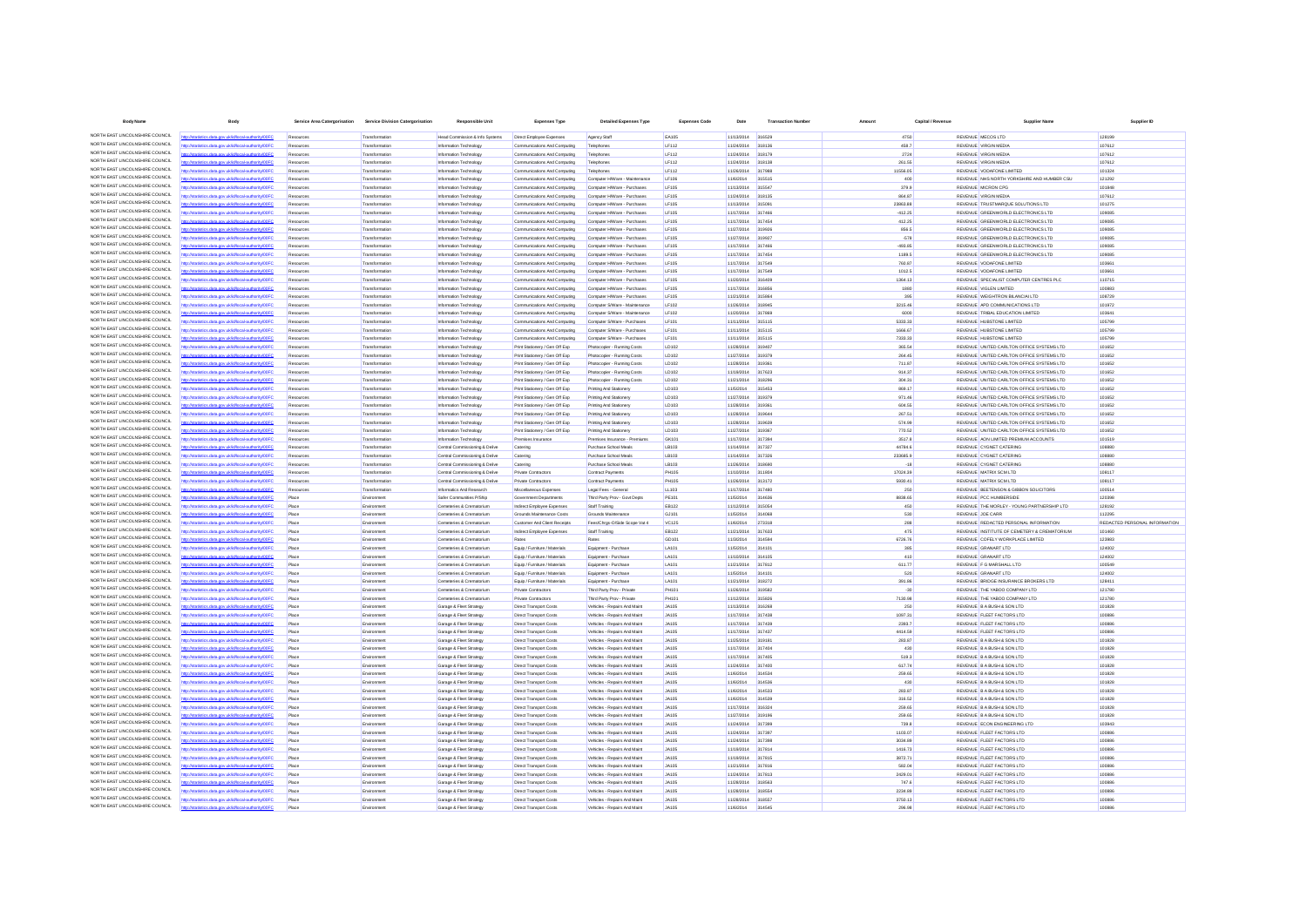| <b>Body Name</b>                                                   |                                                                                   |                        | Service Area Catergorisation Service Division Catergorisation | Responsible Unit                                         | <b>Expenses Type</b>                                             | <b>Detailed Expenses Type</b>                                | <b>Expenses Code</b>         | Date                                   | <b>Transaction Number</b><br>Amount    | Capital / Revenue |                                                                                        |                               |
|--------------------------------------------------------------------|-----------------------------------------------------------------------------------|------------------------|---------------------------------------------------------------|----------------------------------------------------------|------------------------------------------------------------------|--------------------------------------------------------------|------------------------------|----------------------------------------|----------------------------------------|-------------------|----------------------------------------------------------------------------------------|-------------------------------|
| NORTH EAST LINCOLNSHIRE COUNCIL                                    | //statistics.data.gov.uk/id/local-authority/00FC                                  | Resources              | Transformation                                                | Head Commission & Info Systems                           | Direct Employee Expenses                                         | Agency Staff                                                 | EA105                        | 11/13/2014                             | 316529<br>4750                         |                   | REVENUE MECOS LTD                                                                      | 128199                        |
| NORTH EAST LINCOLNSHIRE COUNCIL                                    |                                                                                   | Resources              | Transformation                                                | Information Technology                                   | Communications And Computing                                     | Telephone                                                    | LF112                        | 11/24/2014                             | 458.7<br>318136                        |                   | <b>REVENUE VIRGIN MEDIA</b>                                                            | 107612                        |
| NORTH EAST LINCOLNSHIRE COUNCIL                                    |                                                                                   | Resources              | Transformation                                                | Information Technology                                   | Communications And Computing                                     | Telephones                                                   | LF112                        | 11/24/2014 318179                      | 2724                                   |                   | REVENUE VIRGIN MEDIA                                                                   | 107612                        |
| NORTH EAST LINCOLNSHIRE COUNCIL<br>NORTH EAST LINCOLNSHIRE COUNCIL | atistics.data.gov.uk/id/local-authority/00FC                                      | Resources              | Transformation                                                | Information Technology                                   | Communications And Computing                                     | Telephones                                                   | LF112                        | 11/24/2014                             | 261.55<br>318138                       |                   | <b>REVENUE VIRGIN MEDIA</b>                                                            | 107612                        |
| NORTH EAST LINCOLNSHIRE COUNCIL                                    | ics.data.gov.uk/id/local-authority/00FC                                           | Resources              | Transformation<br>Transformation                              | Information Technology<br>Information Technology         | Communications And Computing<br>Communications And Computing     | Telephones<br>Computer H/Ware - Maintenance                  | LF112<br>LF106               | 11/26/2014<br>11/6/2014                | 317988<br>11556.05<br>315515<br>400    |                   | REVENUE VODAFONE LIMITED<br>REVENUE NHS NORTH YORKSHIRE AND HUMBER CSU                 | 101324<br>121292              |
| NORTH EAST LINCOLNSHIRE COUNCIL                                    |                                                                                   | Resource<br>Resource   | Transformation                                                | Information Technology                                   | Communications And Computing                                     | Computer H/Ware - Purchases                                  | <b>LF105</b>                 | 11/13/2014                             | 379.9<br>315547                        |                   | <b>REVENUE MICRON CPG</b>                                                              | 101848                        |
| NORTH EAST LINCOLNSHIRE COUNCIL                                    | stics.data.gov.uk/id/local-authority/00FC                                         | Resources              | Transformation                                                | Information Technology                                   | Communications And Computing                                     | Computer H/Ware - Purchases                                  | LF105                        | 11/24/2014 318135                      | 864.87                                 |                   | REVENUE VIRGIN MEDIA                                                                   | 107612                        |
| NORTH EAST LINCOLNSHIRE COUNCIL                                    | y/statistics.data.gov.uk/id/local-authority/00FC                                  | Resources              | Transformation                                                | Information Technology                                   | Communications And Computing                                     | Computer H/Ware - Purchases                                  | LF105                        | 11/13/2014 315091                      | 23863.88                               |                   | REVENUE TRUSTMARQUE SOLUTIONS LTD                                                      | 101275                        |
| NORTH EAST LINCOLNSHIRE COUNCIL                                    | ins data nov ukřdíhoal-authoritvi00EC                                             | Resources              | Transformation                                                | Information Technology                                   | Communications And Computing                                     | Computer H/Ware - Purchases                                  | LF105                        | 11/17/2014                             | 317466<br>$-412.25$                    |                   | REVENUE GREENWORLD ELECTRONICS LTD                                                     | 109085                        |
| NORTH EAST LINCOLNSHIRE COUNCIL<br>NORTH EAST LINCOLNSHIRE COUNCIL | ics.data.gov.uk/id/local-authority/00FC                                           | Resources              | Transformation                                                | Information Technology                                   | Communications And Computing                                     | Computer H/Ware - Purchases                                  | LF105                        | 11/17/2014                             | 317454<br>412.25                       |                   | REVENUE GREENWORLD ELECTRONICS LTD                                                     | 109085                        |
| NORTH EAST LINCOLNSHIRE COUNCIL                                    | istics.data.gov.uk/id/local-authority/00FC                                        | Resource<br>Resources  | Transformation<br>Transformation                              | Information Technolog<br>Information Technology          | Communications And Computing<br>Communications And Computing     | Computer H/Ware - Purchase<br>Computer H/Ware - Purchases    | LF105<br>LF105               | 11/27/2014<br>11/27/2014 319927        | 319926<br>856.5<br>$-578$              |                   | REVENUE GREENWORLD ELECTRONICS LTD<br>REVENUE GREENWORLD ELECTRONICS LTD               | 109085<br>109085              |
| NORTH EAST LINCOLNSHIRE COUNCIL                                    | ics.data.gov.uk/id/local-authority/00FC                                           | Resources              | Transformation                                                | Information Technology                                   | Communications And Computing                                     | Computer H/Ware - Purchases                                  | LF105                        | 11/17/2014 317466                      | $-493.85$                              |                   | REVENUE GREENWORLD ELECTRONICS LTD                                                     | 109085                        |
| NORTH EAST LINCOLNSHIRE COUNCIL                                    | s.data.gov.uk/id/local-autho                                                      | Resources              | Transformation                                                | Information Technology                                   | Communications And Computing                                     | Computer H/Ware - Purchases                                  | LF105                        | 11/17/2014                             | 317454<br>1189.5                       |                   | REVENUE GREENWORLD ELECTRONICS LTD                                                     | 109085                        |
| NORTH EAST LINCOLNSHIRE COUNCIL                                    | stics.data.gov.uk/id/local-authority/00FC                                         | Resources              | Transformation                                                | Information Technology                                   | Communications And Computing                                     | Computer H/Ware - Purchases                                  | LF105                        | 11/17/2014                             | 760.87<br>317549                       |                   | REVENUE VODAFONE LIMITED                                                               | 103661                        |
| NORTH EAST LINCOLNSHIRE COUNCIL<br>NORTH EAST LINCOLNSHIRE COUNCIL |                                                                                   | Resource               | Transformation                                                | Information Technolog                                    | Communications And Computing                                     | uter H/Ware - Purchases                                      | LF105                        | 11/17/2014                             | 317549<br>1012.5                       |                   | REVENUE VODAFONE LIMITED                                                               | 103661                        |
| NORTH EAST LINCOLNSHIRE COUNCIL                                    | istics.data.gov.uk/id/local-authority/00FC                                        | Resources<br>Resources | Transformation<br>Transformation                              | Information Technology<br>Information Technology         | Communications And Computing                                     | Computer H/Ware - Purchases<br>Computer H/Ware - Purchases   | LF105<br>LF105               | 11/20/2014 316409<br>11/17/2014 316856 | 1364.13<br>1880                        |                   | REVENUE SPECIALIST COMPUTER CENTRES PLC<br>REVENUE VIGLEN LIMITED                      | 110715<br>100883              |
| NORTH EAST LINCOLNSHIRE COUNCIL                                    | is data ony uklidional autho                                                      | Resources              | Transformation                                                | Information Technology                                   | Communications And Computing<br>Communications And Computing     | Computer H/Ware - Purchases                                  | LF105                        | 11/21/2014 315864                      | 395                                    |                   | REVENUE WEIGHTRON BILANCIAI LTD                                                        | 108729                        |
| NORTH EAST LINCOLNSHIRE COUNCIL                                    | tics.data.gov.uk/id/local-authority/00FC                                          | Resources              | Transformation                                                | Information Technology                                   | Communications And Computing                                     | Computer S/Ware - Maintenance                                | LF102                        | 11/26/2014                             | 3215.46<br>318945                      |                   | REVENUE APD COMMUNICATIONS LTD                                                         | 101972                        |
| NORTH EAST LINCOLNSHIRE COUNCIL                                    |                                                                                   | Resource               | Transformatio                                                 | Information Technolog                                    | Communications And Computing                                     | uter S/Ware - Maintenance                                    | LF102                        | 11/20/2014                             | 317869<br>6000                         |                   | REVENUE TRIBAL EDUCATION LIMITED                                                       | 103641                        |
| NORTH EAST LINCOLNSHIRE COUNCIL                                    | istics.data.gov.uk/id/local-authority/00FC                                        | Resources              | Transformation                                                | Information Technology                                   | Communications And Computing                                     | Computer S/Ware - Purchases                                  | LF101                        | 11/11/2014 315115                      | 5333.33                                |                   | REVENUE HUBSTONE LIMITED                                                               | 105799                        |
| NORTH EAST LINCOLNSHIRE COUNCIL<br>NORTH EAST LINCOLNSHIRE COUNCIL |                                                                                   | Resources              | Transformation                                                | Information Technology<br>Information Technology         | Communications And Computing                                     | Computer S/Ware - Purchases<br>Computer S/Ware - Purchases   | LF101                        | 11/11/2014 315115                      | 1666.67                                |                   | REVENUE HUBSTONE LIMITED<br>REVENUE HUBSTONE LIMITED                                   | 105799<br>105799              |
| NORTH FAST LINCOLNSHIRE COLINCIL                                   | atistics.data.gov.uk/id/local-authority/00FC<br>lics.data.gov.uk/id/local-autho   | Resources<br>Resource  | Transformation<br>Transformation                              | Information Technology                                   | Communications And Computing<br>Print Stationery / Gen Off Exp   | Photocopier - Running Costs                                  | LF101<br>LD102               | 11/11/2014<br>11/28/2014               | 7333.33<br>315115<br>365.54<br>31940   |                   | REVENUE UNITED CARLTON OFFICE SYSTEMS LTD                                              | 101652                        |
| NORTH EAST LINCOLNSHIRE COUNCIL                                    |                                                                                   | Resource               | Transformat                                                   |                                                          | Print Stationery / Gen Off Exp                                   | Photocopier - Running Costs                                  | LD102                        | 11/27/2014                             | 319379<br>264.45                       |                   | REVENUE UNITED CARLTON OFFICE SYSTEMS LTD                                              | 101652                        |
| NORTH EAST LINCOLNSHIRE COUNCIL                                    | stics.data.gov.uk/id/local-authority/00FC                                         | Resources              | Transformation                                                | Information Technology                                   | Print Stationery / Gen Off Exp                                   | Photocopier - Running Costs                                  | LD102                        | 11/28/2014                             | 319361<br>711.87                       |                   | REVENUE UNITED CARLTON OFFICE SYSTEMS LTD                                              | 101652                        |
| NORTH EAST LINCOLNSHIRE COUNCIL                                    |                                                                                   | Resources              | Transformation                                                | Information Technology                                   | Print Stationery / Gen Off Exp                                   | Photocopier - Running Costs                                  | LD102                        | 11/19/2014 317623                      | 914.37                                 |                   | REVENUE UNITED CARLTON OFFICE SYSTEMS LTD                                              | 101652                        |
| NORTH EAST LINCOLNSHIRE COUNCIL<br>NORTH EAST LINCOLNSHIRE COUNCIL | istics.data.gov.uk/id/local-authority/00FC                                        | Resources              | Transformation                                                | Information Technology                                   | Print Stationery / Gen Off Exp                                   | Photocopier - Running Costs                                  | LD102                        | 11/21/2014 318296                      | 304.31                                 |                   | REVENUE UNITED CARLTON OFFICE SYSTEMS LTD                                              | 101652                        |
| NORTH EAST LINCOLNSHIRE COUNCIL                                    | ins data ony uklidional aut                                                       | Resources<br>Resource  | Transformation<br>Transformati                                | Information Technology<br>Information Technolog          | Print Stationery / Gen Off Exp<br>Print Stationery / Gen Off Exp | Printing And Stationery<br>Printing And Stationery           | LD103<br>LD103               | 11/5/2014<br>11/27/2014                | 315453<br>869.17<br>319379<br>971.46   |                   | REVENUE UNITED CARLTON OFFICE SYSTEMS LTD<br>REVENUE UNITED CARLTON OFFICE SYSTEMS LTD | 101652<br>101652              |
| NORTH EAST LINCOLNSHIRE COUNCIL                                    | istics.data.gov.uk/id/local-authority/00FC                                        | Resources              | Transformation                                                | Information Technology                                   | Print Stationery / Gen Off Exp                                   | Printing And Stationery                                      | LD103                        | 11/28/2014 319361                      | 604.55                                 |                   | REVENUE UNITED CARLTON OFFICE SYSTEMS LTD                                              | 101652                        |
| NORTH EAST LINCOLNSHIRE COUNCIL                                    |                                                                                   | Resources              | Transformation                                                | Information Technology                                   | Print Stationery / Gen Off Exp                                   | Printing And Stationery                                      | LD103                        | 11/28/2014 319644                      | 267.51                                 |                   | REVENUE UNITED CARLTON OFFICE SYSTEMS LTD                                              | 101652                        |
| NORTH EAST LINCOLNSHIRE COUNCIL                                    | distics.data.gov.uk/id/local-authority/00FC                                       | Resources              | Transformation                                                | Information Technology                                   | Print Stationery / Gen Off Exp                                   | Printing And Stationery                                      | LD103                        | 11/28/2014                             | 574.99<br>319639                       |                   | REVENUE UNITED CARLTON OFFICE SYSTEMS LTD                                              | 101652                        |
| NORTH EAST LINCOLNSHIRE COUNCIL<br>NORTH EAST LINCOLNSHIRE COUNCIL | is data ony uklidional autho                                                      | Resources              | Transformation                                                | Information Technology                                   | Print Stationery / Gen Off Exp                                   | Printing And Stationery                                      | LD103                        | 11/27/2014                             | 319367<br>770.52                       |                   | REVENUE UNITED CARLTON OFFICE SYSTEMS LTD                                              | 101652                        |
| NORTH EAST LINCOLNSHIRE COUNCIL                                    | stics.data.gov.uk/id/local-authority/00FC                                         | Resources<br>Resources | Transformation<br>Transformation                              | Information Technology<br>Central Commissioning & Delive | Premises Insurance<br>Catering                                   | Premises Insurance - Premiums<br>Purchase School Meals       | GK101<br>LB103               | 11/17/2014<br>11/14/2014 317327        | 31739<br>3517.8<br>44784.6             |                   | REVENUE AON LIMITED PREMIUM ACCOUNTS<br>REVENUE CYGNET CATERING                        | 101519<br>108880              |
| NORTH EAST LINCOLNSHIRE COUNCIL                                    |                                                                                   | Resources              | Transformation                                                | Central Commissioning & Delive                           | Catering                                                         | Purchase School Meals                                        | LB103                        | 11/14/2014 317326                      | 233685.9                               |                   | REVENUE CYGNET CATERING                                                                | 108880                        |
| NORTH EAST LINCOLNSHIRE COUNCIL                                    | istics.data.gov.uk/id/local-authority/00FC                                        | Resources              | Transformation                                                | Central Commissioning & Delve                            | Catering                                                         | Purchase School Meals                                        | LB103                        | 11/26/2014                             | 318690<br>$-18$                        |                   | REVENUE CYGNET CATERING                                                                | 108880                        |
| NORTH EAST LINCOLNSHIRE COUNCIL                                    | ins data one uklidihoakauth                                                       | Resources              | Transformation                                                | Central Commissioning & Delive                           | Private Contractors                                              | Contract Payments                                            | <b>PH105</b>                 | 11/10/2014                             | 311804<br>17024.39                     |                   | REVENUE MATRIX SCM LTD                                                                 | 108117                        |
| NORTH EAST LINCOLNSHIRE COUNCIL<br>NORTH EAST LINCOLNSHIRE COUNCIL | cs.data.gov.uk/id/local-authority/00FC                                            | Resources              | Transformation                                                | Central Commissioning & Delve                            | Private Contractors                                              | Contract Payments                                            | PH105                        | 11/26/2014                             | 5930.41<br>313172                      |                   | REVENUE MATRIX SCM LTD                                                                 | 108117                        |
| NORTH EAST LINCOLNSHIRE COUNCIL                                    | //statistics.data.gov.uk/id/local-authority/00FC                                  | Resources              | Transformation                                                | Informatics And Research                                 | Miscellaneous Expenses                                           | Legal Fees - Genera                                          | LL103                        | 11/17/2014 317480                      | 250                                    |                   | REVENUE BEETENSON & GIBBON SOLICITORS                                                  | 100514                        |
| NORTH EAST LINCOLNSHIRE COUNCIL                                    | s.data.gov.uk/id/local-authori<br>distics.data.gov.uk/id/local-authority/00FC     | Place<br>Place         | Environment<br>Environmen                                     | Safer Communities P/Ship<br>Cemeteries & Crematorium     | Government Departments<br>Indirect Employee Expenses             | Third Party Prov - Govt Depts<br><b>Staff Training</b>       | PE101<br>EB122               | 11/5/2014 314636<br>11/12/2014         | 8838.65<br>315054<br>450               |                   | REVENUE PCC HUMBERSIDE<br>REVENUE THE MORLEY - YOUNG PARTNERSHIP LTD                   | 120398<br>128192              |
| NORTH EAST LINCOLNSHIRE COUNCIL                                    | ins data one uklidihoakautho                                                      | Place                  | Environmen                                                    | Cemeteries & Crematorium                                 | Grounds Maintenance Costs                                        | Grounds Maintenance                                          | GJ101                        | 11/5/2014                              | 530<br>314068                          |                   | REVENUE JOE CARR                                                                       | 112295                        |
| NORTH EAST LINCOLNSHIRE COUNCIL                                    | tics.data.gov.uk/id/local-authority/00FC                                          | Place                  | Environmen                                                    | Cemeteries & Crematorium                                 | Customer And Client Receipts                                     | Fees/Chrgs-O/Side Scope Vat 4                                | VC125                        | 11/6/2014                              | 288<br>273318                          |                   | REVENUE REDACTED PERSONAL INFORMATION                                                  | REDACTED PERSONAL INFORMATION |
| NORTH EAST LINCOLNSHIRE COUNCIL<br>NORTH EAST LINCOLNSHIRE COUNCIL | stics.data.gov.uk/id/local-authority/00FC                                         | Place                  | Environmen                                                    | Cemeteries & Crematorium                                 | Indirect Employee Expenses                                       | Staff Training                                               | <b>EB122</b>                 | 11/21/2014                             | 317633<br>475                          |                   | REVENUE INSTITUTE OF CEMETERY & CREMATORIUM                                            | 101460                        |
| NORTH EAST LINCOLNSHIRE COUNCIL                                    | istics.data.gov.uk/id/local-authority/00FC                                        | Place<br>Place         | Environmen<br>Environmen                                      | Cemeteries & Crematorium<br>Cemeteries & Crematorium     | Rates<br>Equip / Furniture / Materials                           | Rates<br>Equipment - Purchase                                | GD101<br>LA101               | 11/3/2014<br>11/5/2014                 | 6726.76<br>314594<br>314101<br>385     |                   | REVENUE COFELY WORKPLACE LIMITED<br>REVENUE GRANART LTD                                | 123983<br>124002              |
| NORTH EAST LINCOLNSHIRE COUNCIL                                    | tics data ony uklidiheal-authority/00FC                                           | Place                  | Environmen                                                    | Cemeteries & Crematorium                                 | Equip / Furniture / Materials                                    | Equipment - Purchase                                         | LA101                        | 11/10/2014                             | 314105<br>410                          |                   | REVENUE GRANART LTD                                                                    | 124002                        |
| NORTH EAST LINCOLNSHIRE COUNCIL                                    | tics.data.gov.uk/id/local-authority/00FC                                          | Place                  | Environmen                                                    | Cemeteries & Crematorium                                 | Equip / Furniture / Materials                                    | Equipment - Purchase                                         | LA101                        | 11/21/2014                             | 611.77<br>317812                       |                   | REVENUE F G MARSHALL LTD                                                               | 100549                        |
| NORTH EAST LINCOLNSHIRE COUNCIL                                    |                                                                                   | Place                  | Environmen                                                    | Cemeteries & Crematorium                                 | Equip / Furniture / Materials                                    | Equipment - Purchase                                         | LA101                        | 11/5/2014                              | 31410<br>520                           |                   | REVENUE GRANART LTD                                                                    | 124002                        |
| NORTH FAST LINCOLNSHIRE COUNCIL<br>NORTH EAST LINCOLNSHIRE COUNCIL | ics data nov uklidiocal author<br>mnFC                                            | Place                  | Environmen                                                    | Cemeteries & Crematorium                                 | Equip / Furniture / Materials                                    | Equipment - Purchase                                         | LA101                        | 11/21/2014 318272                      | 391.86                                 |                   | REVENUE BRIDGE INSURANCE BROKERS LTD                                                   | 128411                        |
| NORTH EAST LINCOLNSHIRE COUNCIL                                    | atistics.data.gov.uk/id/local-authority/00FC                                      | Place<br>Place         | Environmen<br>Environmen                                      | Cemeteries & Crematorium<br>Cemeteries & Crematorium     | Private Contractors<br>Private Contractors                       | Third Party Prov - Privati<br>Third Party Prov - Private     | PH101<br><b>PH101</b>        | 11/26/2014<br>11/12/2014               | 319582<br>$-30$<br>7130.98<br>315826   |                   | REVENUE THE YABOO COMPANY LTD<br>REVENUE THE YABOO COMPANY LTD                         | 121780<br>121780              |
| NORTH EAST LINCOLNSHIRE COUNCIL                                    | stics.data.gov.uk/id/local-authority/00FC                                         | Place                  | Environmen                                                    | Garage & Fleet Strategy                                  | <b>Direct Transport Costs</b>                                    | Vehicles - Repairs And Maint                                 | <b>JA105</b>                 | 11/13/2014                             | 316268<br>250                          |                   | REVENUE B A BUSH & SON LTD                                                             | 101828                        |
| NORTH EAST LINCOLNSHIRE COUNCIL                                    |                                                                                   | Place                  | Environmen                                                    | Garage & Fleet Strateg                                   | Direct Transport Cost                                            | Vehicles - Repairs And Main                                  | <b>JA105</b>                 | 11/17/2014                             | 317438<br>1097.31                      |                   | REVENUE FLEET FACTORS LTD                                                              | 100886                        |
| NORTH FAST LINCOLNSHIRE COUNCIL                                    | s data ony uklidional auth                                                        | Place                  | Environmen                                                    | Garage & Fleet Strategy                                  | <b>Direct Transport Costs</b>                                    | Vehicles - Repairs And Maint                                 | <b>JA105</b>                 | 11/17/2014 317439                      | 2393.7                                 |                   | REVENUE FLEET FACTORS LTD                                                              | 100886                        |
| NORTH EAST LINCOLNSHIRE COUNCIL<br>NORTH EAST LINCOLNSHIRE COUNCIL | istics.data.gov.uk/id/local-authority/00FC                                        | Place                  | Environmen                                                    | Garage & Fleet Strategy                                  | Direct Transport Costs                                           | Vehicles - Repairs And Maint                                 | JA105                        | 11/17/2014 317437                      | 4414.59                                |                   | REVENUE FLEET FACTORS LTD                                                              | 100886                        |
| NORTH EAST LINCOLNSHIRE COUNCIL                                    | ing above your plotter and authority<br>stics.data.gov.uk/id/local-authority/00FC | Place<br>Place         | Environmen<br>Environmen                                      | Garage & Fleet Strategy<br>Garage & Fleet Strategy       | Direct Transport Cost<br><b>Direct Transport Costs</b>           | Vehicles - Repairs And Maint<br>Vehicles - Repairs And Maint | <b>JA105</b><br><b>JA105</b> | 11/25/2014<br>11/17/2014               | 283.87<br>319181<br>430<br>317404      |                   | REVENUE B A BUSH & SON LTD<br>REVENUE B A BUSH & SON LTD                               | 101828<br>101828              |
| NORTH EAST LINCOLNSHIRE COUNCIL                                    |                                                                                   | Place                  | Environmen                                                    | Garage & Fleet Strategy                                  | Direct Transport Cost                                            | Vehicles - Repairs And Maint                                 | JA105                        | 11/17/2014                             | 317405<br>519.3                        |                   | REVENUE B A BUSH & SON LTD                                                             | 101828                        |
| NORTH EAST LINCOLNSHIRE COUNCIL                                    | stics.data.gov.uk/id/local-authority/00FC                                         | Place                  | Environmen                                                    | Garage & Fleet Strategy                                  | <b>Direct Transport Costs</b>                                    | Vehicles - Repairs And Maint                                 | <b>JA105</b>                 | 11/24/2014 317400                      | 617.74                                 |                   | REVENUE B A BUSH & SON LTD                                                             | 101828                        |
| NORTH EAST LINCOLNSHIRE COUNCIL                                    | latistics.data.gov.uk/id/local-authority/00FC                                     | Place                  | Environmen                                                    | Garage & Fleet Strategy                                  | Direct Transport Costs                                           | Vehicles - Repairs And Main                                  | JA105                        | 11/6/2014                              | 314534<br>259.65                       |                   | REVENUE B A BUSH & SON LTD                                                             | 101828                        |
| NORTH EAST LINCOLNSHIRE COUNCIL<br>NORTH EAST LINCOLNSHIRE COUNCIL | ics data ony uklidiocal authority/00EC                                            | Place                  | Environmen                                                    | Garage & Fleet Strateg                                   | Direct Transport Cost                                            | Vehicles - Repairs And Main                                  | <b>JA105</b>                 | 11/6/2014                              | 314536<br>430                          |                   | REVENUE B A BUSH & SON LTD                                                             | 101828                        |
| NORTH EAST LINCOLNSHIRE COUNCIL                                    | stics.data.gov.uk/id/local-authority/00FC                                         | Place<br>Place         | Environmen<br>Environmen                                      | Garage & Fleet Strategy<br>Garage & Fleet Strategy       | <b>Direct Transport Costs</b><br>Direct Transport Costs          | Vehicles - Repairs And Maint<br>Vehicles - Repairs And Maint | <b>JA105</b><br>JA105        | 11/6/2014<br>11/6/2014                 | 283.87<br>314533<br>314539<br>316.52   |                   | REVENUE B A BUSH & SON LTD<br>REVENUE B A BUSH & SON LTD                               | 101828<br>101828              |
| NORTH EAST LINCOLNSHIRE COUNCIL                                    | stics.data.gov.uk/id/local-authority/00FC                                         | Place                  | Environment                                                   | Garage & Fleet Strategy                                  | <b>Direct Transport Costs</b>                                    | Vehicles - Repairs And Maint                                 | <b>JA105</b>                 | 11/17/2014                             | 316324<br>259.65                       |                   | REVENUE B A BUSH & SON LTD                                                             | 101828                        |
| NORTH EAST LINCOLNSHIRE COUNCIL                                    |                                                                                   | Place                  | Environmen                                                    | Garage & Fleet Strategy                                  | <b>Direct Transport Costs</b>                                    | Vehicles - Repairs And Maint                                 | <b>JA105</b>                 | 11/27/2014 319196                      | 259.65                                 |                   | REVENUE B A BUSH & SON LTD                                                             | 101828                        |
| NORTH EAST LINCOLNSHIRE COUNCIL                                    |                                                                                   | Place                  | Environmen                                                    | Garage & Fleet Strategy                                  | Direct Transport Cost                                            | Vehicles - Repairs And Main                                  | <b>JA105</b>                 | 11/24/2014                             | 317399<br>739.8                        |                   | REVENUE ECON ENGINEERING LTD                                                           | 103943                        |
| NORTH EAST LINCOLNSHIRE COUNCIL<br>NORTH EAST LINCOLNSHIRE COUNCIL | stics.data.gov.uk/id/local-authority/00FC                                         | Place                  | Environmen                                                    | Garage & Fleet Strategy                                  | <b>Direct Transport Costs</b>                                    | Vehicles - Repairs And Maint                                 | <b>JA105</b>                 | 11/24/2014                             | 1103.07<br>317397                      |                   | REVENUE FLEET FACTORS LTD                                                              | 100886                        |
| NORTH EAST LINCOLNSHIRE COUNCIL                                    | istics.data.gov.uk/id/local-authority/00FC                                        | Place<br>Place         | Environmen<br>Environmen                                      | Garage & Fleet Strategy<br>Garage & Fleet Strategy       | Direct Transport Costs<br><b>Direct Transport Costs</b>          | Vehicles - Repairs And Maint<br>Vehicles - Repairs And Maint | JA105<br><b>JA105</b>        | 11/24/2014<br>11/19/2014               | 3034.89<br>317398<br>1416.73<br>317814 |                   | REVENUE FLEET FACTORS LTD<br>REVENUE FLEET FACTORS LTD                                 | 100886<br>100886              |
| NORTH EAST LINCOLNSHIRE COUNCIL                                    | s.data.gov.uk/id/local-author                                                     | Place                  | Environmen                                                    | Garage & Fleet Strategy                                  | <b>Direct Transport Costs</b>                                    | Vehicles - Repairs And Maint                                 | <b>JA105</b>                 | 11/19/2014 317815                      | 3872.71                                |                   | REVENUE FLEET FACTORS LTD                                                              | 100886                        |
| NORTH EAST LINCOLNSHIRE COUNCIL                                    | stics data ony uklidiocal authority/OPC                                           | Place                  | Environmen                                                    | Garage & Fleet Strategy                                  | Direct Transport Cost                                            | Vehicles - Repairs And Maint                                 | <b>JA105</b>                 | 11/21/2014                             | 317816<br>582.04                       |                   | REVENUE FLEET FACTORS LTD                                                              | 100886                        |
| NORTH EAST LINCOLNSHIRE COUNCIL                                    | stics.data.gov.uk/id/local-authority/00FC                                         | Place                  | Environmen                                                    | Garage & Fleet Strategy                                  | <b>Direct Transport Costs</b>                                    | Vehicles - Repairs And Maint                                 | <b>JA105</b>                 | 11/24/2014                             | 317813<br>2429.01                      |                   | REVENUE FLEET FACTORS LTD                                                              | 100886                        |
| NORTH EAST LINCOLNSHIRE COUNCIL<br>NORTH EAST LINCOLNSHIRE COUNCIL |                                                                                   | Place                  | Environmen                                                    | Garage & Fleet Strategy                                  | <b>Direct Transport Costs</b>                                    | Vehicles - Repairs And Maint                                 | JA105                        | 11/28/2014                             | 747.6<br>318563                        |                   | REVENUE FLEET FACTORS LTD                                                              | 100886                        |
| NORTH EAST LINCOLNSHIRE COUNCIL                                    | istics.data.gov.uk/id/local-authority/00FC                                        | Place                  | Environmen                                                    | Garage & Fleet Strategy                                  | <b>Direct Transport Costs</b>                                    | Vehicles - Repairs And Maint                                 | <b>JA105</b>                 | 11/28/2014                             | 2234.89<br>318554                      |                   | REVENUE FLEET FACTORS LTD<br>REVENUE FLEET FACTORS LTD                                 | 100886                        |
| NORTH EAST LINCOLNSHIRE COUNCIL                                    | cs.data.gov.uk/id/local-authority/00FC                                            | Place                  | Environment                                                   | Garage & Fleet Strategy<br>Garage & Fleet Strateg        | <b>Direct Transport Costs</b><br>Direct Transport Costs          | Vehicles - Repairs And Maint<br>Vehicles - Repairs And Main  | <b>JA105</b><br><b>JA105</b> | 11/28/2014 318557<br>11/6/2014         | 3750.13<br>314545<br>296.98            |                   | REVENUE FLEET FACTORS LTD                                                              | 100886<br>100886              |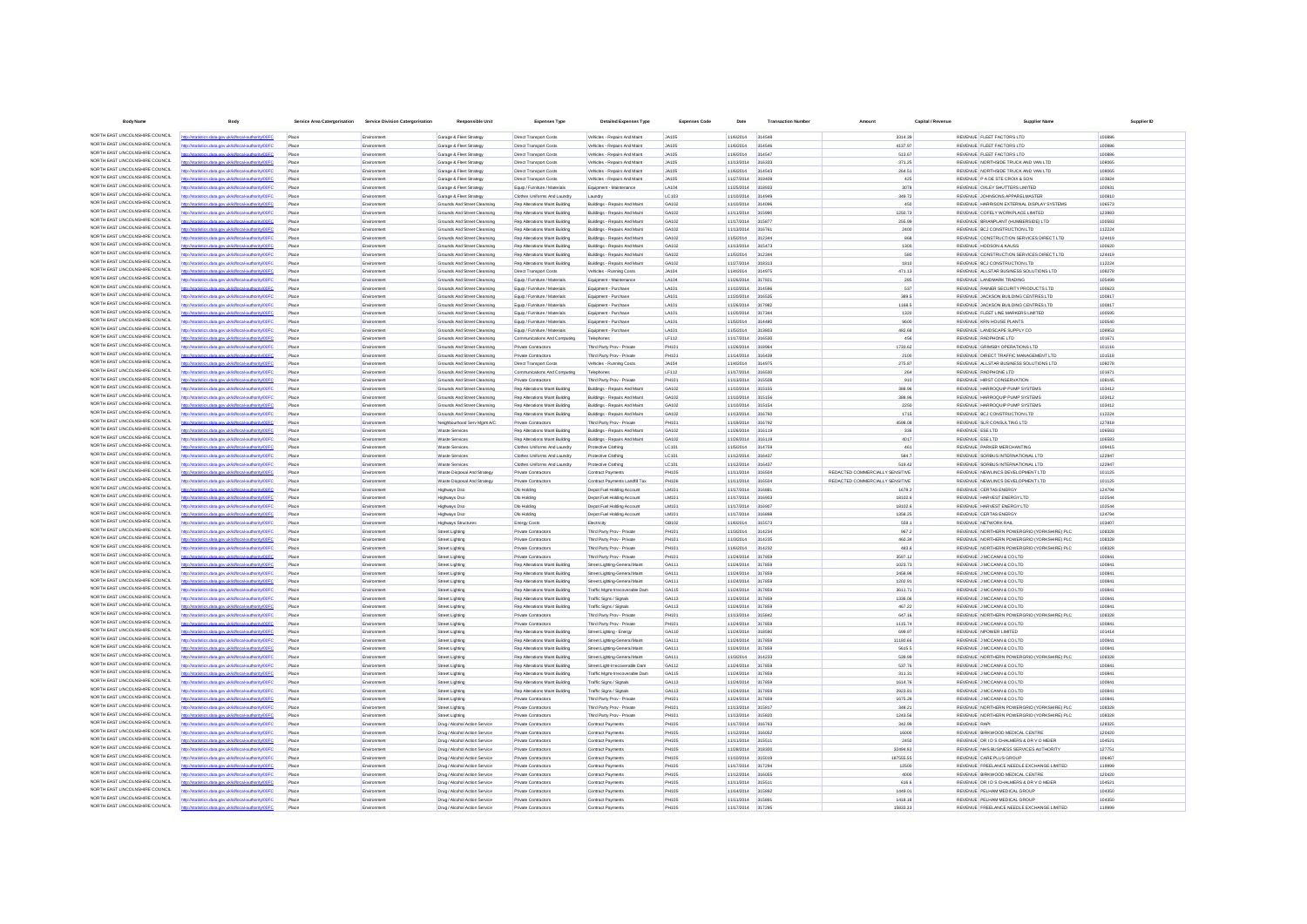| <b>Body Name</b>                                                    |                                                                                          |                | Service Area Catergorisation Service Division Catergorisation | Responsible Unit                                               | <b>Expenses Type</b>                                             | <b>Detailed Expenses Type</b>                                  | <b>Expenses Code</b>         | Date                            | <b>Transaction Number</b> | Amount                                                             | Capital / Revenue   | <b>Supplier Name</b>                                                                     | Supplier ID      |
|---------------------------------------------------------------------|------------------------------------------------------------------------------------------|----------------|---------------------------------------------------------------|----------------------------------------------------------------|------------------------------------------------------------------|----------------------------------------------------------------|------------------------------|---------------------------------|---------------------------|--------------------------------------------------------------------|---------------------|------------------------------------------------------------------------------------------|------------------|
| NORTH EAST LINCOLNSHIRE COUNCIL                                     | //statistics.data.gov.uk/id/local-authority/00FC                                         | Place          | Environmen                                                    | Garage & Fleet Strategy                                        | Direct Transport Costs                                           | Vehicles - Repairs And Maint                                   | <b>JA105</b>                 | 11/6/2014                       | 314548                    | 3314.39                                                            |                     | REVENUE FLEET FACTORS LTD                                                                | 100886           |
| NORTH EAST LINCOLNSHIRE COUNCIL<br>NORTH FAST LINCOLNSHIRE COLINCIL |                                                                                          | Place          |                                                               | <b>Sarage &amp; Fleet Strategy</b>                             | Direct Transport Costs                                           | Vehicles - Repairs And Mair                                    | <b>JA105</b>                 | 11/6/2014                       |                           | 4137.97                                                            |                     | REVENUE FLEET FACTORS LTD                                                                | 10088            |
| NORTH EAST LINCOLNSHIRE COUNCIL                                     | s data ony uklidingal-auth<br>tatistics.data.gov.uk/id/local-authority/00FC              | Place          | Environment<br>Environmen                                     | Garage & Fleet Strategy                                        | <b>Direct Transport Costs</b>                                    | Vehicles - Repairs And Maint                                   | <b>JA105</b><br><b>JA105</b> | 11/6/2014                       | 314547                    | 513.67                                                             |                     | REVENUE FLEET FACTORS LTD                                                                | 100886<br>108065 |
| NORTH EAST LINCOLNSHIRE COUNCIL                                     | tics data ony uklidiocal authorit                                                        | Place<br>Place | Environmen                                                    | Garage & Fleet Strategy<br>Garage & Fleet Strategy             | Direct Transport Costs<br>Direct Transport Costs                 | Vehicles - Repairs And Main<br>Vehicles - Repairs And Maint    | <b>JA105</b>                 | 11/13/2014<br>11/6/2014         | 316333<br>314543          | 371.25<br>264.51                                                   |                     | REVENUE NORTHSIDE TRUCK AND VAN LTD<br>REVENUE NORTHSIDE TRUCK AND VAN LTD               | 108065           |
| NORTH EAST LINCOLNSHIRE COUNCIL                                     | stics.data.gov.uk/id/local-authority/00FC                                                | Place          | Environmen                                                    | Garage & Fleet Strategy                                        | <b>Direct Transport Costs</b>                                    | Vehicles - Repairs And Maint                                   | <b>JA105</b>                 | 11/27/2014                      | 319409                    | 425                                                                |                     | REVENUE P A DE STE CROIX & SON                                                           | 103824           |
| NORTH EAST LINCOLNSHIRE COUNCIL                                     |                                                                                          | Place          | Environmen                                                    | Garage & Fleet Strategy                                        | Equip / Furniture / Materials                                    |                                                                | LA104                        | 11/25/2014                      | 318933                    | 3078                                                               |                     | REVENUE OXLEY SHUTTERS LIMITED                                                           | 100931           |
| NORTH EAST LINCOLNSHIRE COUNCIL<br>NORTH EAST LINCOLNSHIRE COUNCIL  | stics.data.gov.uk/id/local-authority/00FC                                                | Place          | Environmen                                                    | Garage & Fleet Strategy                                        | Clothes Uniforms And Laundry                                     | Laundry                                                        | LC103                        | 11/10/2014                      | 314949                    | 349.72<br>450                                                      |                     | REVENUE JOHNSONS APPARELMASTER                                                           | 100810           |
| NORTH EAST LINCOLNSHIRE COUNCIL                                     | statistics.data.gov.uk/id/local-authority/00FC<br>s data ony uklidihoal-authority/00FC   | Place<br>Place | Environmen<br>Environmen                                      | Grounds And Street Cleansing<br>Grounds And Street Cleansing   | Rep Alterations Maint Building<br>Rep Aterations Maint Building  | Buildings - Repairs And Main<br>Buildings - Repairs And Maint  | GA102<br>GA102               | 11/10/2014<br>11/11/2014        | 314096<br>315990          | 1250.73                                                            |                     | REVENUE HARRISON EXTERNAL DISPLAY SYSTEMS<br>REVENUE COFELY WORKPLACE LIMITED            | 106573<br>123983 |
| NORTH EAST LINCOLNSHIRE COUNCIL                                     | tics.data.gov.uk/id/local-authority/00FC                                                 | Place          | Environmen                                                    | Grounds And Street Cleansing                                   | Rep Alterations Maint Building                                   | Buildings - Repairs And Maint                                  | GA102                        | 11/17/2014                      | 315877                    | 255.99                                                             |                     | REVENUE BRIANPLANT (HUMBERSIDE) LTD                                                      | 100583           |
| NORTH EAST LINCOLNSHIRE COUNCIL                                     |                                                                                          | Place          | Environmen                                                    | Grounds And Street Cleansing                                   | Rep Alterations Maint Building                                   | Buildings - Repairs And Main                                   | GA102                        | 11/13/2014                      | 316761                    | 2400                                                               |                     | REVENUE BCJ CONSTRUCTION LTD                                                             | 112224           |
| NORTH EAST LINCOLNSHIRE COUNCIL                                     | istics.data.gov.uk/id/local-authority/00FC                                               | Place          | Environmen                                                    | Grounds And Street Cleansing                                   | Rep Aterations Maint Building                                    | Buildings - Repairs And Maint                                  | GA102                        | 11/5/2014                       | 312344                    | 868                                                                |                     | REVENUE CONSTRUCTION SERVICES DIRECT LTD                                                 | 124419           |
| NORTH EAST LINCOLNSHIRE COUNCIL<br>NORTH EAST LINCOLNSHIRE COUNCIL  | data.gov.uk/id/local-autho<br>cs data gov ukřdílocal authority/00EC                      | Place          | Environmen                                                    | Grounds And Street Cleansing                                   | Rep Alterations Maint Building                                   | Buildings - Repairs And Maint                                  | GA102<br>GA102               | 11/13/2014 315473<br>11/5/2014  |                           | 1300<br>580                                                        |                     | REVENUE HODSON & KAUSS                                                                   | 100620<br>124419 |
| NORTH EAST LINCOLNSHIRE COUNCIL                                     | stics.data.gov.uk/id/local-authority/00FC                                                | Place<br>Place | Environmen<br>Environmen                                      | Grounds And Street Cleansing<br>Grounds And Street Cleansing   | Rep Alterations Maint Building<br>Rep Alterations Maint Building | Buildings - Repairs And Maint<br>Buildings - Repairs And Maint | GA102                        | 11/27/2014                      | 312344<br>318313          | 1810                                                               |                     | REVENUE CONSTRUCTION SERVICES DIRECT LTD<br>REVENUE BCJ CONSTRUCTION LTD                 | 112224           |
| NORTH EAST LINCOLNSHIRE COUNCIL                                     |                                                                                          | Place          | Environmen                                                    | Grounds And Street Cleansing                                   | Direct Transport Costs                                           | Vehicles - Running Costs                                       | <b>JA104</b>                 | 11/4/2014                       | 314975                    | 471.13                                                             |                     | REVENUE ALLSTAR BUSINESS SOLUTIONS LTD                                                   | 108278           |
| NORTH EAST LINCOLNSHIRE COUNCIL                                     | stics.data.gov.uk/id/local-authority/00FC                                                | Place          | Environmen                                                    | Grounds And Street Cleansing                                   | Equip / Furniture / Materials                                    | Equipment - Maintenance                                        | LA104                        | 11/26/2014                      | 317821                    | 285                                                                |                     | REVENUE LANDMARK TRADING                                                                 | 105499           |
| NORTH EAST LINCOLNSHIRE COUNCIL<br>NORTH EAST LINCOLNSHIRE COUNCIL  |                                                                                          | Place          | Environmen                                                    | Grounds And Street Cleansing                                   | Equip / Furniture / Materials                                    | Equipment - Purchase                                           | LA101                        | 11/10/2014                      | 314596                    | 537                                                                |                     | REVENUE RAINER SECURITY PRODUCTS LTD                                                     | 100623           |
| NORTH EAST LINCOLNSHIRE COUNCIL                                     | stics.data.gov.uk/id/local-autho<br>itwO0FC                                              | Place<br>Place | Environmen<br>Environmen                                      | Grounds And Street Cleansing<br>Grounds And Street Cleansing   | Equip / Furniture / Materials<br>Equip / Furniture / Materials   | Equipment - Purchase<br>Equipment - Purchase                   | LA101<br>LA101               | 11/20/2014<br>11/26/2014        | 316535<br>317982          | 389.5<br>1168.5                                                    |                     | REVENUE JACKSON BUILDING CENTRES LTD<br>REVENUE JACKSON BUILDING CENTRES LTD             | 100817<br>100817 |
| NORTH EAST LINCOLNSHIRE COUNCIL                                     |                                                                                          | Place          | Environmen                                                    | Grounds And Street Cleansing                                   | Equip / Furniture / Materials                                    | Equipment - Purchase                                           | LA101                        | 11/20/2014                      | 317344                    | 1320                                                               |                     | REVENUE FLEET LINE MARKERS LIMITED                                                       | 100595           |
| NORTH EAST LINCOLNSHIRE COUNCIL                                     | istics.data.gov.uk/id/local-authority/00FC                                               | Place          | Environmen                                                    | Grounds And Street Cleansing                                   | Equip / Furniture / Materials                                    | Equipment - Purchase                                           | LA101                        | 11/5/2014                       | 314480                    | 9600                                                               |                     | REVENUE KRN HOUSE PLANTS                                                                 | 100540           |
| NORTH EAST LINCOLNSHIRE COUNCIL                                     |                                                                                          | Place          | Environmen                                                    | Grounds And Street Cleansing                                   | Equip / Furniture / Materials                                    | Equipment - Purchase                                           | LA101                        | 11/5/2014                       | 313803                    | 482.68                                                             |                     | REVENUE LANDSCAPE SUPPLY CO                                                              | 108953           |
| NORTH EAST LINCOLNSHIRE COUNCIL<br>NORTH EAST LINCOLNSHIRE COUNCIL  | datistics.data.gov.uk/id/local-authority/00FC                                            | Place          | Environmen                                                    | Grounds And Street Cleansing                                   | Communications And Computing                                     | Telephones                                                     | LF112                        | 11/17/2014                      | 316530                    | 456                                                                |                     | REVENUE RADPHONE LTD                                                                     | 101671           |
| NORTH EAST LINCOLNSHIRE COUNCIL                                     | stics.data.gov.uk/id/local-authority/00FC                                                | Place          | Environmen                                                    | Grounds And Street Cleansing                                   | Private Contractors                                              | Third Party Prov - Private                                     | PH101                        | 11/26/2014                      | 318964                    | 1733.62                                                            |                     | REVENUE GRIMSBY OPERATIONS LTD                                                           | 101116           |
| NORTH EAST LINCOLNSHIRE COUNCIL                                     | stics.data.gov.uk/id/local-authority/00FC                                                | Place<br>Place | Environmen<br>Environmen                                      | Grounds And Street Cleansing<br>Grounds And Street Cleansing   | Private Contractors<br><b>Direct Transport Costs</b>             | Third Party Prov - Private<br>Vehicles - Running Costs         | PH101<br><b>JA104</b>        | 11/14/2014<br>11/4/2014         | 316439<br>314975          | 2100<br>275.87                                                     |                     | REVENUE DIRECT TRAFFIC MANAGEMENT LTD<br>REVENUE ALLSTAR BUSINESS SOLUTIONS LTD          | 101518<br>108278 |
| NORTH EAST LINCOLNSHIRE COUNCIL                                     |                                                                                          | Place          | Environmen                                                    | Grounds And Street Cleansing                                   | Communications And Computing                                     | Telephones                                                     | LF112                        | 11/17/2014 316530               |                           | 264                                                                |                     | REVENUE RADPHONE LTD                                                                     | 101671           |
| NORTH EAST LINCOLNSHIRE COUNCIL                                     | istics.data.gov.uk/id/local-authority/00FC                                               | Place          | Environmen                                                    | Grounds And Street Cleansing                                   | Private Contractors                                              | Third Party Prov - Private                                     | PH101                        | 11/13/2014                      | 315508                    | 910                                                                |                     | REVENUE HIRST CONSERVATION                                                               | 108145           |
| NORTH EAST LINCOLNSHIRE COUNCIL                                     | ics data ony uklidingal-auth                                                             | Place          | Environmen                                                    | Grounds And Street Cleansing                                   | Rep Aterations Maint Building                                    | Buildings - Repairs And Maint                                  | GA102                        | 11/10/2014                      | 315155                    | 388.96                                                             |                     | REVENUE HARROQUIP PUMP SYSTEMS                                                           | 103412           |
| NORTH EAST LINCOLNSHIRE COUNCIL                                     |                                                                                          | Place          | Environmen                                                    | Grounds And Street Cleansing                                   | Rep Alterations Maint Building                                   | Buildings - Repairs And Maint                                  | GA102                        | 11/10/2014                      | 315156                    | 388.96                                                             |                     | REVENUE HARROQUIP PUMP SYSTEMS                                                           | 103412           |
| NORTH EAST LINCOLNSHIRE COUNCIL<br>NORTH EAST LINCOLNSHIRE COUNCIL  | atistics.data.gov.uk/id/local-authority/00FC                                             | Place          | Environmen                                                    | Grounds And Street Cleansing                                   | Rep Alterations Maint Building                                   | Buildings - Repairs And Maint                                  | GA102                        | 11/10/2014                      | 315154                    | 2250                                                               |                     | REVENUE HARROQUIP PUMP SYSTEMS                                                           | 103412           |
| NORTH EAST LINCOLNSHIRE COUNCIL                                     | datistics.data.gov.uk/id/local-authority/00FC                                            | Place<br>Place | Environmen<br>Environmen                                      | Grounds And Street Cleansing<br>Neighbourhood Serv Mgmt A/C    | Rep Alterations Maint Building<br>Private Contractors            | Buildings - Repairs And Maint<br>Third Party Prov - Private    | GA102<br>PH101               | 11/13/2014<br>11/19/2014        | 316760<br>316792          | 1715<br>4598.08                                                    |                     | REVENUE BCJ CONSTRUCTION LTD<br>REVENUE SLR CONSULTING LTD                               | 112224<br>127818 |
| NORTH EAST LINCOLNSHIRE COUNCIL                                     | ns data ony uklidional-authr                                                             | Place          | Environmen                                                    | <b>Waste Services</b>                                          | Rep Alterations Maint Building                                   | Buildings - Repairs And Maint                                  | GA102                        | 11/26/2014                      | 316119                    | 336                                                                |                     | REVENUE ESE LTD                                                                          | 106583           |
| NORTH EAST LINCOLNSHIRE COUNCIL                                     |                                                                                          | Place          | Environmen                                                    | Waste Services                                                 | Rep Alterations Maint Building                                   | Buildings - Repairs And Maint                                  | GA102                        | 11/26/2014                      | 316119                    | 4017                                                               |                     | REVENUE ESE LTD                                                                          | 106583           |
| NORTH EAST LINCOLNSHIRE COUNCIL                                     | istics.data.gov.uk/id/local-authority/00FC                                               | Place          | Environmen                                                    | Waste Services                                                 | Clothes Uniforms And Laundry                                     | Protective Clothin                                             | LC101                        | 11/5/2014                       | 314759                    | 461                                                                |                     | REVENUE PARKER MERCHANTING                                                               | 109415           |
| NORTH EAST LINCOLNSHIRE COUNCIL                                     |                                                                                          | Place          | Environmen                                                    | <b>Waste Services</b>                                          | Clothes Uniforms And Laundry                                     | Protective Clothing                                            | LC101                        | 11/12/2014                      | 316437                    | 584.7                                                              |                     | REVENUE SORBUS INTERNATIONAL LTD                                                         | 122947           |
| NORTH EAST LINCOLNSHIRE COUNCIL<br>NORTH EAST LINCOLNSHIRE COUNCIL  | atistics.data.gov.uk/id/local-authority/00FC                                             | Place          | Environmen                                                    | Waste Services                                                 | Clothes Uniforms And Laundry                                     | Protective Clothing                                            | LC101                        | 11/12/2014                      | 316437                    | 519.42                                                             |                     | REVENUE SORBUS INTERNATIONAL LTD                                                         | 122947           |
| NORTH EAST LINCOLNSHIRE COUNCIL                                     | tics data ony ukliditional authority/00FC<br>tics.data.gov.uk/id/local-authority/00FC    | Place<br>Place | Environmen<br>Environmen                                      | Waste Disposal And Strategy<br>Waste Disposal And Strategy     | Private Contractors<br>Private Contractors                       | Contract Payments<br>Contract Payments Landfil Tax             | <b>PH105</b><br>PH106        | 11/11/2014<br>11/11/2014        | 316504<br>316504          | REDACTED COMMERCIALLY SENSITIVE<br>REDACTED COMMERCIALLY SENSITIVE |                     | REVENUE NEWLINCS DEVELOPMENT LTD<br>REVENUE NEWLINCS DEVELOPMENT LTD                     | 101125<br>101125 |
| NORTH EAST LINCOLNSHIRE COUNCIL                                     | statistics.data.gov.uk/id/local-authority/00FC                                           | Place          | Environmen                                                    | <b>Highways Dso</b>                                            | <b>Dio Holding</b>                                               | Depot Fuel Holding Account                                     | <b>1 M101</b>                | 11/17/2014                      | 316881                    | 1678.2                                                             |                     | REVENUE CERTAS ENERGY                                                                    | 124794           |
| NORTH EAST LINCOLNSHIRE COUNCIL                                     | tics data nov uklidiocal authority/00FC                                                  | Place          | Environmen                                                    | <b>Highways Dsg</b>                                            | Dio Holding                                                      | Depot Fuel Holding Account                                     | LM101                        | 11/17/2014 316903               |                           | 18102.6                                                            |                     | REVENUE HARVEST ENERGY LTD                                                               | 102544           |
| NORTH EAST LINCOLNSHIRE COUNCIL                                     | statistics.data.gov.uk/id/local-authority/00FC                                           | Place          | Environmen                                                    | Highways Dso                                                   | <b>Dio Holding</b>                                               | Depot Fuel Holding Account                                     | LM101                        | 11/17/2014                      | 316907                    | 18102.6                                                            |                     | REVENUE HARVEST ENERGY LTD                                                               | 102544           |
| NORTH EAST LINCOLNSHIRE COUNCIL                                     |                                                                                          | Place          | Environmen                                                    | Highways Dso                                                   | <b>Dio Holding</b>                                               | Depot Fuel Holding Account                                     | <b>1 M101</b>                | 11/17/2014                      | 316898                    | 1358.25                                                            |                     | REVENUE CERTAS ENERGY                                                                    | 124794           |
| NORTH EAST LINCOLNSHIRE COUNCIL<br>NORTH EAST LINCOLNSHIRE COUNCIL  | tics.data.gov.uk/id/local-autho<br>Vstatistics.data.gov.uk/id/local-authority/00FC       | Place          | Environmen<br>Environmen                                      | <b>Highways Structure</b>                                      | <b>Energy Costs</b><br>Private Contractors                       | Electricity                                                    | GB102<br><b>PH101</b>        | 11/6/2014<br>11/3/2014          | 315573<br>314234          | 559.1<br>967.2                                                     |                     | REVENUE NETWORK RAIL<br>REVENUE NORTHERN POWERGRID (YORKSHIRE) PLC                       | 103407<br>108328 |
| NORTH FAST LINCOLNSHIRE COUNCIL                                     | ics data ony uklidingal-author                                                           | Place<br>Place | Environmen                                                    | Street Lighting<br>Street Lighting                             | Private Contractors                                              | Third Party Prov - Private<br>Third Party Prov - Private       | PH101                        | 11/3/2014                       | 314235                    | 460.34                                                             |                     | REVENUE NORTHERN POWERGRID (YORKSHIRE) PLC                                               | 108328           |
| NORTH EAST LINCOLNSHIRE COUNCIL                                     | tatistics.data.gov.uk/id/local-authority/00FC                                            | Place          | Environmen                                                    | <b>Street Lighting</b>                                         | Private Contractors                                              | Third Party Prov - Private                                     | PH101                        | 11/6/2014                       | 314232                    | 483.6                                                              |                     | REVENUE NORTHERN POWERGRID (YORKSHIRE) PLC                                               | 108328           |
| NORTH EAST LINCOLNSHIRE COUNCIL                                     |                                                                                          | Place          | Environmen                                                    | Street Lighting                                                | Private Contractors                                              | Third Party Prov - Private                                     | <b>PH101</b>                 | 11/24/2014                      | 317859                    | 3597.12                                                            |                     | REVENUE J MCCANN & CO LTD                                                                | 100841           |
| NORTH EAST LINCOLNSHIRE COUNCIL                                     | stics.data.gov.uk/id/local-authority/00FC                                                | Place          | Environmen                                                    | Street Lighting                                                | Rep Alterations Maint Building                                   | Street Lighting-General Maint                                  | GA111                        | 11/24/2014                      | 317859                    | 1023.73                                                            |                     | REVENUE J MCCANN & CO LTD                                                                | 100841           |
| NORTH EAST LINCOLNSHIRE COUNCIL<br>NORTH EAST LINCOLNSHIRE COUNCIL  |                                                                                          | Place          | Environmen                                                    | Street Lighting                                                | Rep Alterations Maint Building                                   | Street Lighting-General Maint                                  | GA111                        | 11/24/2014                      | 317859                    | 2458.98                                                            |                     | REVENUE J MCCANN & CO LTD                                                                | 100841           |
| NORTH EAST LINCOLNSHIRE COUNCIL                                     | cs.data.gov.uk/id/local-authr                                                            | Place          | Environmen                                                    | Street Lighting                                                | Rep Alterations Maint Building                                   | Street Lighting-General Maint                                  | GA111                        | 11/24/2014                      | 317859                    | 1202.91                                                            |                     | REVENUE J MCCANN & CO LTD                                                                | 100841           |
| NORTH EAST LINCOLNSHIRE COUNCIL                                     | Vstatistics.data.gov.uk/id/local-authority/00FC                                          | Place<br>Place | Environmen<br>Environmen                                      | Street Lighting<br>Street Lighting                             | Rep Alterations Maint Building<br>Rep Alterations Maint Building | Traffic Mgmt-Irrecoverable Dam<br>Traffic Signs / Signals      | GA115<br>GA113               | 11/24/2014<br>11/24/2014        | 317859<br>317859          | 3611.71<br>1336.06                                                 |                     | REVENUE J MCCANN & CO LTD<br>REVENUE J MCCANN & CO LTD                                   | 100841<br>100841 |
| NORTH EAST LINCOLNSHIRE COUNCIL                                     | stics.data.gov.uk/id/local-authority/00FC                                                | Place          | Environmen                                                    | Street Lighting                                                | Rep Alterations Maint Building                                   | Traffic Signs / Signals                                        | GA113                        | 11/24/2014                      | 317859                    | 467.22                                                             |                     | REVENUE J MCCANN & CO LTD                                                                | 100841           |
| NORTH EAST LINCOLNSHIRE COUNCIL                                     |                                                                                          | Place          | Environmen                                                    | Street Lighting                                                | Private Contractors                                              | Third Party Prov - Private                                     | PH101                        | 11/13/2014                      | 315842                    | 647.16                                                             |                     | REVENUE NORTHERN POWERGRID (YORKSHIRE) PLC                                               | 108328           |
| NORTH EAST LINCOLNSHIRE COUNCIL                                     | ins data now uklidional authr                                                            | Place          | Environmen                                                    | Street Lighting                                                | Private Contractors                                              | Third Party Prov - Private                                     | PH101                        | 11/24/2014                      | 317859                    | 1115.74                                                            |                     | REVENUE J MCCANN & CO LTD                                                                | 100841           |
| NORTH EAST LINCOLNSHIRE COUNCIL<br>NORTH EAST LINCOLNSHIRE COUNCIL  | statistics.data.gov.uk/id/local-authority/00FC                                           | Place          | Environmen                                                    | Street Lighting                                                | Rep Alterations Maint Building                                   | Street Lighting - Energy                                       | GA110                        | 11/24/2014                      | 318590                    | 699.97                                                             |                     | REVENUE NPOWER LIMITED                                                                   | 101414           |
| NORTH EAST LINCOLNSHIRE COUNCIL                                     |                                                                                          | Place          | Environmen                                                    | Street Lighting                                                | Rep Alterations Maint Building                                   | Street Lighting-General Main                                   | GA111                        | 11/24/2014                      | 317859                    | 11180.66                                                           |                     | REVENUE J MCCANN & CO LTD                                                                | 100841           |
| NORTH EAST LINCOLNSHIRE COUNCIL                                     | tics.data.gov.uk/id/local-authority/00FC                                                 | Place<br>Place | Environmen<br>Environmen                                      | Street Lighting<br>Street Lighting                             | Rep Alterations Maint Building<br>Rep Alterations Maint Building | Street Lighting-General Maint<br>Street Lighting-General Main  | GA111<br>GA111               | 11/24/2014<br>11/3/2014         | 317859<br>314233          | 5615.5<br>539.99                                                   |                     | REVENUE J MCCANN & CO LTD<br>REVENUE NORTHERN POWERGRID (YORKSHIRE) PLC                  | 100841<br>108328 |
| NORTH EAST LINCOLNSHIRE COUNCIL                                     | tatistics.data.gov.uk/id/local-authority/00FC                                            | Place          | Environmen                                                    | Street Lighting                                                | Rep Alterations Maint Building                                   | Street Light-Irrecoverable Dam                                 | GA112                        | 11/24/2014                      | 317859                    | 537.76                                                             |                     | REVENUE J MCCANN & CO LTD                                                                | 100841           |
| NORTH EAST LINCOLNSHIRE COUNCIL                                     | Wstatistics.data.gov.uk/id/local-authority/00FC                                          | Place          | Environmen                                                    | Street Lighting                                                | Rep Alterations Maint Building                                   | Traffic Mgmt-Irrecoverable Dam                                 | GA115                        | 11/24/2014 317859               |                           | 311.31                                                             |                     | REVENUE J MCCANN & CO LTD                                                                | 100841           |
| NORTH EAST LINCOLNSHIRE COUNCIL                                     | stics data ony uklidiocal authority/00FC                                                 | Place          | Environmen                                                    | Street Lighting                                                | Rep Aterations Maint Building                                    | Traffic Signs / Signals                                        | GA113                        | 11/24/2014                      | 317859                    | 1614.76                                                            |                     | REVENUE J MCCANN & CO LTD                                                                | 100841           |
| NORTH EAST LINCOLNSHIRE COUNCIL                                     | stics.data.gov.uk/id/local-authority/00FC                                                | Place          | Environmen                                                    | Street Lighting                                                | Rep Alterations Maint Building                                   | Traffic Signs / Signals                                        | GA113                        | 11/24/2014                      | 317859                    | 2923.81                                                            |                     | REVENUE J MCCANN & CO LTD                                                                | 100841           |
| NORTH EAST LINCOLNSHIRE COUNCIL<br>NORTH EAST LINCOLNSHIRE COUNCIL  |                                                                                          | Place          | Environmen                                                    | Street Lighting                                                | Private Contractors                                              | Third Party Prov - Private                                     | PH101                        | 11/24/2014                      | 317859                    | 1675.28                                                            |                     | REVENUE J MCCANN & CO LTD                                                                | 100841           |
| NORTH EAST LINCOLNSHIRE COUNCIL                                     | stics.data.gov.uk/id/local-authority/00FC                                                | Place<br>Place | Environmen<br>Environmen                                      | Street Lighting<br>Street Lighting                             | Private Contractors<br>Private Contractors                       | Third Party Prov - Private<br>Third Party Prov - Private       | PH101<br>PH101               | 11/13/2014<br>11/13/2014 315820 | 315817                    | 348.21<br>1243.56                                                  |                     | REVENUE NORTHERN POWERGRID (YORKSHIRE) PLC<br>REVENUE NORTHERN POWERGRID (YORKSHIRE) PLC | 108328<br>108328 |
| NORTH EAST LINCOLNSHIRE COUNCIL                                     |                                                                                          | Place          | Environmen                                                    | Drug / Alcohol Action Service                                  | Private Contractors                                              | Contract Payments                                              | PH105                        | 11/17/2014                      | 316763                    | 342.99                                                             | <b>REVENUE RAPt</b> |                                                                                          | 128325           |
| NORTH EAST LINCOLNSHIRE COUNCIL                                     | stics.data.gov.uk/id/local-authority/00FC                                                | Place          | Environmen                                                    | Drug / Alcohol Action Service                                  | Private Contractors                                              | Contract Payments                                              | PH105                        | 11/12/2014                      | 316052                    | 16000                                                              |                     | REVENUE BIRKWOOD MEDICAL CENTRE                                                          | 120420           |
| NORTH EAST LINCOLNSHIRE COUNCIL                                     |                                                                                          | Place          | Environmen                                                    | Drug / Alcohol Action Service                                  | Private Contractors                                              | Contract Payments                                              | PH105                        | 11/11/2014                      | 315511                    | 2450                                                               |                     | REVENUE DR I D S CHALMERS & DR V O MEIER                                                 | 104521           |
| NORTH EAST LINCOLNSHIRE COUNCIL                                     | stics.data.gov.uk/id/local-authority/00FC                                                | Place          | Environmen                                                    | Drug / Alcohol Action Service                                  | Private Contractors                                              | Contract Payments                                              | PH105                        | 11/28/2014                      | 318300                    | 32494.92                                                           |                     | REVENUE NHS BUSINESS SERVICES AUTHORITY                                                  | 127751           |
| NORTH EAST LINCOLNSHIRE COUNCIL<br>NORTH EAST LINCOLNSHIRE COUNCIL  | <b>IDDFC</b><br>:s.data.gov.uk/id/local-autho                                            | Place          | Environmen                                                    | Drug / Alcohol Action Service                                  | Private Contractors                                              | Contract Payments                                              | PH105                        | 11/10/2014                      | 315019                    | 187555.55                                                          |                     | REVENUE CARE PLUS GROUP                                                                  | 106467           |
| NORTH EAST LINCOLNSHIRE COUNCIL                                     | distics.data.cov.uk/id/local-authority/00FC<br>stics.data.gov.uk/id/local-authority/00FC | Place<br>Place | Environmen<br>Environmen                                      | Drug / Alcohol Action Service<br>Drug / Alcohol Action Service | Private Contractors<br>Private Contractors                       | Contract Payments<br>Contract Payments                         | PH105<br>PH105               | 11/17/2014<br>11/12/2014        | 317294<br>316055          | 12500<br>4000                                                      |                     | REVENUE FREELANCE NEEDLE EXCHANGE LIMITED<br>REVENUE BIRKWOOD MEDICAL CENTRE             | 119999<br>120420 |
| NORTH EAST LINCOLNSHIRE COUNCIL                                     |                                                                                          | Place          | Environmen                                                    | Drug / Alcohol Action Service                                  | Private Contractors                                              | Contract Payments                                              | PH105                        | 11/11/2014                      | 31551                     | 616.6                                                              |                     | REVENUE DR I D S CHALMERS & DR V O MEIER                                                 | 104521           |
| NORTH EAST LINCOLNSHIRE COUNCIL                                     | istics.data.gov.uk/id/local-authority/00FC                                               | Place          | Environmen                                                    | Drug / Alcohol Action Service                                  | Private Contractors                                              | Contract Payments                                              | PH105                        | 11/14/2014                      | 315892                    | 1449.01                                                            |                     | REVENUE PELHAM MEDICAL GROUP                                                             | 104350           |
| NORTH EAST LINCOLNSHIRE COUNCIL                                     | ics.data.gov.uk/id/local-authority/00FC                                                  | Place          | Environment                                                   | Drug / Alcohol Action Service                                  | Private Contractors                                              | Contract Payments                                              | PH105                        | 11/11/2014 315891               |                           | 1418.18                                                            |                     | REVENUE PELHAM MEDICAL GROUP                                                             | 104350           |
| NORTH EAST LINCOLNSHIRE COUNCIL                                     |                                                                                          |                |                                                               | Drug / Alcohol Action Service                                  | Private Contractors                                              | Contract Payment                                               | PH105                        | 11/17/2014                      |                           | 15833.33                                                           |                     | REVENUE FREELANCE NEEDLE EXCHANGE LIMITED                                                |                  |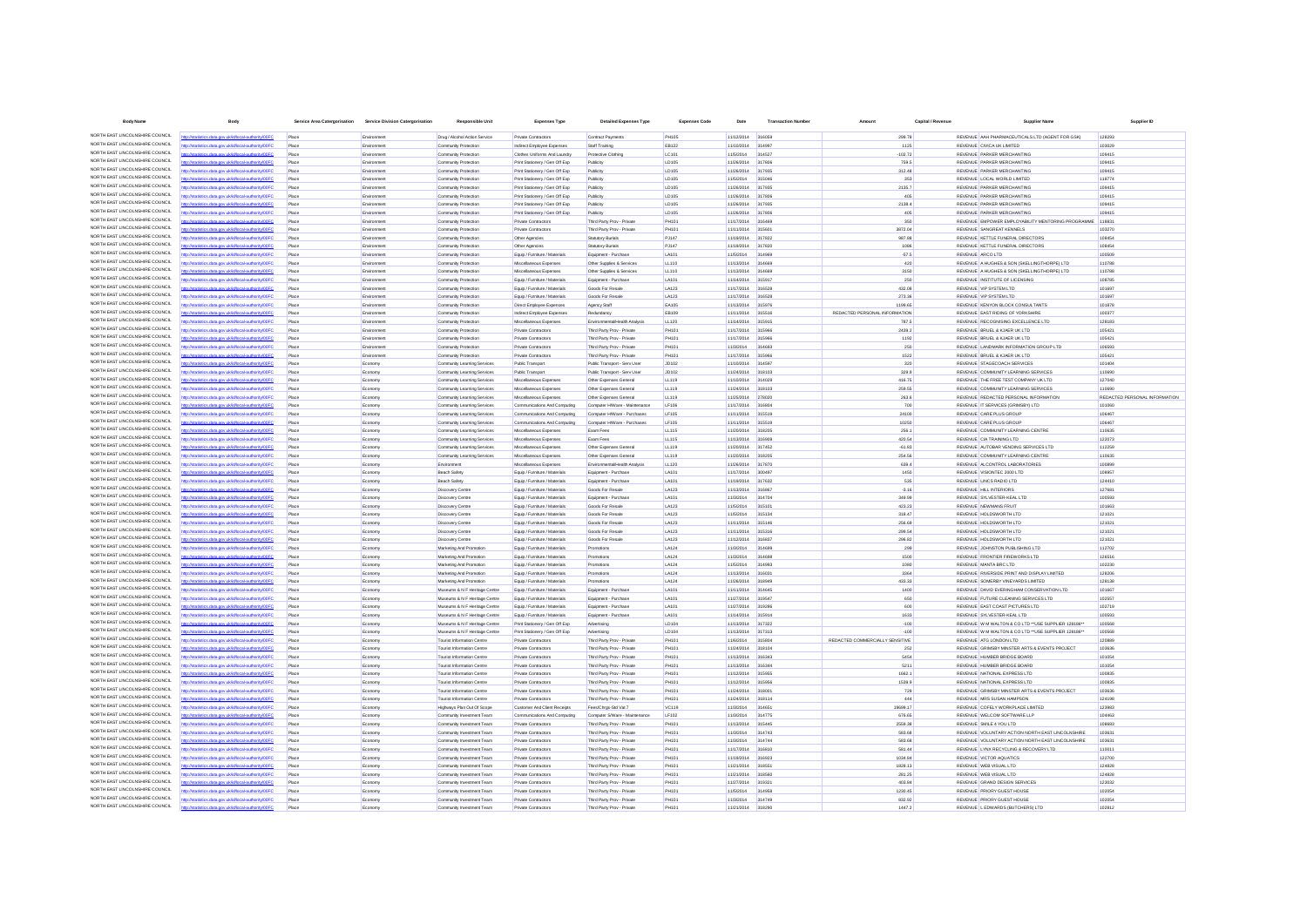| <b>Body Name</b>                                                    |                                                                                                      |                | Service Area Catergorisation Service Division Catergorisation | Responsible Unit                                                       | <b>Expenses Type</b>                                             | <b>Detailed Expenses Type</b>                            | <b>Expenses Code</b> | Date                            | <b>Transaction Number</b> | Amount                                 | Capital / Revenue | <b>Supplier Name</b>                                                                                        | <b>Supplier ID</b>            |
|---------------------------------------------------------------------|------------------------------------------------------------------------------------------------------|----------------|---------------------------------------------------------------|------------------------------------------------------------------------|------------------------------------------------------------------|----------------------------------------------------------|----------------------|---------------------------------|---------------------------|----------------------------------------|-------------------|-------------------------------------------------------------------------------------------------------------|-------------------------------|
| NORTH EAST LINCOLNSHIRE COUNCIL                                     | //statistics.data.gov.uk/id/local-authority/00FC                                                     | Place          | Environment                                                   | Drug / Alcohol Action Service                                          | Private Contractors                                              | <b>Contract Payments</b>                                 | <b>PH105</b>         | 11/12/2014                      | 316059                    | 299.78                                 |                   | REVENUE AAH PHARMACEUTICALS LTD (AGENT FOR GSK)                                                             | 128293                        |
| NORTH EAST LINCOLNSHIRE COUNCIL                                     |                                                                                                      | Place          |                                                               | mmunity Protecti                                                       |                                                                  | Staff Trainin                                            | EB122                | 11/10/2014                      |                           | 1125                                   |                   | REVENUE CIVICA UK LIMITED                                                                                   | 103029                        |
| NORTH FAST LINCOLNSHIRE COLINCIL<br>NORTH EAST LINCOLNSHIRE COUNCIL | s data ony uklidingal-auth                                                                           | Place          | Environment                                                   | Community Protection                                                   | Clothes Uniforms And Laundry                                     | Protective Clothing                                      | LC101                | 11/5/2014                       | 314527                    | $-102.72$                              |                   | REVENUE PARKER MERCHANTING                                                                                  | 109415                        |
| NORTH EAST LINCOLNSHIRE COUNCIL                                     | statistics.data.gov.uk/id/local-authority/00FC<br>tics data ony uklidiocal-authorit                  | Place<br>Place | Environmen<br>Environmen                                      | Community Protection<br>Community Protection                           | Print Stationery / Gen Off Exp<br>Print Stationery / Gen Off Exp | Publicity<br>Publicity                                   | LD105<br>LD105       | 11/26/2014<br>11/26/2014        | 317806<br>317935          | 759.5<br>312.48                        |                   | REVENUE PARKER MERCHANTING<br>REVENUE PARKER MERCHANTING                                                    | 109415<br>109415              |
| NORTH EAST LINCOLNSHIRE COUNCIL                                     | stics.data.gov.uk/id/local-authority/00FC                                                            | Place          | Environmen                                                    | Community Protection                                                   | Print Stationery / Gen Off Exp                                   | Publicity                                                | LD105                | 11/5/2014                       | 315046                    | 353                                    |                   | REVENUE LOCAL WORLD LIMITED                                                                                 | 118774                        |
| NORTH EAST LINCOLNSHIRE COUNCIL                                     |                                                                                                      | Place          | Environmen                                                    | Community Protection                                                   | Print Stationery / Gen Off Exp                                   | Publicity                                                | LD105                | 11/26/2014                      | 317935                    | 2135.7                                 |                   | REVENUE PARKER MERCHANTING                                                                                  | 109415                        |
| NORTH EAST LINCOLNSHIRE COUNCIL                                     | stics.data.gov.uk/id/local-authority/00FC                                                            | Place          | Environmen                                                    | Community Protection                                                   | Print Stationery / Gen Off Exp                                   | Publicity                                                | LD105                | 11/26/2014                      | 317806                    | 405                                    |                   | REVENUE PARKER MERCHANTING                                                                                  | 109415                        |
| NORTH EAST LINCOLNSHIRE COUNCIL<br>NORTH EAST LINCOLNSHIRE COUNCIL  | Vstatistics.data.gov.uk/id/local-authority/00FC<br>os data nov uklidiocal authority/00FC             | Place          | Environmen                                                    | Community Protection                                                   | Print Stationery / Gen Off Exp                                   | Publicity<br>Publicity                                   | LD105<br>LD105       | 11/26/2014<br>11/26/2014        | 317935                    | 2138.4                                 |                   | REVENUE PARKER MERCHANTING<br>REVENUE PARKER MERCHANTING                                                    | 109415<br>109415              |
| NORTH EAST LINCOLNSHIRE COUNCIL                                     | tics.data.gov.uk/id/local-authority/00FC                                                             | Place<br>Place | Environmen<br>Environmen                                      | Community Protection<br>Community Protection                           | Print Stationery / Gen Off Exp<br>Private Contractors            | Third Party Prov - Private                               | PH101                | 11/17/2014                      | 317806<br>316469          | 405<br>350                             |                   | REVENUE EMPOWER EMPLOYABILITY MENTORING PROGRAMME                                                           | 118831                        |
| NORTH EAST LINCOLNSHIRE COUNCIL                                     |                                                                                                      | Place          | Environmen                                                    | Community Protection                                                   | Private Contractors                                              | Third Party Prov - Privati                               | PH101                | 11/11/2014                      | 315601                    | 3872.04                                |                   | REVENUE SANGREAT KENNELS                                                                                    | 103270                        |
| NORTH EAST LINCOLNSHIRE COUNCIL                                     | istics.data.gov.uk/id/local-authority/00FC                                                           | Place          | Environmen                                                    | Community Protection                                                   | Other Agencies                                                   | Statutory Burials                                        | PJ147                | 11/19/2014                      | 317822                    | 987.88                                 |                   | REVENUE KETTLE FUNERAL DIRECTORS                                                                            | 108454                        |
| NORTH EAST LINCOLNSHIRE COUNCIL<br>NORTH EAST LINCOLNSHIRE COUNCIL  | data.gov.uk/id/local-autho                                                                           | Place          | Environmen                                                    | Community Protection                                                   | Other Agencies                                                   | Statutory Burials                                        | PJ147                | 11/19/2014                      | 317820                    | 1086                                   |                   | REVENUE KETTLE FUNERAL DIRECTORS                                                                            | 108454                        |
| NORTH EAST LINCOLNSHIRE COUNCIL                                     | cs data gov ukřdílocal authority/00EC                                                                | Place<br>Place | Environmen<br>Environmen                                      | Community Protection                                                   | Equip / Furniture / Materials                                    | Equipment - Purchase                                     | LA101<br>LL110       | 11/5/2014<br>11/13/2014         | 314969<br>314669          | $-57.5$<br>420                         |                   | REVENUE ARCO LTD<br>REVENUE A HUGHES & SON (SKELLINGTHORPE) LTD                                             | 100509<br>110788              |
| NORTH EAST LINCOLNSHIRE COUNCIL                                     | stics.data.gov.uk/id/local-authority/00FC                                                            | Place          | Environmen                                                    | Community Protection<br>Community Protection                           | Miscelaneous Expenses<br>Miscellaneous Expenses                  | Other Supplies & Services<br>Other Supplies & Services   | LL110                | 11/13/2014                      | 314669                    | 3150                                   |                   | REVENUE A HUGHES & SON (SKELLINGTHORPE) LTD                                                                 | 110788                        |
| NORTH EAST LINCOLNSHIRE COUNCIL                                     | stics.data.gov.uk/id/local-authority/00FC                                                            | Place          | Environmen                                                    | Community Protection                                                   | Equip / Furniture / Materials                                    | Equipment - Purchase                                     | LA101                | 11/14/2014                      | 315917                    | 250                                    |                   | REVENUE INSTITUTE OF LICENSING                                                                              | 108785                        |
| NORTH EAST LINCOLNSHIRE COUNCIL                                     |                                                                                                      | Place          | Environmen                                                    | Community Protection                                                   | Equip / Furniture / Materials                                    | Goods For Resalt                                         | LA123                | 11/17/2014 316528               |                           | 432.08                                 |                   | REVENUE VIP SYSTEM LTD                                                                                      | 101697                        |
| NORTH EAST LINCOLNSHIRE COUNCIL<br>NORTH EAST LINCOLNSHIRE COUNCIL  |                                                                                                      | Place          | Environmen                                                    | Community Protection                                                   | Equip / Furniture / Materials                                    | Goods For Resalt                                         | LA123                | 11/17/2014                      | 316528                    | 273.36                                 |                   | REVENUE VIP SYSTEM LTD                                                                                      | 101697                        |
| NORTH EAST LINCOLNSHIRE COUNCIL                                     | stics.data.gov.uk/id/local-autho<br><b>itwOOFC</b>                                                   | Place          | Environmen                                                    | Community Protection                                                   | Direct Employee Expenses                                         | Agency Staff                                             | EA105                | 11/13/2014                      | 315976                    | 1199.65                                |                   | REVENUE KENYON BLOCK CONSULTANTS                                                                            | 101878                        |
| NORTH EAST LINCOLNSHIRE COUNCIL                                     | istics.data.gov.uk/id/local-authority/00FC                                                           | Place<br>Place | Environmen<br>Environmen                                      | Community Protection<br>Community Protection                           | Indirect Employee Expenses<br>Miscelaneous Expense               | Redundancy<br>Environmental/Health Analysis              | EB109<br>LL120       | 11/11/2014<br>11/14/2014        | 315516<br>315915          | REDACTED PERSONAL INFORMATION<br>787.5 |                   | REVENUE EAST RIDING OF YORKSHIRI<br>REVENUE RECOGNISING EXCELLENCE LTD                                      | 100377<br>128183              |
| NORTH EAST LINCOLNSHIRE COUNCIL                                     |                                                                                                      | Place          | Environmen                                                    | Community Protection                                                   | Private Contractors                                              | Third Party Prov - Private                               | PH101                | 11/17/2014 315966               |                           | 2439.2                                 |                   | REVENUE BRUEL & KJAER UK LTD                                                                                | 105421                        |
| NORTH EAST LINCOLNSHIRE COUNCIL                                     | datistics.data.gov.uk/id/local-authority/00FC                                                        | Place          | Environmen                                                    | Community Protection                                                   | Private Contractors                                              | Third Party Prov - Privat                                | PH101                | 11/17/2014                      | 315966                    | 1192                                   |                   | REVENUE BRUEL & KJAER UK LTD                                                                                | 105421                        |
| NORTH EAST LINCOLNSHIRE COUNCIL                                     | stics.data.gov.uk/id/local-authority/00FC                                                            | Place          | Environmen                                                    | Community Protection                                                   | Private Contractors                                              | Third Party Prov - Private                               | PH101                | 11/3/2014                       | 314693                    | 250                                    |                   | REVENUE LANDMARK INFORMATION GROUP LTD                                                                      | 106593                        |
| NORTH EAST LINCOLNSHIRE COUNCIL<br>NORTH EAST LINCOLNSHIRE COUNCIL  |                                                                                                      | Place          | Environmen                                                    | Community Protection                                                   | Private Contractors                                              | Third Party Prov - Private                               | PH101                | 11/17/2014                      | 315966                    | 1522                                   |                   | REVENUE BRUEL & KJAER UK LTD                                                                                | 105421                        |
| NORTH EAST LINCOLNSHIRE COUNCIL                                     | stics.data.gov.uk/id/local-authority/00FC                                                            | Place          | Economy                                                       | Community Learning Services                                            | Public Transport                                                 | Public Transport - Serv User                             | JD102                | 11/10/2014                      | 314597                    | 320                                    |                   | REVENUE STAGECOACH SERVICES<br>REVENUE COMMUNITY LEARNING SERVICES                                          | 101404                        |
| NORTH EAST LINCOLNSHIRE COUNCIL                                     | istics.data.gov.uk/id/local-authority/00FC                                                           | Place<br>Place | Economy<br>Economy                                            | Community Learning Services<br>Community Learning Services             | Public Transport<br>Miscellaneous Expense                        | Public Transport - Serv User<br>Other Expenses General   | JD102<br>LL119       | 11/24/2014 318103<br>11/10/2014 | 314029                    | 329.9<br>416.75                        |                   | REVENUE THE FREE TEST COMPANY UK LTD                                                                        | 110690<br>127040              |
| NORTH EAST LINCOLNSHIRE COUNCIL                                     | ics data ony uklidiocal-auth                                                                         | Place          | Economy                                                       | Community Learning Services                                            | Miscellaneous Expenses                                           | Other Expenses General                                   | LL119                | 11/24/2014                      | 318103                    | 259.55                                 |                   | REVENUE COMMUNITY LEARNING SERVICES                                                                         | 110690                        |
| NORTH EAST LINCOLNSHIRE COUNCIL                                     |                                                                                                      | Place          | Economy                                                       | Community Learning Services                                            | Miscelaneous Expenses                                            | Other Expenses General                                   | LL119                | 11/25/2014                      | 278020                    | 263.6                                  |                   | REVENUE REDACTED PERSONAL INFORMATION                                                                       | REDACTED PERSONAL INFORMATION |
| NORTH EAST LINCOLNSHIRE COUNCIL                                     | tatistics.data.gov.uk/id/local-authority/00FC                                                        | Place          | Economy                                                       | Community Learning Services                                            | Communications And Computing                                     | Computer H/Ware - Maintenance                            | LF106                | 11/17/2014                      | 316804                    | 700                                    |                   | REVENUE IT SERVICES (GRIMSBY) LTD                                                                           | 101060                        |
| NORTH EAST LINCOLNSHIRE COUNCIL<br>NORTH EAST LINCOLNSHIRE COUNCIL  |                                                                                                      | Place          | Economy                                                       | Community Learning Services                                            | Communications And Computing                                     | Computer H/Ware - Purchases                              | LF105                | 11/11/2014 315519               |                           | 24100                                  |                   | REVENUE CARE PLUS GROUP                                                                                     | 106467                        |
| NORTH EAST LINCOLNSHIRE COUNCIL                                     | datistics.data.gov.uk/id/local-authority/00FC<br>ns data ony uklidional-authr                        | Place<br>Place | Economy<br>Economy                                            | Community Learning Services<br>Community Learning Services             | Communications And Computing<br>Miscellaneous Expenses           | Computer H/Ware - Purchases<br>Exam Fees                 | LF105<br>LL115       | 11/11/2014<br>11/20/2014        | 315519<br>318205          | 10250<br>256.1                         |                   | REVENUE CARE PLUS GROUP<br>REVENUE COMMUNITY LEARNING CENTRE                                                | 106467<br>110635              |
| NORTH EAST LINCOLNSHIRE COUNCIL                                     |                                                                                                      | Place          | Economy                                                       | Community Learning Services                                            | Miscellaneous Expenses                                           | Exam Fees                                                | LL115                | 11/13/2014                      | 316909                    | 420.54                                 |                   | REVENUE CIA TRAINING LTD                                                                                    | 122073                        |
| NORTH EAST LINCOLNSHIRE COUNCIL                                     | istics.data.gov.uk/id/local-authority/00FC                                                           | Place          | Economy                                                       | Community Learning Services                                            | Miscellaneous Expenses                                           | Other Expenses General                                   | LL119                | 11/20/2014                      | 317452                    | $-61.83$                               |                   | REVENUE AUTOBAR VENDING SERVICES LTD                                                                        | 112259                        |
| NORTH EAST LINCOLNSHIRE COUNCIL                                     |                                                                                                      | Place          | Economy                                                       | Community Learning Services                                            | Miscelaneous Expenses                                            | Other Expenses General                                   | LL119                | 11/20/2014                      | 318205                    | 254.56                                 |                   | REVENUE COMMUNITY LEARNING CENTRE                                                                           | 110635                        |
| NORTH EAST LINCOLNSHIRE COUNCIL<br>NORTH EAST LINCOLNSHIRE COUNCIL  | atistics.data.gov.uk/id/local-authority/00FC                                                         | Place          | Economy                                                       | Environmen                                                             | Miscelaneous Expenses                                            | Environmental/Health Analysis                            | LL120                | 11/26/2014                      | 317870                    | 639.4                                  |                   | REVENUE ALCONTROL LABORATORIES                                                                              | 100899                        |
| NORTH EAST LINCOLNSHIRE COUNCIL                                     | tics data nov uklidiocal authority/00FC<br>tics.data.gov.uk/id/local-authority/00FC                  | Place<br>Place | Fronomy<br>Economy                                            | Beach Safety<br>Beach Safety                                           | Equip / Furniture / Materials<br>Equip / Furniture / Materials   | Equipment - Purchase<br>Equipment - Purchase             | 1.4101<br>LA101      | 11/17/2014<br>11/19/2014        | 300497<br>317632          | 1450<br>535                            |                   | REVENUE VISIONTEC 2000 LTD<br>REVENUE LINCS RADIO LTD                                                       | 108957<br>124410              |
| NORTH EAST LINCOLNSHIRE COUNCIL                                     | statistics.data.gov.uk/id/local-authority/00FC                                                       | Place          | Fronomy                                                       | Discovery Centre                                                       | Equip / Furniture / Materials                                    | <b>Goods For Resale</b>                                  | 1.4123               | 11/13/2014                      | 316867                    | $-3.16$                                |                   | REVENUE HILL INTERIORS                                                                                      | 127681                        |
| NORTH EAST LINCOLNSHIRE COUNCIL                                     | tics data nov uklidiocal authority/00FC                                                              | Place          | Economy                                                       | Discovery Centre                                                       | Equip / Furniture / Materials                                    | Equipment - Purchase                                     | LA101                | 11/3/2014                       | 314704                    | 349.99                                 |                   | REVENUE SYLVESTER-KEAL LTD                                                                                  | 100593                        |
| NORTH EAST LINCOLNSHIRE COUNCIL                                     | statistics.data.gov.uk/id/local-authority/00FC                                                       | Place          | Economy                                                       | Discovery Centre                                                       | Equip / Furniture / Materials                                    | Goods For Resalt                                         | LA123                | 11/5/2014                       | 315101                    | 423.23                                 |                   | REVENUE NEWMANS FRUIT                                                                                       | 101663                        |
| NORTH EAST LINCOLNSHIRE COUNCIL<br>NORTH EAST LINCOLNSHIRE COUNCIL  |                                                                                                      | Place          | Economy                                                       | <b>Discovery Centre</b>                                                | Equip / Furniture / Materials                                    | Goods For Resalt                                         | LA123                | 11/5/2014                       | 315134                    | 318.47                                 |                   | REVENUE HOLDSWORTH LTD                                                                                      | 121021                        |
| NORTH EAST LINCOLNSHIRE COUNCIL                                     | tics.data.gov.uk/id/local-autho<br><b>tylOOFC</b><br>Vstatistics.data.gov.uk/id/local-authority/00FC | Place<br>Place | Economy<br>Econom                                             | Discovery Centre<br>Discovery Centre                                   | Equip / Furniture / Materials<br>Equip / Furniture / Materials   | Goods For Resalt<br><b>Goods For Resalt</b>              | LA123<br>LA123       | 11/11/2014<br>11/11/2014        | 315146<br>315316          | 256.69<br>299.54                       |                   | REVENUE HOLDSWORTH LTD<br>REVENUE HOLDSWORTH LTD                                                            | 121021<br>121021              |
| NORTH FAST LINCOLNSHIRE COLINCIL                                    | ics data ony uklidingal-author                                                                       | Place          | Economy                                                       | Discovery Centre                                                       | Equip / Furniture / Materials                                    | Goods For Resalt                                         | LA123                | 11/12/2014                      | 316837                    | 296.82                                 |                   | REVENUE HOLDSWORTH LTD                                                                                      | 121021                        |
| NORTH EAST LINCOLNSHIRE COUNCIL                                     | tatistics.data.gov.uk/id/local-authority/00FC                                                        | Place          | Economy                                                       | Marketing And Promotion                                                | Equip / Furniture / Materials                                    | Promotion                                                | LA124                | 11/3/2014                       | 314699                    | 299                                    |                   | REVENUE JOHNSTON PUBLISHING LTD                                                                             | 112702                        |
| NORTH EAST LINCOLNSHIRE COUNCIL                                     |                                                                                                      | Place          | Economy                                                       | Marketing And Promotion                                                | Equip / Furniture / Materials                                    | Promotion                                                | LA124                | 11/3/2014                       | 314698                    | 1500                                   |                   | REVENUE FRONTIER FIREWORKS LTD                                                                              | 126516                        |
| NORTH EAST LINCOLNSHIRE COUNCIL<br>NORTH EAST LINCOLNSHIRE COUNCIL  | stics.data.gov.uk/id/local-authority/00FC                                                            | Place          | Economy                                                       | Marketing And Promotion                                                | Equip / Furniture / Materials                                    | Promotions                                               | LA124                | 11/5/2014                       | 314993                    | 1080                                   |                   | REVENUE MANTA BRC LTD                                                                                       | 102230                        |
| NORTH EAST LINCOLNSHIRE COUNCIL                                     | ns data ony uklidional authr                                                                         | Place<br>Place | Economy<br>Economy                                            | Marketing And Promotion<br>Marketing And Promotion                     | Equip / Furniture / Materials<br>Equip / Furniture / Materials   | Promotion                                                | LA124<br>LA124       | 11/13/2014<br>11/26/2014        | 316031                    | 3364<br>433.33                         |                   | REVENUE RIVERSIDE PRINT AND DISPLAY LIMITED<br>REVENUE SOMERBY VINEYARDS LIMITED                            | 128206<br>128138              |
| NORTH EAST LINCOLNSHIRE COUNCIL                                     | Vstatistics.data.gov.uk/id/local-authority/00FC                                                      | Place          | Economy                                                       | Museums & N F Heritage Centre                                          | Equip / Furniture / Materials                                    | Promotions<br>Equipment - Purchase                       | LA101                | 11/11/2014 314645               | 318949                    | 1400                                   |                   | REVENUE DAVID EVERINGHAM CONSERVATION LTD                                                                   | 101667                        |
| NORTH EAST LINCOLNSHIRE COUNCIL                                     |                                                                                                      | Place          | Economy                                                       | Museums & N F Heritage Centre                                          | Equip / Furniture / Materials                                    | Equipment - Purchase                                     | LA101                | 11/27/2014                      | 319547                    | 650                                    |                   | REVENUE FUTURE CLEANING SERVICES LTD                                                                        | 102557                        |
| NORTH EAST LINCOLNSHIRE COUNCIL                                     | stics.data.gov.uk/id/local-authority/00FC                                                            | Place          | Economy                                                       | Museums & N F Heritage Centre                                          | Equip / Furniture / Materials                                    | Equipment - Purchase                                     | LA101                | 11/27/2014                      | 319286                    | 600                                    |                   | REVENUE EAST COAST PICTURES LTD                                                                             | 102719                        |
| NORTH EAST LINCOLNSHIRE COUNCIL<br>NORTH EAST LINCOLNSHIRE COUNCIL  |                                                                                                      | Place          | Economy                                                       | Museums & N F Heritage Centre                                          | Equip / Furniture / Materials                                    | Equipment - Purchase                                     | LA101                | 11/14/2014                      | 315914                    | 1633                                   |                   | REVENUE SYLVESTER-KEAL LTD                                                                                  | 100593                        |
| NORTH EAST LINCOLNSHIRE COUNCIL                                     | ins data now uklidional authr<br>statistics.data.gov.uk/id/local-authority/00FC                      | Place<br>Place | Economy<br>Economy                                            | Museums & N F Heritage Centre<br>Museums & N F Heritage Centre         | Print Stationery / Gen Off Exp<br>Print Stationery / Gen Off Exp | Advertising<br>Advertising                               | LD104<br>LD104       | 11/13/2014<br>11/13/2014        | 317322<br>317313          | $-100$<br>$-100$                       |                   | REVENUE W M WALTON & CO LTD ** USE SUPPLIER 128186**<br>REVENUE W M WALTON & CO LTD ** USE SUPPLIER 128186* | 100568<br>100568              |
| NORTH EAST LINCOLNSHIRE COUNCIL                                     |                                                                                                      | Place          | Economy                                                       | Tourist Information Centre                                             | Private Contractors                                              | Third Party Prov - Private                               | PH101                | 11/6/2014                       | 315804                    | REDACTED COMMERCIALLY SENSITIVE        |                   | REVENUE ATG LONDON LTD                                                                                      | 120889                        |
| NORTH EAST LINCOLNSHIRE COUNCIL                                     | stics.data.gov.uk/id/local-authority/00FC                                                            | Place          | Economy                                                       | Tourist Information Centre                                             | Private Contractors                                              | Third Party Prov - Private                               | PH101                | 11/24/2014                      | 318104                    | 252                                    |                   | REVENUE GRIMSBY MINSTER ARTS & EVENTS PROJECT                                                               | 103636                        |
| NORTH EAST LINCOLNSHIRE COUNCIL                                     |                                                                                                      | Place          | Economy                                                       | <b>Tourist Information Centre</b>                                      | Private Contractors                                              | Third Party Prov - Private                               | PH101                | 11/13/2014                      | 316343                    | 5454                                   |                   | REVENUE HUMBER BRIDGE BOARD                                                                                 | 101054                        |
| NORTH EAST LINCOLNSHIRE COUNCIL                                     | statistics.data.gov.uk/id/local-authority/00FC                                                       | Place          | Economy                                                       | <b>Tourist Information Centre</b>                                      | Private Contractors                                              | Third Party Prov - Private                               | PH101                | 11/13/2014                      | 316344                    | 5211                                   |                   | REVENUE HUMBER BRIDGE BOARD                                                                                 | 101054                        |
| NORTH EAST LINCOLNSHIRE COUNCIL<br>NORTH EAST LINCOLNSHIRE COUNCIL  | ttp://statistics.data.gov.uk/id/local-authority/00FC                                                 | Place          | Economy                                                       | <b>Tourist Information Centre</b>                                      | Private Contractors                                              | Third Party Prov - Private                               | PH101                | 11/12/2014                      | 315955                    | 1662.1                                 |                   | REVENUE NATIONAL EXPRESS LTD                                                                                | 100835                        |
| NORTH EAST LINCOLNSHIRE COUNCIL                                     | stics data ony uklidiocal authority/00FC<br>stics.data.gov.uk/id/local-authority/00FC                | Place<br>Place | Economy<br>Economy                                            | <b>Tourist Information Centre</b><br><b>Tourist Information Centre</b> | Private Contractors<br>Private Contractors                       | Third Party Prov - Private<br>Third Party Prov - Private | PH101<br>PH101       | 11/12/2014<br>11/24/2014        | 315956<br>318001          | 1539.9<br>729                          |                   | REVENUE NATIONAL EXPRESS LTD<br>REVENUE GRIMSBY MINSTER ARTS & EVENTS PROJECT                               | 100835<br>103636              |
| NORTH EAST LINCOLNSHIRE COUNCIL                                     |                                                                                                      | Place          | Economy                                                       | <b>Tourist Information Centre</b>                                      | Private Contractors                                              | Third Party Prov - Private                               | PH101                | 11/24/2014                      | 318114                    | 444                                    |                   | REVENUE MRS SUSAN HAMPSON                                                                                   | 124198                        |
| NORTH EAST LINCOLNSHIRE COUNCIL                                     | istics.data.gov.uk/id/local-authority/00FC                                                           | Place          | Economy                                                       | Highways Plan Out Of Scope                                             | Customer And Client Receipts                                     | Fees/Chros-Std Vat 7                                     | VC119                | 11/3/2014                       | 314651                    | 19699.17                               |                   | REVENUE COFELY WORKPLACE LIMITED                                                                            | 123983                        |
| NORTH EAST LINCOLNSHIRE COUNCIL                                     |                                                                                                      | Place          | Economy                                                       | Community Investment Team                                              | Communications And Computing                                     | Computer S/Ware - Maintenance                            | LF102                | 11/3/2014                       | 314775                    | 676.65                                 |                   | REVENUE WELCOM SOFTWARE LLP                                                                                 | 104463                        |
| NORTH EAST LINCOLNSHIRE COUNCIL<br>NORTH EAST LINCOLNSHIRE COUNCIL  |                                                                                                      | Place          | Economy                                                       | Community Investment Team                                              | Private Contractors                                              | Third Party Prov - Privat                                | PH101                | 11/13/2014                      | 315445                    | 2559.38                                |                   | REVENUE SMILE 4 YOU LTD                                                                                     | 108683                        |
| NORTH EAST LINCOLNSHIRE COUNCIL                                     | stics.data.gov.uk/id/local-authority/00FC                                                            | Place<br>Place | Economy<br>Economy                                            | Community Investment Team                                              | Private Contractors                                              | Third Party Prov - Private<br>Third Party Prov - Private | PH101<br>PH101       | 11/3/2014<br>11/3/2014          | 314743<br>314744          | 583.68<br>583.68                       |                   | REVENUE VOLUNTARY ACTION NORTH EAST LINCOLNSHIRE<br>REVENUE VOLUNTARY ACTION NORTH EAST LINCOLNSHIRE        | 103631<br>103631              |
| NORTH EAST LINCOLNSHIRE COUNCIL                                     | stics.data.gov.uk/id/local-authority/00FC                                                            | Place          | Economy                                                       | Community Investment Team<br>Community Investment Team                 | Private Contractors<br>Private Contractors                       | Third Party Prov - Private                               | PH101                | 11/17/2014                      | 316810                    | 581.44                                 |                   | REVENUE LYNX RECYCLING & RECOVERY LTD                                                                       | 110011                        |
| NORTH EAST LINCOLNSHIRE COUNCIL                                     | s.data.gov.uk/id/local-autho<br><b>ODFC</b>                                                          | Place          | Economy                                                       | Community Investment Team                                              | Private Contractors                                              | Third Party Prov - Private                               | PH101                | 11/19/2014                      | 316923                    | 1034.84                                |                   | REVENUE VICTOR AQUATICS                                                                                     | 122700                        |
| NORTH EAST LINCOLNSHIRE COUNCIL                                     | distics.data.cov.uk/id/local-authority/00FC                                                          | Place          | Economy                                                       | Community Investment Team                                              | Private Contractors                                              | Third Party Prov - Private                               | PH101                | 11/21/2014                      | 318551                    | 1828.13                                |                   | REVENUE WEB VISUAL LTD                                                                                      | 124828                        |
| NORTH EAST LINCOLNSHIRE COUNCIL<br>NORTH EAST LINCOLNSHIRE COUNCIL  | stics.data.gov.uk/id/local-authority/00FC                                                            | Place          | Economy                                                       | Community Investment Team                                              | Private Contractors                                              | Third Party Prov - Private                               | PH101                | 11/21/2014                      | 318560                    | 281.25                                 |                   | REVENUE WEB VISUAL LTD                                                                                      | 124828                        |
| NORTH EAST LINCOLNSHIRE COUNCIL                                     | istics.data.gov.uk/id/local-authority/00FC                                                           | Place<br>Place | Economy<br>Economy                                            | Community Investment Team<br>Community Investment Team                 | Private Contractors<br>Private Contractors                       | Third Party Prov - Private<br>Third Party Prov - Private | PH101<br>PH101       | 11/27/2014<br>11/5/2014         | 319321<br>314958          | 403.84<br>1230.45                      |                   | REVENUE GRAND DESIGN SERVICES<br>REVENUE PRIORY GUEST HOUSE                                                 | 123032<br>102054              |
| NORTH EAST LINCOLNSHIRE COUNCIL                                     | ics.data.gov.uk/id/local-authority/00FC                                                              | Place          | Economy                                                       | Community Investment Team                                              | Private Contractors                                              | Third Party Prov - Private                               | PH101                | 11/3/2014 314749                |                           | 832.92                                 |                   | REVENUE PRIORY GUEST HOUSE                                                                                  | 102054                        |
| NORTH EAST LINCOLNSHIRE COUNCIL                                     |                                                                                                      |                |                                                               |                                                                        | Private Contractors                                              | Third Party Prov - Privati                               | PH101                | 11/21/2014                      |                           | 1447.2                                 |                   | REVENUE L EDWARDS (BUTCHERS) LTD                                                                            | 102812                        |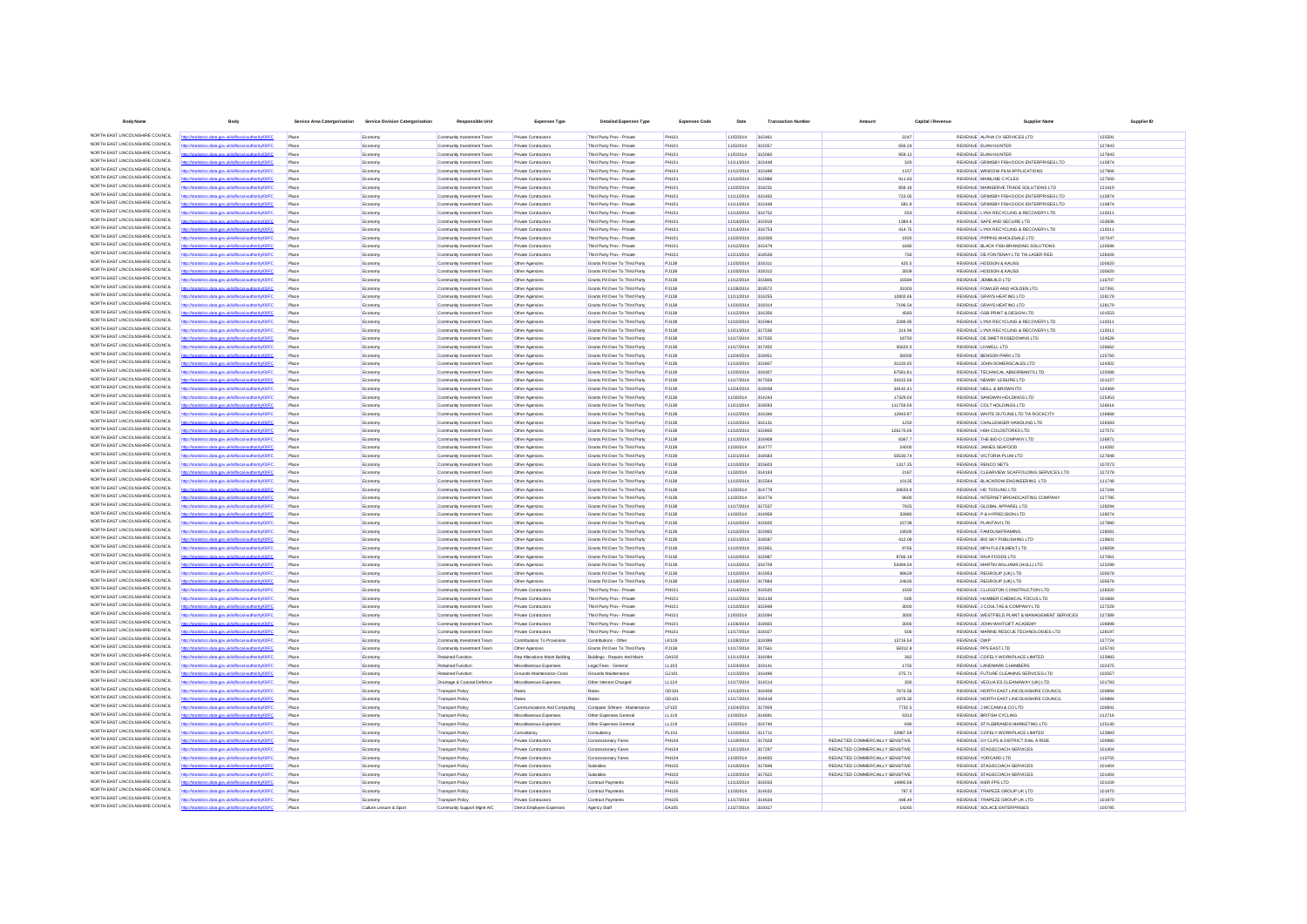| <b>Body Name</b>                                                    |                                                                                                 | Service Area Catergorisation | <b>Service Division Catergorisation</b> | Responsible Unit                                       | <b>Expenses Type</b>                                | <b>Detailed Expenses Type</b>                                  | <b>Expenses Code</b>  | Date                            | <b>Transaction Numbe</b> | Amount                                                             | Capital / Revenue  | <b>Supplier Name</b>                                                           |                  |
|---------------------------------------------------------------------|-------------------------------------------------------------------------------------------------|------------------------------|-----------------------------------------|--------------------------------------------------------|-----------------------------------------------------|----------------------------------------------------------------|-----------------------|---------------------------------|--------------------------|--------------------------------------------------------------------|--------------------|--------------------------------------------------------------------------------|------------------|
| NORTH EAST LINCOLNSHIRE COUNCIL                                     | //statistics.data.gov.uk/id/local-authority/00FC                                                | Place                        | Economy                                 | Community Investment Team                              | Private Contractors                                 | Third Party Prov - Private                                     | PH101                 | 11/5/2014                       | 315461                   | 2247                                                               |                    | REVENUE ALPHA CV SERVICES LTD                                                  | 125591           |
| NORTH EAST LINCOLNSHIRE COUNCIL                                     |                                                                                                 | Place                        | Fronomy                                 | Community Investment Team                              | Private Contractors                                 | Third Party Prov - Privat                                      | PH101                 | 11/5/2014                       | 315057                   | 656.24                                                             |                    | <b>REVENUE FLIAN HUNTER</b>                                                    | 127843           |
| NORTH EAST LINCOLNSHIRE COUNCIL<br>NORTH EAST LINCOLNSHIRE COUNCIL  |                                                                                                 | Place                        | Economy                                 | Community Investment Team                              | Private Contractors                                 | Third Party Prov - Private                                     | PH101                 | 11/5/2014                       | 315060                   | 959.12                                                             |                    | <b>REVENUE EUAN HUNTER</b>                                                     | 127843           |
| NORTH EAST LINCOLNSHIRE COUNCIL                                     | tatistics.data.gov.uk/id/local-authority/00FC                                                   | Place<br>Place               | Economy<br>Economy                      | Community Investment Team<br>Community Investment Team | Private Contractors<br>Private Contractors          | Third Party Prov - Private<br>Third Party Prov - Private       | <b>PH101</b><br>PH101 | 11/11/2014<br>11/12/2014        | 315448<br>315498         | 320<br>1157                                                        |                    | REVENUE GRIMSBY FISH DOCK ENTERPRISES LTD<br>REVENUE WINDOW FILM APPLICATIONS  | 110874<br>127966 |
| NORTH EAST LINCOLNSHIRE COUNCIL                                     | fics.data.gov.uk/id/local-authority/00FC                                                        | Place                        | Economy                                 | Community Investment Team                              | Private Contractors                                 | Third Party Prov - Private                                     | PH101                 | 11/10/2014                      |                          | 911.63                                                             |                    | REVENUE MAINLINE CYCLES                                                        | 127500           |
| NORTH EAST LINCOLNSHIRE COUNCIL                                     |                                                                                                 | Place                        | Fonnomy                                 | Community Investment Team                              | Private Contractors                                 | Third Party Prov - Private                                     | PH101                 | 11/20/2014                      | 318231                   | 858.16                                                             |                    | REVENUE MAINSERVE TRADE SOLUTIONS LTD                                          | 121419           |
| NORTH EAST LINCOLNSHIRE COUNCIL                                     | istics.data.gov.uk/id/local-authority/00FC                                                      | Place                        | Economy                                 | Community Investment Team                              | Private Contractors                                 | Third Party Prov - Private                                     | PH101                 | 11/11/2014 315450               |                          | 723.05                                                             |                    | REVENUE GRIMSBY FISH DOCK ENTERPRISES LTD                                      | 110874           |
| NORTH EAST LINCOLNSHIRE COUNCIL<br>NORTH EAST LINCOLNSHIRE COUNCIL  | //statistics.data.gov.uk/id/local-authority/00FC                                                | Place                        | Economy                                 | Community Investment Team                              | Private Contractors                                 | Third Party Prov - Private                                     | <b>PH101</b>          | 11/11/2014 315448               |                          | 581.9                                                              |                    | REVENUE GRIMSBY FISH DOCK ENTERPRISES LTD                                      | 110874           |
| NORTH EAST LINCOLNSHIRE COUNCIL                                     | ns data ony uklidihoal-autho<br>fics.data.gov.uk/id/local-authority/00FC                        | Place<br>Place               | Economy<br>Economy                      | Community Investment Team<br>Community Investment Team | Private Contractors<br>Private Contractors          | Third Party Prov - Private<br>Third Party Prov - Private       | PH101<br>PH101        | 11/13/2014<br>11/14/2014        | 316752<br>315919         | 553<br>1384.6                                                      |                    | REVENUE LYNX RECYCLING & RECOVERY LTD<br>REVENUE SAFE AND SECURE LTD           | 110011<br>103936 |
| NORTH EAST LINCOLNSHIRE COUNCIL                                     |                                                                                                 | Place                        | Econom                                  | Community Investment Team                              | Private Contractor                                  | Third Party Prov - Privati                                     | PH101                 | 11/14/2014                      | 316753                   | 414.75                                                             |                    | REVENUE LYNX RECYCLING & RECOVERY LTD                                          | 110011           |
| NORTH EAST LINCOLNSHIRE COUNCIL                                     | Vstatistics.data.gov.uk/id/local-authority/00FC                                                 | Place                        | Economy                                 | Community Investment Team                              | Private Contractors                                 | Third Party Prov - Private                                     | PH101                 | 11/20/2014                      | 318306                   | 1920                                                               |                    | REVENUE PIPPINS WHOLESALE LTD                                                  | 107047           |
| NORTH EAST LINCOLNSHIRE COUNCIL                                     | stics.data.gov.uk/id/local-authority/00FC                                                       | Place                        | Economy                                 | Community Investment Team                              | Private Contractors                                 | Third Party Prov - Private                                     | PH101                 | 11/12/2014                      | 315479                   | 1680                                                               |                    | REVENUE BLACK FISH BRANDING SOLUTIONS                                          | 120696           |
| NORTH EAST LINCOLNSHIRE COUNCIL<br>NORTH EAST LINCOLNSHIRE COUNCIL  | ics data ony ukkölneakautho                                                                     | Place                        | Economy                                 | Community Investment Team                              | Private Contractors                                 | Third Party Prov - Private                                     | PH101                 | 11/21/2014                      | 318526                   | 750                                                                |                    | REVENUE DE FONTENAY LTD T/A LASER RED                                          | 128426           |
| NORTH EAST LINCOLNSHIRE COUNCIL                                     | stics.data.gov.uk/id/local-authority/00FC                                                       | Place<br>Place               | Economy<br>Econom                       | Community Investment Team                              | Other Agencies<br>Other Agencie                     | Grants Pd Over To Third Party<br>Grants Pd Over To Third Party | <b>PJ138</b><br>PJ138 | 11/20/2014<br>11/20/2014        | 318311<br>318312         | 420.5<br>3509                                                      |                    | REVENUE HODSON & KAUSS<br>REVENUE HODSON & KAUSS                               | 100620<br>100620 |
| NORTH EAST LINCOLNSHIRE COUNCIL                                     | stics.data.gov.uk/id/local-authority/00FC                                                       | Place                        | Economy                                 | Community Investment Team                              | Other Agencies                                      | Grants Pd Over To Third Party                                  | PJ138                 | 11/12/2014                      | 315806                   | 16584                                                              |                    | REVENUE JEMBUILD LTD                                                           | 116707           |
| NORTH EAST LINCOLNSHIRE COUNCIL                                     | fics.data.gov.uk/id/local-authority/00FC                                                        | Place                        | Economy                                 | Community Investment Team                              | Other Agencies                                      | Grants Pd Over To Third Party                                  | PJ138                 | 11/28/2014 319572               |                          | 31003                                                              |                    | REVENUE FOWLER AND HOLDEN LTD                                                  | 107391           |
| NORTH EAST LINCOLNSHIRE COUNCIL                                     | ics data gov ukřdílocal authority/00FC                                                          | Place                        | Economy                                 | Community Investment Team                              | Other Agencies                                      | Grants Pd Over To Third Party                                  | PJ138                 | 11/11/2014                      | 316255                   | 12802.46                                                           |                    | REVENUE GRAYS HEATING LTD                                                      | 128179           |
| NORTH EAST LINCOLNSHIRE COUNCIL<br>NORTH EAST LINCOLNSHIRE COUNCIL  | tics.data.gov.uk/id/local-authority/00FC                                                        | Place                        | Economy                                 | Community Investment Team                              | Other Agencies                                      | Grants Pd Over To Third Party                                  | <b>PJ138</b>          | 11/20/2014                      | 318314                   | 7196.54                                                            |                    | REVENUE GRAYS HEATING LTD                                                      | 128179           |
| NORTH EAST LINCOLNSHIRE COUNCIL                                     | Vstatistics.data.gov.uk/id/local-authority/00FC                                                 | Place<br>Place               | Econom<br>Economy                       | Community Investment Team                              | Other Agencie<br>Other Agencies                     | Grants Pd Over To Third Party<br>Grants Pd Over To Third Party | PJ138<br>PJ138        | 11/12/2014<br>11/10/2014        | 316356<br>315964         | 4583<br>2289.95                                                    |                    | REVENUE GSB PRINT & DESIGN LTD<br>REVENUE LYNX RECYCLING & RECOVERY LTD        | 101553<br>110011 |
| NORTH EAST LINCOLNSHIRE COUNCIL                                     |                                                                                                 | Place                        | Economy                                 | Community Investment Team                              | Other Agencies                                      | Grants Pd Over To Third Party                                  | PJ138                 | 11/21/2014 317536               |                          | 314.94                                                             |                    | REVENUE LYNX RECYCLING & RECOVERY LTD                                          | 110011           |
| NORTH EAST LINCOLNSHIRE COUNCIL                                     | atistics.data.gov.uk/id/local-authority/00FC                                                    | Place                        | Economy                                 | Community Investment Team                              | Other Agencies                                      | Grants Pd Over To Third Party                                  | PJ138                 | 11/17/2014                      | 317535                   | 18750                                                              |                    | REVENUE DE SMET ROSEDOWNS LTD                                                  | 124528           |
| NORTH FAST LINCOLNSHIRE COUNCIL                                     |                                                                                                 | Place                        | Economy                                 | Community Investment Team                              | Other Agencies                                      | Grants Pd Over To Third Party                                  | PJ138                 | 11/17/2014                      | 317402                   | 35620.5                                                            |                    | REVENUE LIVWELL LTD                                                            | 126662           |
| NORTH EAST LINCOLNSHIRE COUNCIL<br>NORTH FAST LINCOLNSHIRE COLINCIL |                                                                                                 | Place                        | Econom                                  |                                                        | Other Agencie                                       | Grants Pd Over To Third Party                                  | PJ138                 | 11/24/2014                      | 31895                    | 56000                                                              |                    | REVENUE BENSON PARK LTD                                                        | 125760           |
| NORTH EAST LINCOLNSHIRE COUNCIL                                     | istics.data.gov.uk/id/local-authority/00FC                                                      | Place                        | Economy                                 | Community Investment Team                              | Other Agencies                                      | Grants Pd Over To Third Party                                  | PJ138                 | 11/10/2014                      | 315807                   | 31220.05                                                           |                    | REVENUE JOHN SOMERSCALES LTD                                                   | 124302           |
| NORTH EAST LINCOLNSHIRE COUNCIL                                     | distics.data.gov.uk/id/local-authority/00FC                                                     | Place<br>Place               | Economy<br>Economy                      | Community Investment Team<br>Community Investment Team | Other Agencies<br>Other Agencies                    | Grants Pd Over To Third Party<br>Grants Pd Over To Third Party | PJ138<br>PJ138        | 11/20/2014 318307<br>11/17/2014 | 317559                   | 67581.81<br>34222.56                                               |                    | REVENUE TECHNICAL ABSORBANTS LTD<br>REVENUE NEWBY LEISURE LTD                  | 125088<br>101227 |
| NORTH FAST LINCOLNSHIRE COLINCIL                                    | tins data now uklidional author                                                                 | Place                        | Economy                                 | Community Investment Team                              | Other Agencies                                      | Grants Pd Over To Third Party                                  | PJ138                 | 11/24/2014                      | 318939                   | 34142.41                                                           |                    | REVENUE NEILL & BROWN ITD                                                      | 124369           |
| NORTH EAST LINCOLNSHIRE COUNCIL                                     |                                                                                                 | Place                        | Economy                                 | Community Investment Team                              | Other Agencies                                      | Grants Pd Over To Third Party                                  | PJ138                 | 11/3/2014                       | 314243                   | 17329.04                                                           |                    | REVENUE SANGWIN HOLDINGS LTD                                                   | 125453           |
| NORTH EAST LINCOLNSHIRE COUNCIL                                     | Vstatistics.data.gov.uk/id/local-authority/00FC                                                 | Place                        | Economy                                 | Community Investment Team                              | Other Agencies                                      | Grants Pd Over To Third Party                                  | PJ138                 | 11/21/2014                      | 318593                   | 111759.59                                                          |                    | REVENUE COLT HOLDINGS LTD                                                      | 126616           |
| NORTH EAST LINCOLNSHIRE COUNCIL<br>NORTH EAST LINCOLNSHIRE COUNCIL  |                                                                                                 | Place                        | Economy                                 | Community Investment Team                              | Other Agencies                                      | Grants Pd Over To Third Party                                  | PJ138                 | 11/12/2014 316346               |                          | 12943.97                                                           |                    | REVENUE WHITE OUTLINE LTD T/A ROCKCITY                                         | 126868           |
| NORTH FAST LINCOLNSHIRE COLINCIL                                    | tatistics.data.gov.uk/id/local-authority/00FC                                                   | Place<br>Place               | Economy<br>Economy                      | Community Investment Team<br>Community Investment Team | Other Agencies<br>Other Agencies                    | Grants Pd Over To Third Party<br>Grants Pd Over To Third Party | PJ138<br>PJ138        | 11/10/2014<br>11/10/2014        | 316131<br>315805         | 1250<br>126170.06                                                  |                    | REVENUE CHALLENGER HANDLING LTD<br>REVENUE HSH COLDSTORES LTD                  | 126393<br>127072 |
| NORTH EAST LINCOLNSHIRE COUNCIL                                     |                                                                                                 | Place                        | Economy                                 | Community Investment Team                              | Other Agencies                                      | Grants Pd Over To Third Party                                  | PJ138                 | 11/13/2014                      | 316908                   | 8367.7                                                             |                    | REVENUE THE BIO-D COMPANY LTD                                                  | 126871           |
| NORTH EAST LINCOLNSHIRE COUNCIL                                     | istics.data.gov.uk/id/local-authority/00FC                                                      | Place                        | Economy                                 | Community Investment Team                              | Other Agencies                                      | Grants Pd Over To Third Party                                  | PJ138                 | 11/3/2014                       | 314777                   | 24000                                                              |                    | REVENUE JAINES SEAFOOD                                                         | 114282           |
| NORTH EAST LINCOLNSHIRE COUNCIL                                     |                                                                                                 | Place                        | Economy                                 | Community Investment Team                              | Other Agencies                                      | Grants Pd Over To Third Party                                  | PJ138                 | 11/21/2014 318583               |                          | 55530.74                                                           |                    | REVENUE VICTORIA PLUM LTD                                                      | 127848           |
| NORTH EAST LINCOLNSHIRE COUNCIL<br>NORTH EAST LINCOLNSHIRE COUNCIL  | distics.data.gov.uk/id/local-authority/00FC                                                     | Place                        | Economy                                 | Community Investment Team                              | Other Agencies                                      | Grants Pd Over To Third Party                                  | PJ138                 | 11/10/2014                      | 315603                   | 1317.25                                                            |                    | <b>REVENUE RENCO NETS</b>                                                      | 107073           |
| NORTH EAST LINCOLNSHIRE COUNCIL                                     | ics data ony uklidiocal-auth<br>tics.data.gov.uk/id/local-authority/00FC                        | Place<br>Place               | Economy<br>Economy                      | Community Investment Team                              | Other Agencies<br>Other Agencies                    | Grants Pd Over To Third Party<br>Grants Pd Over To Third Party | PJ138<br>PJ138        | 11/3/2014<br>11/10/2014         | 314193<br>315564         | 2187<br>10135                                                      |                    | REVENUE CLEARVIEW SCAFFOLDING SERVICES LTD<br>REVENUE BLACKROW ENGINEERING LTD | 127278<br>111748 |
| NORTH EAST LINCOLNSHIRE COUNCIL                                     | Vstatistics.data.gov.uk/id/local-authority/00FC                                                 | Place                        | Economy                                 | Community Investment Team<br>Community Investment Team | Other Agencies                                      | Grants Pd Over To Third Party                                  | PJ138                 | 11/3/2014                       | 314778                   | 34633.8                                                            |                    | REVENUE HD TOOLING LTD                                                         | 127194           |
| NORTH EAST LINCOLNSHIRE COUNCIL                                     | cs.data.gov.uk/id/local-authorit                                                                | Place                        | Economy                                 | Community Investment Team                              | Other Agencies                                      | Grants Pd Over To Third Party                                  | PJ138                 | 11/3/2014                       | 314776                   | 9600                                                               |                    | REVENUE INTERNET BROADCASTING COMPANY                                          | 127785           |
| NORTH EAST LINCOLNSHIRE COUNCIL                                     | tatistics.data.gov.uk/id/local-authority/00FC                                                   | Place                        | Economy                                 | Community Investment Team                              | Other Agencies                                      | Grants Pd Over To Third Party                                  | PJ138                 | 11/17/2014                      | 317537                   | 7925                                                               |                    | REVENUE GLOBAL APPAREL LTD                                                     | 128294           |
| NORTH EAST LINCOLNSHIRE COUNCIL<br>NORTH EAST LINCOLNSHIRE COUNCIL  | ns data ony uklidional-authr                                                                    | Place                        | Economy                                 | Community Investment Team                              | Other Agencies                                      | Grants Pd Over To Third Party                                  | PJ138                 | 11/3/2014                       | 314959                   | 32880                                                              |                    | REVENUE P & H PRECISION LTD                                                    | 128074           |
| NORTH EAST LINCOLNSHIRE COUNCIL                                     | fics.data.gov.uk/id/local-authority/00FC<br>//statistics.data.gov.uk/id/local-authority/00FC    | Place<br>Place               | Economy<br>Economy                      | Community Investment Team<br>Community Investment Team | Other Agencies<br>Other Agencies                    | Grants Pd Over To Third Party<br>Grants Pd Over To Third Party | PJ138<br>PJ138        | 11/10/2014<br>11/10/2014        | 315605<br>315950         | 15738<br>19500                                                     |                    | REVENUE PLANTAVILTD<br>REVENUE FAMOUS4FRAMING                                  | 127880<br>128081 |
| NORTH EAST LINCOLNSHIRE COUNCIL                                     |                                                                                                 | Place                        | Economy                                 | Community Investment Team                              | Other Agencies                                      | Grants Pd Over To Third Party                                  | PJ138                 | 11/21/2014 318587               |                          | 412.09                                                             |                    | REVENUE BIG SKY PUBLISHING LTD                                                 | 119601           |
| NORTH EAST LINCOLNSHIRE COUNCIL                                     | atistics.data.gov.uk/id/local-authority/00FC                                                    | Place                        | Economy                                 | Community Investment Team                              | Other Agencies                                      | Grants Pd Over To Third Party                                  | PJ138                 | 11/10/2014                      | 315951                   | 9765                                                               |                    | REVENUE MPH FULFILMENT LTD                                                     | 128058           |
| NORTH EAST LINCOLNSHIRE COUNCIL                                     | tics data ony uklidingal-authority/00FC                                                         | Place                        | Economy                                 | Community Investment Team                              | Other Agencies                                      | Grants Pd Over To Third Party                                  | PJ138                 | 11/10/2014                      | 315987                   | 9766.19                                                            |                    | REVENUE RIVA FOODS LTD                                                         | 127061           |
| NORTH EAST LINCOLNSHIRE COUNCIL<br>NORTH EAST LINCOLNSHIRE COUNCIL  | stics.data.gov.uk/id/local-authority/00FC                                                       | Place                        | Economy                                 | Community Investment Team                              | Other Agencies                                      | Grants Pd Over To Third Party                                  | PJ138                 | 11/13/2014                      | 316709                   | 53494.04                                                           |                    | REVENUE MARTIN WILLIAMS (HULL) LTD                                             | 122299           |
| NORTH EAST LINCOLNSHIRE COUNCIL                                     | ins data now uklidional authr                                                                   | Place<br>Place               | Economy<br>Economy                      | Community Investment Team<br>Community Investment Team | Other Agencies<br>Other Agencies                    | Grants Pd Over To Third Party<br>Grants Pd Over To Third Party | PJ138<br>PJ138        | 11/10/2014<br>11/18/2014        | 315953<br>317884         | 98629<br>24626                                                     |                    | REVENUE REGROUP (UK) LTD<br>REVENUE REGROUP (UK) LTD                           | 105678<br>105678 |
| NORTH EAST LINCOLNSHIRE COUNCIL                                     | tatistics.data.gov.uk/id/local-authority/00FC                                                   | Place                        | Economy                                 | Community Investment Team                              | Private Contractors                                 | Third Party Prov - Private                                     | PH101                 | 11/14/2014                      | 316520                   | 1500                                                               |                    | REVENUE CLUGSTON CONSTRUCTION LTD                                              | 128320           |
| NORTH EAST LINCOLNSHIRE COUNCIL                                     | the other areas shifted because a though                                                        | Place                        | Economy                                 | Community Investment Team                              | Private Contractors                                 | Third Party Prov - Private                                     | <b>PH101</b>          | 11/12/2014                      | 316130                   | soo                                                                |                    | REVENUE HUMBER CHEMICAL FOCUS LTD                                              | 101684           |
| NORTH EAST LINCOLNSHIRE COUNCIL<br>NORTH EAST LINCOLNSHIRE COUNCIL  | stics.data.gov.uk/id/local-authority/00FC                                                       | Place                        | Economy                                 | Community Investment Team                              | Private Contractors                                 | Third Party Prov - Private                                     | PH101                 | 11/10/2014                      | 315948                   | 3000                                                               |                    | REVENUE J COULTAS & COMPANY LTD                                                | 127228           |
| NORTH EAST LINCOLNSHIRE COUNCIL                                     | tics data ony uklidingal autho                                                                  | Place<br>Place               | Economy<br>Economy                      | Community Investment Team<br>Community Investment Team | Private Contractor<br>Private Contractors           | Third Party Prov - Private<br>Third Party Prov - Private       | PH101<br>PH101        | 11/5/2014<br>11/26/2014         | 315094<br>318920         | 3000<br>3000                                                       |                    | REVENUE WESTFIELD PLANT & MANAGEMENT SERVICES<br>REVENUE JOHN WHITGIFT ACADEMY | 127389<br>106898 |
| NORTH EAST LINCOLNSHIRE COUNCIL                                     | datistics.data.gov.uk/id/local-authority/00FC                                                   | Place                        | Economy                                 | Community Investment Team                              | Private Contractors                                 | Third Party Prov - Private                                     | PH101                 | 11/17/2014                      | 316027                   | 500                                                                |                    | REVENUE MARINE RESCUE TECHNOLOGIES LTD                                         | 128197           |
| NORTH EAST LINCOLNSHIRE COUNCIL                                     |                                                                                                 | Place                        | Econom                                  | Community Investment Team                              | Contributions To Provisions                         | Contributions - Other                                          | LK103                 | 11/28/2014                      | 319399                   | 13716.54                                                           | <b>REVENUE DWP</b> |                                                                                | 127724           |
| NORTH EAST LINCOLNSHIRE COUNCIL                                     | tics.data.gov.uk/id/local-authority/00FC                                                        | Place                        | Economy                                 | Community Investment Team                              | Other Agencies                                      | Grants Pd Over To Third Party                                  | PJ138                 | 11/17/2014                      | 317561                   | 58312.8                                                            |                    | REVENUE PPS EAST LTD                                                           | 125743           |
| NORTH EAST LINCOLNSHIRE COUNCIL<br>NORTH EAST LINCOLNSHIRE COUNCIL  |                                                                                                 | Place                        | Economy                                 | Retained Functio                                       | Rep Alterations Maint Building                      | Buildings - Repairs And Main                                   | GA102                 | 11/11/2014                      | 316094                   | 362                                                                |                    | REVENUE COFELY WORKPLACE LIMITED                                               | 123983           |
| NORTH EAST LINCOLNSHIRE COUNCIL                                     | Vstatistics.data.gov.uk/id/local-authority/00FC<br>atistics.data.gov.uk/id/local-authority/00FC | Place<br>Place               | Economy<br>Economy                      | Retained Function<br>Retained Function                 | Miscellaneous Expenses<br>Grounds Maintenance Costs | Legal Fees - General<br>Grounds Maintenance                    | LL103<br>GJ101        | 11/24/2014<br>11/13/2014        | 319141<br>316496         | 1750<br>275.71                                                     |                    | REVENUE LANDMARK CHAMBERS<br>REVENUE FUTURE CLEANING SERVICES LTD              | 102475<br>102557 |
| NORTH EAST LINCOLNSHIRE COUNCIL                                     | ics data gov uklidiocal authority                                                               | Place                        | Economy                                 | Drainage & Coastal Defence                             | Miscellaneous Expense                               | Other Interest Charged                                         | LL124                 | 11/17/2014                      | 314514                   | 300                                                                |                    | REVENUE VEOLIA ES CLEANAWAY (UK) LTD                                           | 101783           |
| NORTH EAST LINCOLNSHIRE COUNCIL                                     | stics.data.gov.uk/id/local-authority/00FC                                                       | Place                        | Economy                                 | <b>Transport Policy</b>                                | Rates                                               | Rates                                                          | GD101                 | 11/13/2014                      | 316408                   | 7670.56                                                            |                    | REVENUE NORTH EAST LINCOLNSHIRE COUNCIL                                        | 100894           |
| NORTH EAST LINCOLNSHIRE COUNCIL                                     |                                                                                                 | Place                        | Economy                                 | <b>Transport Policy</b>                                | Rates                                               | Rates                                                          | GD101                 | 11/17/2014                      | 316418                   | 1979.32                                                            |                    | REVENUE NORTH EAST LINCOLNSHIRE COUNCIL                                        | 100894           |
| NORTH EAST LINCOLNSHIRE COUNCIL<br>NORTH EAST LINCOLNSHIRE COUNCIL  | stics.data.gov.uk/id/local-authority/00FC                                                       | Place                        | Economy                                 | <b>Transport Policy</b>                                | Communications And Computing                        | Computer S/Ware - Maintenance                                  | LF102                 | 11/24/2014                      | 317859                   | 7732.5                                                             |                    | REVENUE J MCCANN & CO LTD                                                      | 100841           |
| NORTH EAST LINCOLNSHIRE COUNCIL                                     |                                                                                                 | Place<br>Place               | Economy<br>Economy                      | <b>Transport Policy</b><br><b>Transport Policy</b>     | Miscellaneous Expenses<br>Miscelaneous Expense      | Other Expenses Genera<br>Other Expenses Genera                 | LL119<br>LL119        | 11/3/2014<br>11/3/2014          | 314691<br>314740         | 5313<br>690                                                        |                    | REVENUE BRITISH CYCLING<br>REVENUE STYLEBRANDS MARKETING LTD                   | 112716<br>125130 |
| NORTH EAST LINCOLNSHIRE COUNCIL                                     | stics.data.gov.uk/id/local-authority/00FC                                                       | Place                        | Economy                                 | <b>Transport Policy</b>                                | Consultancy                                         | Consultancy                                                    | PL101                 | 11/10/2014                      | 311711                   | 22987.58                                                           |                    | REVENUE COFELY WORKPLACE LIMITED                                               | 123983           |
| NORTH EAST LINCOLNSHIRE COUNCIL                                     |                                                                                                 | Place                        | Economy                                 | <b>Transport Policy</b>                                | Private Contractors                                 | Concessionary Fares                                            | PH104                 | 11/19/2014                      | 317628                   | REDACTED COMMERCIALLY SENSITIVE                                    |                    | REVENUE GY CLPS & DISTRICT DIAL A RIDE                                         | 100980           |
| NORTH EAST LINCOLNSHIRE COUNCIL                                     | stics.data.gov.uk/id/local-authority/00FC                                                       | Place                        | Economy                                 | <b>Transport Policy</b>                                | Private Contractors                                 | Concessionary Fares                                            | PH104                 | 11/21/2014                      | 317297                   | REDACTED COMMERCIALLY SENSITIVE                                    |                    | REVENUE STAGECOACH SERVICES                                                    | 101404           |
| NORTH EAST LINCOLNSHIRE COUNCIL<br>NORTH EAST LINCOLNSHIRE COUNCIL  | s.data.gov.uk/id/local-autho<br><b>IDDFC</b>                                                    | Place                        | Economy                                 | <b>Transport Policy</b>                                | Private Contractors                                 | Concessionary Fares                                            | PH104                 | 11/3/2014                       | 314650                   | REDACTED COMMERCIALLY SENSITIVE                                    |                    | REVENUE YORCARD LTD                                                            | 110755           |
| NORTH EAST LINCOLNSHIRE COUNCIL                                     | istics.data.gov.uk/id/local-authority/00FC<br>stics.data.gov.uk/id/local-authority/00FC         | Place<br>Place               | Economy<br>Economy                      | <b>Transport Policy</b><br><b>Transport Policy</b>     | Private Contractors<br>Private Contractors          | Subsidies<br>Subsidies                                         | PH102<br>PH102        | 11/19/2014<br>11/20/2014        | 317848<br>317622         | REDACTED COMMERCIALLY SENSITIVE<br>REDACTED COMMERCIALLY SENSITIVE |                    | REVENUE STAGECOACH SERVICES<br>REVENUE STAGECOACH SERVICES                     | 101404<br>101404 |
| NORTH EAST LINCOLNSHIRE COUNCIL                                     |                                                                                                 | Place                        | Economy                                 | <b>Transport Policy</b>                                | Private Contractors                                 | Contract Payments                                              | PH105                 | 11/13/2014                      | 316033                   | 14990.58                                                           |                    | REVENUE KIER FPS LTD                                                           | 101159           |
| NORTH EAST LINCOLNSHIRE COUNCIL                                     | istics.data.gov.uk/id/local-authority/00FC                                                      | Place                        | Economy                                 | <b>Transport Policy</b>                                | Private Contractors                                 | Contract Payments                                              | PH105                 | 11/3/2014                       | 314632                   | 787.5                                                              |                    | REVENUE TRAPEZE GROUP UK LTD                                                   | 101970           |
| NORTH EAST LINCOLNSHIRE COUNCIL                                     | cs.data.gov.uk/id/local-authority/00FC                                                          | Place                        | Economy                                 | <b>Transport Policy</b>                                | Private Contractors                                 | Contract Payments                                              | PH105                 | 11/17/2014 314634               |                          | 448.44                                                             |                    | REVENUE TRAPEZE GROUP UK LTD                                                   | 101970           |
| NORTH EAST LINCOLNSHIRE COUNCIL                                     |                                                                                                 |                              | Culture Leisure & Sport                 | Community Support Mgmt A/C                             | Direct Employee Expenses                            | Agency Staft                                                   | EA105                 | 11/27/2014                      |                          | 14260                                                              |                    | REVENUE SOLACE ENTERPRISES                                                     | 00785            |